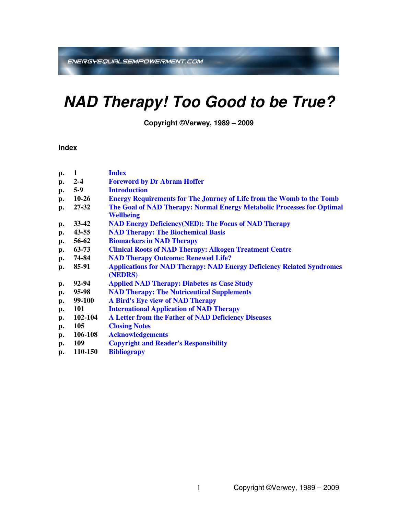# **NAD Therapy! Too Good to be True?**

**Copyright ©Verwey, 1989 – 2009** 

**Index** 

| р.        | 1          | <b>Index</b>                                                                                      |
|-----------|------------|---------------------------------------------------------------------------------------------------|
| р.        | $2 - 4$    | <b>Foreword by Dr Abram Hoffer</b>                                                                |
| р.        | $5-9$      | <b>Introduction</b>                                                                               |
| р.        | $10-26$    | <b>Energy Requirements for The Journey of Life from the Womb to the Tomb</b>                      |
| p.        | $27 - 32$  | <b>The Goal of NAD Therapy: Normal Energy Metabolic Processes for Optimal</b><br><b>Wellbeing</b> |
| <b>p.</b> | $33-42$    | <b>NAD Energy Deficiency (NED): The Focus of NAD Therapy</b>                                      |
| p.        | $43 - 55$  | <b>NAD Therapy: The Biochemical Basis</b>                                                         |
| p.        | 56-62      | <b>Biomarkers in NAD Therapy</b>                                                                  |
| р.        | $63 - 73$  | <b>Clinical Roots of NAD Therapy: Alkogen Treatment Centre</b>                                    |
| р.        | 74-84      | <b>NAD Therapy Outcome: Renewed Life?</b>                                                         |
| р.        | 85-91      | <b>Applications for NAD Therapy: NAD Energy Deficiency Related Syndromes</b>                      |
|           |            | (NEDRS)                                                                                           |
| p.        | 92-94      | <b>Applied NAD Therapy: Diabetes as Case Study</b>                                                |
| p.        | 95-98      | <b>NAD Therapy: The Nutriceutical Supplements</b>                                                 |
| р.        | 99-100     | A Bird's Eye view of NAD Therapy                                                                  |
| p.        | <b>101</b> | <b>International Application of NAD Therapy</b>                                                   |
| р.        | 102-104    | A Letter from the Father of NAD Deficiency Diseases                                               |
| <b>p.</b> | 105        | <b>Closing Notes</b>                                                                              |
| p.        | 106-108    | <b>Acknowledgements</b>                                                                           |
| р.        | 109        | <b>Copyright and Reader's Responsibility</b>                                                      |
| p.        | 110-150    | <b>Bibliograpy</b>                                                                                |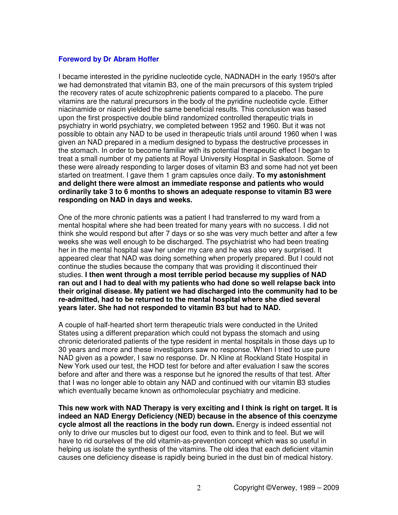## **Foreword by Dr Abram Hoffer**

I became interested in the pyridine nucleotide cycle, NADNADH in the early 1950's after we had demonstrated that vitamin B3, one of the main precursors of this system tripled the recovery rates of acute schizophrenic patients compared to a placebo. The pure vitamins are the natural precursors in the body of the pyridine nucleotide cycle. Either niacinamide or niacin yielded the same beneficial results. This conclusion was based upon the first prospective double blind randomized controlled therapeutic trials in psychiatry in world psychiatry, we completed between 1952 and 1960. But it was not possible to obtain any NAD to be used in therapeutic trials until around 1960 when I was given an NAD prepared in a medium designed to bypass the destructive processes in the stomach. In order to become familiar with its potential therapeutic effect I began to treat a small number of my patients at Royal University Hospital in Saskatoon. Some of these were already responding to larger doses of vitamin B3 and some had not yet been started on treatment. I gave them 1 gram capsules once daily. **To my astonishment and delight there were almost an immediate response and patients who would ordinarily take 3 to 6 months to shows an adequate response to vitamin B3 were responding on NAD in days and weeks.**

One of the more chronic patients was a patient I had transferred to my ward from a mental hospital where she had been treated for many years with no success. I did not think she would respond but after 7 days or so she was very much better and after a few weeks she was well enough to be discharged. The psychiatrist who had been treating her in the mental hospital saw her under my care and he was also very surprised. It appeared clear that NAD was doing something when properly prepared. But I could not continue the studies because the company that was providing it discontinued their studies. **I then went through a most terrible period because my supplies of NAD ran out and I had to deal with my patients who had done so well relapse back into their original disease. My patient we had discharged into the community had to be re-admitted, had to be returned to the mental hospital where she died several years later. She had not responded to vitamin B3 but had to NAD.**

A couple of half-hearted short term therapeutic trials were conducted in the United States using a different preparation which could not bypass the stomach and using chronic deteriorated patients of the type resident in mental hospitals in those days up to 30 years and more and these investigators saw no response. When I tried to use pure NAD given as a powder, I saw no response. Dr. N Kline at Rockland State Hospital in New York used our test, the HOD test for before and after evaluation I saw the scores before and after and there was a response but he ignored the results of that test. After that I was no longer able to obtain any NAD and continued with our vitamin B3 studies which eventually became known as orthomolecular psychiatry and medicine.

**This new work with NAD Therapy is very exciting and I think is right on target. It is indeed an NAD Energy Deficiency (NED) because in the absence of this coenzyme cycle almost all the reactions in the body run down.** Energy is indeed essential not only to drive our muscles but to digest our food, even to think and to feel. But we will have to rid ourselves of the old vitamin-as-prevention concept which was so useful in helping us isolate the synthesis of the vitamins. The old idea that each deficient vitamin causes one deficiency disease is rapidly being buried in the dust bin of medical history.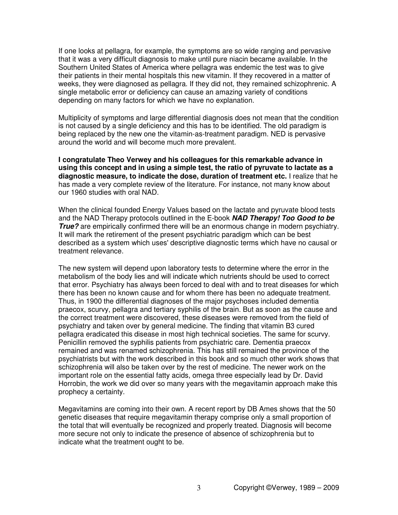If one looks at pellagra, for example, the symptoms are so wide ranging and pervasive that it was a very difficult diagnosis to make until pure niacin became available. In the Southern United States of America where pellagra was endemic the test was to give their patients in their mental hospitals this new vitamin. If they recovered in a matter of weeks, they were diagnosed as pellagra. If they did not, they remained schizophrenic. A single metabolic error or deficiency can cause an amazing variety of conditions depending on many factors for which we have no explanation.

Multiplicity of symptoms and large differential diagnosis does not mean that the condition is not caused by a single deficiency and this has to be identified. The old paradigm is being replaced by the new one the vitamin-as-treatment paradigm. NED is pervasive around the world and will become much more prevalent.

**I congratulate Theo Verwey and his colleagues for this remarkable advance in using this concept and in using a simple test, the ratio of pyruvate to lactate as a diagnostic measure, to indicate the dose, duration of treatment etc.** I realize that he has made a very complete review of the literature. For instance, not many know about our 1960 studies with oral NAD.

When the clinical founded Energy Values based on the lactate and pyruvate blood tests and the NAD Therapy protocols outlined in the E-book **NAD Therapy! Too Good to be True?** are empirically confirmed there will be an enormous change in modern psychiatry. It will mark the retirement of the present psychiatric paradigm which can be best described as a system which uses' descriptive diagnostic terms which have no causal or treatment relevance.

The new system will depend upon laboratory tests to determine where the error in the metabolism of the body lies and will indicate which nutrients should be used to correct that error. Psychiatry has always been forced to deal with and to treat diseases for which there has been no known cause and for whom there has been no adequate treatment. Thus, in 1900 the differential diagnoses of the major psychoses included dementia praecox, scurvy, pellagra and tertiary syphilis of the brain. But as soon as the cause and the correct treatment were discovered, these diseases were removed from the field of psychiatry and taken over by general medicine. The finding that vitamin B3 cured pellagra eradicated this disease in most high technical societies. The same for scurvy. Penicillin removed the syphilis patients from psychiatric care. Dementia praecox remained and was renamed schizophrenia. This has still remained the province of the psychiatrists but with the work described in this book and so much other work shows that schizophrenia will also be taken over by the rest of medicine. The newer work on the important role on the essential fatty acids, omega three especially lead by Dr. David Horrobin, the work we did over so many years with the megavitamin approach make this prophecy a certainty.

Megavitamins are coming into their own. A recent report by DB Ames shows that the 50 genetic diseases that require megavitamin therapy comprise only a small proportion of the total that will eventually be recognized and properly treated. Diagnosis will become more secure not only to indicate the presence of absence of schizophrenia but to indicate what the treatment ought to be.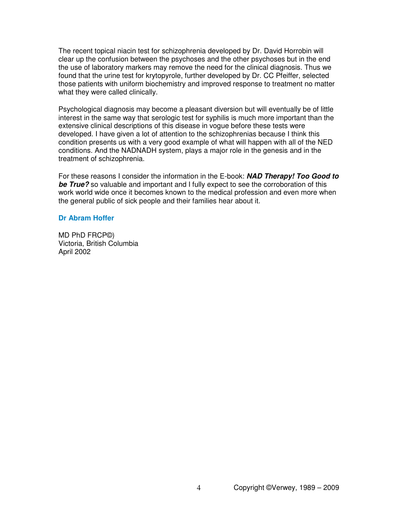The recent topical niacin test for schizophrenia developed by Dr. David Horrobin will clear up the confusion between the psychoses and the other psychoses but in the end the use of laboratory markers may remove the need for the clinical diagnosis. Thus we found that the urine test for krytopyrole, further developed by Dr. CC Pfeiffer, selected those patients with uniform biochemistry and improved response to treatment no matter what they were called clinically.

Psychological diagnosis may become a pleasant diversion but will eventually be of little interest in the same way that serologic test for syphilis is much more important than the extensive clinical descriptions of this disease in vogue before these tests were developed. I have given a lot of attention to the schizophrenias because I think this condition presents us with a very good example of what will happen with all of the NED conditions. And the NADNADH system, plays a major role in the genesis and in the treatment of schizophrenia.

For these reasons I consider the information in the E-book: **NAD Therapy! Too Good to be True?** so valuable and important and I fully expect to see the corroboration of this work world wide once it becomes known to the medical profession and even more when the general public of sick people and their families hear about it.

#### **Dr Abram Hoffer**

MD PhD FRCP©) Victoria, British Columbia April 2002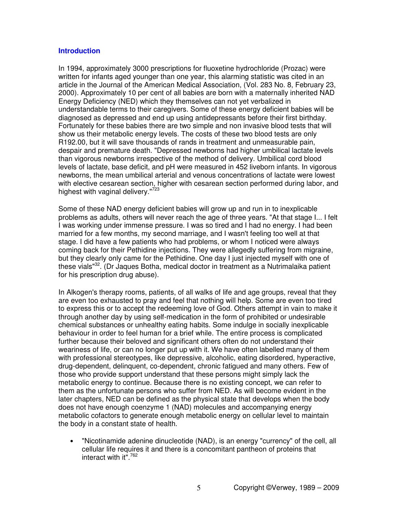#### **Introduction**

In 1994, approximately 3000 prescriptions for fluoxetine hydrochloride (Prozac) were written for infants aged younger than one year, this alarming statistic was cited in an article in the Journal of the American Medical Association, (Vol. 283 No. 8, February 23, 2000). Approximately 10 per cent of all babies are born with a maternally inherited NAD Energy Deficiency (NED) which they themselves can not yet verbalized in understandable terms to their caregivers. Some of these energy deficient babies will be diagnosed as depressed and end up using antidepressants before their first birthday. Fortunately for these babies there are two simple and non invasive blood tests that will show us their metabolic energy levels. The costs of these two blood tests are only R192.00, but it will save thousands of rands in treatment and unmeasurable pain, despair and premature death. "Depressed newborns had higher umbilical lactate levels than vigorous newborns irrespective of the method of delivery. Umbilical cord blood levels of lactate, base deficit, and pH were measured in 452 liveborn infants. In vigorous newborns, the mean umbilical arterial and venous concentrations of lactate were lowest with elective cesarean section, higher with cesarean section performed during labor, and highest with vaginal delivery."<sup>723</sup>

Some of these NAD energy deficient babies will grow up and run in to inexplicable problems as adults, others will never reach the age of three years. "At that stage I... I felt I was working under immense pressure. I was so tired and I had no energy. I had been married for a few months, my second marriage, and I wasn't feeling too well at that stage. I did have a few patients who had problems, or whom I noticed were always coming back for their Pethidine injections. They were allegedly suffering from migraine, but they clearly only came for the Pethidine. One day I just injected myself with one of these vials"<sup>32</sup>. (Dr Jaques Botha, medical doctor in treatment as a Nutrimalaika patient for his prescription drug abuse).

In Alkogen's therapy rooms, patients, of all walks of life and age groups, reveal that they are even too exhausted to pray and feel that nothing will help. Some are even too tired to express this or to accept the redeeming love of God. Others attempt in vain to make it through another day by using self-medication in the form of prohibited or undesirable chemical substances or unhealthy eating habits. Some indulge in socially inexplicable behaviour in order to feel human for a brief while. The entire process is complicated further because their beloved and significant others often do not understand their weariness of life, or can no longer put up with it. We have often labelled many of them with professional stereotypes, like depressive, alcoholic, eating disordered, hyperactive, drug-dependent, delinquent, co-dependent, chronic fatigued and many others. Few of those who provide support understand that these persons might simply lack the metabolic energy to continue. Because there is no existing concept, we can refer to them as the unfortunate persons who suffer from NED. As will become evident in the later chapters, NED can be defined as the physical state that develops when the body does not have enough coenzyme 1 (NAD) molecules and accompanying energy metabolic cofactors to generate enough metabolic energy on cellular level to maintain the body in a constant state of health.

• "Nicotinamide adenine dinucleotide (NAD), is an energy "currency" of the cell, all cellular life requires it and there is a concomitant pantheon of proteins that interact with it".<sup>762</sup>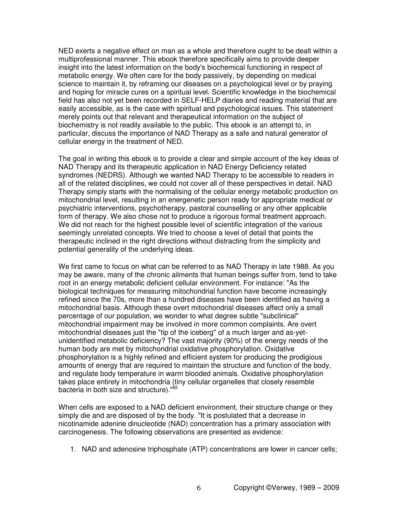NED exerts a negative effect on man as a whole and therefore ought to be dealt within a multiprofessional manner. This ebook therefore specifically aims to provide deeper insight into the latest information on the body's biochemical functioning in respect of metabolic energy. We often care for the body passively, by depending on medical science to maintain it, by reframing our diseases on a psychological level or by praying and hoping for miracle cures on a spiritual level. Scientific knowledge in the biochemical field has also not yet been recorded in SELF-HELP diaries and reading material that are easily accessible, as is the case with spiritual and psychological issues. This statement merely points out that relevant and therapeutical information on the subject of biochemistry is not readily available to the public. This ebook is an attempt to, in particular, discuss the importance of NAD Therapy as a safe and natural generator of cellular energy in the treatment of NED.

The goal in writing this ebook is to provide a clear and simple account of the key ideas of NAD Therapy and its therapeutic application in NAD Energy Deficiency related syndromes (NEDRS). Although we wanted NAD Therapy to be accessible to readers in all of the related disciplines, we could not cover all of these perspectives in detail. NAD Therapy simply starts with the normalising of the cellular energy metabolic production on mitochondrial level, resulting in an energenetic person ready for appropriate medical or psychiatric interventions, psychotherapy, pastoral counselling or any other applicable form of therapy. We also chose not to produce a rigorous formal treatment approach. We did not reach for the highest possible level of scientific integration of the various seemingly unrelated concepts. We tried to choose a level of detail that points the therapeutic inclined in the right directions without distracting from the simplicity and potential generality of the underlying ideas.

We first came to focus on what can be referred to as NAD Therapy in late 1988. As you may be aware, many of the chronic ailments that human beings suffer from, tend to take root in an energy metabolic deficient cellular environment. For instance: "As the biological techniques for measuring mitochondrial function have become increasingly refined since the 70s, more than a hundred diseases have been identified as having a mitochondrial basis. Although these overt mitochondrial diseases affect only a small percentage of our population, we wonder to what degree subtle "subclinical" mitochondrial impairment may be involved in more common complaints. Are overt mitochondrial diseases just the "tip of the iceberg" of a much larger and as-yetunidentified metabolic deficiency? The vast majority (90%) of the energy needs of the human body are met by mitochondrial oxidative phosphorylation. Oxidative phosphorylation is a highly refined and efficient system for producing the prodigious amounts of energy that are required to maintain the structure and function of the body, and regulate body temperature in warm blooded animals. Oxidative phosphorylation takes place entirely in mitochondria (tiny cellular organelles that closely resemble bacteria in both size and structure)."<sup>82</sup>

When cells are exposed to a NAD deficient environment, their structure change or they simply die and are disposed of by the body. "It is postulated that a decrease in nicotinamide adenine dinucleotide (NAD) concentration has a primary association with carcinogenesis. The following observations are presented as evidence:

1. NAD and adenosine triphosphate (ATP) concentrations are lower in cancer cells;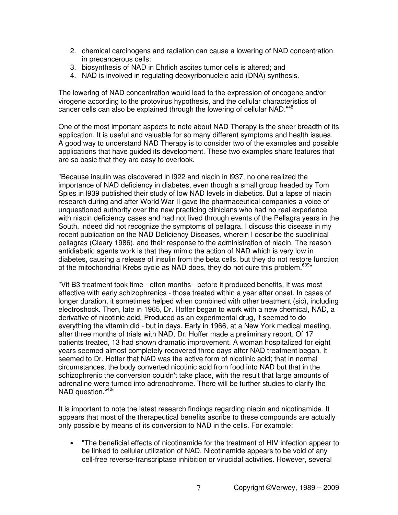- 2. chemical carcinogens and radiation can cause a lowering of NAD concentration in precancerous cells:
- 3. biosynthesis of NAD in Ehrlich ascites tumor cells is altered; and
- 4. NAD is involved in regulating deoxyribonucleic acid (DNA) synthesis.

The lowering of NAD concentration would lead to the expression of oncogene and/or virogene according to the protovirus hypothesis, and the cellular characteristics of cancer cells can also be explained through the lowering of cellular NAD."<sup>48</sup>

One of the most important aspects to note about NAD Therapy is the sheer breadth of its application. It is useful and valuable for so many different symptoms and health issues. A good way to understand NAD Therapy is to consider two of the examples and possible applications that have guided its development. These two examples share features that are so basic that they are easy to overlook.

"Because insulin was discovered in l922 and niacin in l937, no one realized the importance of NAD deficiency in diabetes, even though a small group headed by Tom Spies in l939 published their study of low NAD levels in diabetics. But a lapse of niacin research during and after World War II gave the pharmaceutical companies a voice of unquestioned authority over the new practicing clinicians who had no real experience with niacin deficiency cases and had not lived through events of the Pellagra years in the South, indeed did not recognize the symptoms of pellagra. I discuss this disease in my recent publication on the NAD Deficiency Diseases, wherein I describe the subclinical pellagras (Cleary 1986), and their response to the administration of niacin. The reason antidiabetic agents work is that they mimic the action of NAD which is very low in diabetes, causing a release of insulin from the beta cells, but they do not restore function of the mitochondrial Krebs cycle as NAD does, they do not cure this problem.<sup>639</sup>"

"Vit B3 treatment took time - often months - before it produced benefits. It was most effective with early schizophrenics - those treated within a year after onset. In cases of longer duration, it sometimes helped when combined with other treatment (sic), including electroshock. Then, late in 1965, Dr. Hoffer began to work with a new chemical, NAD, a derivative of nicotinic acid. Produced as an experimental drug, it seemed to do everything the vitamin did - but in days. Early in 1966, at a New York medical meeting, after three months of trials with NAD, Dr. Hoffer made a preliminary report. Of 17 patients treated, 13 had shown dramatic improvement. A woman hospitalized for eight years seemed almost completely recovered three days after NAD treatment began. It seemed to Dr. Hoffer that NAD was the active form of nicotinic acid; that in normal circumstances, the body converted nicotinic acid from food into NAD but that in the schizophrenic the conversion couldn't take place, with the result that large amounts of adrenaline were turned into adrenochrome. There will be further studies to clarify the NAD question.<sup>640</sup>"

It is important to note the latest research findings regarding niacin and nicotinamide. It appears that most of the therapeutical benefits ascribe to these compounds are actually only possible by means of its conversion to NAD in the cells. For example:

• "The beneficial effects of nicotinamide for the treatment of HIV infection appear to be linked to cellular utilization of NAD. Nicotinamide appears to be void of any cell-free reverse-transcriptase inhibition or virucidal activities. However, several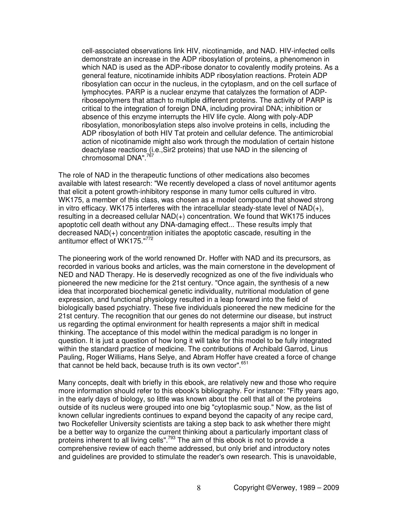cell-associated observations link HIV, nicotinamide, and NAD. HIV-infected cells demonstrate an increase in the ADP ribosylation of proteins, a phenomenon in which NAD is used as the ADP-ribose donator to covalently modify proteins. As a general feature, nicotinamide inhibits ADP ribosylation reactions. Protein ADP ribosylation can occur in the nucleus, in the cytoplasm, and on the cell surface of lymphocytes. PARP is a nuclear enzyme that catalyzes the formation of ADPribosepolymers that attach to multiple different proteins. The activity of PARP is critical to the integration of foreign DNA, including proviral DNA; inhibition or absence of this enzyme interrupts the HIV life cycle. Along with poly-ADP ribosylation, monoribosylation steps also involve proteins in cells, including the ADP ribosylation of both HIV Tat protein and cellular defence. The antimicrobial action of nicotinamide might also work through the modulation of certain histone deactylase reactions (i.e.,Sir2 proteins) that use NAD in the silencing of chromosomal DNA".<sup>767</sup>

The role of NAD in the therapeutic functions of other medications also becomes available with latest research: "We recently developed a class of novel antitumor agents that elicit a potent growth-inhibitory response in many tumor cells cultured in vitro. WK175, a member of this class, was chosen as a model compound that showed strong in vitro efficacy. WK175 interferes with the intracellular steady-state level of  $NAD(+)$ , resulting in a decreased cellular NAD(+) concentration. We found that WK175 induces apoptotic cell death without any DNA-damaging effect... These results imply that decreased NAD(+) concentration initiates the apoptotic cascade, resulting in the antitumor effect of WK175."<sup>772</sup>

The pioneering work of the world renowned Dr. Hoffer with NAD and its precursors, as recorded in various books and articles, was the main cornerstone in the development of NED and NAD Therapy. He is deservedly recognized as one of the five individuals who pioneered the new medicine for the 21st century. "Once again, the synthesis of a new idea that incorporated biochemical genetic individuality, nutritional modulation of gene expression, and functional physiology resulted in a leap forward into the field of biologically based psychiatry. These five individuals pioneered the new medicine for the 21st century. The recognition that our genes do not determine our disease, but instruct us regarding the optimal environment for health represents a major shift in medical thinking. The acceptance of this model within the medical paradigm is no longer in question. It is just a question of how long it will take for this model to be fully integrated within the standard practice of medicine. The contributions of Archibald Garrod, Linus Pauling, Roger Williams, Hans Selye, and Abram Hoffer have created a force of change that cannot be held back, because truth is its own vector".<sup>651</sup>

Many concepts, dealt with briefly in this ebook, are relatively new and those who require more information should refer to this ebook's bibliography. For instance: "Fifty years ago, in the early days of biology, so little was known about the cell that all of the proteins outside of its nucleus were grouped into one big "cytoplasmic soup." Now, as the list of known cellular ingredients continues to expand beyond the capacity of any recipe card, two Rockefeller University scientists are taking a step back to ask whether there might be a better way to organize the current thinking about a particularly important class of proteins inherent to all living cells".<sup>793</sup> The aim of this ebook is not to provide a comprehensive review of each theme addressed, but only brief and introductory notes and guidelines are provided to stimulate the reader's own research. This is unavoidable,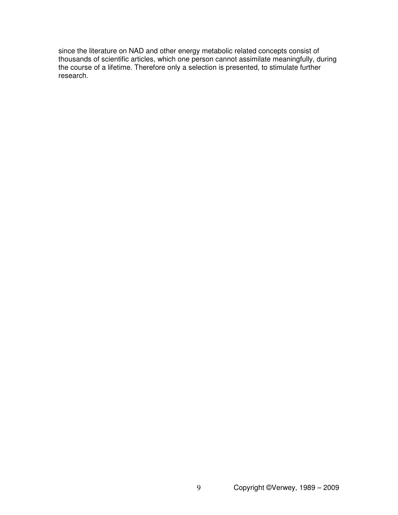since the literature on NAD and other energy metabolic related concepts consist of thousands of scientific articles, which one person cannot assimilate meaningfully, during the course of a lifetime. Therefore only a selection is presented, to stimulate further research.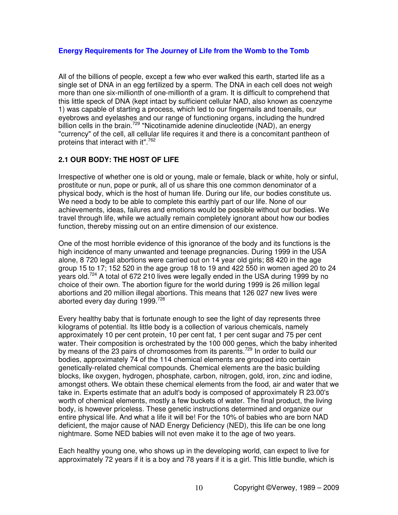## **Energy Requirements for The Journey of Life from the Womb to the Tomb**

All of the billions of people, except a few who ever walked this earth, started life as a single set of DNA in an egg fertilized by a sperm. The DNA in each cell does not weigh more than one six-millionth of one-millionth of a gram. It is difficult to comprehend that this little speck of DNA (kept intact by sufficient cellular NAD, also known as coenzyme 1) was capable of starting a process, which led to our fingernails and toenails, our eyebrows and eyelashes and our range of functioning organs, including the hundred billion cells in the brain.<sup>729</sup> "Nicotinamide adenine dinucleotide (NAD), an energy "currency" of the cell, all cellular life requires it and there is a concomitant pantheon of proteins that interact with it".<sup>762</sup>

# **2.1 OUR BODY: THE HOST OF LIFE**

Irrespective of whether one is old or young, male or female, black or white, holy or sinful, prostitute or nun, pope or punk, all of us share this one common denominator of a physical body, which is the host of human life. During our life, our bodies constitute us. We need a body to be able to complete this earthly part of our life. None of our achievements, ideas, failures and emotions would be possible without our bodies. We travel through life, while we actually remain completely ignorant about how our bodies function, thereby missing out on an entire dimension of our existence.

One of the most horrible evidence of this ignorance of the body and its functions is the high incidence of many unwanted and teenage pregnancies. During 1999 in the USA alone, 8 720 legal abortions were carried out on 14 year old girls; 88 420 in the age group 15 to 17; 152 520 in the age group 18 to 19 and 422 550 in women aged 20 to 24 years old.<sup>724</sup> A total of 672 210 lives were legally ended in the USA during 1999 by no choice of their own. The abortion figure for the world during 1999 is 26 million legal abortions and 20 million illegal abortions. This means that 126 027 new lives were aborted every day during 1999.<sup>728</sup>

Every healthy baby that is fortunate enough to see the light of day represents three kilograms of potential. Its little body is a collection of various chemicals, namely approximately 10 per cent protein, 10 per cent fat, 1 per cent sugar and 75 per cent water. Their composition is orchestrated by the 100 000 genes, which the baby inherited by means of the 23 pairs of chromosomes from its parents.<sup>729</sup> In order to build our bodies, approximately 74 of the 114 chemical elements are grouped into certain genetically-related chemical compounds. Chemical elements are the basic building blocks, like oxygen, hydrogen, phosphate, carbon, nitrogen, gold, iron, zinc and iodine, amongst others. We obtain these chemical elements from the food, air and water that we take in. Experts estimate that an adult's body is composed of approximately R 23.00's worth of chemical elements, mostly a few buckets of water. The final product, the living body, is however priceless. These genetic instructions determined and organize our entire physical life. And what a life it will be! For the 10% of babies who are born NAD deficient, the major cause of NAD Energy Deficiency (NED), this life can be one long nightmare. Some NED babies will not even make it to the age of two years.

Each healthy young one, who shows up in the developing world, can expect to live for approximately 72 years if it is a boy and 78 years if it is a girl. This little bundle, which is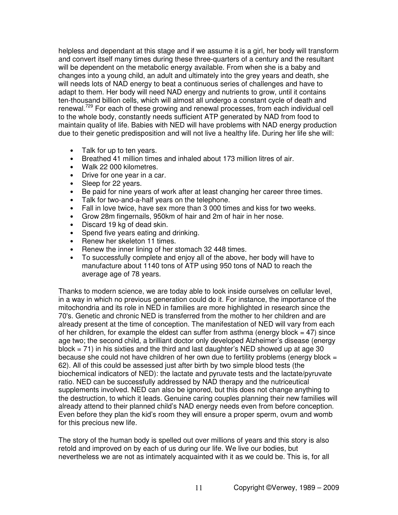helpless and dependant at this stage and if we assume it is a girl, her body will transform and convert itself many times during these three-quarters of a century and the resultant will be dependent on the metabolic energy available. From when she is a baby and changes into a young child, an adult and ultimately into the grey years and death, she will needs lots of NAD energy to beat a continuous series of challenges and have to adapt to them. Her body will need NAD energy and nutrients to grow, until it contains ten-thousand billion cells, which will almost all undergo a constant cycle of death and renewal.<sup>729</sup> For each of these growing and renewal processes, from each individual cell to the whole body, constantly needs sufficient ATP generated by NAD from food to maintain quality of life. Babies with NED will have problems with NAD energy production due to their genetic predisposition and will not live a healthy life. During her life she will:

- Talk for up to ten years.
- Breathed 41 million times and inhaled about 173 million litres of air.
- Walk 22 000 kilometres.
- Drive for one year in a car.
- Sleep for 22 years.
- Be paid for nine years of work after at least changing her career three times.
- Talk for two-and-a-half years on the telephone.
- Fall in love twice, have sex more than 3 000 times and kiss for two weeks.
- Grow 28m fingernails, 950km of hair and 2m of hair in her nose.
- Discard 19 kg of dead skin.
- Spend five years eating and drinking.
- Renew her skeleton 11 times.
- Renew the inner lining of her stomach 32 448 times.
- To successfully complete and enjoy all of the above, her body will have to manufacture about 1140 tons of ATP using 950 tons of NAD to reach the average age of 78 years.

Thanks to modern science, we are today able to look inside ourselves on cellular level, in a way in which no previous generation could do it. For instance, the importance of the mitochondria and its role in NED in families are more highlighted in research since the 70's. Genetic and chronic NED is transferred from the mother to her children and are already present at the time of conception. The manifestation of NED will vary from each of her children, for example the eldest can suffer from asthma (energy block  $= 47$ ) since age two; the second child, a brilliant doctor only developed Alzheimer's disease (energy block = 71) in his sixties and the third and last daughter's NED showed up at age 30 because she could not have children of her own due to fertility problems (energy block = 62). All of this could be assessed just after birth by two simple blood tests (the biochemical indicators of NED): the lactate and pyruvate tests and the lactate/pyruvate ratio. NED can be successfully addressed by NAD therapy and the nutriceutical supplements involved. NED can also be ignored, but this does not change anything to the destruction, to which it leads. Genuine caring couples planning their new families will already attend to their planned child's NAD energy needs even from before conception. Even before they plan the kid's room they will ensure a proper sperm, ovum and womb for this precious new life.

The story of the human body is spelled out over millions of years and this story is also retold and improved on by each of us during our life. We live our bodies, but nevertheless we are not as intimately acquainted with it as we could be. This is, for all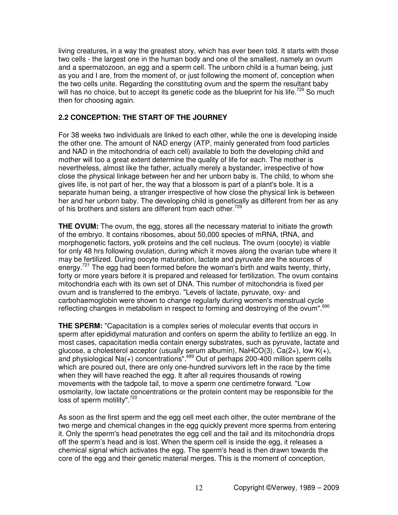living creatures, in a way the greatest story, which has ever been told. It starts with those two cells - the largest one in the human body and one of the smallest, namely an ovum and a spermatozoon, an egg and a sperm cell. The unborn child is a human being, just as you and I are, from the moment of, or just following the moment of, conception when the two cells unite. Regarding the constituting ovum and the sperm the resultant baby will has no choice, but to accept its genetic code as the blueprint for his life.<sup>729</sup> So much then for choosing again.

# **2.2 CONCEPTION: THE START OF THE JOURNEY**

For 38 weeks two individuals are linked to each other, while the one is developing inside the other one. The amount of NAD energy (ATP, mainly generated from food particles and NAD in the mitochondria of each cell) available to both the developing child and mother will too a great extent determine the quality of life for each. The mother is nevertheless, almost like the father, actually merely a bystander, irrespective of how close the physical linkage between her and her unborn baby is. The child, to whom she gives life, is not part of her, the way that a blossom is part of a plant's bole. It is a separate human being, a stranger irrespective of how close the physical link is between her and her unborn baby. The developing child is genetically as different from her as any of his brothers and sisters are different from each other.<sup>729</sup>

**THE OVUM:** The ovum, the egg, stores all the necessary material to initiate the growth of the embryo. It contains ribosomes, about 50,000 species of mRNA, tRNA, and morphogenetic factors, yolk proteins and the cell nucleus. The ovum (oocyte) is viable for only 48 hrs following ovulation, during which it moves along the ovarian tube where it may be fertilized. During oocyte maturation, lactate and pyruvate are the sources of energy.<sup> $721$ </sup> The egg had been formed before the woman's birth and waits twenty, thirty, forty or more years before it is prepared and released for fertilization. The ovum contains mitochondria each with its own set of DNA. This number of mitochondria is fixed per ovum and is transferred to the embryo. "Levels of lactate, pyruvate, oxy- and carbohaemoglobin were shown to change regularly during women's menstrual cycle reflecting changes in metabolism in respect to forming and destroying of the ovum".<sup>690</sup>

**THE SPERM:** "Capacitation is a complex series of molecular events that occurs in sperm after epididymal maturation and confers on sperm the ability to fertilize an egg. In most cases, capacitation media contain energy substrates, such as pyruvate, lactate and glucose, a cholesterol acceptor (usually serum albumin), NaHCO(3), Ca(2+), low K(+), and physiological Na(+) concentrations".<sup>689</sup> Out of perhaps 200-400 million sperm cells which are poured out, there are only one-hundred survivors left in the race by the time when they will have reached the egg. It after all requires thousands of rowing movements with the tadpole tail, to move a sperm one centimetre forward. "Low osmolarity, low lactate concentrations or the protein content may be responsible for the loss of sperm motility".<sup>720</sup>

As soon as the first sperm and the egg cell meet each other, the outer membrane of the two merge and chemical changes in the egg quickly prevent more sperms from entering it. Only the sperm's head penetrates the egg cell and the tail and its mitochondria drops off the sperm's head and is lost. When the sperm cell is inside the egg, it releases a chemical signal which activates the egg. The sperm's head is then drawn towards the core of the egg and their genetic material merges. This is the moment of conception,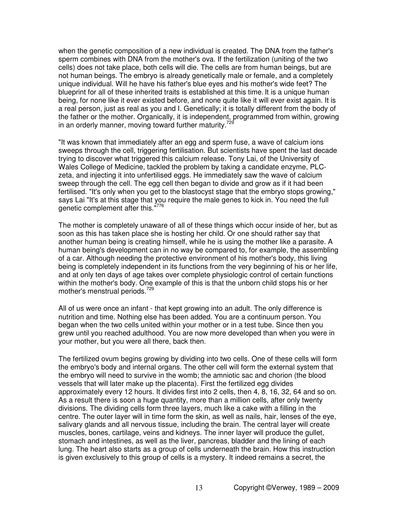when the genetic composition of a new individual is created. The DNA from the father's sperm combines with DNA from the mother's ova. If the fertilization (uniting of the two cells) does not take place, both cells will die. The cells are from human beings, but are not human beings. The embryo is already genetically male or female, and a completely unique individual. Will he have his father's blue eyes and his mother's wide feet? The blueprint for all of these inherited traits is established at this time. It is a unique human being, for none like it ever existed before, and none quite like it will ever exist again. It is a real person, just as real as you and I. Genetically; it is totally different from the body of the father or the mother. Organically, it is independent, programmed from within, growing in an orderly manner, moving toward further maturity.<sup>729</sup>

"It was known that immediately after an egg and sperm fuse, a wave of calcium ions sweeps through the cell, triggering fertilisation. But scientists have spent the last decade trying to discover what triggered this calcium release. Tony Lai, of the University of Wales College of Medicine, tackled the problem by taking a candidate enzyme, PLCzeta, and injecting it into unfertilised eggs. He immediately saw the wave of calcium sweep through the cell. The egg cell then began to divide and grow as if it had been fertilised. "It's only when you get to the blastocyst stage that the embryo stops growing," says Lai "It's at this stage that you require the male genes to kick in. You need the full genetic complement after this."<sup>776</sup>

The mother is completely unaware of all of these things which occur inside of her, but as soon as this has taken place she is hosting her child. Or one should rather say that another human being is creating himself, while he is using the mother like a parasite. A human being's development can in no way be compared to, for example, the assembling of a car. Although needing the protective environment of his mother's body, this living being is completely independent in its functions from the very beginning of his or her life, and at only ten days of age takes over complete physiologic control of certain functions within the mother's body. One example of this is that the unborn child stops his or her mother's menstrual periods.<sup>729</sup>

All of us were once an infant - that kept growing into an adult. The only difference is nutrition and time. Nothing else has been added. You are a continuum person. You began when the two cells united within your mother or in a test tube. Since then you grew until you reached adulthood. You are now more developed than when you were in your mother, but you were all there, back then.

The fertilized ovum begins growing by dividing into two cells. One of these cells will form the embryo's body and internal organs. The other cell will form the external system that the embryo will need to survive in the womb; the amniotic sac and chorion (the blood vessels that will later make up the placenta). First the fertilized egg divides approximately every 12 hours. It divides first into 2 cells, then 4, 8, 16, 32, 64 and so on. As a result there is soon a huge quantity, more than a million cells, after only twenty divisions. The dividing cells form three layers, much like a cake with a filling in the centre. The outer layer will in time form the skin, as well as nails, hair, lenses of the eye, salivary glands and all nervous tissue, including the brain. The central layer will create muscles, bones, cartilage, veins and kidneys. The inner layer will produce the gullet, stomach and intestines, as well as the liver, pancreas, bladder and the lining of each lung. The heart also starts as a group of cells underneath the brain. How this instruction is given exclusively to this group of cells is a mystery. It indeed remains a secret, the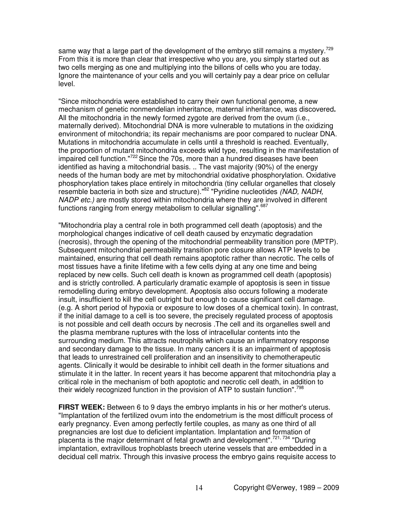same way that a large part of the development of the embryo still remains a mystery.<sup>729</sup> From this it is more than clear that irrespective who you are, you simply started out as two cells merging as one and multiplying into the billons of cells who you are today. Ignore the maintenance of your cells and you will certainly pay a dear price on cellular level.

"Since mitochondria were established to carry their own functional genome, a new mechanism of genetic nonmendelian inheritance, maternal inheritance, was discovered**.** All the mitochondria in the newly formed zygote are derived from the ovum (i.e., maternally derived). Mitochondrial DNA is more vulnerable to mutations in the oxidizing environment of mitochondria; its repair mechanisms are poor compared to nuclear DNA. Mutations in mitochondria accumulate in cells until a threshold is reached. Eventually, the proportion of mutant mitochondria exceeds wild type, resulting in the manifestation of impaired cell function."<sup>722</sup> Since the 70s, more than a hundred diseases have been identified as having a mitochondrial basis. .. The vast majority (90%) of the energy needs of the human body are met by mitochondrial oxidative phosphorylation. Oxidative phosphorylation takes place entirely in mitochondria (tiny cellular organelles that closely resemble bacteria in both size and structure)."<sup>82</sup> "Pyridine nucleotides (NAD, NADH, NADP etc.) are mostly stored within mitochondria where they are involved in different functions ranging from energy metabolism to cellular signalling". 687

"Mitochondria play a central role in both programmed cell death (apoptosis) and the morphological changes indicative of cell death caused by enzymatic degradation (necrosis), through the opening of the mitochondrial permeability transition pore (MPTP). Subsequent mitochondrial permeability transition pore closure allows ATP levels to be maintained, ensuring that cell death remains apoptotic rather than necrotic. The cells of most tissues have a finite lifetime with a few cells dying at any one time and being replaced by new cells. Such cell death is known as programmed cell death (apoptosis) and is strictly controlled. A particularly dramatic example of apoptosis is seen in tissue remodelling during embryo development. Apoptosis also occurs following a moderate insult, insufficient to kill the cell outright but enough to cause significant cell damage. (e.g. A short period of hypoxia or exposure to low doses of a chemical toxin). In contrast, if the initial damage to a cell is too severe, the precisely regulated process of apoptosis is not possible and cell death occurs by necrosis .The cell and its organelles swell and the plasma membrane ruptures with the loss of intracellular contents into the surrounding medium. This attracts neutrophils which cause an inflammatory response and secondary damage to the tissue. In many cancers it is an impairment of apoptosis that leads to unrestrained cell proliferation and an insensitivity to chemotherapeutic agents. Clinically it would be desirable to inhibit cell death in the former situations and stimulate it in the latter. In recent years it has become apparent that mitochondria play a critical role in the mechanism of both apoptotic and necrotic cell death, in addition to their widely recognized function in the provision of ATP to sustain function".<sup>798</sup>

**FIRST WEEK:** Between 6 to 9 days the embryo implants in his or her mother's uterus. "Implantation of the fertilized ovum into the endometrium is the most difficult process of early pregnancy. Even among perfectly fertile couples, as many as one third of all pregnancies are lost due to deficient implantation. Implantation and formation of placenta is the major determinant of fetal growth and development".721, 734 "During implantation, extravillous trophoblasts breech uterine vessels that are embedded in a decidual cell matrix. Through this invasive process the embryo gains requisite access to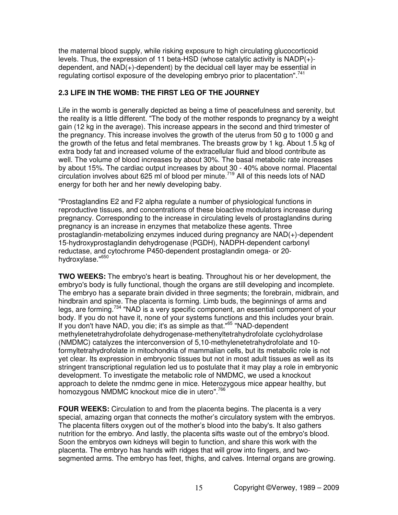the maternal blood supply, while risking exposure to high circulating glucocorticoid levels. Thus, the expression of 11 beta-HSD (whose catalytic activity is  $NADP(+)$ dependent, and NAD(+)-dependent) by the decidual cell layer may be essential in regulating cortisol exposure of the developing embryo prior to placentation".<sup>741</sup>

# **2.3 LIFE IN THE WOMB: THE FIRST LEG OF THE JOURNEY**

Life in the womb is generally depicted as being a time of peacefulness and serenity, but the reality is a little different. "The body of the mother responds to pregnancy by a weight gain (12 kg in the average). This increase appears in the second and third trimester of the pregnancy. This increase involves the growth of the uterus from 50 g to 1000 g and the growth of the fetus and fetal membranes. The breasts grow by 1 kg. About 1.5 kg of extra body fat and increased volume of the extracellular fluid and blood contribute as well. The volume of blood increases by about 30%. The basal metabolic rate increases by about 15%. The cardiac output increases by about 30 - 40% above normal. Placental circulation involves about 625 ml of blood per minute.<sup>719</sup> All of this needs lots of NAD energy for both her and her newly developing baby.

"Prostaglandins E2 and F2 alpha regulate a number of physiological functions in reproductive tissues, and concentrations of these bioactive modulators increase during pregnancy. Corresponding to the increase in circulating levels of prostaglandins during pregnancy is an increase in enzymes that metabolize these agents. Three prostaglandin-metabolizing enzymes induced during pregnancy are NAD(+)-dependent 15-hydroxyprostaglandin dehydrogenase (PGDH), NADPH-dependent carbonyl reductase, and cytochrome P450-dependent prostaglandin omega- or 20 hydroxylase."<sup>650</sup>

**TWO WEEKS:** The embryo's heart is beating. Throughout his or her development, the embryo's body is fully functional, though the organs are still developing and incomplete. The embryo has a separate brain divided in three segments; the forebrain, midbrain, and hindbrain and spine. The placenta is forming. Limb buds, the beginnings of arms and legs, are forming.<sup>734</sup> "NAD is a very specific component, an essential component of your body. If you do not have it, none of your systems functions and this includes your brain. If you don't have NAD, you die; it's as simple as that."<sup>65</sup> "NAD-dependent methylenetetrahydrofolate dehydrogenase-methenyltetrahydrofolate cyclohydrolase (NMDMC) catalyzes the interconversion of 5,10-methylenetetrahydrofolate and 10 formyltetrahydrofolate in mitochondria of mammalian cells, but its metabolic role is not yet clear. Its expression in embryonic tissues but not in most adult tissues as well as its stringent transcriptional regulation led us to postulate that it may play a role in embryonic development. To investigate the metabolic role of NMDMC, we used a knockout approach to delete the nmdmc gene in mice. Heterozygous mice appear healthy, but homozygous NMDMC knockout mice die in utero".<sup>766</sup>

**FOUR WEEKS:** Circulation to and from the placenta begins. The placenta is a very special, amazing organ that connects the mother's circulatory system with the embryos. The placenta filters oxygen out of the mother's blood into the baby's. It also gathers nutrition for the embryo. And lastly, the placenta sifts waste out of the embryo's blood. Soon the embryos own kidneys will begin to function, and share this work with the placenta. The embryo has hands with ridges that will grow into fingers, and twosegmented arms. The embryo has feet, thighs, and calves. Internal organs are growing.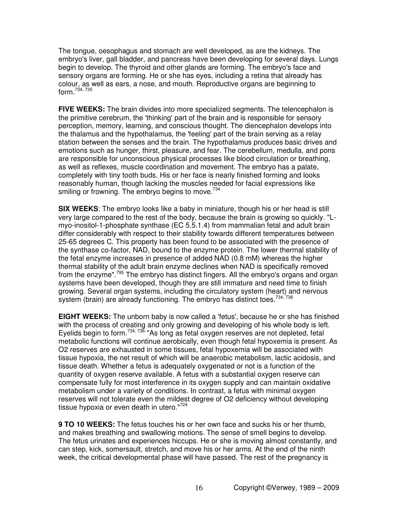The tongue, oesophagus and stomach are well developed, as are the kidneys. The embryo's liver, gall bladder, and pancreas have been developing for several days. Lungs begin to develop. The thyroid and other glands are forming. The embryo's face and sensory organs are forming. He or she has eyes, including a retina that already has colour, as well as ears, a nose, and mouth. Reproductive organs are beginning to form.734, 735

**FIVE WEEKS:** The brain divides into more specialized segments. The telencephalon is the primitive cerebrum, the 'thinking' part of the brain and is responsible for sensory perception, memory, learning, and conscious thought. The diencephalon develops into the thalamus and the hypothalamus, the 'feeling' part of the brain serving as a relay station between the senses and the brain. The hypothalamus produces basic drives and emotions such as hunger, thirst, pleasure, and fear. The cerebellum, medulla, and pons are responsible for unconscious physical processes like blood circulation or breathing, as well as reflexes, muscle coordination and movement. The embryo has a palate, completely with tiny tooth buds. His or her face is nearly finished forming and looks reasonably human, though lacking the muscles needed for facial expressions like smiling or frowning. The embryo begins to move.<sup>734</sup>

**SIX WEEKS**: The embryo looks like a baby in miniature, though his or her head is still very large compared to the rest of the body, because the brain is growing so quickly. "Lmyo-inositol-1-phosphate synthase (EC 5.5.1.4) from mammalian fetal and adult brain differ considerably with respect to their stability towards different temperatures between 25-65 degrees C. This property has been found to be associated with the presence of the synthase co-factor, NAD, bound to the enzyme protein. The lower thermal stability of the fetal enzyme increases in presence of added NAD (0.8 mM) whereas the higher thermal stability of the adult brain enzyme declines when NAD is specifically removed from the enzyme".<sup>795</sup> The embryo has distinct fingers. All the embryo's organs and organ systems have been developed, though they are still immature and need time to finish growing. Several organ systems, including the circulatory system (heart) and nervous system (brain) are already functioning. The embryo has distinct toes.<sup>734,736</sup>

**EIGHT WEEKS:** The unborn baby is now called a 'fetus', because he or she has finished with the process of creating and only growing and developing of his whole body is left. Eyelids begin to form.<sup>734, 736</sup> "As long as fetal oxygen reserves are not depleted, fetal metabolic functions will continue aerobically, even though fetal hypoxemia is present. As O2 reserves are exhausted in some tissues, fetal hypoxemia will be associated with tissue hypoxia, the net result of which will be anaerobic metabolism, lactic acidosis, and tissue death. Whether a fetus is adequately oxygenated or not is a function of the quantity of oxygen reserve available. A fetus with a substantial oxygen reserve can compensate fully for most interference in its oxygen supply and can maintain oxidative metabolism under a variety of conditions. In contrast, a fetus with minimal oxygen reserves will not tolerate even the mildest degree of O2 deficiency without developing tissue hypoxia or even death in utero."724

**9 TO 10 WEEKS:** The fetus touches his or her own face and sucks his or her thumb, and makes breathing and swallowing motions. The sense of smell begins to develop. The fetus urinates and experiences hiccups. He or she is moving almost constantly, and can step, kick, somersault, stretch, and move his or her arms. At the end of the ninth week, the critical developmental phase will have passed. The rest of the pregnancy is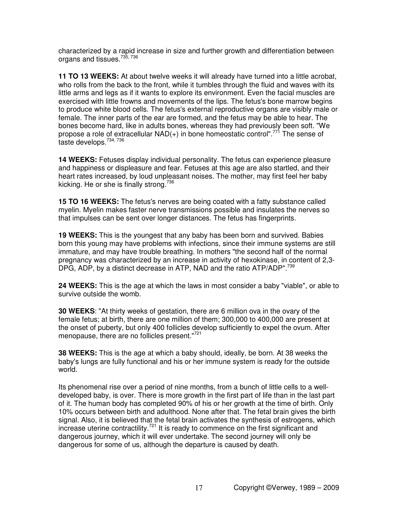characterized by a rapid increase in size and further growth and differentiation between organs and tissues.735, 736

**11 TO 13 WEEKS:** At about twelve weeks it will already have turned into a little acrobat, who rolls from the back to the front, while it tumbles through the fluid and waves with its little arms and legs as if it wants to explore its environment. Even the facial muscles are exercised with little frowns and movements of the lips. The fetus's bone marrow begins to produce white blood cells. The fetus's external reproductive organs are visibly male or female. The inner parts of the ear are formed, and the fetus may be able to hear. The bones become hard, like in adults bones, whereas they had previously been soft. "We propose a role of extracellular NAD(+) in bone homeostatic control".<sup>771</sup> The sense of taste develops.<sup>734, 736</sup>

**14 WEEKS:** Fetuses display individual personality. The fetus can experience pleasure and happiness or displeasure and fear. Fetuses at this age are also startled, and their heart rates increased, by loud unpleasant noises. The mother, may first feel her baby kicking. He or she is finally strong.<sup>736</sup>

**15 TO 16 WEEKS:** The fetus's nerves are being coated with a fatty substance called myelin. Myelin makes faster nerve transmissions possible and insulates the nerves so that impulses can be sent over longer distances. The fetus has fingerprints.

**19 WEEKS:** This is the youngest that any baby has been born and survived. Babies born this young may have problems with infections, since their immune systems are still immature, and may have trouble breathing. In mothers "the second half of the normal pregnancy was characterized by an increase in activity of hexokinase, in content of 2,3- DPG, ADP, by a distinct decrease in ATP, NAD and the ratio ATP/ADP".<sup>739</sup>

**24 WEEKS:** This is the age at which the laws in most consider a baby "viable", or able to survive outside the womb.

**30 WEEKS**: "At thirty weeks of gestation, there are 6 million ova in the ovary of the female fetus; at birth, there are one million of them; 300,000 to 400,000 are present at the onset of puberty, but only 400 follicles develop sufficiently to expel the ovum. After menopause, there are no follicles present."<sup>721</sup>

**38 WEEKS:** This is the age at which a baby should, ideally, be born. At 38 weeks the baby's lungs are fully functional and his or her immune system is ready for the outside world.

Its phenomenal rise over a period of nine months, from a bunch of little cells to a welldeveloped baby, is over. There is more growth in the first part of life than in the last part of it. The human body has completed 90% of his or her growth at the time of birth. Only 10% occurs between birth and adulthood. None after that. The fetal brain gives the birth signal. Also, it is believed that the fetal brain activates the synthesis of estrogens, which increase uterine contractility.<sup>721</sup> It is ready to commence on the first significant and dangerous journey, which it will ever undertake. The second journey will only be dangerous for some of us, although the departure is caused by death.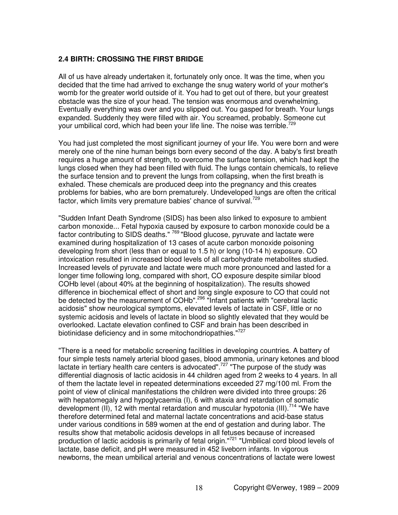## **2.4 BIRTH: CROSSING THE FIRST BRIDGE**

All of us have already undertaken it, fortunately only once. It was the time, when you decided that the time had arrived to exchange the snug watery world of your mother's womb for the greater world outside of it. You had to get out of there, but your greatest obstacle was the size of your head. The tension was enormous and overwhelming. Eventually everything was over and you slipped out. You gasped for breath. Your lungs expanded. Suddenly they were filled with air. You screamed, probably. Someone cut your umbilical cord, which had been your life line. The noise was terrible.<sup>729</sup>

You had just completed the most significant journey of your life. You were born and were merely one of the nine human beings born every second of the day. A baby's first breath requires a huge amount of strength, to overcome the surface tension, which had kept the lungs closed when they had been filled with fluid. The lungs contain chemicals, to relieve the surface tension and to prevent the lungs from collapsing, when the first breath is exhaled. These chemicals are produced deep into the pregnancy and this creates problems for babies, who are born prematurely. Undeveloped lungs are often the critical factor, which limits very premature babies' chance of survival.<sup>729</sup>

"Sudden Infant Death Syndrome (SIDS) has been also linked to exposure to ambient carbon monoxide... Fetal hypoxia caused by exposure to carbon monoxide could be a factor contributing to SIDS deaths." <sup>769</sup>"Blood glucose, pyruvate and lactate were examined during hospitalization of 13 cases of acute carbon monoxide poisoning developing from short (less than or equal to 1.5 h) or long (10-14 h) exposure. CO intoxication resulted in increased blood levels of all carbohydrate metabolites studied. Increased levels of pyruvate and lactate were much more pronounced and lasted for a longer time following long, compared with short, CO exposure despite similar blood COHb level (about 40% at the beginning of hospitalization). The results showed difference in biochemical effect of short and long single exposure to CO that could not be detected by the measurement of COHb".<sup>296</sup> "Infant patients with "cerebral lactic acidosis" show neurological symptoms, elevated levels of lactate in CSF, little or no systemic acidosis and levels of lactate in blood so slightly elevated that they would be overlooked. Lactate elevation confined to CSF and brain has been described in biotinidase deficiency and in some mitochondriopathies."<sup>727</sup>

"There is a need for metabolic screening facilities in developing countries. A battery of four simple tests namely arterial blood gases, blood ammonia, urinary ketones and blood lactate in tertiary health care centers is advocated".<sup>727</sup> "The purpose of the study was differential diagnosis of lactic acidosis in 44 children aged from 2 weeks to 4 years. In all of them the lactate level in repeated determinations exceeded 27 mg/100 ml. From the point of view of clinical manifestations the children were divided into three groups: 26 with hepatomegaly and hypoglycaemia (I), 6 with ataxia and retardation of somatic development (II), 12 with mental retardation and muscular hypotonia (III).<sup>714</sup> "We have therefore determined fetal and maternal lactate concentrations and acid-base status under various conditions in 589 women at the end of gestation and during labor. The results show that metabolic acidosis develops in all fetuses because of increased production of lactic acidosis is primarily of fetal origin."<sup>721</sup> "Umbilical cord blood levels of lactate, base deficit, and pH were measured in 452 liveborn infants. In vigorous newborns, the mean umbilical arterial and venous concentrations of lactate were lowest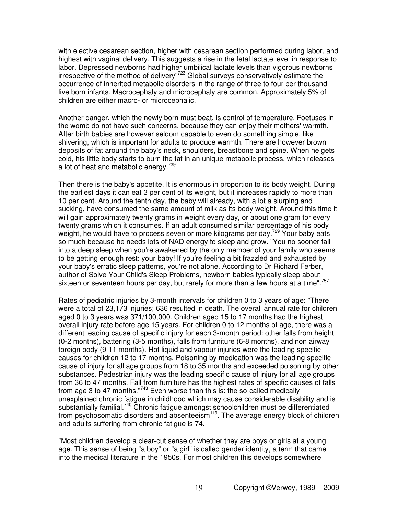with elective cesarean section, higher with cesarean section performed during labor, and highest with vaginal delivery. This suggests a rise in the fetal lactate level in response to labor. Depressed newborns had higher umbilical lactate levels than vigorous newborns irrespective of the method of delivery<sup>"723</sup> Global surveys conservatively estimate the occurrence of inherited metabolic disorders in the range of three to four per thousand live born infants. Macrocephaly and microcephaly are common. Approximately 5% of children are either macro- or microcephalic.

Another danger, which the newly born must beat, is control of temperature. Foetuses in the womb do not have such concerns, because they can enjoy their mothers' warmth. After birth babies are however seldom capable to even do something simple, like shivering, which is important for adults to produce warmth. There are however brown deposits of fat around the baby's neck, shoulders, breastbone and spine. When he gets cold, his little body starts to burn the fat in an unique metabolic process, which releases a lot of heat and metabolic energy.<sup>729</sup>

Then there is the baby's appetite. It is enormous in proportion to its body weight. During the earliest days it can eat 3 per cent of its weight, but it increases rapidly to more than 10 per cent. Around the tenth day, the baby will already, with a lot a slurping and sucking, have consumed the same amount of milk as its body weight. Around this time it will gain approximately twenty grams in weight every day, or about one gram for every twenty grams which it consumes. If an adult consumed similar percentage of his body weight, he would have to process seven or more kilograms per day.<sup>729</sup> Your baby eats so much because he needs lots of NAD energy to sleep and grow. "You no sooner fall into a deep sleep when you're awakened by the only member of your family who seems to be getting enough rest: your baby! If you're feeling a bit frazzled and exhausted by your baby's erratic sleep patterns, you're not alone. According to Dr Richard Ferber, author of Solve Your Child's Sleep Problems, newborn babies typically sleep about sixteen or seventeen hours per day, but rarely for more than a few hours at a time".<sup>757</sup>

Rates of pediatric injuries by 3-month intervals for children 0 to 3 years of age: "There were a total of 23,173 injuries; 636 resulted in death. The overall annual rate for children aged 0 to 3 years was 371/100,000. Children aged 15 to 17 months had the highest overall injury rate before age 15 years. For children 0 to 12 months of age, there was a different leading cause of specific injury for each 3-month period: other falls from height (0-2 months), battering (3-5 months), falls from furniture (6-8 months), and non airway foreign body (9-11 months). Hot liquid and vapour injuries were the leading specific causes for children 12 to 17 months. Poisoning by medication was the leading specific cause of injury for all age groups from 18 to 35 months and exceeded poisoning by other substances. Pedestrian injury was the leading specific cause of injury for all age groups from 36 to 47 months. Fall from furniture has the highest rates of specific causes of falls from age 3 to 47 months. $1743$  Even worse than this is: the so-called medically unexplained chronic fatigue in childhood which may cause considerable disability and is substantially familial.<sup>740</sup> Chronic fatigue amongst schoolchildren must be differentiated from psychosomatic disorders and absenteeism<sup>119</sup>. The average energy block of children and adults suffering from chronic fatigue is 74.

"Most children develop a clear-cut sense of whether they are boys or girls at a young age. This sense of being "a boy" or "a girl" is called gender identity, a term that came into the medical literature in the 1950s. For most children this develops somewhere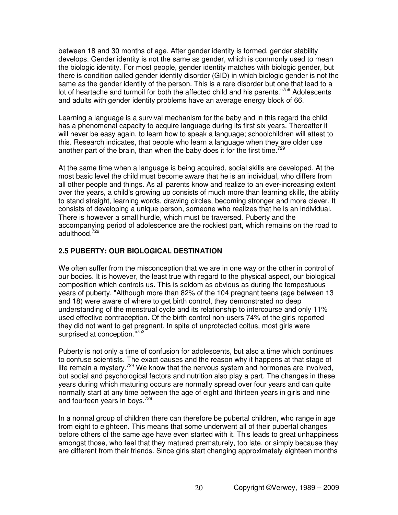between 18 and 30 months of age. After gender identity is formed, gender stability develops. Gender identity is not the same as gender, which is commonly used to mean the biologic identity. For most people, gender identity matches with biologic gender, but there is condition called gender identity disorder (GID) in which biologic gender is not the same as the gender identity of the person. This is a rare disorder but one that lead to a lot of heartache and turmoil for both the affected child and his parents."<sup>759</sup> Adolescents and adults with gender identity problems have an average energy block of 66.

Learning a language is a survival mechanism for the baby and in this regard the child has a phenomenal capacity to acquire language during its first six years. Thereafter it will never be easy again, to learn how to speak a language; schoolchildren will attest to this. Research indicates, that people who learn a language when they are older use another part of the brain, than when the baby does it for the first time.<sup>729</sup>

At the same time when a language is being acquired, social skills are developed. At the most basic level the child must become aware that he is an individual, who differs from all other people and things. As all parents know and realize to an ever-increasing extent over the years, a child's growing up consists of much more than learning skills, the ability to stand straight, learning words, drawing circles, becoming stronger and more clever. It consists of developing a unique person, someone who realizes that he is an individual. There is however a small hurdle, which must be traversed. Puberty and the accompanying period of adolescence are the rockiest part, which remains on the road to adulthood.<sup>729</sup>

# **2.5 PUBERTY: OUR BIOLOGICAL DESTINATION**

We often suffer from the misconception that we are in one way or the other in control of our bodies. It is however, the least true with regard to the physical aspect, our biological composition which controls us. This is seldom as obvious as during the tempestuous years of puberty. "Although more than 82% of the 104 pregnant teens (age between 13 and 18) were aware of where to get birth control, they demonstrated no deep understanding of the menstrual cycle and its relationship to intercourse and only 11% used effective contraception. Of the birth control non-users 74% of the girls reported they did not want to get pregnant. In spite of unprotected coitus, most girls were surprised at conception."<sup>752</sup>

Puberty is not only a time of confusion for adolescents, but also a time which continues to confuse scientists. The exact causes and the reason why it happens at that stage of life remain a mystery.<sup>729</sup> We know that the nervous system and hormones are involved, but social and psychological factors and nutrition also play a part. The changes in these years during which maturing occurs are normally spread over four years and can quite normally start at any time between the age of eight and thirteen years in girls and nine and fourteen years in boys.<sup>729</sup>

In a normal group of children there can therefore be pubertal children, who range in age from eight to eighteen. This means that some underwent all of their pubertal changes before others of the same age have even started with it. This leads to great unhappiness amongst those, who feel that they matured prematurely, too late, or simply because they are different from their friends. Since girls start changing approximately eighteen months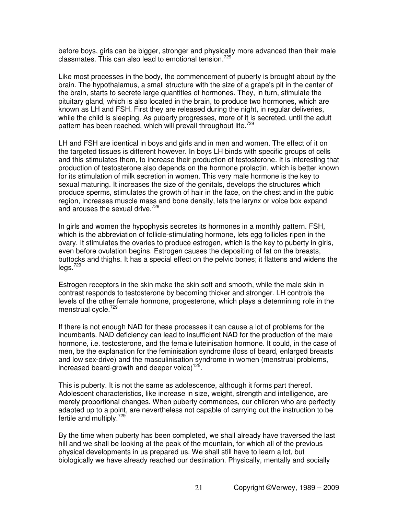before boys, girls can be bigger, stronger and physically more advanced than their male classmates. This can also lead to emotional tension. 729

Like most processes in the body, the commencement of puberty is brought about by the brain. The hypothalamus, a small structure with the size of a grape's pit in the center of the brain, starts to secrete large quantities of hormones. They, in turn, stimulate the pituitary gland, which is also located in the brain, to produce two hormones, which are known as LH and FSH. First they are released during the night, in regular deliveries, while the child is sleeping. As puberty progresses, more of it is secreted, until the adult pattern has been reached, which will prevail throughout life.<sup>729</sup>

LH and FSH are identical in boys and girls and in men and women. The effect of it on the targeted tissues is different however. In boys LH binds with specific groups of cells and this stimulates them, to increase their production of testosterone. It is interesting that production of testosterone also depends on the hormone prolactin, which is better known for its stimulation of milk secretion in women. This very male hormone is the key to sexual maturing. It increases the size of the genitals, develops the structures which produce sperms, stimulates the growth of hair in the face, on the chest and in the pubic region, increases muscle mass and bone density, lets the larynx or voice box expand and arouses the sexual drive.<sup>729</sup>

In girls and women the hypophysis secretes its hormones in a monthly pattern. FSH, which is the abbreviation of follicle-stimulating hormone, lets egg follicles ripen in the ovary. It stimulates the ovaries to produce estrogen, which is the key to puberty in girls, even before ovulation begins. Estrogen causes the depositing of fat on the breasts, buttocks and thighs. It has a special effect on the pelvic bones; it flattens and widens the  $leas.<sup>729</sup>$ 

Estrogen receptors in the skin make the skin soft and smooth, while the male skin in contrast responds to testosterone by becoming thicker and stronger. LH controls the levels of the other female hormone, progesterone, which plays a determining role in the menstrual cycle.<sup>729</sup>

If there is not enough NAD for these processes it can cause a lot of problems for the incumbants. NAD deficiency can lead to insufficient NAD for the production of the male hormone, i.e. testosterone, and the female luteinisation hormone. It could, in the case of men, be the explanation for the feminisation syndrome (loss of beard, enlarged breasts and low sex-drive) and the masculinisation syndrome in women (menstrual problems, increased beard-growth and deeper voice) $125$ .

This is puberty. It is not the same as adolescence, although it forms part thereof. Adolescent characteristics, like increase in size, weight, strength and intelligence, are merely proportional changes. When puberty commences, our children who are perfectly adapted up to a point, are nevertheless not capable of carrying out the instruction to be fertile and multiply.<sup>729</sup>

By the time when puberty has been completed, we shall already have traversed the last hill and we shall be looking at the peak of the mountain, for which all of the previous physical developments in us prepared us. We shall still have to learn a lot, but biologically we have already reached our destination. Physically, mentally and socially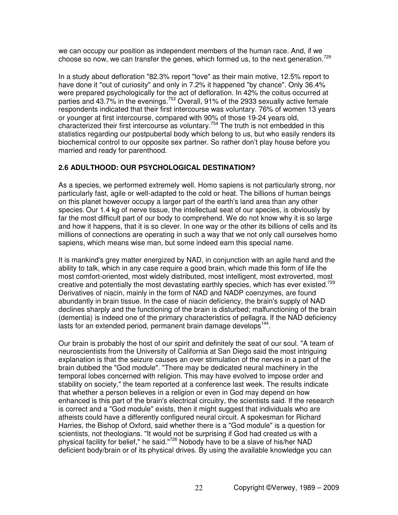we can occupy our position as independent members of the human race. And, if we choose so now, we can transfer the genes, which formed us, to the next generation.<sup>729</sup>

In a study about defloration "82.3% report "love" as their main motive, 12.5% report to have done it "out of curiosity" and only in 7.2% it happened "by chance". Only 36.4% were prepared psychologically for the act of defloration. In 42% the coitus occurred at parties and 43.7% in the evenings.<sup>753</sup> Overall, 91% of the 2933 sexually active female respondents indicated that their first intercourse was voluntary. 76% of women 13 years or younger at first intercourse, compared with 90% of those 19-24 years old, characterized their first intercourse as voluntary.<sup>754</sup> The truth is not embedded in this statistics regarding our postpubertal body which belong to us, but who easily renders its biochemical control to our opposite sex partner. So rather don't play house before you married and ready for parenthood.

# **2.6 ADULTHOOD: OUR PSYCHOLOGICAL DESTINATION?**

As a species, we performed extremely well. Homo sapiens is not particularly strong, nor particularly fast, agile or well-adapted to the cold or heat. The billions of human beings on this planet however occupy a larger part of the earth's land area than any other species. Our 1.4 kg of nerve tissue, the intellectual seat of our species, is obviously by far the most difficult part of our body to comprehend. We do not know why it is so large and how it happens, that it is so clever. In one way or the other its billions of cells and its millions of connections are operating in such a way that we not only call ourselves homo sapiens, which means wise man, but some indeed earn this special name.

It is mankind's grey matter energized by NAD, in conjunction with an agile hand and the ability to talk, which in any case require a good brain, which made this form of life the most comfort-oriented, most widely distributed, most intelligent, most extroverted, most creative and potentially the most devastating earthly species, which has ever existed.<sup>729</sup> Derivatives of niacin, mainly in the form of NAD and NADP coenzymes, are found abundantly in brain tissue. In the case of niacin deficiency, the brain's supply of NAD declines sharply and the functioning of the brain is disturbed; malfunctioning of the brain (dementia) is indeed one of the primary characteristics of pellagra. If the NAD deficiency lasts for an extended period, permanent brain damage develops<sup>144</sup>.

Our brain is probably the host of our spirit and definitely the seat of our soul. "A team of neuroscientists from the University of California at San Diego said the most intriguing explanation is that the seizure causes an over stimulation of the nerves in a part of the brain dubbed the "God module". "There may be dedicated neural machinery in the temporal lobes concerned with religion. This may have evolved to impose order and stability on society," the team reported at a conference last week. The results indicate that whether a person believes in a religion or even in God may depend on how enhanced is this part of the brain's electrical circuitry, the scientists said. If the research is correct and a "God module" exists, then it might suggest that individuals who are atheists could have a differently configured neural circuit. A spokesman for Richard Harries, the Bishop of Oxford, said whether there is a "God module" is a question for scientists, not theologians. "It would not be surprising if God had created us with a physical facility for belief," he said."<sup>726</sup> Nobody have to be a slave of his/her NAD deficient body/brain or of its physical drives. By using the available knowledge you can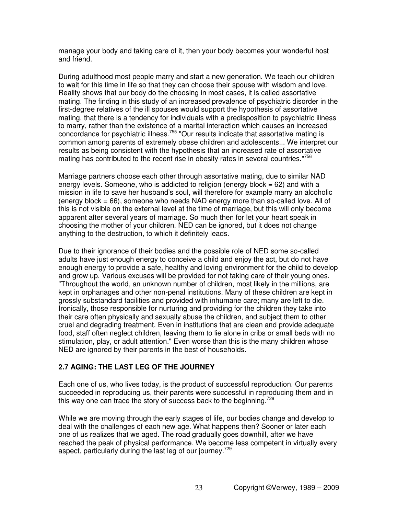manage your body and taking care of it, then your body becomes your wonderful host and friend.

During adulthood most people marry and start a new generation. We teach our children to wait for this time in life so that they can choose their spouse with wisdom and love. Reality shows that our body do the choosing in most cases, it is called assortative mating. The finding in this study of an increased prevalence of psychiatric disorder in the first-degree relatives of the ill spouses would support the hypothesis of assortative mating, that there is a tendency for individuals with a predisposition to psychiatric illness to marry, rather than the existence of a marital interaction which causes an increased concordance for psychiatric illness.<sup>755</sup> "Our results indicate that assortative mating is common among parents of extremely obese children and adolescents... We interpret our results as being consistent with the hypothesis that an increased rate of assortative mating has contributed to the recent rise in obesity rates in several countries."<sup>756</sup>

Marriage partners choose each other through assortative mating, due to similar NAD energy levels. Someone, who is addicted to religion (energy block  $= 62$ ) and with a mission in life to save her husband's soul, will therefore for example marry an alcoholic (energy block  $= 66$ ), someone who needs NAD energy more than so-called love. All of this is not visible on the external level at the time of marriage, but this will only become apparent after several years of marriage. So much then for let your heart speak in choosing the mother of your children. NED can be ignored, but it does not change anything to the destruction, to which it definitely leads.

Due to their ignorance of their bodies and the possible role of NED some so-called adults have just enough energy to conceive a child and enjoy the act, but do not have enough energy to provide a safe, healthy and loving environment for the child to develop and grow up. Various excuses will be provided for not taking care of their young ones. "Throughout the world, an unknown number of children, most likely in the millions, are kept in orphanages and other non-penal institutions. Many of these children are kept in grossly substandard facilities and provided with inhumane care; many are left to die. Ironically, those responsible for nurturing and providing for the children they take into their care often physically and sexually abuse the children, and subject them to other cruel and degrading treatment. Even in institutions that are clean and provide adequate food, staff often neglect children, leaving them to lie alone in cribs or small beds with no stimulation, play, or adult attention." Even worse than this is the many children whose NED are ignored by their parents in the best of households.

# **2.7 AGING: THE LAST LEG OF THE JOURNEY**

Each one of us, who lives today, is the product of successful reproduction. Our parents succeeded in reproducing us, their parents were successful in reproducing them and in this way one can trace the story of success back to the beginning.<sup>729</sup>

While we are moving through the early stages of life, our bodies change and develop to deal with the challenges of each new age. What happens then? Sooner or later each one of us realizes that we aged. The road gradually goes downhill, after we have reached the peak of physical performance. We become less competent in virtually every aspect, particularly during the last leg of our journey.<sup>729</sup>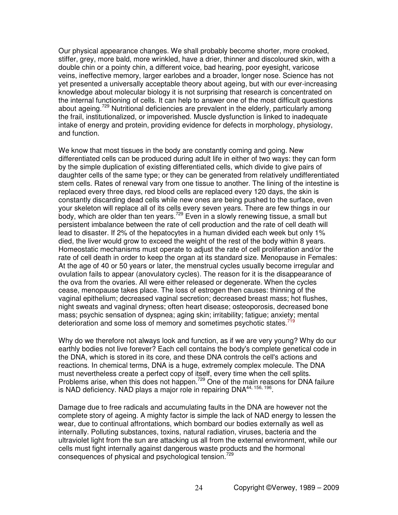Our physical appearance changes. We shall probably become shorter, more crooked, stiffer, grey, more bald, more wrinkled, have a drier, thinner and discoloured skin, with a double chin or a pointy chin, a different voice, bad hearing, poor eyesight, varicose veins, ineffective memory, larger earlobes and a broader, longer nose. Science has not yet presented a universally acceptable theory about ageing, but with our ever-increasing knowledge about molecular biology it is not surprising that research is concentrated on the internal functioning of cells. It can help to answer one of the most difficult questions about ageing.<sup>729</sup> Nutritional deficiencies are prevalent in the elderly, particularly among the frail, institutionalized, or impoverished. Muscle dysfunction is linked to inadequate intake of energy and protein, providing evidence for defects in morphology, physiology, and function.

We know that most tissues in the body are constantly coming and going. New differentiated cells can be produced during adult life in either of two ways: they can form by the simple duplication of existing differentiated cells, which divide to give pairs of daughter cells of the same type; or they can be generated from relatively undifferentiated stem cells. Rates of renewal vary from one tissue to another. The lining of the intestine is replaced every three days, red blood cells are replaced every 120 days, the skin is constantly discarding dead cells while new ones are being pushed to the surface, even your skeleton will replace all of its cells every seven years. There are few things in our body, which are older than ten years.<sup>729</sup> Even in a slowly renewing tissue, a small but persistent imbalance between the rate of cell production and the rate of cell death will lead to disaster. If 2% of the hepatocytes in a human divided each week but only 1% died, the liver would grow to exceed the weight of the rest of the body within 8 years. Homeostatic mechanisms must operate to adjust the rate of cell proliferation and/or the rate of cell death in order to keep the organ at its standard size. Menopause in Females: At the age of 40 or 50 years or later, the menstrual cycles usually become irregular and ovulation fails to appear (anovulatory cycles). The reason for it is the disappearance of the ova from the ovaries. All were either released or degenerate. When the cycles cease, menopause takes place. The loss of estrogen then causes: thinning of the vaginal epithelium; decreased vaginal secretion; decreased breast mass; hot flushes, night sweats and vaginal dryness; often heart disease; osteoporosis, decreased bone mass; psychic sensation of dyspnea; aging skin; irritability; fatigue; anxiety; mental deterioration and some loss of memory and sometimes psychotic states.<sup>719</sup>

Why do we therefore not always look and function, as if we are very young? Why do our earthly bodies not live forever? Each cell contains the body's complete genetical code in the DNA, which is stored in its core, and these DNA controls the cell's actions and reactions. In chemical terms, DNA is a huge, extremely complex molecule. The DNA must nevertheless create a perfect copy of itself, every time when the cell splits. Problems arise, when this does not happen.<sup>729</sup> One of the main reasons for DNA failure is NAD deficiency. NAD plays a major role in repairing DNA<sup>44, 156, 196</sup>.

Damage due to free radicals and accumulating faults in the DNA are however not the complete story of ageing. A mighty factor is simple the lack of NAD energy to lessen the wear, due to continual affrontations, which bombard our bodies externally as well as internally. Polluting substances, toxins, natural radiation, viruses, bacteria and the ultraviolet light from the sun are attacking us all from the external environment, while our cells must fight internally against dangerous waste products and the hormonal consequences of physical and psychological tension.<sup>729</sup>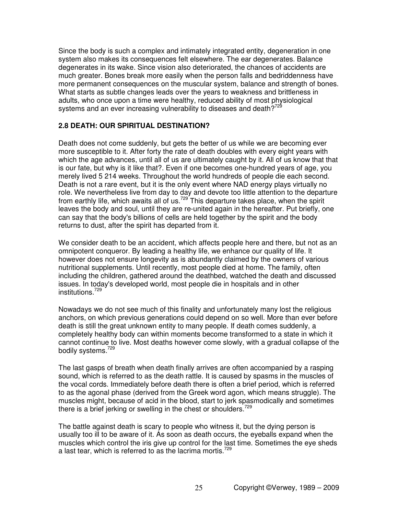Since the body is such a complex and intimately integrated entity, degeneration in one system also makes its consequences felt elsewhere. The ear degenerates. Balance degenerates in its wake. Since vision also deteriorated, the chances of accidents are much greater. Bones break more easily when the person falls and bedriddenness have more permanent consequences on the muscular system, balance and strength of bones. What starts as subtle changes leads over the years to weakness and brittleness in adults, who once upon a time were healthy, reduced ability of most physiological systems and an ever increasing vulnerability to diseases and death?<sup>729</sup>

## **2.8 DEATH: OUR SPIRITUAL DESTINATION?**

Death does not come suddenly, but gets the better of us while we are becoming ever more susceptible to it. After forty the rate of death doubles with every eight years with which the age advances, until all of us are ultimately caught by it. All of us know that that is our fate, but why is it like that?. Even if one becomes one-hundred years of age, you merely lived 5 214 weeks. Throughout the world hundreds of people die each second. Death is not a rare event, but it is the only event where NAD energy plays virtually no role. We nevertheless live from day to day and devote too little attention to the departure from earthly life, which awaits all of us.<sup>729</sup> This departure takes place, when the spirit leaves the body and soul, until they are re-united again in the hereafter. Put briefly, one can say that the body's billions of cells are held together by the spirit and the body returns to dust, after the spirit has departed from it.

We consider death to be an accident, which affects people here and there, but not as an omnipotent conqueror. By leading a healthy life, we enhance our quality of life. It however does not ensure longevity as is abundantly claimed by the owners of various nutritional supplements. Until recently, most people died at home. The family, often including the children, gathered around the deathbed, watched the death and discussed issues. In today's developed world, most people die in hospitals and in other institutions.<sup>729</sup>

Nowadays we do not see much of this finality and unfortunately many lost the religious anchors, on which previous generations could depend on so well. More than ever before death is still the great unknown entity to many people. If death comes suddenly, a completely healthy body can within moments become transformed to a state in which it cannot continue to live. Most deaths however come slowly, with a gradual collapse of the bodily systems.<sup>729</sup>

The last gasps of breath when death finally arrives are often accompanied by a rasping sound, which is referred to as the death rattle. It is caused by spasms in the muscles of the vocal cords. Immediately before death there is often a brief period, which is referred to as the agonal phase (derived from the Greek word agon, which means struggle). The muscles might, because of acid in the blood, start to jerk spasmodically and sometimes there is a brief jerking or swelling in the chest or shoulders.<sup>729</sup>

The battle against death is scary to people who witness it, but the dying person is usually too ill to be aware of it. As soon as death occurs, the eyeballs expand when the muscles which control the iris give up control for the last time. Sometimes the eye sheds a last tear, which is referred to as the lacrima mortis.<sup>729</sup>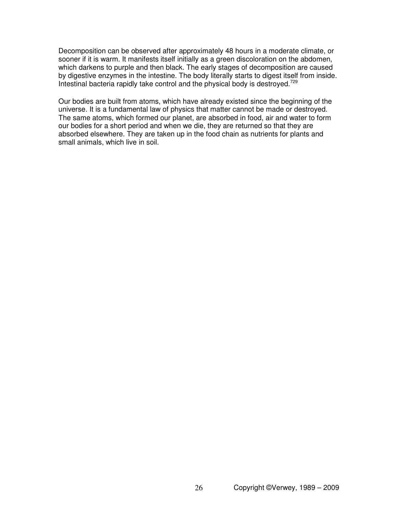Decomposition can be observed after approximately 48 hours in a moderate climate, or sooner if it is warm. It manifests itself initially as a green discoloration on the abdomen, which darkens to purple and then black. The early stages of decomposition are caused by digestive enzymes in the intestine. The body literally starts to digest itself from inside. Intestinal bacteria rapidly take control and the physical body is destroyed.<sup>729</sup>

Our bodies are built from atoms, which have already existed since the beginning of the universe. It is a fundamental law of physics that matter cannot be made or destroyed. The same atoms, which formed our planet, are absorbed in food, air and water to form our bodies for a short period and when we die, they are returned so that they are absorbed elsewhere. They are taken up in the food chain as nutrients for plants and small animals, which live in soil.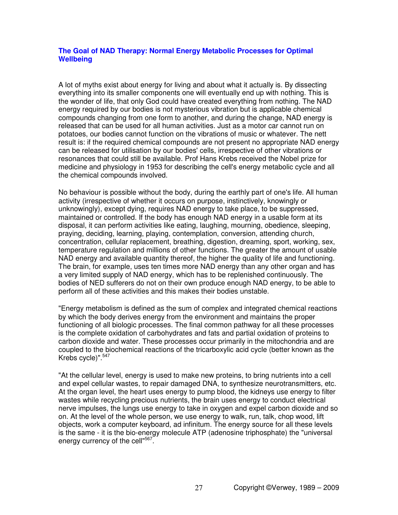## **The Goal of NAD Therapy: Normal Energy Metabolic Processes for Optimal Wellbeing**

A lot of myths exist about energy for living and about what it actually is. By dissecting everything into its smaller components one will eventually end up with nothing. This is the wonder of life, that only God could have created everything from nothing. The NAD energy required by our bodies is not mysterious vibration but is applicable chemical compounds changing from one form to another, and during the change, NAD energy is released that can be used for all human activities. Just as a motor car cannot run on potatoes, our bodies cannot function on the vibrations of music or whatever. The nett result is: if the required chemical compounds are not present no appropriate NAD energy can be released for utilisation by our bodies' cells, irrespective of other vibrations or resonances that could still be available. Prof Hans Krebs received the Nobel prize for medicine and physiology in 1953 for describing the cell's energy metabolic cycle and all the chemical compounds involved.

No behaviour is possible without the body, during the earthly part of one's life. All human activity (irrespective of whether it occurs on purpose, instinctively, knowingly or unknowingly), except dying, requires NAD energy to take place, to be suppressed, maintained or controlled. If the body has enough NAD energy in a usable form at its disposal, it can perform activities like eating, laughing, mourning, obedience, sleeping, praying, deciding, learning, playing, contemplation, conversion, attending church, concentration, cellular replacement, breathing, digestion, dreaming, sport, working, sex, temperature regulation and millions of other functions. The greater the amount of usable NAD energy and available quantity thereof, the higher the quality of life and functioning. The brain, for example, uses ten times more NAD energy than any other organ and has a very limited supply of NAD energy, which has to be replenished continuously. The bodies of NED sufferers do not on their own produce enough NAD energy, to be able to perform all of these activities and this makes their bodies unstable.

"Energy metabolism is defined as the sum of complex and integrated chemical reactions by which the body derives energy from the environment and maintains the proper functioning of all biologic processes. The final common pathway for all these processes is the complete oxidation of carbohydrates and fats and partial oxidation of proteins to carbon dioxide and water. These processes occur primarily in the mitochondria and are coupled to the biochemical reactions of the tricarboxylic acid cycle (better known as the Krebs cycle)".<sup>547</sup>

"At the cellular level, energy is used to make new proteins, to bring nutrients into a cell and expel cellular wastes, to repair damaged DNA, to synthesize neurotransmitters, etc. At the organ level, the heart uses energy to pump blood, the kidneys use energy to filter wastes while recycling precious nutrients, the brain uses energy to conduct electrical nerve impulses, the lungs use energy to take in oxygen and expel carbon dioxide and so on. At the level of the whole person, we use energy to walk, run, talk, chop wood, lift objects, work a computer keyboard, ad infinitum. The energy source for all these levels is the same - it is the bio-energy molecule ATP (adenosine triphosphate) the "universal energy currency of the cell"<sup>567</sup>.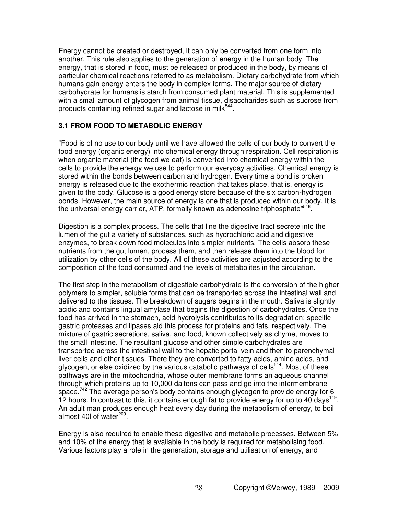Energy cannot be created or destroyed, it can only be converted from one form into another. This rule also applies to the generation of energy in the human body. The energy, that is stored in food, must be released or produced in the body, by means of particular chemical reactions referred to as metabolism. Dietary carbohydrate from which humans gain energy enters the body in complex forms. The major source of dietary carbohydrate for humans is starch from consumed plant material. This is supplemented with a small amount of glycogen from animal tissue, disaccharides such as sucrose from products containing refined sugar and lactose in milk<sup>544</sup>.

# **3.1 FROM FOOD TO METABOLIC ENERGY**

"Food is of no use to our body until we have allowed the cells of our body to convert the food energy (organic energy) into chemical energy through respiration. Cell respiration is when organic material (the food we eat) is converted into chemical energy within the cells to provide the energy we use to perform our everyday activities. Chemical energy is stored within the bonds between carbon and hydrogen. Every time a bond is broken energy is released due to the exothermic reaction that takes place, that is, energy is given to the body. Glucose is a good energy store because of the six carbon-hydrogen bonds. However, the main source of energy is one that is produced within our body. It is the universal energy carrier, ATP, formally known as adenosine triphosphate"<sup>546</sup>.

Digestion is a complex process. The cells that line the digestive tract secrete into the lumen of the gut a variety of substances, such as hydrochloric acid and digestive enzymes, to break down food molecules into simpler nutrients. The cells absorb these nutrients from the gut lumen, process them, and then release them into the blood for utilization by other cells of the body. All of these activities are adjusted according to the composition of the food consumed and the levels of metabolites in the circulation.

The first step in the metabolism of digestible carbohydrate is the conversion of the higher polymers to simpler, soluble forms that can be transported across the intestinal wall and delivered to the tissues. The breakdown of sugars begins in the mouth. Saliva is slightly acidic and contains lingual amylase that begins the digestion of carbohydrates. Once the food has arrived in the stomach, acid hydrolysis contributes to its degradation; specific gastric proteases and lipases aid this process for proteins and fats, respectively. The mixture of gastric secretions, saliva, and food, known collectively as chyme, moves to the small intestine. The resultant glucose and other simple carbohydrates are transported across the intestinal wall to the hepatic portal vein and then to parenchymal liver cells and other tissues. There they are converted to fatty acids, amino acids, and glycogen, or else oxidized by the various catabolic pathways of cells<sup>544</sup>. Most of these pathways are in the mitochondria, whose outer membrane forms an aqueous channel through which proteins up to 10,000 daltons can pass and go into the intermembrane space.<sup>742</sup> The average person's body contains enough glycogen to provide energy for 6-12 hours. In contrast to this, it contains enough fat to provide energy for up to 40 days<sup>149</sup>. An adult man produces enough heat every day during the metabolism of energy, to boil almost 40l of water<sup>209</sup>.

Energy is also required to enable these digestive and metabolic processes. Between 5% and 10% of the energy that is available in the body is required for metabolising food. Various factors play a role in the generation, storage and utilisation of energy, and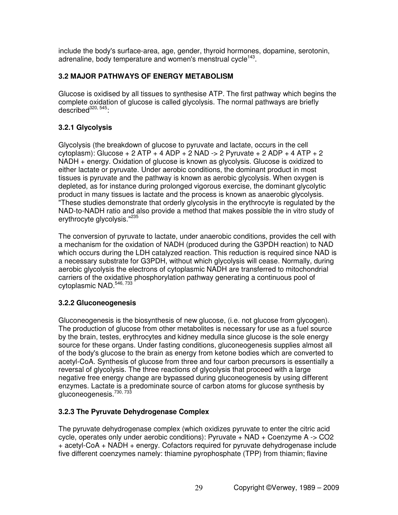include the body's surface-area, age, gender, thyroid hormones, dopamine, serotonin, adrenaline, body temperature and women's menstrual cycle<sup>143</sup>.

# **3.2 MAJOR PATHWAYS OF ENERGY METABOLISM**

Glucose is oxidised by all tissues to synthesise ATP. The first pathway which begins the complete oxidation of glucose is called glycolysis. The normal pathways are briefly  $described<sup>320, 545</sup>$ 

# **3.2.1 Glycolysis**

Glycolysis (the breakdown of glucose to pyruvate and lactate, occurs in the cell cytoplasm): Glucose + 2 ATP + 4 ADP + 2 NAD -> 2 Pyruvate + 2 ADP + 4 ATP + 2 NADH + energy. Oxidation of glucose is known as glycolysis. Glucose is oxidized to either lactate or pyruvate. Under aerobic conditions, the dominant product in most tissues is pyruvate and the pathway is known as aerobic glycolysis. When oxygen is depleted, as for instance during prolonged vigorous exercise, the dominant glycolytic product in many tissues is lactate and the process is known as anaerobic glycolysis. "These studies demonstrate that orderly glycolysis in the erythrocyte is regulated by the NAD-to-NADH ratio and also provide a method that makes possible the in vitro study of erythrocyte glycolysis."<sup>235</sup>

The conversion of pyruvate to lactate, under anaerobic conditions, provides the cell with a mechanism for the oxidation of NADH (produced during the G3PDH reaction) to NAD which occurs during the LDH catalyzed reaction. This reduction is required since NAD is a necessary substrate for G3PDH, without which glycolysis will cease. Normally, during aerobic glycolysis the electrons of cytoplasmic NADH are transferred to mitochondrial carriers of the oxidative phosphorylation pathway generating a continuous pool of cytoplasmic NAD.<sup>546, 733</sup>

# **3.2.2 Gluconeogenesis**

Gluconeogenesis is the biosynthesis of new glucose, (i.e. not glucose from glycogen). The production of glucose from other metabolites is necessary for use as a fuel source by the brain, testes, erythrocytes and kidney medulla since glucose is the sole energy source for these organs. Under fasting conditions, gluconeogenesis supplies almost all of the body's glucose to the brain as energy from ketone bodies which are converted to acetyl-CoA. Synthesis of glucose from three and four carbon precursors is essentially a reversal of glycolysis. The three reactions of glycolysis that proceed with a large negative free energy change are bypassed during gluconeogenesis by using different enzymes. Lactate is a predominate source of carbon atoms for glucose synthesis by gluconeogenesis.<sup>730, 733</sup>

# **3.2.3 The Pyruvate Dehydrogenase Complex**

The pyruvate dehydrogenase complex (which oxidizes pyruvate to enter the citric acid cycle, operates only under aerobic conditions): Pyruvate + NAD + Coenzyme A -> CO2 + acetyl-CoA + NADH + energy. Cofactors required for pyruvate dehydrogenase include five different coenzymes namely: thiamine pyrophosphate (TPP) from thiamin; flavine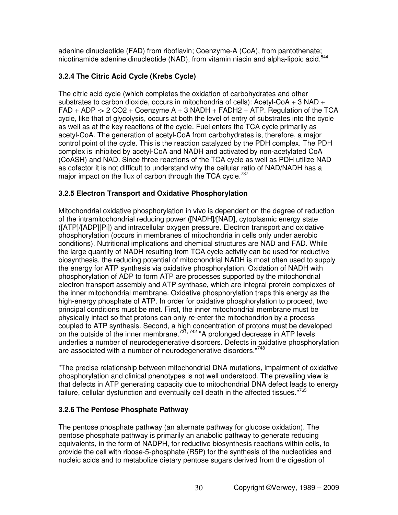adenine dinucleotide (FAD) from riboflavin; Coenzyme-A (CoA), from pantothenate; nicotinamide adenine dinucleotide (NAD), from vitamin niacin and alpha-lipoic acid.<sup>544</sup>

# **3.2.4 The Citric Acid Cycle (Krebs Cycle)**

The citric acid cycle (which completes the oxidation of carbohydrates and other substrates to carbon dioxide, occurs in mitochondria of cells): Acetyl-CoA + 3 NAD +  $FAD + ADP \rightarrow 2 CO2 + Coenzyme A + 3 NADH + FADH2 + ATP$ . Regulation of the TCA cycle, like that of glycolysis, occurs at both the level of entry of substrates into the cycle as well as at the key reactions of the cycle. Fuel enters the TCA cycle primarily as acetyl-CoA. The generation of acetyl-CoA from carbohydrates is, therefore, a major control point of the cycle. This is the reaction catalyzed by the PDH complex. The PDH complex is inhibited by acetyl-CoA and NADH and activated by non-acetylated CoA (CoASH) and NAD. Since three reactions of the TCA cycle as well as PDH utilize NAD as cofactor it is not difficult to understand why the cellular ratio of NAD/NADH has a major impact on the flux of carbon through the TCA cycle.<sup>737</sup>

# **3.2.5 Electron Transport and Oxidative Phosphorylation**

Mitochondrial oxidative phosphorylation in vivo is dependent on the degree of reduction of the intramitochondrial reducing power ([NADH]/[NAD], cytoplasmic energy state ([ATP]/[ADP][Pi]) and intracellular oxygen pressure. Electron transport and oxidative phosphorylation (occurs in membranes of mitochondria in cells only under aerobic conditions). Nutritional implications and chemical structures are NAD and FAD. While the large quantity of NADH resulting from TCA cycle activity can be used for reductive biosynthesis, the reducing potential of mitochondrial NADH is most often used to supply the energy for ATP synthesis via oxidative phosphorylation. Oxidation of NADH with phosphorylation of ADP to form ATP are processes supported by the mitochondrial electron transport assembly and ATP synthase, which are integral protein complexes of the inner mitochondrial membrane. Oxidative phosphorylation traps this energy as the high-energy phosphate of ATP. In order for oxidative phosphorylation to proceed, two principal conditions must be met. First, the inner mitochondrial membrane must be physically intact so that protons can only re-enter the mitochondrion by a process coupled to ATP synthesis. Second, a high concentration of protons must be developed on the outside of the inner membrane.<sup>731, 742</sup> "A prolonged decrease in ATP levels underlies a number of neurodegenerative disorders. Defects in oxidative phosphorylation are associated with a number of neurodegenerative disorders."<sup>748</sup>

"The precise relationship between mitochondrial DNA mutations, impairment of oxidative phosphorylation and clinical phenotypes is not well understood. The prevailing view is that defects in ATP generating capacity due to mitochondrial DNA defect leads to energy failure, cellular dysfunction and eventually cell death in the affected tissues."<sup>765</sup>

# **3.2.6 The Pentose Phosphate Pathway**

The pentose phosphate pathway (an alternate pathway for glucose oxidation). The pentose phosphate pathway is primarily an anabolic pathway to generate reducing equivalents, in the form of NADPH, for reductive biosynthesis reactions within cells, to provide the cell with ribose-5-phosphate (R5P) for the synthesis of the nucleotides and nucleic acids and to metabolize dietary pentose sugars derived from the digestion of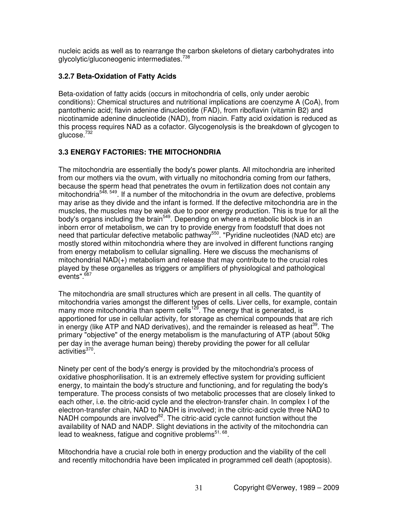nucleic acids as well as to rearrange the carbon skeletons of dietary carbohydrates into glycolytic/gluconeogenic intermediates.<sup>738</sup>

# **3.2.7 Beta-Oxidation of Fatty Acids**

Beta-oxidation of fatty acids (occurs in mitochondria of cells, only under aerobic conditions): Chemical structures and nutritional implications are coenzyme A (CoA), from pantothenic acid; flavin adenine dinucleotide (FAD), from riboflavin (vitamin B2) and nicotinamide adenine dinucleotide (NAD), from niacin. Fatty acid oxidation is reduced as this process requires NAD as a cofactor. Glycogenolysis is the breakdown of glycogen to glucose.<sup>732</sup>

# **3.3 ENERGY FACTORIES: THE MITOCHONDRIA**

The mitochondria are essentially the body's power plants. All mitochondria are inherited from our mothers via the ovum, with virtually no mitochondria coming from our fathers, because the sperm head that penetrates the ovum in fertilization does not contain any mitochondria<sup>548, 549</sup>. If a number of the mitochondria in the ovum are defective, problems may arise as they divide and the infant is formed. If the defective mitochondria are in the muscles, the muscles may be weak due to poor energy production. This is true for all the body's organs including the brain<sup>549</sup>. Depending on where a metabolic block is in an inborn error of metabolism, we can try to provide energy from foodstuff that does not need that particular defective metabolic pathway<sup>550</sup>. "Pyridine nucleotides (NAD etc) are mostly stored within mitochondria where they are involved in different functions ranging from energy metabolism to cellular signalling. Here we discuss the mechanisms of mitochondrial NAD(+) metabolism and release that may contribute to the crucial roles played by these organelles as triggers or amplifiers of physiological and pathological  $e$ vents".  $687$ 

The mitochondria are small structures which are present in all cells. The quantity of mitochondria varies amongst the different types of cells. Liver cells, for example, contain many more mitochondria than sperm cells<sup>129</sup>. The energy that is generated, is apportioned for use in cellular activity, for storage as chemical compounds that are rich in energy (like ATP and NAD derivatives), and the remainder is released as heat<sup>39</sup>. The primary "objective" of the energy metabolism is the manufacturing of ATP (about 50kg per day in the average human being) thereby providing the power for all cellular  $\arctivities^{370}$ .

Ninety per cent of the body's energy is provided by the mitochondria's process of oxidative phosphorilisation. It is an extremely effective system for providing sufficient energy, to maintain the body's structure and functioning, and for regulating the body's temperature. The process consists of two metabolic processes that are closely linked to each other, i.e. the citric-acid cycle and the electron-transfer chain. In complex I of the electron-transfer chain, NAD to NADH is involved; in the citric-acid cycle three NAD to NADH compounds are involved $^{82}$ . The citric-acid cycle cannot function without the availability of NAD and NADP. Slight deviations in the activity of the mitochondria can lead to weakness, fatigue and cognitive problems<sup>51, 68</sup>.

Mitochondria have a crucial role both in energy production and the viability of the cell and recently mitochondria have been implicated in programmed cell death (apoptosis).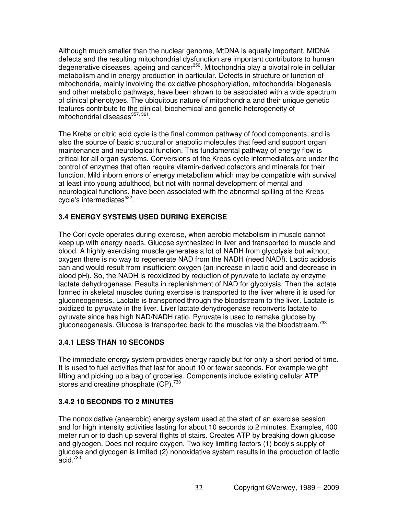Although much smaller than the nuclear genome, MtDNA is equally important. MtDNA defects and the resulting mitochondrial dysfunction are important contributors to human degenerative diseases, ageing and cancer<sup>356</sup>. Mitochondria play a pivotal role in cellular metabolism and in energy production in particular. Defects in structure or function of mitochondria, mainly involving the oxidative phosphorylation, mitochondrial biogenesis and other metabolic pathways, have been shown to be associated with a wide spectrum of clinical phenotypes. The ubiquitous nature of mitochondria and their unique genetic features contribute to the clinical, biochemical and genetic heterogeneity of mitochondrial diseases<sup>357, 361</sup>.

The Krebs or citric acid cycle is the final common pathway of food components, and is also the source of basic structural or anabolic molecules that feed and support organ maintenance and neurological function. This fundamental pathway of energy flow is critical for all organ systems. Conversions of the Krebs cycle intermediates are under the control of enzymes that often require vitamin-derived cofactors and minerals for their function. Mild inborn errors of energy metabolism which may be compatible with survival at least into young adulthood, but not with normal development of mental and neurological functions, have been associated with the abnormal spilling of the Krebs cycle's intermediates<sup>532</sup>.

# **3.4 ENERGY SYSTEMS USED DURING EXERCISE**

The Cori cycle operates during exercise, when aerobic metabolism in muscle cannot keep up with energy needs. Glucose synthesized in liver and transported to muscle and blood. A highly exercising muscle generates a lot of NADH from glycolysis but without oxygen there is no way to regenerate NAD from the NADH (need NAD!). Lactic acidosis can and would result from insufficient oxygen (an increase in lactic acid and decrease in blood pH). So, the NADH is reoxidized by reduction of pyruvate to lactate by enzyme lactate dehydrogenase. Results in replenishment of NAD for glycolysis. Then the lactate formed in skeletal muscles during exercise is transported to the liver where it is used for gluconeogenesis. Lactate is transported through the bloodstream to the liver. Lactate is oxidized to pyruvate in the liver. Liver lactate dehydrogenase reconverts lactate to pyruvate since has high NAD/NADH ratio. Pyruvate is used to remake glucose by gluconeogenesis. Glucose is transported back to the muscles via the bloodstream.<sup>733</sup>

# **3.4.1 LESS THAN 10 SECONDS**

The immediate energy system provides energy rapidly but for only a short period of time. It is used to fuel activities that last for about 10 or fewer seconds. For example weight lifting and picking up a bag of groceries. Components include existing cellular ATP stores and creatine phosphate (CP).<sup>733</sup>

# **3.4.2 10 SECONDS TO 2 MINUTES**

The nonoxidative (anaerobic) energy system used at the start of an exercise session and for high intensity activities lasting for about 10 seconds to 2 minutes. Examples, 400 meter run or to dash up several flights of stairs. Creates ATP by breaking down glucose and glycogen. Does not require oxygen. Two key limiting factors (1) body's supply of glucose and glycogen is limited (2) nonoxidative system results in the production of lactic  $\overline{a}$ cid.<sup>733</sup>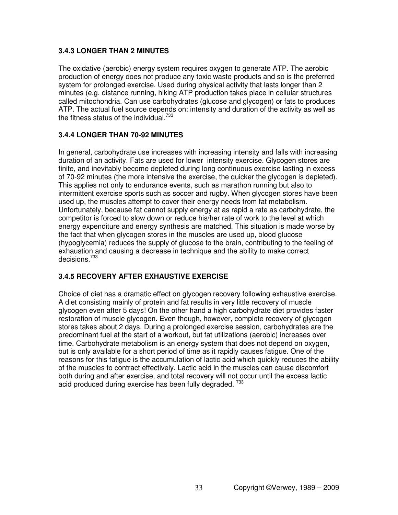# **3.4.3 LONGER THAN 2 MINUTES**

The oxidative (aerobic) energy system requires oxygen to generate ATP. The aerobic production of energy does not produce any toxic waste products and so is the preferred system for prolonged exercise. Used during physical activity that lasts longer than 2 minutes (e.g. distance running, hiking ATP production takes place in cellular structures called mitochondria. Can use carbohydrates (glucose and glycogen) or fats to produces ATP. The actual fuel source depends on: intensity and duration of the activity as well as the fitness status of the individual.<sup>733</sup>

# **3.4.4 LONGER THAN 70-92 MINUTES**

In general, carbohydrate use increases with increasing intensity and falls with increasing duration of an activity. Fats are used for lower intensity exercise. Glycogen stores are finite, and inevitably become depleted during long continuous exercise lasting in excess of 70-92 minutes (the more intensive the exercise, the quicker the glycogen is depleted). This applies not only to endurance events, such as marathon running but also to intermittent exercise sports such as soccer and rugby. When glycogen stores have been used up, the muscles attempt to cover their energy needs from fat metabolism. Unfortunately, because fat cannot supply energy at as rapid a rate as carbohydrate, the competitor is forced to slow down or reduce his/her rate of work to the level at which energy expenditure and energy synthesis are matched. This situation is made worse by the fact that when glycogen stores in the muscles are used up, blood glucose (hypoglycemia) reduces the supply of glucose to the brain, contributing to the feeling of exhaustion and causing a decrease in technique and the ability to make correct decisions.<sup>733</sup>

# **3.4.5 RECOVERY AFTER EXHAUSTIVE EXERCISE**

Choice of diet has a dramatic effect on glycogen recovery following exhaustive exercise. A diet consisting mainly of protein and fat results in very little recovery of muscle glycogen even after 5 days! On the other hand a high carbohydrate diet provides faster restoration of muscle glycogen. Even though, however, complete recovery of glycogen stores takes about 2 days. During a prolonged exercise session, carbohydrates are the predominant fuel at the start of a workout, but fat utilizations (aerobic) increases over time. Carbohydrate metabolism is an energy system that does not depend on oxygen, but is only available for a short period of time as it rapidly causes fatigue. One of the reasons for this fatigue is the accumulation of lactic acid which quickly reduces the ability of the muscles to contract effectively. Lactic acid in the muscles can cause discomfort both during and after exercise, and total recovery will not occur until the excess lactic acid produced during exercise has been fully degraded. <sup>733</sup>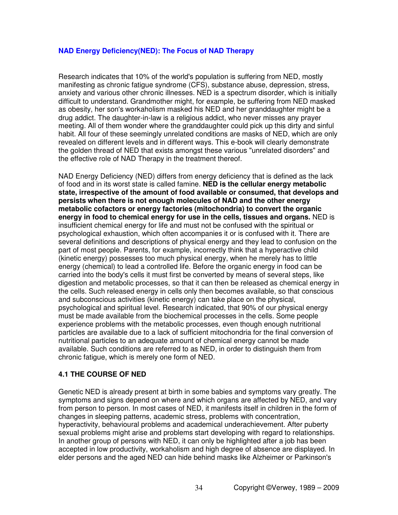## **NAD Energy Deficiency(NED): The Focus of NAD Therapy**

Research indicates that 10% of the world's population is suffering from NED, mostly manifesting as chronic fatigue syndrome (CFS), substance abuse, depression, stress, anxiety and various other chronic illnesses. NED is a spectrum disorder, which is initially difficult to understand. Grandmother might, for example, be suffering from NED masked as obesity, her son's workaholism masked his NED and her granddaughter might be a drug addict. The daughter-in-law is a religious addict, who never misses any prayer meeting. All of them wonder where the granddaughter could pick up this dirty and sinful habit. All four of these seemingly unrelated conditions are masks of NED, which are only revealed on different levels and in different ways. This e-book will clearly demonstrate the golden thread of NED that exists amongst these various "unrelated disorders" and the effective role of NAD Therapy in the treatment thereof.

NAD Energy Deficiency (NED) differs from energy deficiency that is defined as the lack of food and in its worst state is called famine. **NED is the cellular energy metabolic state, irrespective of the amount of food available or consumed, that develops and persists when there is not enough molecules of NAD and the other energy metabolic cofactors or energy factories (mitochondria) to convert the organic energy in food to chemical energy for use in the cells, tissues and organs.** NED is insufficient chemical energy for life and must not be confused with the spiritual or psychological exhaustion, which often accompanies it or is confused with it. There are several definitions and descriptions of physical energy and they lead to confusion on the part of most people. Parents, for example, incorrectly think that a hyperactive child (kinetic energy) possesses too much physical energy, when he merely has to little energy (chemical) to lead a controlled life. Before the organic energy in food can be carried into the body's cells it must first be converted by means of several steps, like digestion and metabolic processes, so that it can then be released as chemical energy in the cells. Such released energy in cells only then becomes available, so that conscious and subconscious activities (kinetic energy) can take place on the physical, psychological and spiritual level. Research indicated, that 90% of our physical energy must be made available from the biochemical processes in the cells. Some people experience problems with the metabolic processes, even though enough nutritional particles are available due to a lack of sufficient mitochondria for the final conversion of nutritional particles to an adequate amount of chemical energy cannot be made available. Such conditions are referred to as NED, in order to distinguish them from chronic fatigue, which is merely one form of NED.

## **4.1 THE COURSE OF NED**

Genetic NED is already present at birth in some babies and symptoms vary greatly. The symptoms and signs depend on where and which organs are affected by NED, and vary from person to person. In most cases of NED, it manifests itself in children in the form of changes in sleeping patterns, academic stress, problems with concentration, hyperactivity, behavioural problems and academical underachievement. After puberty sexual problems might arise and problems start developing with regard to relationships. In another group of persons with NED, it can only be highlighted after a job has been accepted in low productivity, workaholism and high degree of absence are displayed. In elder persons and the aged NED can hide behind masks like Alzheimer or Parkinson's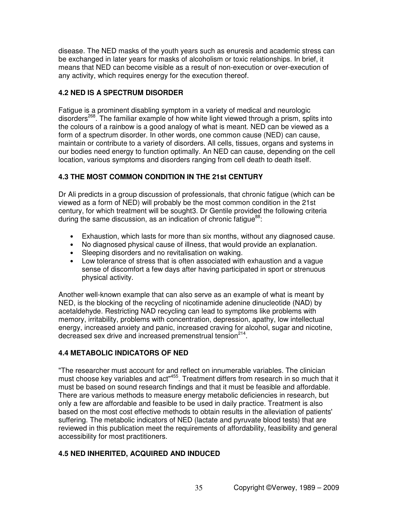disease. The NED masks of the youth years such as enuresis and academic stress can be exchanged in later years for masks of alcoholism or toxic relationships. In brief, it means that NED can become visible as a result of non-execution or over-execution of any activity, which requires energy for the execution thereof.

# **4.2 NED IS A SPECTRUM DISORDER**

Fatigue is a prominent disabling symptom in a variety of medical and neurologic disorders<sup>268</sup>. The familiar example of how white light viewed through a prism, splits into the colours of a rainbow is a good analogy of what is meant. NED can be viewed as a form of a spectrum disorder. In other words, one common cause (NED) can cause, maintain or contribute to a variety of disorders. All cells, tissues, organs and systems in our bodies need energy to function optimally. An NED can cause, depending on the cell location, various symptoms and disorders ranging from cell death to death itself.

# **4.3 THE MOST COMMON CONDITION IN THE 21st CENTURY**

Dr Ali predicts in a group discussion of professionals, that chronic fatigue (which can be viewed as a form of NED) will probably be the most common condition in the 21st century, for which treatment will be sought3. Dr Gentile provided the following criteria during the same discussion, as an indication of chronic fatigue $^{88}$ .

- Exhaustion, which lasts for more than six months, without any diagnosed cause.
- No diagnosed physical cause of illness, that would provide an explanation.
- Sleeping disorders and no revitalisation on waking.
- Low tolerance of stress that is often associated with exhaustion and a vague sense of discomfort a few days after having participated in sport or strenuous physical activity.

Another well-known example that can also serve as an example of what is meant by NED, is the blocking of the recycling of nicotinamide adenine dinucleotide (NAD) by acetaldehyde. Restricting NAD recycling can lead to symptoms like problems with memory, irritability, problems with concentration, depression, apathy, low intellectual energy, increased anxiety and panic, increased craving for alcohol, sugar and nicotine, decreased sex drive and increased premenstrual tension<sup>214</sup>.

# **4.4 METABOLIC INDICATORS OF NED**

"The researcher must account for and reflect on innumerable variables. The clinician must choose key variables and act<sup>"455</sup>. Treatment differs from research in so much that it must be based on sound research findings and that it must be feasible and affordable. There are various methods to measure energy metabolic deficiencies in research, but only a few are affordable and feasible to be used in daily practice. Treatment is also based on the most cost effective methods to obtain results in the alleviation of patients' suffering. The metabolic indicators of NED (lactate and pyruvate blood tests) that are reviewed in this publication meet the requirements of affordability, feasibility and general accessibility for most practitioners.

# **4.5 NED INHERITED, ACQUIRED AND INDUCED**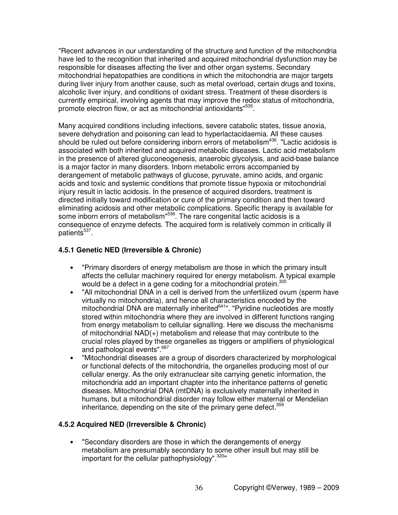"Recent advances in our understanding of the structure and function of the mitochondria have led to the recognition that inherited and acquired mitochondrial dysfunction may be responsible for diseases affecting the liver and other organ systems. Secondary mitochondrial hepatopathies are conditions in which the mitochondria are major targets during liver injury from another cause, such as metal overload, certain drugs and toxins, alcoholic liver injury, and conditions of oxidant stress. Treatment of these disorders is currently empirical, involving agents that may improve the redox status of mitochondria, promote electron flow, or act as mitochondrial antioxidants"<sup>535</sup>.

Many acquired conditions including infections, severe catabolic states, tissue anoxia, severe dehydration and poisoning can lead to hyperlactacidaemia. All these causes should be ruled out before considering inborn errors of metabolism<sup>436</sup>. "Lactic acidosis is associated with both inherited and acquired metabolic diseases. Lactic acid metabolism in the presence of altered gluconeogenesis, anaerobic glycolysis, and acid-base balance is a major factor in many disorders. Inborn metabolic errors accompanied by derangement of metabolic pathways of glucose, pyruvate, amino acids, and organic acids and toxic and systemic conditions that promote tissue hypoxia or mitochondrial injury result in lactic acidosis. In the presence of acquired disorders, treatment is directed initially toward modification or cure of the primary condition and then toward eliminating acidosis and other metabolic complications. Specific therapy is available for some inborn errors of metabolism"<sup>536</sup>. The rare congenital lactic acidosis is a consequence of enzyme defects. The acquired form is relatively common in critically ill patients<sup>537</sup>.

## **4.5.1 Genetic NED (Irreversible & Chronic)**

- "Primary disorders of energy metabolism are those in which the primary insult affects the cellular machinery required for energy metabolism. A typical example would be a defect in a gene coding for a mitochondrial protein.<sup>320</sup>
- "All mitochondrial DNA in a cell is derived from the unfertilized ovum (sperm have virtually no mitochondria), and hence all characteristics encoded by the  $m$ itochondrial DNA are maternally inherited $641$ ". "Pyridine nucleotides are mostly stored within mitochondria where they are involved in different functions ranging from energy metabolism to cellular signalling. Here we discuss the mechanisms of mitochondrial NAD(+) metabolism and release that may contribute to the crucial roles played by these organelles as triggers or amplifiers of physiological and pathological events".<sup>687</sup>
- "Mitochondrial diseases are a group of disorders characterized by morphological or functional defects of the mitochondria, the organelles producing most of our cellular energy. As the only extranuclear site carrying genetic information, the mitochondria add an important chapter into the inheritance patterns of genetic diseases. Mitochondrial DNA (mtDNA) is exclusively maternally inherited in humans, but a mitochondrial disorder may follow either maternal or Mendelian inheritance, depending on the site of the primary gene defect.<sup>359</sup>

## **4.5.2 Acquired NED (Irreversible & Chronic)**

• "Secondary disorders are those in which the derangements of energy metabolism are presumably secondary to some other insult but may still be important for the cellular pathophysiology".<sup>320</sup>"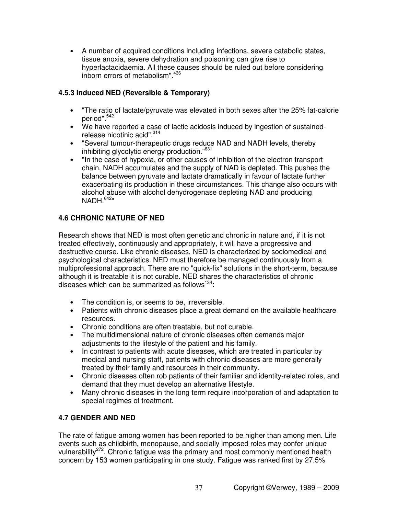• A number of acquired conditions including infections, severe catabolic states, tissue anoxia, severe dehydration and poisoning can give rise to hyperlactacidaemia. All these causes should be ruled out before considering inborn errors of metabolism". <sup>436</sup>

### **4.5.3 Induced NED (Reversible & Temporary)**

- "The ratio of lactate/pyruvate was elevated in both sexes after the 25% fat-calorie period".<sup>542</sup>
- We have reported a case of lactic acidosis induced by ingestion of sustainedrelease nicotinic acid".<sup>314</sup>
- "Several tumour-therapeutic drugs reduce NAD and NADH levels, thereby inhibiting glycolytic energy production."<sup>631</sup>
- "In the case of hypoxia, or other causes of inhibition of the electron transport chain, NADH accumulates and the supply of NAD is depleted. This pushes the balance between pyruvate and lactate dramatically in favour of lactate further exacerbating its production in these circumstances. This change also occurs with alcohol abuse with alcohol dehydrogenase depleting NAD and producing  $NADH.$ <sup>642</sup>"

# **4.6 CHRONIC NATURE OF NED**

Research shows that NED is most often genetic and chronic in nature and, if it is not treated effectively, continuously and appropriately, it will have a progressive and destructive course. Like chronic diseases, NED is characterized by sociomedical and psychological characteristics. NED must therefore be managed continuously from a multiprofessional approach. There are no "quick-fix" solutions in the short-term, because although it is treatable it is not curable. NED shares the characteristics of chronic diseases which can be summarized as follows<sup>134</sup>:

- The condition is, or seems to be, irreversible.
- Patients with chronic diseases place a great demand on the available healthcare resources.
- Chronic conditions are often treatable, but not curable.
- The multidimensional nature of chronic diseases often demands major adjustments to the lifestyle of the patient and his family.
- In contrast to patients with acute diseases, which are treated in particular by medical and nursing staff, patients with chronic diseases are more generally treated by their family and resources in their community.
- Chronic diseases often rob patients of their familiar and identity-related roles, and demand that they must develop an alternative lifestyle.
- Many chronic diseases in the long term require incorporation of and adaptation to special regimes of treatment.

### **4.7 GENDER AND NED**

The rate of fatigue among women has been reported to be higher than among men. Life events such as childbirth, menopause, and socially imposed roles may confer unique vulnerability<sup>272</sup>. Chronic fatigue was the primary and most commonly mentioned health concern by 153 women participating in one study. Fatigue was ranked first by 27.5%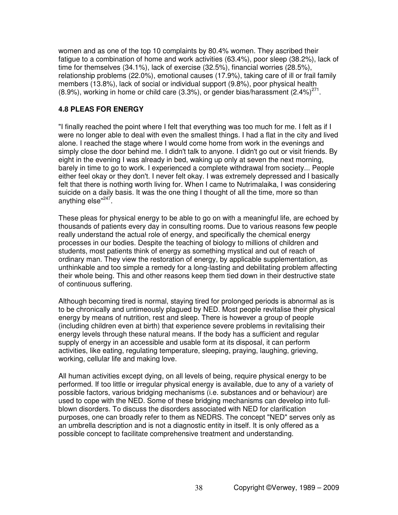women and as one of the top 10 complaints by 80.4% women. They ascribed their fatigue to a combination of home and work activities (63.4%), poor sleep (38.2%), lack of time for themselves (34.1%), lack of exercise (32.5%), financial worries (28.5%), relationship problems (22.0%), emotional causes (17.9%), taking care of ill or frail family members (13.8%), lack of social or individual support (9.8%), poor physical health  $(8.9\%)$ , working in home or child care  $(3.3\%)$ , or gender bias/harassment  $(2.4\%)^{271}$ .

### **4.8 PLEAS FOR ENERGY**

"I finally reached the point where I felt that everything was too much for me. I felt as if I were no longer able to deal with even the smallest things. I had a flat in the city and lived alone. I reached the stage where I would come home from work in the evenings and simply close the door behind me. I didn't talk to anyone. I didn't go out or visit friends. By eight in the evening I was already in bed, waking up only at seven the next morning, barely in time to go to work. I experienced a complete withdrawal from society... People either feel okay or they don't. I never felt okay. I was extremely depressed and I basically felt that there is nothing worth living for. When I came to Nutrimalaika, I was considering suicide on a daily basis. It was the one thing I thought of all the time, more so than anything else"<sup>247</sup>.

These pleas for physical energy to be able to go on with a meaningful life, are echoed by thousands of patients every day in consulting rooms. Due to various reasons few people really understand the actual role of energy, and specifically the chemical energy processes in our bodies. Despite the teaching of biology to millions of children and students, most patients think of energy as something mystical and out of reach of ordinary man. They view the restoration of energy, by applicable supplementation, as unthinkable and too simple a remedy for a long-lasting and debilitating problem affecting their whole being. This and other reasons keep them tied down in their destructive state of continuous suffering.

Although becoming tired is normal, staying tired for prolonged periods is abnormal as is to be chronically and untimeously plagued by NED. Most people revitalise their physical energy by means of nutrition, rest and sleep. There is however a group of people (including children even at birth) that experience severe problems in revitalising their energy levels through these natural means. If the body has a sufficient and regular supply of energy in an accessible and usable form at its disposal, it can perform activities, like eating, regulating temperature, sleeping, praying, laughing, grieving, working, cellular life and making love.

All human activities except dying, on all levels of being, require physical energy to be performed. If too little or irregular physical energy is available, due to any of a variety of possible factors, various bridging mechanisms (i.e. substances and or behaviour) are used to cope with the NED. Some of these bridging mechanisms can develop into fullblown disorders. To discuss the disorders associated with NED for clarification purposes, one can broadly refer to them as NEDRS. The concept "NED" serves only as an umbrella description and is not a diagnostic entity in itself. It is only offered as a possible concept to facilitate comprehensive treatment and understanding.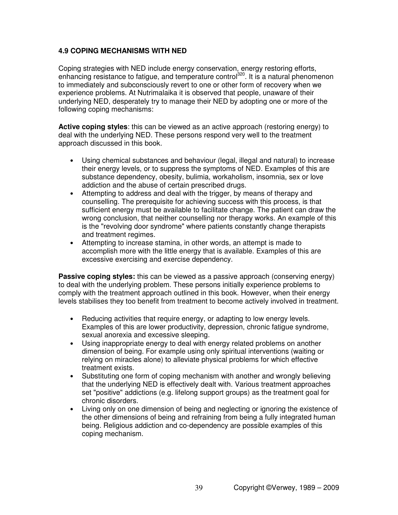### **4.9 COPING MECHANISMS WITH NED**

Coping strategies with NED include energy conservation, energy restoring efforts, enhancing resistance to fatigue, and temperature control<sup>320</sup>. It is a natural phenomenon to immediately and subconsciously revert to one or other form of recovery when we experience problems. At Nutrimalaika it is observed that people, unaware of their underlying NED, desperately try to manage their NED by adopting one or more of the following coping mechanisms:

**Active coping styles**: this can be viewed as an active approach (restoring energy) to deal with the underlying NED. These persons respond very well to the treatment approach discussed in this book.

- Using chemical substances and behaviour (legal, illegal and natural) to increase their energy levels, or to suppress the symptoms of NED. Examples of this are substance dependency, obesity, bulimia, workaholism, insomnia, sex or love addiction and the abuse of certain prescribed drugs.
- Attempting to address and deal with the trigger, by means of therapy and counselling. The prerequisite for achieving success with this process, is that sufficient energy must be available to facilitate change. The patient can draw the wrong conclusion, that neither counselling nor therapy works. An example of this is the "revolving door syndrome" where patients constantly change therapists and treatment regimes.
- Attempting to increase stamina, in other words, an attempt is made to accomplish more with the little energy that is available. Examples of this are excessive exercising and exercise dependency.

**Passive coping styles:** this can be viewed as a passive approach (conserving energy) to deal with the underlying problem. These persons initially experience problems to comply with the treatment approach outlined in this book. However, when their energy levels stabilises they too benefit from treatment to become actively involved in treatment.

- Reducing activities that require energy, or adapting to low energy levels. Examples of this are lower productivity, depression, chronic fatigue syndrome, sexual anorexia and excessive sleeping.
- Using inappropriate energy to deal with energy related problems on another dimension of being. For example using only spiritual interventions (waiting or relying on miracles alone) to alleviate physical problems for which effective treatment exists.
- Substituting one form of coping mechanism with another and wrongly believing that the underlying NED is effectively dealt with. Various treatment approaches set "positive" addictions (e.g. lifelong support groups) as the treatment goal for chronic disorders.
- Living only on one dimension of being and neglecting or ignoring the existence of the other dimensions of being and refraining from being a fully integrated human being. Religious addiction and co-dependency are possible examples of this coping mechanism.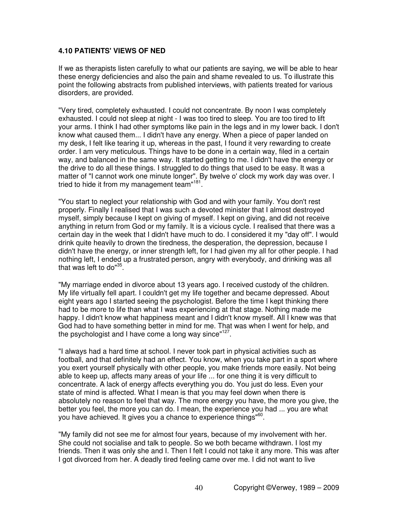#### **4.10 PATIENTS' VIEWS OF NED**

If we as therapists listen carefully to what our patients are saying, we will be able to hear these energy deficiencies and also the pain and shame revealed to us. To illustrate this point the following abstracts from published interviews, with patients treated for various disorders, are provided.

"Very tired, completely exhausted. I could not concentrate. By noon I was completely exhausted. I could not sleep at night - I was too tired to sleep. You are too tired to lift your arms. I think I had other symptoms like pain in the legs and in my lower back. I don't know what caused them... I didn't have any energy. When a piece of paper landed on my desk, I felt like tearing it up, whereas in the past, I found it very rewarding to create order. I am very meticulous. Things have to be done in a certain way, filed in a certain way, and balanced in the same way. It started getting to me. I didn't have the energy or the drive to do all these things. I struggled to do things that used to be easy. It was a matter of "I cannot work one minute longer". By twelve o' clock my work day was over. I tried to hide it from my management team"<sup>181</sup>.

"You start to neglect your relationship with God and with your family. You don't rest properly. Finally I realised that I was such a devoted minister that I almost destroyed myself, simply because I kept on giving of myself. I kept on giving, and did not receive anything in return from God or my family. It is a vicious cycle. I realised that there was a certain day in the week that I didn't have much to do. I considered it my "day off". I would drink quite heavily to drown the tiredness, the desperation, the depression, because I didn't have the energy, or inner strength left, for I had given my all for other people. I had nothing left, I ended up a frustrated person, angry with everybody, and drinking was all that was left to do"<sup>35</sup>.

"My marriage ended in divorce about 13 years ago. I received custody of the children. My life virtually fell apart. I couldn't get my life together and became depressed. About eight years ago I started seeing the psychologist. Before the time I kept thinking there had to be more to life than what I was experiencing at that stage. Nothing made me happy. I didn't know what happiness meant and I didn't know myself. All I knew was that God had to have something better in mind for me. That was when I went for help, and the psychologist and I have come a long way since"<sup>127</sup>.

"I always had a hard time at school. I never took part in physical activities such as football, and that definitely had an effect. You know, when you take part in a sport where you exert yourself physically with other people, you make friends more easily. Not being able to keep up, affects many areas of your life ... for one thing it is very difficult to concentrate. A lack of energy affects everything you do. You just do less. Even your state of mind is affected. What I mean is that you may feel down when there is absolutely no reason to feel that way. The more energy you have, the more you give, the better you feel, the more you can do. I mean, the experience you had ... you are what you have achieved. It gives you a chance to experience things"<sup>60</sup>.

"My family did not see me for almost four years, because of my involvement with her. She could not socialise and talk to people. So we both became withdrawn. I lost my friends. Then it was only she and I. Then I felt I could not take it any more. This was after I got divorced from her. A deadly tired feeling came over me. I did not want to live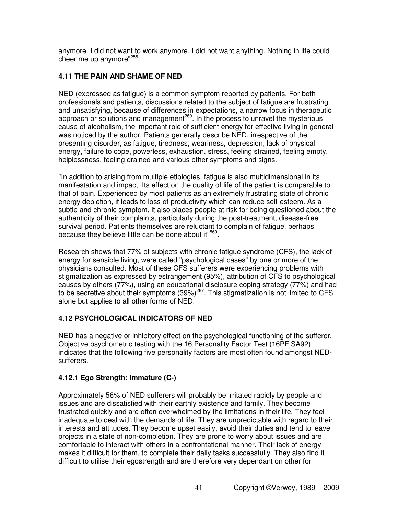anymore. I did not want to work anymore. I did not want anything. Nothing in life could cheer me up anymore"<sup>255</sup>.

### **4.11 THE PAIN AND SHAME OF NED**

NED (expressed as fatigue) is a common symptom reported by patients. For both professionals and patients, discussions related to the subject of fatigue are frustrating and unsatisfying, because of differences in expectations, a narrow focus in therapeutic approach or solutions and management<sup>269</sup>. In the process to unravel the mysterious cause of alcoholism, the important role of sufficient energy for effective living in general was noticed by the author. Patients generally describe NED, irrespective of the presenting disorder, as fatigue, tiredness, weariness, depression, lack of physical energy, failure to cope, powerless, exhaustion, stress, feeling strained, feeling empty, helplessness, feeling drained and various other symptoms and signs.

"In addition to arising from multiple etiologies, fatigue is also multidimensional in its manifestation and impact. Its effect on the quality of life of the patient is comparable to that of pain. Experienced by most patients as an extremely frustrating state of chronic energy depletion, it leads to loss of productivity which can reduce self-esteem. As a subtle and chronic symptom, it also places people at risk for being questioned about the authenticity of their complaints, particularly during the post-treatment, disease-free survival period. Patients themselves are reluctant to complain of fatigue, perhaps because they believe little can be done about it"<sup>569</sup>.

Research shows that 77% of subjects with chronic fatigue syndrome (CFS), the lack of energy for sensible living, were called "psychological cases" by one or more of the physicians consulted. Most of these CFS sufferers were experiencing problems with stigmatization as expressed by estrangement (95%), attribution of CFS to psychological causes by others (77%), using an educational disclosure coping strategy (77%) and had to be secretive about their symptoms  $(39\%)^{267}$ . This stigmatization is not limited to CFS alone but applies to all other forms of NED.

### **4.12 PSYCHOLOGICAL INDICATORS OF NED**

NED has a negative or inhibitory effect on the psychological functioning of the sufferer. Objective psychometric testing with the 16 Personality Factor Test (16PF SA92) indicates that the following five personality factors are most often found amongst NEDsufferers.

### **4.12.1 Ego Strength: Immature (C-)**

Approximately 56% of NED sufferers will probably be irritated rapidly by people and issues and are dissatisfied with their earthly existence and family. They become frustrated quickly and are often overwhelmed by the limitations in their life. They feel inadequate to deal with the demands of life. They are unpredictable with regard to their interests and attitudes. They become upset easily, avoid their duties and tend to leave projects in a state of non-completion. They are prone to worry about issues and are comfortable to interact with others in a confrontational manner. Their lack of energy makes it difficult for them, to complete their daily tasks successfully. They also find it difficult to utilise their egostrength and are therefore very dependant on other for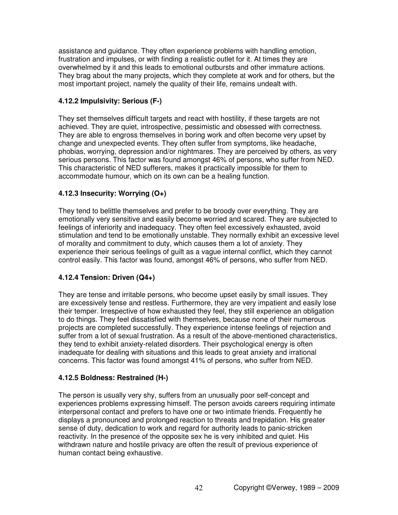assistance and guidance. They often experience problems with handling emotion, frustration and impulses, or with finding a realistic outlet for it. At times they are overwhelmed by it and this leads to emotional outbursts and other immature actions. They brag about the many projects, which they complete at work and for others, but the most important project, namely the quality of their life, remains undealt with.

### **4.12.2 Impulsivity: Serious (F-)**

They set themselves difficult targets and react with hostility, if these targets are not achieved. They are quiet, introspective, pessimistic and obsessed with correctness. They are able to engross themselves in boring work and often become very upset by change and unexpected events. They often suffer from symptoms, like headache, phobias, worrying, depression and/or nightmares. They are perceived by others, as very serious persons. This factor was found amongst 46% of persons, who suffer from NED. This characteristic of NED sufferers, makes it practically impossible for them to accommodate humour, which on its own can be a healing function.

# **4.12.3 Insecurity: Worrying (O+)**

They tend to belittle themselves and prefer to be broody over everything. They are emotionally very sensitive and easily become worried and scared. They are subjected to feelings of inferiority and inadequacy. They often feel excessively exhausted, avoid stimulation and tend to be emotionally unstable. They normally exhibit an excessive level of morality and commitment to duty, which causes them a lot of anxiety. They experience their serious feelings of guilt as a vague internal conflict, which they cannot control easily. This factor was found, amongst 46% of persons, who suffer from NED.

### **4.12.4 Tension: Driven (Q4+)**

They are tense and irritable persons, who become upset easily by small issues. They are excessively tense and restless. Furthermore, they are very impatient and easily lose their temper. Irrespective of how exhausted they feel, they still experience an obligation to do things. They feel dissatisfied with themselves, because none of their numerous projects are completed successfully. They experience intense feelings of rejection and suffer from a lot of sexual frustration. As a result of the above-mentioned characteristics, they tend to exhibit anxiety-related disorders. Their psychological energy is often inadequate for dealing with situations and this leads to great anxiety and irrational concerns. This factor was found amongst 41% of persons, who suffer from NED.

### **4.12.5 Boldness: Restrained (H-)**

The person is usually very shy, suffers from an unusually poor self-concept and experiences problems expressing himself. The person avoids careers requiring intimate interpersonal contact and prefers to have one or two intimate friends. Frequently he displays a pronounced and prolonged reaction to threats and trepidation. His greater sense of duty, dedication to work and regard for authority leads to panic-stricken reactivity. In the presence of the opposite sex he is very inhibited and quiet. His withdrawn nature and hostile privacy are often the result of previous experience of human contact being exhaustive.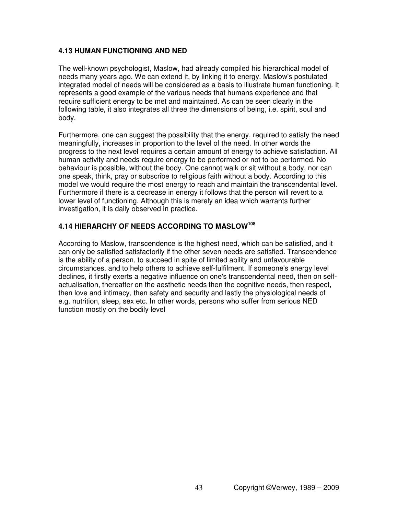#### **4.13 HUMAN FUNCTIONING AND NED**

The well-known psychologist, Maslow, had already compiled his hierarchical model of needs many years ago. We can extend it, by linking it to energy. Maslow's postulated integrated model of needs will be considered as a basis to illustrate human functioning. It represents a good example of the various needs that humans experience and that require sufficient energy to be met and maintained. As can be seen clearly in the following table, it also integrates all three the dimensions of being, i.e. spirit, soul and body.

Furthermore, one can suggest the possibility that the energy, required to satisfy the need meaningfully, increases in proportion to the level of the need. In other words the progress to the next level requires a certain amount of energy to achieve satisfaction. All human activity and needs require energy to be performed or not to be performed. No behaviour is possible, without the body. One cannot walk or sit without a body, nor can one speak, think, pray or subscribe to religious faith without a body. According to this model we would require the most energy to reach and maintain the transcendental level. Furthermore if there is a decrease in energy it follows that the person will revert to a lower level of functioning. Although this is merely an idea which warrants further investigation, it is daily observed in practice.

### **4.14 HIERARCHY OF NEEDS ACCORDING TO MASLOW<sup>108</sup>**

According to Maslow, transcendence is the highest need, which can be satisfied, and it can only be satisfied satisfactorily if the other seven needs are satisfied. Transcendence is the ability of a person, to succeed in spite of limited ability and unfavourable circumstances, and to help others to achieve self-fulfilment. If someone's energy level declines, it firstly exerts a negative influence on one's transcendental need, then on selfactualisation, thereafter on the aesthetic needs then the cognitive needs, then respect, then love and intimacy, then safety and security and lastly the physiological needs of e.g. nutrition, sleep, sex etc. In other words, persons who suffer from serious NED function mostly on the bodily level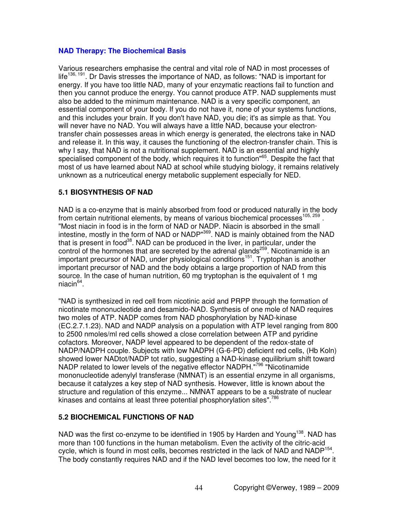### **NAD Therapy: The Biochemical Basis**

Various researchers emphasise the central and vital role of NAD in most processes of  $l$ life<sup>136, 191</sup>. Dr Davis stresses the importance of NAD, as follows: "NAD is important for energy. If you have too little NAD, many of your enzymatic reactions fail to function and then you cannot produce the energy. You cannot produce ATP. NAD supplements must also be added to the minimum maintenance. NAD is a very specific component, an essential component of your body. If you do not have it, none of your systems functions, and this includes your brain. If you don't have NAD, you die; it's as simple as that. You will never have no NAD. You will always have a little NAD, because your electrontransfer chain possesses areas in which energy is generated, the electrons take in NAD and release it. In this way, it causes the functioning of the electron-transfer chain. This is why I say, that NAD is not a nutritional supplement. NAD is an essential and highly specialised component of the body, which requires it to function"<sup>65</sup>. Despite the fact that most of us have learned about NAD at school while studying biology, it remains relatively unknown as a nutriceutical energy metabolic supplement especially for NED.

### **5.1 BIOSYNTHESIS OF NAD**

NAD is a co-enzyme that is mainly absorbed from food or produced naturally in the body from certain nutritional elements, by means of various biochemical processes $^{105, 259}$  . "Most niacin in food is in the form of NAD or NADP. Niacin is absorbed in the small intesting, mostly in the form of NAD or NADP<sup>"369</sup>. NAD is mainly obtained from the NAD that is present in food<sup>38</sup>. NAD can be produced in the liver, in particular, under the control of the hormones that are secreted by the adrenal glands<sup>259</sup>. Nicotinamide is an important precursor of NAD, under physiological conditions<sup>151</sup>. Tryptophan is another important precursor of NAD and the body obtains a large proportion of NAD from this source. In the case of human nutrition, 60 mg tryptophan is the equivalent of 1 mg niacin<sup>64</sup>.

"NAD is synthesized in red cell from nicotinic acid and PRPP through the formation of nicotinate mononucleotide and desamido-NAD. Synthesis of one mole of NAD requires two moles of ATP. NADP comes from NAD phosphorylation by NAD-kinase (EC.2.7.1.23). NAD and NADP analysis on a population with ATP level ranging from 800 to 2500 nmoles/ml red cells showed a close correlation between ATP and pyridine cofactors. Moreover, NADP level appeared to be dependent of the redox-state of NADP/NADPH couple. Subjects with low NADPH (G-6-PD) deficient red cells, (Hb Koln) showed lower NADtot/NADP tot ratio, suggesting a NAD-kinase equilibrium shift toward NADP related to lower levels of the negative effector NADPH."<sup>796</sup> "Nicotinamide mononucleotide adenylyl transferase (NMNAT) is an essential enzyme in all organisms, because it catalyzes a key step of NAD synthesis. However, little is known about the structure and regulation of this enzyme... NMNAT appears to be a substrate of nuclear kinases and contains at least three potential phosphorylation sites".<sup>786</sup>

### **5.2 BIOCHEMICAL FUNCTIONS OF NAD**

NAD was the first co-enzyme to be identified in 1905 by Harden and Young<sup>138</sup>. NAD has more than 100 functions in the human metabolism. Even the activity of the citric-acid cycle, which is found in most cells, becomes restricted in the lack of NAD and NADP<sup>154</sup>. The body constantly requires NAD and if the NAD level becomes too low, the need for it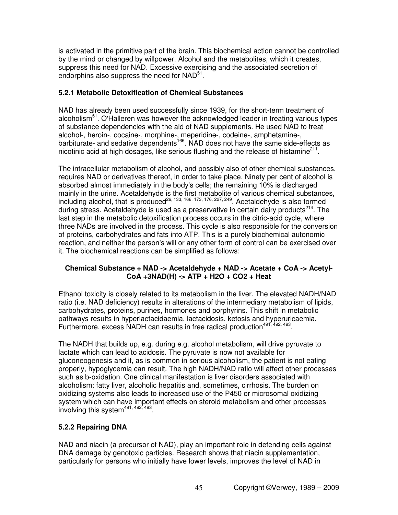is activated in the primitive part of the brain. This biochemical action cannot be controlled by the mind or changed by willpower. Alcohol and the metabolites, which it creates, suppress this need for NAD. Excessive exercising and the associated secretion of endorphins also suppress the need for  $NAD^{51}$ .

### **5.2.1 Metabolic Detoxification of Chemical Substances**

NAD has already been used successfully since 1939, for the short-term treatment of alcoholism<sup>51</sup>. O'Halleren was however the acknowledged leader in treating various types of substance dependencies with the aid of NAD supplements. He used NAD to treat alcohol-, heroin-, cocaine-, morphine-, meperidine-, codeine-, amphetamine-, barbiturate- and sedative dependents<sup>166</sup>. NAD does not have the same side-effects as nicotinic acid at high dosages, like serious flushing and the release of histamine $^{211}$ .

The intracellular metabolism of alcohol, and possibly also of other chemical substances, requires NAD or derivatives thereof, in order to take place. Ninety per cent of alcohol is absorbed almost immediately in the body's cells; the remaining 10% is discharged mainly in the urine. Acetaldehyde is the first metabolite of various chemical substances, including alcohol, that is produced<sup>26, 133, 166, 173, 176, 227, 249</sup>. Acetaldehyde is also formed during stress. Acetaldehyde is used as a preservative in certain dairy products<sup>214</sup>. The last step in the metabolic detoxification process occurs in the citric-acid cycle, where three NADs are involved in the process. This cycle is also responsible for the conversion of proteins, carbohydrates and fats into ATP. This is a purely biochemical autonomic reaction, and neither the person's will or any other form of control can be exercised over it. The biochemical reactions can be simplified as follows:

#### **Chemical Substance + NAD -> Acetaldehyde + NAD -> Acetate + CoA -> Acetyl-CoA +3NAD(H) -> ATP + H2O + CO2 + Heat**

Ethanol toxicity is closely related to its metabolism in the liver. The elevated NADH/NAD ratio (i.e. NAD deficiency) results in alterations of the intermediary metabolism of lipids, carbohydrates, proteins, purines, hormones and porphyrins. This shift in metabolic pathways results in hyperlactacidaemia, lactacidosis, ketosis and hyperuricaemia. Furthermore, excess NADH can results in free radical production<sup>491, 492, 493</sup>.

The NADH that builds up, e.g. during e.g. alcohol metabolism, will drive pyruvate to lactate which can lead to acidosis. The pyruvate is now not available for gluconeogenesis and if, as is common in serious alcoholism, the patient is not eating properly, hypoglycemia can result. The high NADH/NAD ratio will affect other processes such as b-oxidation. One clinical manifestation is liver disorders associated with alcoholism: fatty liver, alcoholic hepatitis and, sometimes, cirrhosis. The burden on oxidizing systems also leads to increased use of the P450 or microsomal oxidizing system which can have important effects on steroid metabolism and other processes involving this system<sup>491, 492, 493</sup>.

### **5.2.2 Repairing DNA**

NAD and niacin (a precursor of NAD), play an important role in defending cells against DNA damage by genotoxic particles. Research shows that niacin supplementation, particularly for persons who initially have lower levels, improves the level of NAD in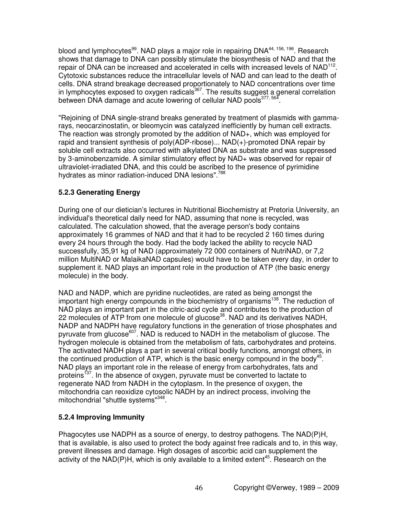blood and lymphocytes<sup>99</sup>. NAD plays a major role in repairing DNA<sup>44, 156, 196</sup>. Research shows that damage to DNA can possibly stimulate the biosynthesis of NAD and that the repair of DNA can be increased and accelerated in cells with increased levels of  $NAD^{112}$ . Cytotoxic substances reduce the intracellular levels of NAD and can lead to the death of cells. DNA strand breakage decreased proportionately to NAD concentrations over time in lymphocytes exposed to oxygen radicals $367$ . The results suggest a general correlation between DNA damage and acute lowering of cellular NAD pools<sup>377, 564</sup>.

"Rejoining of DNA single-strand breaks generated by treatment of plasmids with gammarays, neocarzinostatin, or bleomycin was catalyzed inefficiently by human cell extracts. The reaction was strongly promoted by the addition of NAD+, which was employed for rapid and transient synthesis of poly(ADP-ribose)... NAD(+)-promoted DNA repair by soluble cell extracts also occurred with alkylated DNA as substrate and was suppressed by 3-aminobenzamide. A similar stimulatory effect by NAD+ was observed for repair of ultraviolet-irradiated DNA, and this could be ascribed to the presence of pyrimidine hydrates as minor radiation-induced DNA lesions".<sup>788</sup>

# **5.2.3 Generating Energy**

During one of our dietician's lectures in Nutritional Biochemistry at Pretoria University, an individual's theoretical daily need for NAD, assuming that none is recycled, was calculated. The calculation showed, that the average person's body contains approximately 16 grammes of NAD and that it had to be recycled 2 160 times during every 24 hours through the body. Had the body lacked the ability to recycle NAD successfully, 35,91 kg of NAD (approximately 72 000 containers of NutriNAD, or 7,2 million MultiNAD or MalaikaNAD capsules) would have to be taken every day, in order to supplement it. NAD plays an important role in the production of ATP (the basic energy molecule) in the body.

NAD and NADP, which are pyridine nucleotides, are rated as being amongst the important high energy compounds in the biochemistry of organisms<sup>138</sup>. The reduction of NAD plays an important part in the citric-acid cycle and contributes to the production of 22 molecules of ATP from one molecule of glucose<sup>38</sup>. NAD and its derivatives NADH, NADP and NADPH have regulatory functions in the generation of triose phosphates and pyruvate from glucose $607$ . NAD is reduced to NADH in the metabolism of glucose. The hydrogen molecule is obtained from the metabolism of fats, carbohydrates and proteins. The activated NADH plays a part in several critical bodily functions, amongst others, in the continued production of ATP, which is the basic energy compound in the body<sup>45</sup>. NAD plays an important role in the release of energy from carbohydrates, fats and proteins<sup>137</sup>. In the absence of oxygen, pyruvate must be converted to lactate to regenerate NAD from NADH in the cytoplasm. In the presence of oxygen, the mitochondria can reoxidize cytosolic NADH by an indirect process, involving the mitochondrial "shuttle systems"<sup>348</sup>.

### **5.2.4 Improving Immunity**

Phagocytes use NADPH as a source of energy, to destroy pathogens. The NAD(P)H, that is available, is also used to protect the body against free radicals and to, in this way, prevent illnesses and damage. High dosages of ascorbic acid can supplement the activity of the NAD(P)H, which is only available to a limited extent<sup>45</sup>. Research on the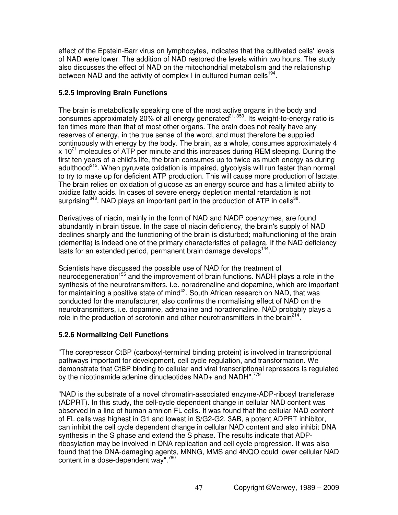effect of the Epstein-Barr virus on lymphocytes, indicates that the cultivated cells' levels of NAD were lower. The addition of NAD restored the levels within two hours. The study also discusses the effect of NAD on the mitochondrial metabolism and the relationship between NAD and the activity of complex I in cultured human cells<sup>194</sup>.

### **5.2.5 Improving Brain Functions**

The brain is metabolically speaking one of the most active organs in the body and consumes approximately 20% of all energy generated<sup>21, 350</sup>. Its weight-to-energy ratio is ten times more than that of most other organs. The brain does not really have any reserves of energy, in the true sense of the word, and must therefore be supplied continuously with energy by the body. The brain, as a whole, consumes approximately 4  $\times$  10<sup>21</sup> molecules of ATP per minute and this increases during REM sleeping. During the first ten years of a child's life, the brain consumes up to twice as much energy as during adulthood<sup>212</sup>. When pyruvate oxidation is impaired, glycolysis will run faster than normal to try to make up for deficient ATP production. This will cause more production of lactate. The brain relies on oxidation of glucose as an energy source and has a limited ability to oxidize fatty acids. In cases of severe energy depletion mental retardation is not surprising<sup>348</sup>. NAD plays an important part in the production of ATP in cells<sup>38</sup>.

Derivatives of niacin, mainly in the form of NAD and NADP coenzymes, are found abundantly in brain tissue. In the case of niacin deficiency, the brain's supply of NAD declines sharply and the functioning of the brain is disturbed; malfunctioning of the brain (dementia) is indeed one of the primary characteristics of pellagra. If the NAD deficiency lasts for an extended period, permanent brain damage develops<sup>144</sup>.

Scientists have discussed the possible use of NAD for the treatment of neurodegeneration<sup>155</sup> and the improvement of brain functions. NADH plays a role in the synthesis of the neurotransmitters, i.e. noradrenaline and dopamine, which are important for maintaining a positive state of mind<sup>42</sup>. South African research on NAD, that was conducted for the manufacturer, also confirms the normalising effect of NAD on the neurotransmitters, i.e. dopamine, adrenaline and noradrenaline. NAD probably plays a role in the production of serotonin and other neurotransmitters in the brain<sup>214</sup>.

### **5.2.6 Normalizing Cell Functions**

"The corepressor CtBP (carboxyl-terminal binding protein) is involved in transcriptional pathways important for development, cell cycle regulation, and transformation. We demonstrate that CtBP binding to cellular and viral transcriptional repressors is regulated by the nicotinamide adenine dinucleotides  $NAD+$  and  $NADH$ ".<sup>779</sup>

"NAD is the substrate of a novel chromatin-associated enzyme-ADP-ribosyl transferase (ADPRT). In this study, the cell-cycle dependent change in cellular NAD content was observed in a line of human amnion FL cells. It was found that the cellular NAD content of FL cells was highest in G1 and lowest in S/G2-G2. 3AB, a potent ADPRT inhibitor, can inhibit the cell cycle dependent change in cellular NAD content and also inhibit DNA synthesis in the S phase and extend the S phase. The results indicate that ADPribosylation may be involved in DNA replication and cell cycle progression. It was also found that the DNA-damaging agents, MNNG, MMS and 4NQO could lower cellular NAD content in a dose-dependent way".<sup>780</sup>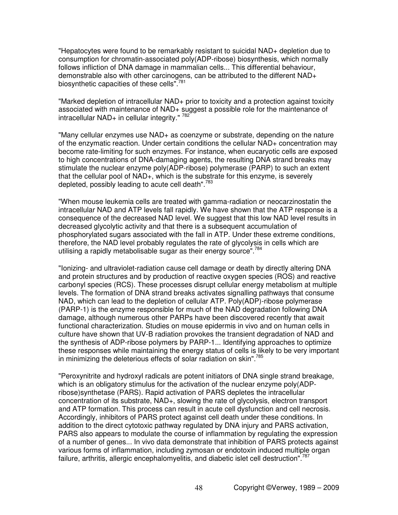"Hepatocytes were found to be remarkably resistant to suicidal NAD+ depletion due to consumption for chromatin-associated poly(ADP-ribose) biosynthesis, which normally follows infliction of DNA damage in mammalian cells... This differential behaviour, demonstrable also with other carcinogens, can be attributed to the different NAD+ biosynthetic capacities of these cells".<sup>781</sup>

"Marked depletion of intracellular NAD+ prior to toxicity and a protection against toxicity associated with maintenance of NAD+ suggest a possible role for the maintenance of intracellular NAD+ in cellular integrity."  $782^{\circ}$ 

"Many cellular enzymes use NAD+ as coenzyme or substrate, depending on the nature of the enzymatic reaction. Under certain conditions the cellular NAD+ concentration may become rate-limiting for such enzymes. For instance, when eucaryotic cells are exposed to high concentrations of DNA-damaging agents, the resulting DNA strand breaks may stimulate the nuclear enzyme poly(ADP-ribose) polymerase (PARP) to such an extent that the cellular pool of NAD+, which is the substrate for this enzyme, is severely depleted, possibly leading to acute cell death".<sup>783</sup>

"When mouse leukemia cells are treated with gamma-radiation or neocarzinostatin the intracellular NAD and ATP levels fall rapidly. We have shown that the ATP response is a consequence of the decreased NAD level. We suggest that this low NAD level results in decreased glycolytic activity and that there is a subsequent accumulation of phosphorylated sugars associated with the fall in ATP. Under these extreme conditions, therefore, the NAD level probably regulates the rate of glycolysis in cells which are utilising a rapidly metabolisable sugar as their energy source".<sup>784</sup>

"Ionizing- and ultraviolet-radiation cause cell damage or death by directly altering DNA and protein structures and by production of reactive oxygen species (ROS) and reactive carbonyl species (RCS). These processes disrupt cellular energy metabolism at multiple levels. The formation of DNA strand breaks activates signalling pathways that consume NAD, which can lead to the depletion of cellular ATP. Poly(ADP)-ribose polymerase (PARP-1) is the enzyme responsible for much of the NAD degradation following DNA damage, although numerous other PARPs have been discovered recently that await functional characterization. Studies on mouse epidermis in vivo and on human cells in culture have shown that UV-B radiation provokes the transient degradation of NAD and the synthesis of ADP-ribose polymers by PARP-1... Identifying approaches to optimize these responses while maintaining the energy status of cells is likely to be very important in minimizing the deleterious effects of solar radiation on skin".<sup>785</sup>

"Peroxynitrite and hydroxyl radicals are potent initiators of DNA single strand breakage, which is an obligatory stimulus for the activation of the nuclear enzyme poly(ADPribose)synthetase (PARS). Rapid activation of PARS depletes the intracellular concentration of its substrate, NAD+, slowing the rate of glycolysis, electron transport and ATP formation. This process can result in acute cell dysfunction and cell necrosis. Accordingly, inhibitors of PARS protect against cell death under these conditions. In addition to the direct cytotoxic pathway regulated by DNA injury and PARS activation, PARS also appears to modulate the course of inflammation by regulating the expression of a number of genes... In vivo data demonstrate that inhibition of PARS protects against various forms of inflammation, including zymosan or endotoxin induced multiple organ failure, arthritis, allergic encephalomyelitis, and diabetic islet cell destruction"<sup>787</sup>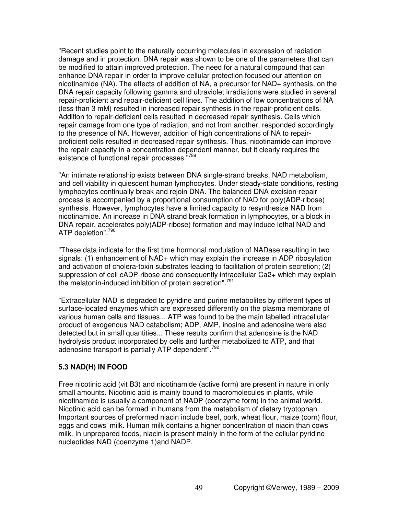"Recent studies point to the naturally occurring molecules in expression of radiation damage and in protection. DNA repair was shown to be one of the parameters that can be modified to attain improved protection. The need for a natural compound that can enhance DNA repair in order to improve cellular protection focused our attention on nicotinamide (NA). The effects of addition of NA, a precursor for NAD+ synthesis, on the DNA repair capacity following gamma and ultraviolet irradiations were studied in several repair-proficient and repair-deficient cell lines. The addition of low concentrations of NA (less than 3 mM) resulted in increased repair synthesis in the repair-proficient cells. Addition to repair-deficient cells resulted in decreased repair synthesis. Cells which repair damage from one type of radiation, and not from another, responded accordingly to the presence of NA. However, addition of high concentrations of NA to repairproficient cells resulted in decreased repair synthesis. Thus, nicotinamide can improve the repair capacity in a concentration-dependent manner, but it clearly requires the existence of functional repair processes."<sup>789</sup>

"An intimate relationship exists between DNA single-strand breaks, NAD metabolism, and cell viability in quiescent human lymphocytes. Under steady-state conditions, resting lymphocytes continually break and rejoin DNA. The balanced DNA excision-repair process is accompanied by a proportional consumption of NAD for poly(ADP-ribose) synthesis. However, lymphocytes have a limited capacity to resynthesize NAD from nicotinamide. An increase in DNA strand break formation in lymphocytes, or a block in DNA repair, accelerates poly(ADP-ribose) formation and may induce lethal NAD and ATP depletion".<sup>790</sup>

"These data indicate for the first time hormonal modulation of NADase resulting in two signals: (1) enhancement of NAD+ which may explain the increase in ADP ribosylation and activation of cholera-toxin substrates leading to facilitation of protein secretion; (2) suppression of cell cADP-ribose and consequently intracellular Ca2+ which may explain the melatonin-induced inhibition of protein secretion".<sup>791</sup>

"Extracellular NAD is degraded to pyridine and purine metabolites by different types of surface-located enzymes which are expressed differently on the plasma membrane of various human cells and tissues... ATP was found to be the main labelled intracellular product of exogenous NAD catabolism; ADP, AMP, inosine and adenosine were also detected but in small quantities... These results confirm that adenosine is the NAD hydrolysis product incorporated by cells and further metabolized to ATP, and that adenosine transport is partially ATP dependent".<sup>792</sup>

### **5.3 NAD(H) IN FOOD**

Free nicotinic acid (vit B3) and nicotinamide (active form) are present in nature in only small amounts. Nicotinic acid is mainly bound to macromolecules in plants, while nicotinamide is usually a component of NADP (coenzyme form) in the animal world. Nicotinic acid can be formed in humans from the metabolism of dietary tryptophan. Important sources of preformed niacin include beef, pork, wheat flour, maize (corn) flour, eggs and cows' milk. Human milk contains a higher concentration of niacin than cows' milk. In unprepared foods, niacin is present mainly in the form of the cellular pyridine nucleotides NAD (coenzyme 1)and NADP.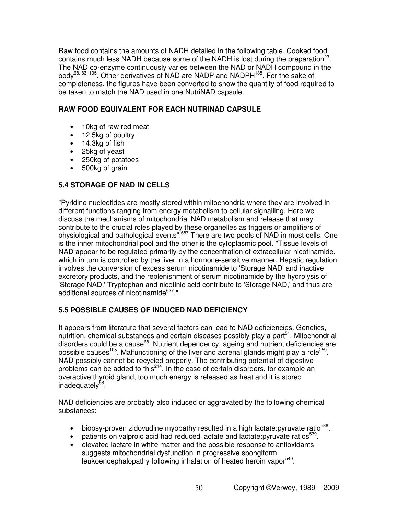Raw food contains the amounts of NADH detailed in the following table. Cooked food contains much less NADH because some of the NADH is lost during the preparation<sup>23</sup>. The NAD co-enzyme continuously varies between the NAD or NADH compound in the body<sup>68, 83, 105</sup>. Other derivatives of NAD are NADP and NADPH $^{138}$ . For the sake of completeness, the figures have been converted to show the quantity of food required to be taken to match the NAD used in one NutriNAD capsule.

### **RAW FOOD EQUIVALENT FOR EACH NUTRINAD CAPSULE**

- 10kg of raw red meat
- 12.5kg of poultry
- 14.3kg of fish
- 25kg of yeast
- 250kg of potatoes
- 500kg of grain

### **5.4 STORAGE OF NAD IN CELLS**

"Pyridine nucleotides are mostly stored within mitochondria where they are involved in different functions ranging from energy metabolism to cellular signalling. Here we discuss the mechanisms of mitochondrial NAD metabolism and release that may contribute to the crucial roles played by these organelles as triggers or amplifiers of physiological and pathological events".<sup>687</sup> There are two pools of NAD in most cells. One is the inner mitochondrial pool and the other is the cytoplasmic pool. "Tissue levels of NAD appear to be regulated primarily by the concentration of extracellular nicotinamide, which in turn is controlled by the liver in a hormone-sensitive manner. Hepatic regulation involves the conversion of excess serum nicotinamide to 'Storage NAD' and inactive excretory products, and the replenishment of serum nicotinamide by the hydrolysis of 'Storage NAD.' Tryptophan and nicotinic acid contribute to 'Storage NAD,' and thus are additional sources of nicotinamide<sup>627</sup>."

### **5.5 POSSIBLE CAUSES OF INDUCED NAD DEFICIENCY**

It appears from literature that several factors can lead to NAD deficiencies. Genetics, nutrition, chemical substances and certain diseases possibly play a part<sup>51</sup>. Mitochondrial disorders could be a cause<sup>68</sup>. Nutrient dependency, ageing and nutrient deficiencies are possible causes<sup>105</sup>. Malfunctioning of the liver and adrenal glands might play a role<sup>259</sup>. NAD possibly cannot be recycled properly. The contributing potential of digestive problems can be added to this<sup>214</sup>. In the case of certain disorders, for example an overactive thyroid gland, too much energy is released as heat and it is stored inadequately<sup>68</sup>.

NAD deficiencies are probably also induced or aggravated by the following chemical substances:

- $\bullet$  biopsy-proven zidovudine myopathy resulted in a high lactate:pyruvate ratio<sup>538</sup>.
- patients on valproic acid had reduced lactate and lactate: pyruvate ratios<sup>539</sup>.
- elevated lactate in white matter and the possible response to antioxidants suggests mitochondrial dysfunction in progressive spongiform leukoencephalopathy following inhalation of heated heroin vapor<sup>540</sup>.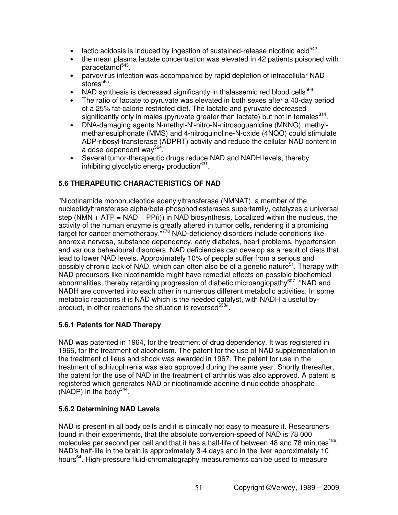- lactic acidosis is induced by ingestion of sustained-release nicotinic acid $542$ .
- the mean plasma lactate concentration was elevated in 42 patients poisoned with paracetamol<sup>543</sup>.
- parvovirus infection was accompanied by rapid depletion of intracellular NAD  $\mathsf{stores}^\mathsf{565}.$
- NAD synthesis is decreased significantly in thalassemic red blood cells<sup>566</sup>.
- The ratio of lactate to pyruvate was elevated in both sexes after a 40-day period of a 25% fat-calorie restricted diet. The lactate and pyruvate decreased significantly only in males (pyruvate greater than lactate) but not in females $^{314}$ .
- DNA-damaging agents N-methyl-N'-nitro-N-nitrosoguanidine (MNNG), methylmethanesulphonate (MMS) and 4-nitroquinoline-N-oxide (4NQO) could stimulate ADP-ribosyl transferase (ADPRT) activity and reduce the cellular NAD content in a dose-dependent way<sup>564</sup>.
- Several tumor-therapeutic drugs reduce NAD and NADH levels, thereby inhibiting glycolytic energy production<sup>631</sup>.

# **5.6 THERAPEUTIC CHARACTERISTICS OF NAD**

"Nicotinamide mononucleotide adenylyltransferase (NMNAT), a member of the nucleotidyltransferase alpha/beta-phosphodiesterases superfamily, catalyzes a universal step (NMN  $+$  ATP = NAD  $+$  PP(i)) in NAD biosynthesis. Localized within the nucleus, the activity of the human enzyme is greatly altered in tumor cells, rendering it a promising target for cancer chemotherapy."<sup>778</sup> NAD-deficiency disorders include conditions like anorexia nervosa, substance dependency, early diabetes, heart problems, hypertension and various behavioural disorders. NAD deficiencies can develop as a result of diets that lead to lower NAD levels. Approximately 10% of people suffer from a serious and possibly chronic lack of NAD, which can often also be of a genetic nature<sup>51</sup>. Therapy with NAD precursors like nicotinamide might have remedial effects on possible biochemical abnormalities, thereby retarding progression of diabetic microangiopathy<sup>607</sup>. "NAD and NADH are converted into each other in numerous different metabolic activities. In some metabolic reactions it is NAD which is the needed catalyst, with NADH a useful byproduct, in other reactions the situation is reversed<sup>638</sup>".

### **5.6.1 Patents for NAD Therapy**

NAD was patented in 1964, for the treatment of drug dependency. It was registered in 1966, for the treatment of alcoholism. The patent for the use of NAD supplementation in the treatment of ileus and shock was awarded in 1967. The patent for use in the treatment of schizophrenia was also approved during the same year. Shortly thereafter, the patent for the use of NAD in the treatment of arthritis was also approved. A patent is registered which generates NAD or nicotinamide adenine dinucleotide phosphate (NADP) in the body $344$ .

### **5.6.2 Determining NAD Levels**

NAD is present in all body cells and it is clinically not easy to measure it. Researchers found in their experiments, that the absolute conversion-speed of NAD is 78 000 molecules per second per cell and that it has a half-life of between 48 and 78 minutes<sup>186</sup>. NAD's half-life in the brain is approximately 3-4 days and in the liver approximately 10 hours<sup>64</sup>. High-pressure fluid-chromatography measurements can be used to measure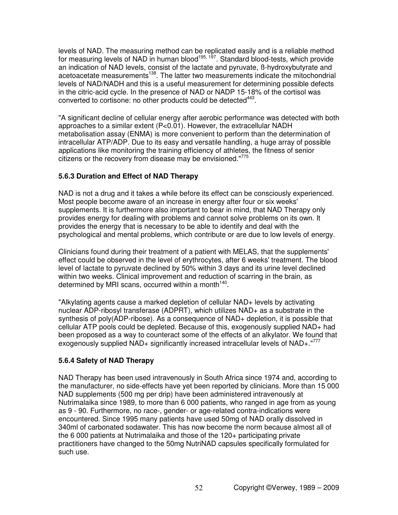levels of NAD. The measuring method can be replicated easily and is a reliable method for measuring levels of NAD in human blood<sup>195, 197</sup>. Standard blood-tests, which provide an indication of NAD levels, consist of the lactate and pyruvate, ß-hydroxybutyrate and acetoacetate measurements<sup>138</sup>. The latter two measurements indicate the mitochondrial levels of NAD/NADH and this is a useful measurement for determining possible defects in the citric-acid cycle. In the presence of NAD or NADP 15-18% of the cortisol was converted to cortisone: no other products could be detected<sup>443</sup>.

"A significant decline of cellular energy after aerobic performance was detected with both approaches to a similar extent (P<0.01). However, the extracellular NADH metabolisation assay (ENMA) is more convenient to perform than the determination of intracellular ATP/ADP. Due to its easy and versatile handling, a huge array of possible applications like monitoring the training efficiency of athletes, the fitness of senior citizens or the recovery from disease may be envisioned."<sup>775</sup>

#### **5.6.3 Duration and Effect of NAD Therapy**

NAD is not a drug and it takes a while before its effect can be consciously experienced. Most people become aware of an increase in energy after four or six weeks' supplements. It is furthermore also important to bear in mind, that NAD Therapy only provides energy for dealing with problems and cannot solve problems on its own. It provides the energy that is necessary to be able to identify and deal with the psychological and mental problems, which contribute or are due to low levels of energy.

Clinicians found during their treatment of a patient with MELAS, that the supplements' effect could be observed in the level of erythrocytes, after 6 weeks' treatment. The blood level of lactate to pyruvate declined by 50% within 3 days and its urine level declined within two weeks. Clinical improvement and reduction of scarring in the brain, as determined by MRI scans, occurred within a month<sup>140</sup>.

"Alkylating agents cause a marked depletion of cellular NAD+ levels by activating nuclear ADP-ribosyl transferase (ADPRT), which utilizes NAD+ as a substrate in the synthesis of poly(ADP-ribose). As a consequence of NAD+ depletion, it is possible that cellular ATP pools could be depleted. Because of this, exogenously supplied NAD+ had been proposed as a way to counteract some of the effects of an alkylator. We found that exogenously supplied NAD+ significantly increased intracellular levels of NAD+."<sup>777</sup>

### **5.6.4 Safety of NAD Therapy**

NAD Therapy has been used intravenously in South Africa since 1974 and, according to the manufacturer, no side-effects have yet been reported by clinicians. More than 15 000 NAD supplements (500 mg per drip) have been administered intravenously at Nutrimalaika since 1989, to more than 6 000 patients, who ranged in age from as young as 9 - 90. Furthermore, no race-, gender- or age-related contra-indications were encountered. Since 1995 many patients have used 50mg of NAD orally dissolved in 340ml of carbonated sodawater. This has now become the norm because almost all of the 6 000 patients at Nutrimalaika and those of the 120+ participating private practitioners have changed to the 50mg NutriNAD capsules specifically formulated for such use.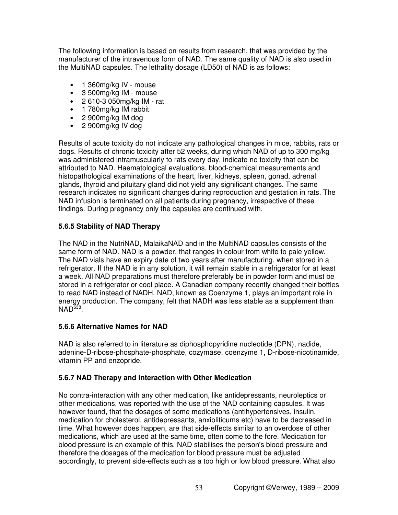The following information is based on results from research, that was provided by the manufacturer of the intravenous form of NAD. The same quality of NAD is also used in the MultiNAD capsules. The lethality dosage (LD50) of NAD is as follows:

- 1 360mg/kg IV mouse
- 3 500mg/kg IM mouse
- 2 610-3 050mg/kg IM rat
- 1 780mg/kg IM rabbit
- 2 900mg/kg IM dog
- 2 900mg/kg IV dog

Results of acute toxicity do not indicate any pathological changes in mice, rabbits, rats or dogs. Results of chronic toxicity after 52 weeks, during which NAD of up to 300 mg/kg was administered intramuscularly to rats every day, indicate no toxicity that can be attributed to NAD. Haematological evaluations, blood-chemical measurements and histopathological examinations of the heart, liver, kidneys, spleen, gonad, adrenal glands, thyroid and pituitary gland did not yield any significant changes. The same research indicates no significant changes during reproduction and gestation in rats. The NAD infusion is terminated on all patients during pregnancy, irrespective of these findings. During pregnancy only the capsules are continued with.

# **5.6.5 Stability of NAD Therapy**

The NAD in the NutriNAD, MalaikaNAD and in the MultiNAD capsules consists of the same form of NAD. NAD is a powder, that ranges in colour from white to pale yellow. The NAD vials have an expiry date of two years after manufacturing, when stored in a refrigerator. If the NAD is in any solution, it will remain stable in a refrigerator for at least a week. All NAD preparations must therefore preferably be in powder form and must be stored in a refrigerator or cool place. A Canadian company recently changed their bottles to read NAD instead of NADH. NAD, known as Coenzyme 1, plays an important role in energy production. The company, felt that NADH was less stable as a supplement than  $NAD<sup>63</sup>$ .

### **5.6.6 Alternative Names for NAD**

NAD is also referred to in literature as diphosphopyridine nucleotide (DPN), nadide, adenine-D-ribose-phosphate-phosphate, cozymase, coenzyme 1, D-ribose-nicotinamide, vitamin PP and enzopride.

# **5.6.7 NAD Therapy and Interaction with Other Medication**

No contra-interaction with any other medication, like antidepressants, neuroleptics or other medications, was reported with the use of the NAD containing capsules. It was however found, that the dosages of some medications (antihypertensives, insulin, medication for cholesterol, antidepressants, anxioliticums etc) have to be decreased in time. What however does happen, are that side-effects similar to an overdose of other medications, which are used at the same time, often come to the fore. Medication for blood pressure is an example of this. NAD stabilises the person's blood pressure and therefore the dosages of the medication for blood pressure must be adjusted accordingly, to prevent side-effects such as a too high or low blood pressure. What also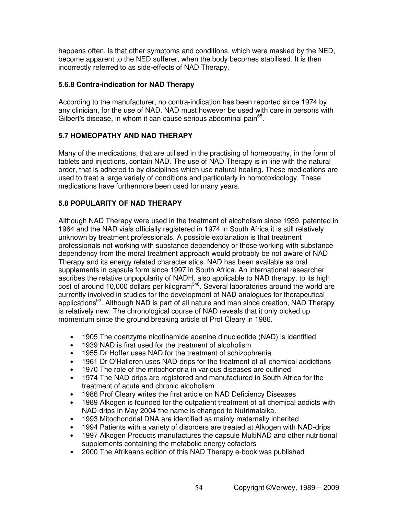happens often, is that other symptoms and conditions, which were masked by the NED, become apparent to the NED sufferer, when the body becomes stabilised. It is then incorrectly referred to as side-effects of NAD Therapy.

#### **5.6.8 Contra-indication for NAD Therapy**

According to the manufacturer, no contra-indication has been reported since 1974 by any clinician, for the use of NAD. NAD must however be used with care in persons with Gilbert's disease, in whom it can cause serious abdominal pain<sup>65</sup>.

### **5.7 HOMEOPATHY AND NAD THERAPY**

Many of the medications, that are utilised in the practising of homeopathy, in the form of tablets and injections, contain NAD. The use of NAD Therapy is in line with the natural order, that is adhered to by disciplines which use natural healing. These medications are used to treat a large variety of conditions and particularly in homotoxicology. These medications have furthermore been used for many years.

### **5.8 POPULARITY OF NAD THERAPY**

Although NAD Therapy were used in the treatment of alcoholism since 1939, patented in 1964 and the NAD vials officially registered in 1974 in South Africa it is still relatively unknown by treatment professionals. A possible explanation is that treatment professionals not working with substance dependency or those working with substance dependency from the moral treatment approach would probably be not aware of NAD Therapy and its energy related characteristics. NAD has been available as oral supplements in capsule form since 1997 in South Africa. An international researcher ascribes the relative unpopularity of NADH, also applicable to NAD therapy, to its high cost of around 10,000 dollars per kilogram $346$ . Several laboratories around the world are currently involved in studies for the development of NAD analogues for therapeutical applications<sup>92</sup>. Although NAD is part of all nature and man since creation, NAD Therapy is relatively new. The chronological course of NAD reveals that it only picked up momentum since the ground breaking article of Prof Cleary in 1986.

- 1905 The coenzyme nicotinamide adenine dinucleotide (NAD) is identified
- 1939 NAD is first used for the treatment of alcoholism
- 1955 Dr Hoffer uses NAD for the treatment of schizophrenia
- 1961 Dr O'Halleren uses NAD-drips for the treatment of all chemical addictions
- 1970 The role of the mitochondria in various diseases are outlined
- 1974 The NAD-drips are registered and manufactured in South Africa for the treatment of acute and chronic alcoholism
- 1986 Prof Cleary writes the first article on NAD Deficiency Diseases
- 1989 Alkogen is founded for the outpatient treatment of all chemical addicts with NAD-drips In May 2004 the name is changed to Nutrimalaika.
- 1993 Mitochondrial DNA are identified as mainly maternally inherited
- 1994 Patients with a variety of disorders are treated at Alkogen with NAD-drips
- 1997 Alkogen Products manufactures the capsule MultiNAD and other nutritional supplements containing the metabolic energy cofactors
- 2000 The Afrikaans edition of this NAD Therapy e-book was published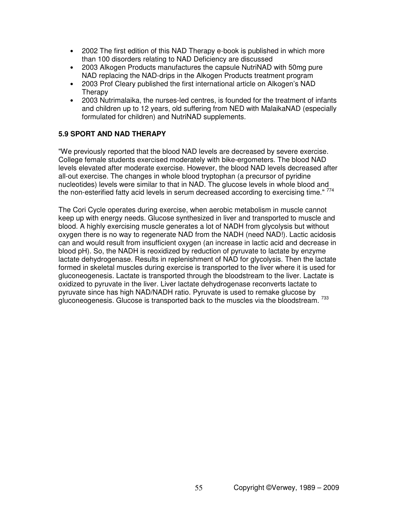- 2002 The first edition of this NAD Therapy e-book is published in which more than 100 disorders relating to NAD Deficiency are discussed
- 2003 Alkogen Products manufactures the capsule NutriNAD with 50mg pure NAD replacing the NAD-drips in the Alkogen Products treatment program
- 2003 Prof Cleary published the first international article on Alkogen's NAD **Therapy**
- 2003 Nutrimalaika, the nurses-led centres, is founded for the treatment of infants and children up to 12 years, old suffering from NED with MalaikaNAD (especially formulated for children) and NutriNAD supplements.

### **5.9 SPORT AND NAD THERAPY**

"We previously reported that the blood NAD levels are decreased by severe exercise. College female students exercised moderately with bike-ergometers. The blood NAD levels elevated after moderate exercise. However, the blood NAD levels decreased after all-out exercise. The changes in whole blood tryptophan (a precursor of pyridine nucleotides) levels were similar to that in NAD. The glucose levels in whole blood and the non-esterified fatty acid levels in serum decreased according to exercising time." <sup>774</sup>

The Cori Cycle operates during exercise, when aerobic metabolism in muscle cannot keep up with energy needs. Glucose synthesized in liver and transported to muscle and blood. A highly exercising muscle generates a lot of NADH from glycolysis but without oxygen there is no way to regenerate NAD from the NADH (need NAD!). Lactic acidosis can and would result from insufficient oxygen (an increase in lactic acid and decrease in blood pH). So, the NADH is reoxidized by reduction of pyruvate to lactate by enzyme lactate dehydrogenase. Results in replenishment of NAD for glycolysis. Then the lactate formed in skeletal muscles during exercise is transported to the liver where it is used for gluconeogenesis. Lactate is transported through the bloodstream to the liver. Lactate is oxidized to pyruvate in the liver. Liver lactate dehydrogenase reconverts lactate to pyruvate since has high NAD/NADH ratio. Pyruvate is used to remake glucose by gluconeogenesis. Glucose is transported back to the muscles via the bloodstream.  $^{733}$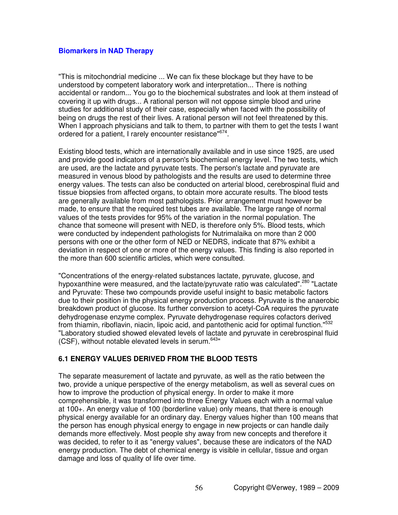#### **Biomarkers in NAD Therapy**

"This is mitochondrial medicine ... We can fix these blockage but they have to be understood by competent laboratory work and interpretation... There is nothing accidental or random... You go to the biochemical substrates and look at them instead of covering it up with drugs... A rational person will not oppose simple blood and urine studies for additional study of their case, especially when faced with the possibility of being on drugs the rest of their lives. A rational person will not feel threatened by this. When I approach physicians and talk to them, to partner with them to get the tests I want ordered for a patient, I rarely encounter resistance"<sup>674</sup>.

Existing blood tests, which are internationally available and in use since 1925, are used and provide good indicators of a person's biochemical energy level. The two tests, which are used, are the lactate and pyruvate tests. The person's lactate and pyruvate are measured in venous blood by pathologists and the results are used to determine three energy values. The tests can also be conducted on arterial blood, cerebrospinal fluid and tissue biopsies from affected organs, to obtain more accurate results. The blood tests are generally available from most pathologists. Prior arrangement must however be made, to ensure that the required test tubes are available. The large range of normal values of the tests provides for 95% of the variation in the normal population. The chance that someone will present with NED, is therefore only 5%. Blood tests, which were conducted by independent pathologists for Nutrimalaika on more than 2 000 persons with one or the other form of NED or NEDRS, indicate that 87% exhibit a deviation in respect of one or more of the energy values. This finding is also reported in the more than 600 scientific articles, which were consulted.

"Concentrations of the energy-related substances lactate, pyruvate, glucose, and hypoxanthine were measured, and the lactate/pyruvate ratio was calculated".<sup>280</sup> "Lactate and Pyruvate: These two compounds provide useful insight to basic metabolic factors due to their position in the physical energy production process. Pyruvate is the anaerobic breakdown product of glucose. Its further conversion to acetyl-CoA requires the pyruvate dehydrogenase enzyme complex. Pyruvate dehydrogenase requires cofactors derived from thiamin, riboflavin, niacin, lipoic acid, and pantothenic acid for optimal function."<sup>532</sup> "Laboratory studied showed elevated levels of lactate and pyruvate in cerebrospinal fluid  $(CSF)$ , without notable elevated levels in serum.  $643$ <sup>m</sup>

#### **6.1 ENERGY VALUES DERIVED FROM THE BLOOD TESTS**

The separate measurement of lactate and pyruvate, as well as the ratio between the two, provide a unique perspective of the energy metabolism, as well as several cues on how to improve the production of physical energy. In order to make it more comprehensible, it was transformed into three Energy Values each with a normal value at 100+. An energy value of 100 (borderline value) only means, that there is enough physical energy available for an ordinary day. Energy values higher than 100 means that the person has enough physical energy to engage in new projects or can handle daily demands more effectively. Most people shy away from new concepts and therefore it was decided, to refer to it as "energy values", because these are indicators of the NAD energy production. The debt of chemical energy is visible in cellular, tissue and organ damage and loss of quality of life over time.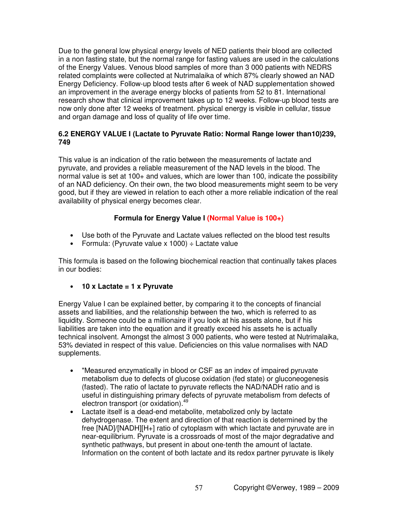Due to the general low physical energy levels of NED patients their blood are collected in a non fasting state, but the normal range for fasting values are used in the calculations of the Energy Values. Venous blood samples of more than 3 000 patients with NEDRS related complaints were collected at Nutrimalaika of which 87% clearly showed an NAD Energy Deficiency. Follow-up blood tests after 6 week of NAD supplementation showed an improvement in the average energy blocks of patients from 52 to 81. International research show that clinical improvement takes up to 12 weeks. Follow-up blood tests are now only done after 12 weeks of treatment. physical energy is visible in cellular, tissue and organ damage and loss of quality of life over time.

#### **6.2 ENERGY VALUE I (Lactate to Pyruvate Ratio: Normal Range lower than10)239, 749**

This value is an indication of the ratio between the measurements of lactate and pyruvate, and provides a reliable measurement of the NAD levels in the blood. The normal value is set at 100+ and values, which are lower than 100, indicate the possibility of an NAD deficiency. On their own, the two blood measurements might seem to be very good, but if they are viewed in relation to each other a more reliable indication of the real availability of physical energy becomes clear.

### **Formula for Energy Value I (Normal Value is 100+)**

- Use both of the Pyruvate and Lactate values reflected on the blood test results
- Formula: (Pyruvate value x 1000)  $\div$  Lactate value

This formula is based on the following biochemical reaction that continually takes places in our bodies:

### • **10 x Lactate = 1 x Pyruvate**

Energy Value I can be explained better, by comparing it to the concepts of financial assets and liabilities, and the relationship between the two, which is referred to as liquidity. Someone could be a millionaire if you look at his assets alone, but if his liabilities are taken into the equation and it greatly exceed his assets he is actually technical insolvent. Amongst the almost 3 000 patients, who were tested at Nutrimalaika, 53% deviated in respect of this value. Deficiencies on this value normalises with NAD supplements.

- "Measured enzymatically in blood or CSF as an index of impaired pyruvate metabolism due to defects of glucose oxidation (fed state) or gluconeogenesis (fasted). The ratio of lactate to pyruvate reflects the NAD/NADH ratio and is useful in distinguishing primary defects of pyruvate metabolism from defects of electron transport (or oxidation).<sup>49</sup>
- Lactate itself is a dead-end metabolite, metabolized only by lactate dehydrogenase. The extent and direction of that reaction is determined by the free [NAD]/[NADH][H+] ratio of cytoplasm with which lactate and pyruvate are in near-equilibrium. Pyruvate is a crossroads of most of the major degradative and synthetic pathways, but present in about one-tenth the amount of lactate. Information on the content of both lactate and its redox partner pyruvate is likely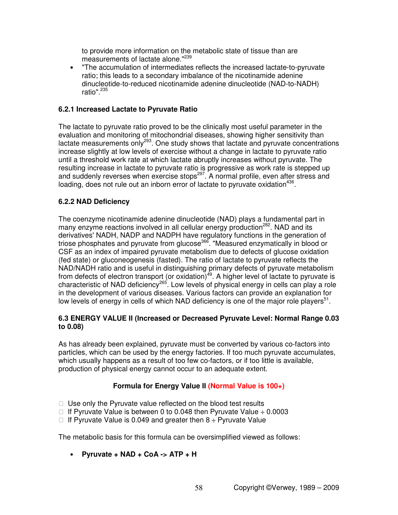to provide more information on the metabolic state of tissue than are measurements of lactate alone."<sup>239</sup>

• "The accumulation of intermediates reflects the increased lactate-to-pyruvate ratio; this leads to a secondary imbalance of the nicotinamide adenine dinucleotide-to-reduced nicotinamide adenine dinucleotide (NAD-to-NADH) ratio".<sup>235</sup>

#### **6.2.1 Increased Lactate to Pyruvate Ratio**

The lactate to pyruvate ratio proved to be the clinically most useful parameter in the evaluation and monitoring of mitochondrial diseases, showing higher sensitivity than lactate measurements  $\frac{\text{only}}{293}$ . One study shows that lactate and pyruvate concentrations increase slightly at low levels of exercise without a change in lactate to pyruvate ratio until a threshold work rate at which lactate abruptly increases without pyruvate. The resulting increase in lactate to pyruvate ratio is progressive as work rate is stepped up and suddenly reverses when exercise stops<sup>297</sup>. A normal profile, even after stress and loading, does not rule out an inborn error of lactate to pyruvate oxidation<sup>436</sup>.

#### **6.2.2 NAD Deficiency**

The coenzyme nicotinamide adenine dinucleotide (NAD) plays a fundamental part in many enzyme reactions involved in all cellular energy production<sup>282</sup>. NAD and its derivatives' NADH, NADP and NADPH have regulatory functions in the generation of triose phosphates and pyruvate from glucose<sup>366</sup>. "Measured enzymatically in blood or CSF as an index of impaired pyruvate metabolism due to defects of glucose oxidation (fed state) or gluconeogenesis (fasted). The ratio of lactate to pyruvate reflects the NAD/NADH ratio and is useful in distinguishing primary defects of pyruvate metabolism from defects of electron transport (or oxidation)<sup>49</sup>. A higher level of lactate to pyruvate is characteristic of NAD deficiency<sup>265</sup>. Low levels of physical energy in cells can play a role in the development of various diseases. Various factors can provide an explanation for low levels of energy in cells of which NAD deficiency is one of the major role players<sup>51</sup>.

#### **6.3 ENERGY VALUE II (Increased or Decreased Pyruvate Level: Normal Range 0.03 to 0.08)**

As has already been explained, pyruvate must be converted by various co-factors into particles, which can be used by the energy factories. If too much pyruvate accumulates, which usually happens as a result of too few co-factors, or if too little is available, production of physical energy cannot occur to an adequate extent.

#### **Formula for Energy Value II (Normal Value is 100+)**

 Use only the Pyruvate value reflected on the blood test results If Pyruvate Value is between 0 to 0.048 then Pyruvate Value  $\div$  0.0003 If Pyruvate Value is 0.049 and greater then  $8 \div P$ yruvate Value

The metabolic basis for this formula can be oversimplified viewed as follows:

• **Pyruvate + NAD + CoA -> ATP + H**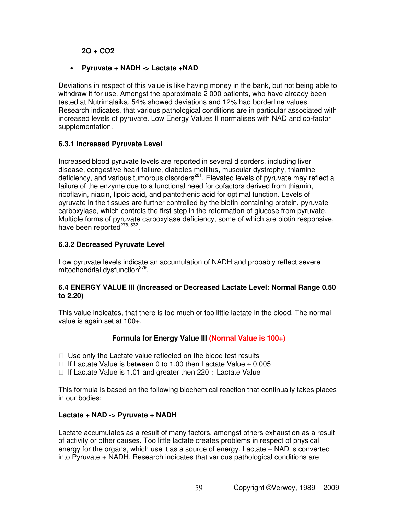#### **2O + CO2**

### • **Pyruvate + NADH -> Lactate +NAD**

Deviations in respect of this value is like having money in the bank, but not being able to withdraw it for use. Amongst the approximate 2 000 patients, who have already been tested at Nutrimalaika, 54% showed deviations and 12% had borderline values. Research indicates, that various pathological conditions are in particular associated with increased levels of pyruvate. Low Energy Values II normalises with NAD and co-factor supplementation.

#### **6.3.1 Increased Pyruvate Level**

Increased blood pyruvate levels are reported in several disorders, including liver disease, congestive heart failure, diabetes mellitus, muscular dystrophy, thiamine deficiency, and various tumorous disorders<sup>281</sup>. Elevated levels of pyruvate may reflect a failure of the enzyme due to a functional need for cofactors derived from thiamin, riboflavin, niacin, lipoic acid, and pantothenic acid for optimal function. Levels of pyruvate in the tissues are further controlled by the biotin-containing protein, pyruvate carboxylase, which controls the first step in the reformation of glucose from pyruvate. Multiple forms of pyruvate carboxylase deficiency, some of which are biotin responsive, have been reported<sup>278, 532</sup>.

#### **6.3.2 Decreased Pyruvate Level**

Low pyruvate levels indicate an accumulation of NADH and probably reflect severe mitochondrial dysfunction<sup>279</sup>.

#### **6.4 ENERGY VALUE III (Increased or Decreased Lactate Level: Normal Range 0.50 to 2.20)**

This value indicates, that there is too much or too little lactate in the blood. The normal value is again set at 100+.

### **Formula for Energy Value III (Normal Value is 100+)**

 Use only the Lactate value reflected on the blood test results If Lactate Value is between 0 to 1.00 then Lactate Value ÷ 0.005 If Lactate Value is 1.01 and greater then  $220 \div$  Lactate Value

This formula is based on the following biochemical reaction that continually takes places in our bodies:

### **Lactate + NAD -> Pyruvate + NADH**

Lactate accumulates as a result of many factors, amongst others exhaustion as a result of activity or other causes. Too little lactate creates problems in respect of physical energy for the organs, which use it as a source of energy. Lactate + NAD is converted into Pyruvate + NADH. Research indicates that various pathological conditions are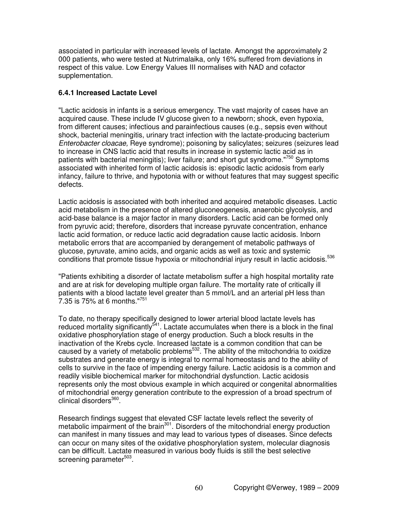associated in particular with increased levels of lactate. Amongst the approximately 2 000 patients, who were tested at Nutrimalaika, only 16% suffered from deviations in respect of this value. Low Energy Values III normalises with NAD and cofactor supplementation.

### **6.4.1 Increased Lactate Level**

"Lactic acidosis in infants is a serious emergency. The vast majority of cases have an acquired cause. These include IV glucose given to a newborn; shock, even hypoxia, from different causes; infectious and parainfectious causes (e.g., sepsis even without shock, bacterial meningitis, urinary tract infection with the lactate-producing bacterium Enterobacter cloacae, Reye syndrome); poisoning by salicylates; seizures (seizures lead to increase in CNS lactic acid that results in increase in systemic lactic acid as in patients with bacterial meningitis); liver failure; and short gut syndrome."<sup>750</sup> Symptoms associated with inherited form of lactic acidosis is: episodic lactic acidosis from early infancy, failure to thrive, and hypotonia with or without features that may suggest specific defects.

Lactic acidosis is associated with both inherited and acquired metabolic diseases. Lactic acid metabolism in the presence of altered gluconeogenesis, anaerobic glycolysis, and acid-base balance is a major factor in many disorders. Lactic acid can be formed only from pyruvic acid; therefore, disorders that increase pyruvate concentration, enhance lactic acid formation, or reduce lactic acid degradation cause lactic acidosis. Inborn metabolic errors that are accompanied by derangement of metabolic pathways of glucose, pyruvate, amino acids, and organic acids as well as toxic and systemic conditions that promote tissue hypoxia or mitochondrial injury result in lactic acidosis.<sup>536</sup>

"Patients exhibiting a disorder of lactate metabolism suffer a high hospital mortality rate and are at risk for developing multiple organ failure. The mortality rate of critically ill patients with a blood lactate level greater than 5 mmol/L and an arterial pH less than 7.35 is 75% at 6 months."<sup>751</sup>

To date, no therapy specifically designed to lower arterial blood lactate levels has reduced mortality significantly<sup>541</sup>. Lactate accumulates when there is a block in the final oxidative phosphorylation stage of energy production. Such a block results in the inactivation of the Krebs cycle. Increased lactate is a common condition that can be caused by a variety of metabolic problems<sup>532</sup>. The ability of the mitochondria to oxidize substrates and generate energy is integral to normal homeostasis and to the ability of cells to survive in the face of impending energy failure. Lactic acidosis is a common and readily visible biochemical marker for mitochondrial dysfunction. Lactic acidosis represents only the most obvious example in which acquired or congenital abnormalities of mitochondrial energy generation contribute to the expression of a broad spectrum of clinical disorders<sup>360</sup>.

Research findings suggest that elevated CSF lactate levels reflect the severity of metabolic impairment of the brain<sup>301</sup>. Disorders of the mitochondrial energy production can manifest in many tissues and may lead to various types of diseases. Since defects can occur on many sites of the oxidative phosphorylation system, molecular diagnosis can be difficult. Lactate measured in various body fluids is still the best selective screening parameter<sup>503</sup>.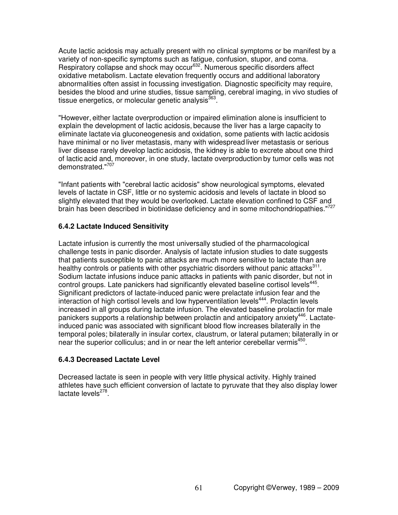Acute lactic acidosis may actually present with no clinical symptoms or be manifest by a variety of non-specific symptoms such as fatigue, confusion, stupor, and coma. Respiratory collapse and shock may occur<sup>632</sup>. Numerous specific disorders affect oxidative metabolism. Lactate elevation frequently occurs and additional laboratory abnormalities often assist in focussing investigation. Diagnostic specificity may require, besides the blood and urine studies, tissue sampling, cerebral imaging, in vivo studies of tissue energetics, or molecular genetic analysis<sup>363</sup>.

"However, either lactate overproduction or impaired elimination alone is insufficient to explain the development of lactic acidosis, because the liver has a large capacity to eliminate lactate via gluconeogenesis and oxidation, some patients with lactic acidosis have minimal or no liver metastasis, many with widespread liver metastasis or serious liver disease rarely develop lactic acidosis, the kidney is able to excrete about one third of lactic acid and, moreover, in one study, lactate overproduction by tumor cells was not demonstrated."707

"Infant patients with "cerebral lactic acidosis" show neurological symptoms, elevated levels of lactate in CSF, little or no systemic acidosis and levels of lactate in blood so slightly elevated that they would be overlooked. Lactate elevation confined to CSF and brain has been described in biotinidase deficiency and in some mitochondriopathies."<sup>727</sup>

#### **6.4.2 Lactate Induced Sensitivity**

Lactate infusion is currently the most universally studied of the pharmacological challenge tests in panic disorder. Analysis of lactate infusion studies to date suggests that patients susceptible to panic attacks are much more sensitive to lactate than are healthy controls or patients with other psychiatric disorders without panic attacks<sup>311</sup>. Sodium lactate infusions induce panic attacks in patients with panic disorder, but not in control groups. Late panickers had significantly elevated baseline cortisol levels $445$ . Significant predictors of lactate-induced panic were prelactate infusion fear and the interaction of high cortisol levels and low hyperventilation levels<sup>444</sup>. Prolactin levels increased in all groups during lactate infusion. The elevated baseline prolactin for male panickers supports a relationship between prolactin and anticipatory anxiety<sup>446</sup>. Lactateinduced panic was associated with significant blood flow increases bilaterally in the temporal poles; bilaterally in insular cortex, claustrum, or lateral putamen; bilaterally in or near the superior colliculus; and in or near the left anterior cerebellar vermis<sup>450</sup>.

#### **6.4.3 Decreased Lactate Level**

Decreased lactate is seen in people with very little physical activity. Highly trained athletes have such efficient conversion of lactate to pyruvate that they also display lower lactate levels<sup>278</sup>.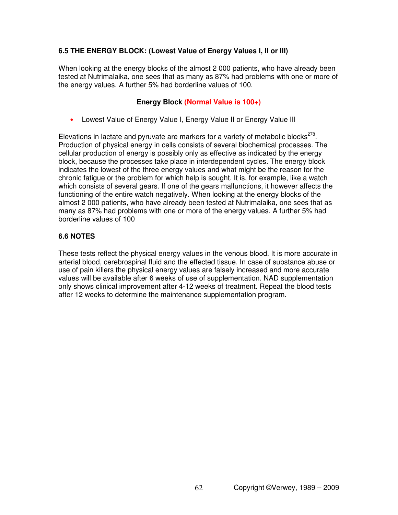### **6.5 THE ENERGY BLOCK: (Lowest Value of Energy Values I, II or III)**

When looking at the energy blocks of the almost 2 000 patients, who have already been tested at Nutrimalaika, one sees that as many as 87% had problems with one or more of the energy values. A further 5% had borderline values of 100.

### **Energy Block (Normal Value is 100+)**

• Lowest Value of Energy Value I, Energy Value II or Energy Value III

Elevations in lactate and pyruvate are markers for a variety of metabolic blocks $278$ . Production of physical energy in cells consists of several biochemical processes. The cellular production of energy is possibly only as effective as indicated by the energy block, because the processes take place in interdependent cycles. The energy block indicates the lowest of the three energy values and what might be the reason for the chronic fatigue or the problem for which help is sought. It is, for example, like a watch which consists of several gears. If one of the gears malfunctions, it however affects the functioning of the entire watch negatively. When looking at the energy blocks of the almost 2 000 patients, who have already been tested at Nutrimalaika, one sees that as many as 87% had problems with one or more of the energy values. A further 5% had borderline values of 100

# **6.6 NOTES**

These tests reflect the physical energy values in the venous blood. It is more accurate in arterial blood, cerebrospinal fluid and the effected tissue. In case of substance abuse or use of pain killers the physical energy values are falsely increased and more accurate values will be available after 6 weeks of use of supplementation. NAD supplementation only shows clinical improvement after 4-12 weeks of treatment. Repeat the blood tests after 12 weeks to determine the maintenance supplementation program.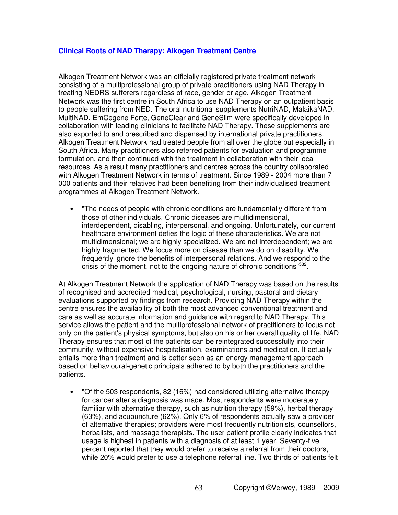#### **Clinical Roots of NAD Therapy: Alkogen Treatment Centre**

Alkogen Treatment Network was an officially registered private treatment network consisting of a multiprofessional group of private practitioners using NAD Therapy in treating NEDRS sufferers regardless of race, gender or age. Alkogen Treatment Network was the first centre in South Africa to use NAD Therapy on an outpatient basis to people suffering from NED. The oral nutritional supplements NutriNAD, MalaikaNAD, MultiNAD, EmCegene Forte, GeneClear and GeneSlim were specifically developed in collaboration with leading clinicians to facilitate NAD Therapy. These supplements are also exported to and prescribed and dispensed by international private practitioners. Alkogen Treatment Network had treated people from all over the globe but especially in South Africa. Many practitioners also referred patients for evaluation and programme formulation, and then continued with the treatment in collaboration with their local resources. As a result many practitioners and centres across the country collaborated with Alkogen Treatment Network in terms of treatment. Since 1989 - 2004 more than 7 000 patients and their relatives had been benefiting from their individualised treatment programmes at Alkogen Treatment Network.

• "The needs of people with chronic conditions are fundamentally different from those of other individuals. Chronic diseases are multidimensional, interdependent, disabling, interpersonal, and ongoing. Unfortunately, our current healthcare environment defies the logic of these characteristics. We are not multidimensional; we are highly specialized. We are not interdependent; we are highly fragmented. We focus more on disease than we do on disability. We frequently ignore the benefits of interpersonal relations. And we respond to the crisis of the moment, not to the ongoing nature of chronic conditions"<sup>582</sup>.

At Alkogen Treatment Network the application of NAD Therapy was based on the results of recognised and accredited medical, psychological, nursing, pastoral and dietary evaluations supported by findings from research. Providing NAD Therapy within the centre ensures the availability of both the most advanced conventional treatment and care as well as accurate information and guidance with regard to NAD Therapy. This service allows the patient and the multiprofessional network of practitioners to focus not only on the patient's physical symptoms, but also on his or her overall quality of life. NAD Therapy ensures that most of the patients can be reintegrated successfully into their community, without expensive hospitalisation, examinations and medication. It actually entails more than treatment and is better seen as an energy management approach based on behavioural-genetic principals adhered to by both the practitioners and the patients.

• "Of the 503 respondents, 82 (16%) had considered utilizing alternative therapy for cancer after a diagnosis was made. Most respondents were moderately familiar with alternative therapy, such as nutrition therapy (59%), herbal therapy (63%), and acupuncture (62%). Only 6% of respondents actually saw a provider of alternative therapies; providers were most frequently nutritionists, counsellors, herbalists, and massage therapists. The user patient profile clearly indicates that usage is highest in patients with a diagnosis of at least 1 year. Seventy-five percent reported that they would prefer to receive a referral from their doctors, while 20% would prefer to use a telephone referral line. Two thirds of patients felt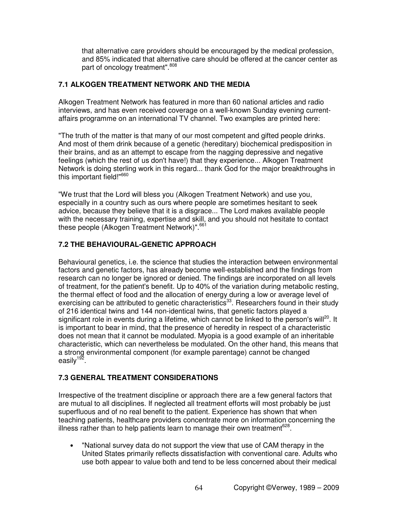that alternative care providers should be encouraged by the medical profession, and 85% indicated that alternative care should be offered at the cancer center as part of oncology treatment".<sup>808</sup>

### **7.1 ALKOGEN TREATMENT NETWORK AND THE MEDIA**

Alkogen Treatment Network has featured in more than 60 national articles and radio interviews, and has even received coverage on a well-known Sunday evening currentaffairs programme on an international TV channel. Two examples are printed here:

"The truth of the matter is that many of our most competent and gifted people drinks. And most of them drink because of a genetic (hereditary) biochemical predisposition in their brains, and as an attempt to escape from the nagging depressive and negative feelings (which the rest of us don't have!) that they experience... Alkogen Treatment Network is doing sterling work in this regard... thank God for the major breakthroughs in this important field!"<sup>660</sup>

"We trust that the Lord will bless you (Alkogen Treatment Network) and use you, especially in a country such as ours where people are sometimes hesitant to seek advice, because they believe that it is a disgrace... The Lord makes available people with the necessary training, expertise and skill, and you should not hesitate to contact these people (Alkogen Treatment Network)".<sup>661</sup>

#### **7.2 THE BEHAVIOURAL-GENETIC APPROACH**

Behavioural genetics, i.e. the science that studies the interaction between environmental factors and genetic factors, has already become well-established and the findings from research can no longer be ignored or denied. The findings are incorporated on all levels of treatment, for the patient's benefit. Up to 40% of the variation during metabolic resting, the thermal effect of food and the allocation of energy during a low or average level of exercising can be attributed to genetic characteristics<sup>33</sup>. Researchers found in their study of 216 identical twins and 144 non-identical twins, that genetic factors played a significant role in events during a lifetime, which cannot be linked to the person's will<sup>20</sup>. It is important to bear in mind, that the presence of heredity in respect of a characteristic does not mean that it cannot be modulated. Myopia is a good example of an inheritable characteristic, which can nevertheless be modulated. On the other hand, this means that a strong environmental component (for example parentage) cannot be changed easily<sup>192</sup>.

### **7.3 GENERAL TREATMENT CONSIDERATIONS**

Irrespective of the treatment discipline or approach there are a few general factors that are mutual to all disciplines. If neglected all treatment efforts will most probably be just superfluous and of no real benefit to the patient. Experience has shown that when teaching patients, healthcare providers concentrate more on information concerning the illness rather than to help patients learn to manage their own treatment $628$ .

• "National survey data do not support the view that use of CAM therapy in the United States primarily reflects dissatisfaction with conventional care. Adults who use both appear to value both and tend to be less concerned about their medical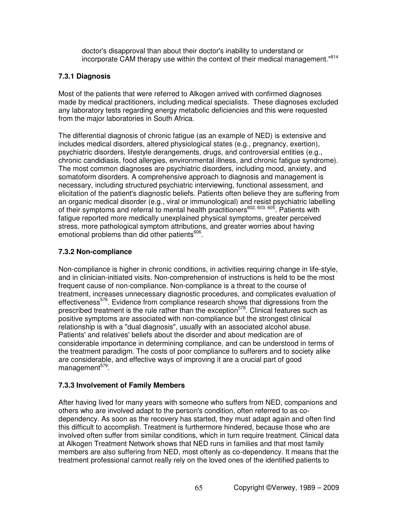doctor's disapproval than about their doctor's inability to understand or incorporate CAM therapy use within the context of their medical management.<sup>"814</sup>

### **7.3.1 Diagnosis**

Most of the patients that were referred to Alkogen arrived with confirmed diagnoses made by medical practitioners, including medical specialists. These diagnoses excluded any laboratory tests regarding energy metabolic deficiencies and this were requested from the major laboratories in South Africa.

The differential diagnosis of chronic fatigue (as an example of NED) is extensive and includes medical disorders, altered physiological states (e.g., pregnancy, exertion), psychiatric disorders, lifestyle derangements, drugs, and controversial entities (e.g., chronic candidiasis, food allergies, environmental illness, and chronic fatigue syndrome). The most common diagnoses are psychiatric disorders, including mood, anxiety, and somatoform disorders. A comprehensive approach to diagnosis and management is necessary, including structured psychiatric interviewing, functional assessment, and elicitation of the patient's diagnostic beliefs. Patients often believe they are suffering from an organic medical disorder (e.g., viral or immunological) and resist psychiatric labelling of their symptoms and referral to mental health practitioners<sup>602, 603, 605</sup>. Patients with fatigue reported more medically unexplained physical symptoms, greater perceived stress, more pathological symptom attributions, and greater worries about having emotional problems than did other patients<sup>606</sup>.

#### **7.3.2 Non-compliance**

Non-compliance is higher in chronic conditions, in activities requiring change in life-style, and in clinician-initiated visits. Non-comprehension of instructions is held to be the most frequent cause of non-compliance. Non-compliance is a threat to the course of treatment, increases unnecessary diagnostic procedures, and complicates evaluation of effectiveness<sup>576</sup>. Evidence from compliance research shows that digressions from the prescribed treatment is the rule rather than the exception<sup>578</sup>. Clinical features such as positive symptoms are associated with non-compliance but the strongest clinical relationship is with a "dual diagnosis", usually with an associated alcohol abuse. Patients' and relatives' beliefs about the disorder and about medication are of considerable importance in determining compliance, and can be understood in terms of the treatment paradigm. The costs of poor compliance to sufferers and to society alike are considerable, and effective ways of improving it are a crucial part of good management<sup>579</sup>.

### **7.3.3 Involvement of Family Members**

After having lived for many years with someone who suffers from NED, companions and others who are involved adapt to the person's condition, often referred to as codependency. As soon as the recovery has started, they must adapt again and often find this difficult to accomplish. Treatment is furthermore hindered, because those who are involved often suffer from similar conditions, which in turn require treatment. Clinical data at Alkogen Treatment Network shows that NED runs in families and that most family members are also suffering from NED, most oftenly as co-dependency. It means that the treatment professional cannot really rely on the loved ones of the identified patients to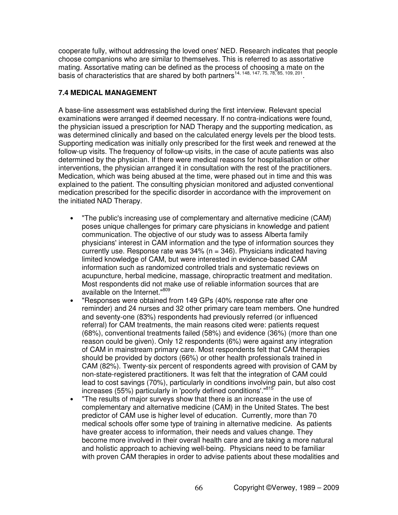cooperate fully, without addressing the loved ones' NED. Research indicates that people choose companions who are similar to themselves. This is referred to as assortative mating. Assortative mating can be defined as the process of choosing a mate on the basis of characteristics that are shared by both partners<sup>14, 148, 147, 75, 78, 85, 109, 201</sup>.

### **7.4 MEDICAL MANAGEMENT**

A base-line assessment was established during the first interview. Relevant special examinations were arranged if deemed necessary. If no contra-indications were found, the physician issued a prescription for NAD Therapy and the supporting medication, as was determined clinically and based on the calculated energy levels per the blood tests. Supporting medication was initially only prescribed for the first week and renewed at the follow-up visits. The frequency of follow-up visits, in the case of acute patients was also determined by the physician. If there were medical reasons for hospitalisation or other interventions, the physician arranged it in consultation with the rest of the practitioners. Medication, which was being abused at the time, were phased out in time and this was explained to the patient. The consulting physician monitored and adjusted conventional medication prescribed for the specific disorder in accordance with the improvement on the initiated NAD Therapy.

- "The public's increasing use of complementary and alternative medicine (CAM) poses unique challenges for primary care physicians in knowledge and patient communication. The objective of our study was to assess Alberta family physicians' interest in CAM information and the type of information sources they currently use. Response rate was  $34\%$  (n =  $346$ ). Physicians indicated having limited knowledge of CAM, but were interested in evidence-based CAM information such as randomized controlled trials and systematic reviews on acupuncture, herbal medicine, massage, chiropractic treatment and meditation. Most respondents did not make use of reliable information sources that are available on the Internet."809
- "Responses were obtained from 149 GPs (40% response rate after one reminder) and 24 nurses and 32 other primary care team members. One hundred and seventy-one (83%) respondents had previously referred (or influenced referral) for CAM treatments, the main reasons cited were: patients request (68%), conventional treatments failed (58%) and evidence (36%) (more than one reason could be given). Only 12 respondents (6%) were against any integration of CAM in mainstream primary care. Most respondents felt that CAM therapies should be provided by doctors (66%) or other health professionals trained in CAM (82%). Twenty-six percent of respondents agreed with provision of CAM by non-state-registered practitioners. It was felt that the integration of CAM could lead to cost savings (70%), particularly in conditions involving pain, but also cost increases (55%) particularly in 'poorly defined conditions'."<sup>815</sup>
- "The results of major surveys show that there is an increase in the use of complementary and alternative medicine (CAM) in the United States. The best predictor of CAM use is higher level of education. Currently, more than 70 medical schools offer some type of training in alternative medicine. As patients have greater access to information, their needs and values change. They become more involved in their overall health care and are taking a more natural and holistic approach to achieving well-being. Physicians need to be familiar with proven CAM therapies in order to advise patients about these modalities and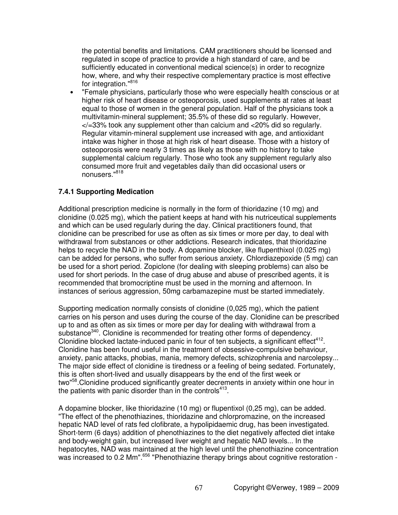the potential benefits and limitations. CAM practitioners should be licensed and regulated in scope of practice to provide a high standard of care, and be sufficiently educated in conventional medical science(s) in order to recognize how, where, and why their respective complementary practice is most effective for integration."<sup>816</sup>

• "Female physicians, particularly those who were especially health conscious or at higher risk of heart disease or osteoporosis, used supplements at rates at least equal to those of women in the general population. Half of the physicians took a multivitamin-mineral supplement; 35.5% of these did so regularly. However,  $\langle$  =33% took any supplement other than calcium and  $\langle$  20% did so regularly. Regular vitamin-mineral supplement use increased with age, and antioxidant intake was higher in those at high risk of heart disease. Those with a history of osteoporosis were nearly 3 times as likely as those with no history to take supplemental calcium regularly. Those who took any supplement regularly also consumed more fruit and vegetables daily than did occasional users or nonusers."<sup>818</sup>

### **7.4.1 Supporting Medication**

Additional prescription medicine is normally in the form of thioridazine (10 mg) and clonidine (0.025 mg), which the patient keeps at hand with his nutriceutical supplements and which can be used regularly during the day. Clinical practitioners found, that clonidine can be prescribed for use as often as six times or more per day, to deal with withdrawal from substances or other addictions. Research indicates, that thioridazine helps to recycle the NAD in the body. A dopamine blocker, like flupenthixol (0.025 mg) can be added for persons, who suffer from serious anxiety. Chlordiazepoxide (5 mg) can be used for a short period. Zopiclone (for dealing with sleeping problems) can also be used for short periods. In the case of drug abuse and abuse of prescribed agents, it is recommended that bromocriptine must be used in the morning and afternoon. In instances of serious aggression, 50mg carbamazepine must be started immediately.

Supporting medication normally consists of clonidine (0,025 mg), which the patient carries on his person and uses during the course of the day. Clonidine can be prescribed up to and as often as six times or more per day for dealing with withdrawal from a substance<sup>340</sup>. Clonidine is recommended for treating other forms of dependency. Clonidine blocked lactate-induced panic in four of ten subjects, a significant effect $412$ . Clonidine has been found useful in the treatment of obsessive-compulsive behaviour, anxiety, panic attacks, phobias, mania, memory defects, schizophrenia and narcolepsy... The major side effect of clonidine is tiredness or a feeling of being sedated. Fortunately, this is often short-lived and usually disappears by the end of the first week or two"<sup>58</sup> Clonidine produced significantly greater decrements in anxiety within one hour in the patients with panic disorder than in the controls<sup>413</sup>.

A dopamine blocker, like thioridazine (10 mg) or flupentixol (0,25 mg), can be added. "The effect of the phenothiazines, thioridazine and chlorpromazine, on the increased hepatic NAD level of rats fed clofibrate, a hypolipidaemic drug, has been investigated. Short-term (6 days) addition of phenothiazines to the diet negatively affected diet intake and body-weight gain, but increased liver weight and hepatic NAD levels... In the hepatocytes, NAD was maintained at the high level until the phenothiazine concentration was increased to 0.2 Mm<sup>".656</sup> "Phenothiazine therapy brings about cognitive restoration -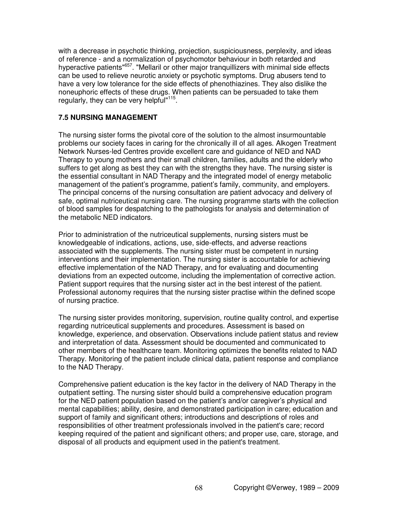with a decrease in psychotic thinking, projection, suspiciousness, perplexity, and ideas of reference - and a normalization of psychomotor behaviour in both retarded and hyperactive patients"<sup>657</sup>. "Mellaril or other major tranquillizers with minimal side effects can be used to relieve neurotic anxiety or psychotic symptoms. Drug abusers tend to have a very low tolerance for the side effects of phenothiazines. They also dislike the noneuphoric effects of these drugs. When patients can be persuaded to take them regularly, they can be very helpful"<sup>115</sup>.

#### **7.5 NURSING MANAGEMENT**

The nursing sister forms the pivotal core of the solution to the almost insurmountable problems our society faces in caring for the chronically ill of all ages. Alkogen Treatment Network Nurses-led Centres provide excellent care and guidance of NED and NAD Therapy to young mothers and their small children, families, adults and the elderly who suffers to get along as best they can with the strengths they have. The nursing sister is the essential consultant in NAD Therapy and the integrated model of energy metabolic management of the patient's programme, patient's family, community, and employers. The principal concerns of the nursing consultation are patient advocacy and delivery of safe, optimal nutriceutical nursing care. The nursing programme starts with the collection of blood samples for despatching to the pathologists for analysis and determination of the metabolic NED indicators.

Prior to administration of the nutriceutical supplements, nursing sisters must be knowledgeable of indications, actions, use, side-effects, and adverse reactions associated with the supplements. The nursing sister must be competent in nursing interventions and their implementation. The nursing sister is accountable for achieving effective implementation of the NAD Therapy, and for evaluating and documenting deviations from an expected outcome, including the implementation of corrective action. Patient support requires that the nursing sister act in the best interest of the patient. Professional autonomy requires that the nursing sister practise within the defined scope of nursing practice.

The nursing sister provides monitoring, supervision, routine quality control, and expertise regarding nutriceutical supplements and procedures. Assessment is based on knowledge, experience, and observation. Observations include patient status and review and interpretation of data. Assessment should be documented and communicated to other members of the healthcare team. Monitoring optimizes the benefits related to NAD Therapy. Monitoring of the patient include clinical data, patient response and compliance to the NAD Therapy.

Comprehensive patient education is the key factor in the delivery of NAD Therapy in the outpatient setting. The nursing sister should build a comprehensive education program for the NED patient population based on the patient's and/or caregiver's physical and mental capabilities; ability, desire, and demonstrated participation in care; education and support of family and significant others; introductions and descriptions of roles and responsibilities of other treatment professionals involved in the patient's care; record keeping required of the patient and significant others; and proper use, care, storage, and disposal of all products and equipment used in the patient's treatment.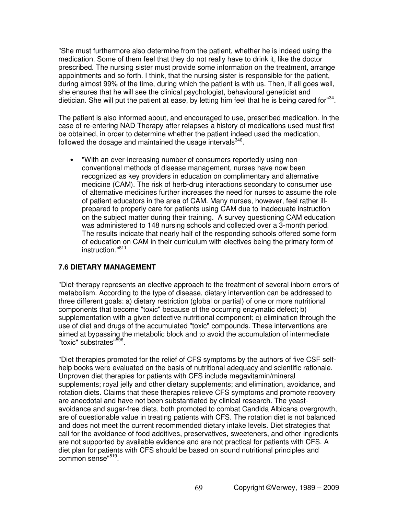"She must furthermore also determine from the patient, whether he is indeed using the medication. Some of them feel that they do not really have to drink it, like the doctor prescribed. The nursing sister must provide some information on the treatment, arrange appointments and so forth. I think, that the nursing sister is responsible for the patient, during almost 99% of the time, during which the patient is with us. Then, if all goes well, she ensures that he will see the clinical psychologist, behavioural geneticist and dietician. She will put the patient at ease, by letting him feel that he is being cared for"<sup>34</sup>.

The patient is also informed about, and encouraged to use, prescribed medication. In the case of re-entering NAD Therapy after relapses a history of medications used must first be obtained, in order to determine whether the patient indeed used the medication, followed the dosage and maintained the usage intervals $^{340}$ .

• "With an ever-increasing number of consumers reportedly using nonconventional methods of disease management, nurses have now been recognized as key providers in education on complimentary and alternative medicine (CAM). The risk of herb-drug interactions secondary to consumer use of alternative medicines further increases the need for nurses to assume the role of patient educators in the area of CAM. Many nurses, however, feel rather illprepared to properly care for patients using CAM due to inadequate instruction on the subject matter during their training. A survey questioning CAM education was administered to 148 nursing schools and collected over a 3-month period. The results indicate that nearly half of the responding schools offered some form of education on CAM in their curriculum with electives being the primary form of instruction."<sup>811</sup>

### **7.6 DIETARY MANAGEMENT**

"Diet-therapy represents an elective approach to the treatment of several inborn errors of metabolism. According to the type of disease, dietary intervention can be addressed to three different goals: a) dietary restriction (global or partial) of one or more nutritional components that become "toxic" because of the occurring enzymatic defect; b) supplementation with a given defective nutritional component; c) elimination through the use of diet and drugs of the accumulated "toxic" compounds. These interventions are aimed at bypassing the metabolic block and to avoid the accumulation of intermediate "toxic" substrates"<sup>596</sup>.

"Diet therapies promoted for the relief of CFS symptoms by the authors of five CSF selfhelp books were evaluated on the basis of nutritional adequacy and scientific rationale. Unproven diet therapies for patients with CFS include megavitamin/mineral supplements; royal jelly and other dietary supplements; and elimination, avoidance, and rotation diets. Claims that these therapies relieve CFS symptoms and promote recovery are anecdotal and have not been substantiated by clinical research. The yeastavoidance and sugar-free diets, both promoted to combat Candida Albicans overgrowth, are of questionable value in treating patients with CFS. The rotation diet is not balanced and does not meet the current recommended dietary intake levels. Diet strategies that call for the avoidance of food additives, preservatives, sweeteners, and other ingredients are not supported by available evidence and are not practical for patients with CFS. A diet plan for patients with CFS should be based on sound nutritional principles and common sense"<sup>519</sup>.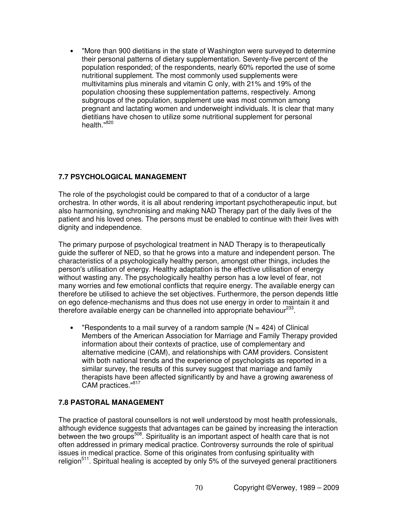• "More than 900 dietitians in the state of Washington were surveyed to determine their personal patterns of dietary supplementation. Seventy-five percent of the population responded; of the respondents, nearly 60% reported the use of some nutritional supplement. The most commonly used supplements were multivitamins plus minerals and vitamin C only, with 21% and 19% of the population choosing these supplementation patterns, respectively. Among subgroups of the population, supplement use was most common among pregnant and lactating women and underweight individuals. It is clear that many dietitians have chosen to utilize some nutritional supplement for personal health."<sup>820</sup>

# **7.7 PSYCHOLOGICAL MANAGEMENT**

The role of the psychologist could be compared to that of a conductor of a large orchestra. In other words, it is all about rendering important psychotherapeutic input, but also harmonising, synchronising and making NAD Therapy part of the daily lives of the patient and his loved ones. The persons must be enabled to continue with their lives with dignity and independence.

The primary purpose of psychological treatment in NAD Therapy is to therapeutically guide the sufferer of NED, so that he grows into a mature and independent person. The characteristics of a psychologically healthy person, amongst other things, includes the person's utilisation of energy. Healthy adaptation is the effective utilisation of energy without wasting any. The psychologically healthy person has a low level of fear, not many worries and few emotional conflicts that require energy. The available energy can therefore be utilised to achieve the set objectives. Furthermore, the person depends little on ego defence-mechanisms and thus does not use energy in order to maintain it and therefore available energy can be channelled into appropriate behaviour $^{233}$ .

"Respondents to a mail survey of a random sample  $(N = 424)$  of Clinical Members of the American Association for Marriage and Family Therapy provided information about their contexts of practice, use of complementary and alternative medicine (CAM), and relationships with CAM providers. Consistent with both national trends and the experience of psychologists as reported in a similar survey, the results of this survey suggest that marriage and family therapists have been affected significantly by and have a growing awareness of CAM practices."<sup>817</sup>

### **7.8 PASTORAL MANAGEMENT**

The practice of pastoral counsellors is not well understood by most health professionals, although evidence suggests that advantages can be gained by increasing the interaction between the two groups<sup>508</sup>. Spirituality is an important aspect of health care that is not often addressed in primary medical practice. Controversy surrounds the role of spiritual issues in medical practice. Some of this originates from confusing spirituality with religion<sup>511</sup>. Spiritual healing is accepted by only 5% of the surveyed general practitioners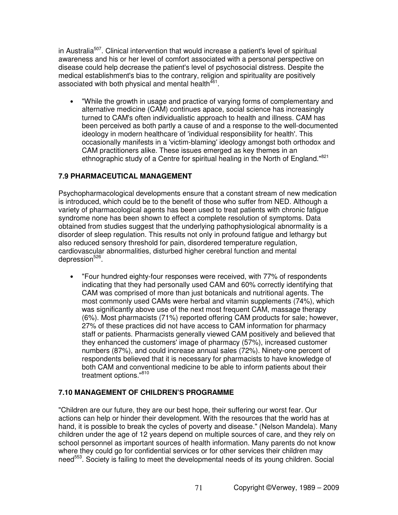in Australia<sup>507</sup>. Clinical intervention that would increase a patient's level of spiritual awareness and his or her level of comfort associated with a personal perspective on disease could help decrease the patient's level of psychosocial distress. Despite the medical establishment's bias to the contrary, religion and spirituality are positively associated with both physical and mental health $461$ .

• "While the growth in usage and practice of varying forms of complementary and alternative medicine (CAM) continues apace, social science has increasingly turned to CAM's often individualistic approach to health and illness. CAM has been perceived as both partly a cause of and a response to the well-documented ideology in modern healthcare of 'individual responsibility for health'. This occasionally manifests in a 'victim-blaming' ideology amongst both orthodox and CAM practitioners alike. These issues emerged as key themes in an ethnographic study of a Centre for spiritual healing in the North of England."<sup>821</sup>

### **7.9 PHARMACEUTICAL MANAGEMENT**

Psychopharmacological developments ensure that a constant stream of new medication is introduced, which could be to the benefit of those who suffer from NED. Although a variety of pharmacological agents has been used to treat patients with chronic fatigue syndrome none has been shown to effect a complete resolution of symptoms. Data obtained from studies suggest that the underlying pathophysiological abnormality is a disorder of sleep regulation. This results not only in profound fatigue and lethargy but also reduced sensory threshold for pain, disordered temperature regulation, cardiovascular abnormalities, disturbed higher cerebral function and mental depression<sup>526</sup>.

• "Four hundred eighty-four responses were received, with 77% of respondents indicating that they had personally used CAM and 60% correctly identifying that CAM was comprised of more than just botanicals and nutritional agents. The most commonly used CAMs were herbal and vitamin supplements (74%), which was significantly above use of the next most frequent CAM, massage therapy (6%). Most pharmacists (71%) reported offering CAM products for sale; however, 27% of these practices did not have access to CAM information for pharmacy staff or patients. Pharmacists generally viewed CAM positively and believed that they enhanced the customers' image of pharmacy (57%), increased customer numbers (87%), and could increase annual sales (72%). Ninety-one percent of respondents believed that it is necessary for pharmacists to have knowledge of both CAM and conventional medicine to be able to inform patients about their treatment options."<sup>810</sup>

# **7.10 MANAGEMENT OF CHILDREN'S PROGRAMME**

"Children are our future, they are our best hope, their suffering our worst fear. Our actions can help or hinder their development. With the resources that the world has at hand, it is possible to break the cycles of poverty and disease." (Nelson Mandela). Many children under the age of 12 years depend on multiple sources of care, and they rely on school personnel as important sources of health information. Many parents do not know where they could go for confidential services or for other services their children may need<sup>553</sup>. Society is failing to meet the developmental needs of its young children. Social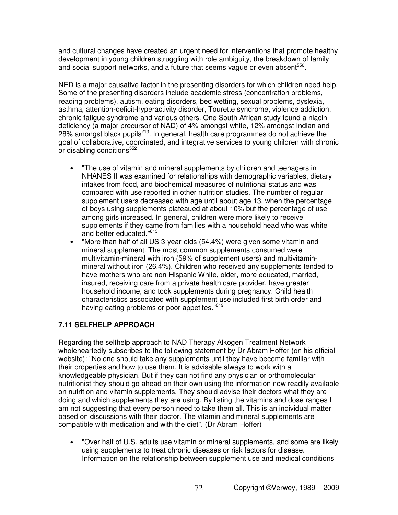and cultural changes have created an urgent need for interventions that promote healthy development in young children struggling with role ambiguity, the breakdown of family and social support networks, and a future that seems vague or even absent<sup>556</sup>.

NED is a major causative factor in the presenting disorders for which children need help. Some of the presenting disorders include academic stress (concentration problems, reading problems), autism, eating disorders, bed wetting, sexual problems, dyslexia, asthma, attention-deficit-hyperactivity disorder, Tourette syndrome, violence addiction, chronic fatigue syndrome and various others. One South African study found a niacin deficiency (a major precursor of NAD) of 4% amongst white, 12% amongst Indian and 28% amongst black pupils<sup>213</sup>. In general, health care programmes do not achieve the goal of collaborative, coordinated, and integrative services to young children with chronic or disabling conditions<sup>552</sup>

- "The use of vitamin and mineral supplements by children and teenagers in NHANES II was examined for relationships with demographic variables, dietary intakes from food, and biochemical measures of nutritional status and was compared with use reported in other nutrition studies. The number of regular supplement users decreased with age until about age 13, when the percentage of boys using supplements plateaued at about 10% but the percentage of use among girls increased. In general, children were more likely to receive supplements if they came from families with a household head who was white and better educated."<sup>813</sup>
- "More than half of all US 3-year-olds (54.4%) were given some vitamin and mineral supplement. The most common supplements consumed were multivitamin-mineral with iron (59% of supplement users) and multivitaminmineral without iron (26.4%). Children who received any supplements tended to have mothers who are non-Hispanic White, older, more educated, married, insured, receiving care from a private health care provider, have greater household income, and took supplements during pregnancy. Child health characteristics associated with supplement use included first birth order and having eating problems or poor appetites."<sup>819</sup>

### **7.11 SELFHELP APPROACH**

Regarding the selfhelp approach to NAD Therapy Alkogen Treatment Network wholeheartedly subscribes to the following statement by Dr Abram Hoffer (on his official website): "No one should take any supplements until they have become familiar with their properties and how to use them. It is advisable always to work with a knowledgeable physician. But if they can not find any physician or orthomolecular nutritionist they should go ahead on their own using the information now readily available on nutrition and vitamin supplements. They should advise their doctors what they are doing and which supplements they are using. By listing the vitamins and dose ranges I am not suggesting that every person need to take them all. This is an individual matter based on discussions with their doctor. The vitamin and mineral supplements are compatible with medication and with the diet". (Dr Abram Hoffer)

• "Over half of U.S. adults use vitamin or mineral supplements, and some are likely using supplements to treat chronic diseases or risk factors for disease. Information on the relationship between supplement use and medical conditions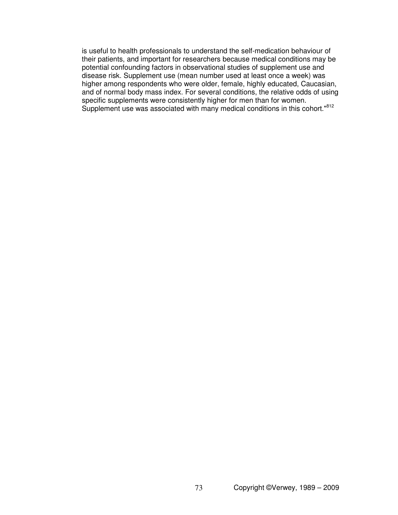is useful to health professionals to understand the self-medication behaviour of their patients, and important for researchers because medical conditions may be potential confounding factors in observational studies of supplement use and disease risk. Supplement use (mean number used at least once a week) was higher among respondents who were older, female, highly educated, Caucasian, and of normal body mass index. For several conditions, the relative odds of using specific supplements were consistently higher for men than for women. Supplement use was associated with many medical conditions in this cohort."<sup>812</sup>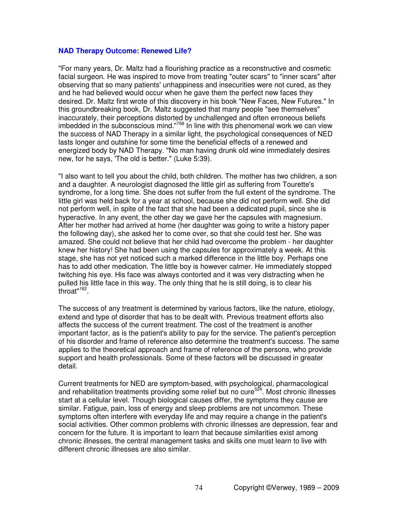#### **NAD Therapy Outcome: Renewed Life?**

"For many years, Dr. Maltz had a flourishing practice as a reconstructive and cosmetic facial surgeon. He was inspired to move from treating "outer scars" to "inner scars" after observing that so many patients' unhappiness and insecurities were not cured, as they and he had believed would occur when he gave them the perfect new faces they desired. Dr. Maltz first wrote of this discovery in his book "New Faces, New Futures." In this groundbreaking book, Dr. Maltz suggested that many people "see themselves" inaccurately, their perceptions distorted by unchallenged and often erroneous beliefs imbedded in the subconscious mind."<sup>768</sup> In line with this phenomenal work we can view the success of NAD Therapy in a similar light, the psychological consequences of NED lasts longer and outshine for some time the beneficial effects of a renewed and energized body by NAD Therapy. "No man having drunk old wine immediately desires new, for he says, 'The old is better." (Luke 5:39).

"I also want to tell you about the child, both children. The mother has two children, a son and a daughter. A neurologist diagnosed the little girl as suffering from Tourette's syndrome, for a long time. She does not suffer from the full extent of the syndrome. The little girl was held back for a year at school, because she did not perform well. She did not perform well, in spite of the fact that she had been a dedicated pupil, since she is hyperactive. In any event, the other day we gave her the capsules with magnesium. After her mother had arrived at home (her daughter was going to write a history paper the following day), she asked her to come over, so that she could test her. She was amazed. She could not believe that her child had overcome the problem - her daughter knew her history! She had been using the capsules for approximately a week. At this stage, she has not yet noticed such a marked difference in the little boy. Perhaps one has to add other medication. The little boy is however calmer. He immediately stopped twitching his eye. His face was always contorted and it was very distracting when he pulled his little face in this way. The only thing that he is still doing, is to clear his throat"<sup>162</sup>.

The success of any treatment is determined by various factors, like the nature, etiology, extend and type of disorder that has to be dealt with. Previous treatment efforts also affects the success of the current treatment. The cost of the treatment is another important factor, as is the patient's ability to pay for the service. The patient's perception of his disorder and frame of reference also determine the treatment's success. The same applies to the theoretical approach and frame of reference of the persons, who provide support and health professionals. Some of these factors will be discussed in greater detail.

Current treatments for NED are symptom-based, with psychological, pharmacological and rehabilitation treatments providing some relief but no cure<sup>524</sup>. Most chronic illnesses start at a cellular level. Though biological causes differ, the symptoms they cause are similar. Fatigue, pain, loss of energy and sleep problems are not uncommon. These symptoms often interfere with everyday life and may require a change in the patient's social activities. Other common problems with chronic illnesses are depression, fear and concern for the future. It is important to learn that because similarities exist among chronic illnesses, the central management tasks and skills one must learn to live with different chronic illnesses are also similar.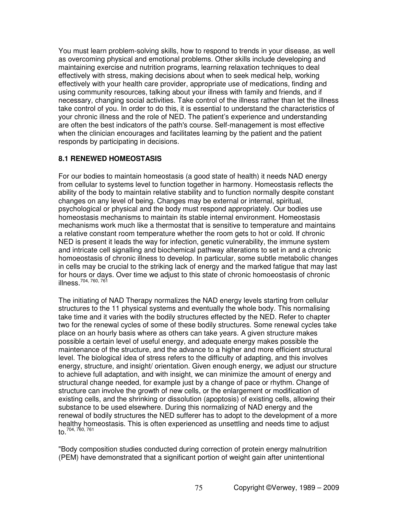You must learn problem-solving skills, how to respond to trends in your disease, as well as overcoming physical and emotional problems. Other skills include developing and maintaining exercise and nutrition programs, learning relaxation techniques to deal effectively with stress, making decisions about when to seek medical help, working effectively with your health care provider, appropriate use of medications, finding and using community resources, talking about your illness with family and friends, and if necessary, changing social activities. Take control of the illness rather than let the illness take control of you. In order to do this, it is essential to understand the characteristics of your chronic illness and the role of NED. The patient's experience and understanding are often the best indicators of the path's course. Self-management is most effective when the clinician encourages and facilitates learning by the patient and the patient responds by participating in decisions.

## **8.1 RENEWED HOMEOSTASIS**

For our bodies to maintain homeostasis (a good state of health) it needs NAD energy from cellular to systems level to function together in harmony. Homeostasis reflects the ability of the body to maintain relative stability and to function normally despite constant changes on any level of being. Changes may be external or internal, spiritual, psychological or physical and the body must respond appropriately. Our bodies use homeostasis mechanisms to maintain its stable internal environment. Homeostasis mechanisms work much like a thermostat that is sensitive to temperature and maintains a relative constant room temperature whether the room gets to hot or cold. If chronic NED is present it leads the way for infection, genetic vulnerability, the immune system and intricate cell signalling and biochemical pathway alterations to set in and a chronic homoeostasis of chronic illness to develop. In particular, some subtle metabolic changes in cells may be crucial to the striking lack of energy and the marked fatigue that may last for hours or days. Over time we adjust to this state of chronic homoeostasis of chronic illness.704, 760, 761

The initiating of NAD Therapy normalizes the NAD energy levels starting from cellular structures to the 11 physical systems and eventually the whole body. This normalising take time and it varies with the bodily structures effected by the NED. Refer to chapter two for the renewal cycles of some of these bodily structures. Some renewal cycles take place on an hourly basis where as others can take years. A given structure makes possible a certain level of useful energy, and adequate energy makes possible the maintenance of the structure, and the advance to a higher and more efficient structural level. The biological idea of stress refers to the difficulty of adapting, and this involves energy, structure, and insight/ orientation. Given enough energy, we adjust our structure to achieve full adaptation, and with insight, we can minimize the amount of energy and structural change needed, for example just by a change of pace or rhythm. Change of structure can involve the growth of new cells, or the enlargement or modification of existing cells, and the shrinking or dissolution (apoptosis) of existing cells, allowing their substance to be used elsewhere. During this normalizing of NAD energy and the renewal of bodily structures the NED sufferer has to adopt to the development of a more healthy homeostasis. This is often experienced as unsettling and needs time to adjust to.<sup>704, 760, 761</sup>

"Body composition studies conducted during correction of protein energy malnutrition (PEM) have demonstrated that a significant portion of weight gain after unintentional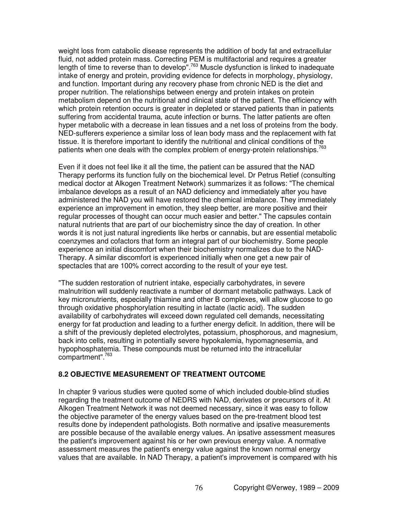weight loss from catabolic disease represents the addition of body fat and extracellular fluid, not added protein mass. Correcting PEM is multifactorial and requires a greater length of time to reverse than to develop".<sup>763</sup> Muscle dysfunction is linked to inadequate intake of energy and protein, providing evidence for defects in morphology, physiology, and function. Important during any recovery phase from chronic NED is the diet and proper nutrition. The relationships between energy and protein intakes on protein metabolism depend on the nutritional and clinical state of the patient. The efficiency with which protein retention occurs is greater in depleted or starved patients than in patients suffering from accidental trauma, acute infection or burns. The latter patients are often hyper metabolic with a decrease in lean tissues and a net loss of proteins from the body. NED-sufferers experience a similar loss of lean body mass and the replacement with fat tissue. It is therefore important to identify the nutritional and clinical conditions of the patients when one deals with the complex problem of energy-protein relationships.<sup>763</sup>

Even if it does not feel like it all the time, the patient can be assured that the NAD Therapy performs its function fully on the biochemical level. Dr Petrus Retief (consulting medical doctor at Alkogen Treatment Network) summarizes it as follows: "The chemical imbalance develops as a result of an NAD deficiency and immediately after you have administered the NAD you will have restored the chemical imbalance. They immediately experience an improvement in emotion, they sleep better, are more positive and their regular processes of thought can occur much easier and better." The capsules contain natural nutrients that are part of our biochemistry since the day of creation. In other words it is not just natural ingredients like herbs or cannabis, but are essential metabolic coenzymes and cofactors that form an integral part of our biochemistry. Some people experience an initial discomfort when their biochemistry normalizes due to the NAD-Therapy. A similar discomfort is experienced initially when one get a new pair of spectacles that are 100% correct according to the result of your eye test.

"The sudden restoration of nutrient intake, especially carbohydrates, in severe malnutrition will suddenly reactivate a number of dormant metabolic pathways. Lack of key micronutrients, especially thiamine and other B complexes, will allow glucose to go through oxidative phosphorylation resulting in lactate (lactic acid). The sudden availability of carbohydrates will exceed down regulated cell demands, necessitating energy for fat production and leading to a further energy deficit. In addition, there will be a shift of the previously depleted electrolytes, potassium, phosphorous, and magnesium, back into cells, resulting in potentially severe hypokalemia, hypomagnesemia, and hypophosphatemia. These compounds must be returned into the intracellular compartment".<sup>763</sup>

#### **8.2 OBJECTIVE MEASUREMENT OF TREATMENT OUTCOME**

In chapter 9 various studies were quoted some of which included double-blind studies regarding the treatment outcome of NEDRS with NAD, derivates or precursors of it. At Alkogen Treatment Network it was not deemed necessary, since it was easy to follow the objective parameter of the energy values based on the pre-treatment blood test results done by independent pathologists. Both normative and ipsative measurements are possible because of the available energy values. An ipsative assessment measures the patient's improvement against his or her own previous energy value. A normative assessment measures the patient's energy value against the known normal energy values that are available. In NAD Therapy, a patient's improvement is compared with his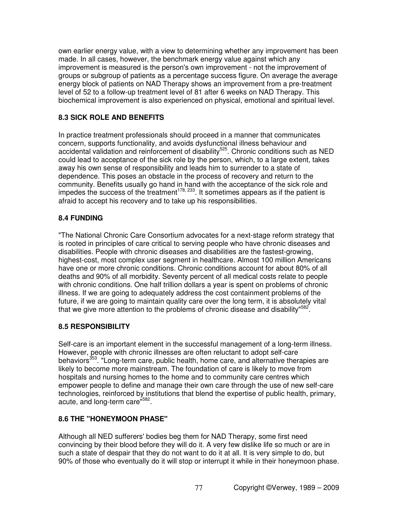own earlier energy value, with a view to determining whether any improvement has been made. In all cases, however, the benchmark energy value against which any improvement is measured is the person's own improvement - not the improvement of groups or subgroup of patients as a percentage success figure. On average the average energy block of patients on NAD Therapy shows an improvement from a pre-treatment level of 52 to a follow-up treatment level of 81 after 6 weeks on NAD Therapy. This biochemical improvement is also experienced on physical, emotional and spiritual level.

## **8.3 SICK ROLE AND BENEFITS**

In practice treatment professionals should proceed in a manner that communicates concern, supports functionality, and avoids dysfunctional illness behaviour and accidental validation and reinforcement of disability<sup>525</sup>. Chronic conditions such as NED could lead to acceptance of the sick role by the person, which, to a large extent, takes away his own sense of responsibility and leads him to surrender to a state of dependence. This poses an obstacle in the process of recovery and return to the community. Benefits usually go hand in hand with the acceptance of the sick role and impedes the success of the treatment<sup> $178, 233$ </sup>. It sometimes appears as if the patient is afraid to accept his recovery and to take up his responsibilities.

## **8.4 FUNDING**

"The National Chronic Care Consortium advocates for a next-stage reform strategy that is rooted in principles of care critical to serving people who have chronic diseases and disabilities. People with chronic diseases and disabilities are the fastest-growing, highest-cost, most complex user segment in healthcare. Almost 100 million Americans have one or more chronic conditions. Chronic conditions account for about 80% of all deaths and 90% of all morbidity. Seventy percent of all medical costs relate to people with chronic conditions. One half trillion dollars a year is spent on problems of chronic illness. If we are going to adequately address the cost containment problems of the future, if we are going to maintain quality care over the long term, it is absolutely vital that we give more attention to the problems of chronic disease and disability"<sup>582</sup>.

## **8.5 RESPONSIBILITY**

Self-care is an important element in the successful management of a long-term illness. However, people with chronic illnesses are often reluctant to adopt self-care behaviors<sup>353</sup>. "Long-term care, public health, home care, and alternative therapies are likely to become more mainstream. The foundation of care is likely to move from hospitals and nursing homes to the home and to community care centres which empower people to define and manage their own care through the use of new self-care technologies, reinforced by institutions that blend the expertise of public health, primary, acute, and long-term care"<sup>582</sup>.

# **8.6 THE "HONEYMOON PHASE"**

Although all NED sufferers' bodies beg them for NAD Therapy, some first need convincing by their blood before they will do it. A very few dislike life so much or are in such a state of despair that they do not want to do it at all. It is very simple to do, but 90% of those who eventually do it will stop or interrupt it while in their honeymoon phase.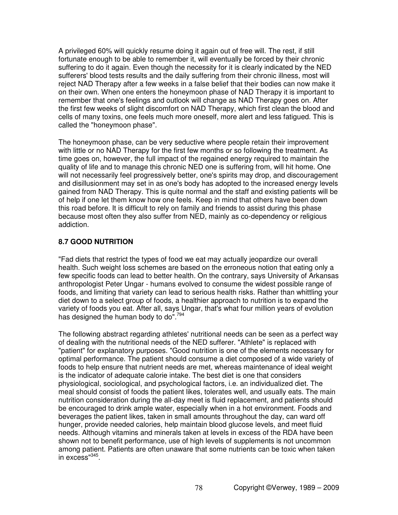A privileged 60% will quickly resume doing it again out of free will. The rest, if still fortunate enough to be able to remember it, will eventually be forced by their chronic suffering to do it again. Even though the necessity for it is clearly indicated by the NED sufferers' blood tests results and the daily suffering from their chronic illness, most will reject NAD Therapy after a few weeks in a false belief that their bodies can now make it on their own. When one enters the honeymoon phase of NAD Therapy it is important to remember that one's feelings and outlook will change as NAD Therapy goes on. After the first few weeks of slight discomfort on NAD Therapy, which first clean the blood and cells of many toxins, one feels much more oneself, more alert and less fatigued. This is called the "honeymoon phase".

The honeymoon phase, can be very seductive where people retain their improvement with little or no NAD Therapy for the first few months or so following the treatment. As time goes on, however, the full impact of the regained energy required to maintain the quality of life and to manage this chronic NED one is suffering from, will hit home. One will not necessarily feel progressively better, one's spirits may drop, and discouragement and disillusionment may set in as one's body has adopted to the increased energy levels gained from NAD Therapy. This is quite normal and the staff and existing patients will be of help if one let them know how one feels. Keep in mind that others have been down this road before. It is difficult to rely on family and friends to assist during this phase because most often they also suffer from NED, mainly as co-dependency or religious addiction.

## **8.7 GOOD NUTRITION**

"Fad diets that restrict the types of food we eat may actually jeopardize our overall health. Such weight loss schemes are based on the erroneous notion that eating only a few specific foods can lead to better health. On the contrary, says University of Arkansas anthropologist Peter Ungar - humans evolved to consume the widest possible range of foods, and limiting that variety can lead to serious health risks. Rather than whittling your diet down to a select group of foods, a healthier approach to nutrition is to expand the variety of foods you eat. After all, says Ungar, that's what four million years of evolution has designed the human body to do".<sup>794</sup>

The following abstract regarding athletes' nutritional needs can be seen as a perfect way of dealing with the nutritional needs of the NED sufferer. "Athlete" is replaced with "patient" for explanatory purposes. "Good nutrition is one of the elements necessary for optimal performance. The patient should consume a diet composed of a wide variety of foods to help ensure that nutrient needs are met, whereas maintenance of ideal weight is the indicator of adequate calorie intake. The best diet is one that considers physiological, sociological, and psychological factors, i.e. an individualized diet. The meal should consist of foods the patient likes, tolerates well, and usually eats. The main nutrition consideration during the all-day meet is fluid replacement, and patients should be encouraged to drink ample water, especially when in a hot environment. Foods and beverages the patient likes, taken in small amounts throughout the day, can ward off hunger, provide needed calories, help maintain blood glucose levels, and meet fluid needs. Although vitamins and minerals taken at levels in excess of the RDA have been shown not to benefit performance, use of high levels of supplements is not uncommon among patient. Patients are often unaware that some nutrients can be toxic when taken in excess"<sup>345</sup> .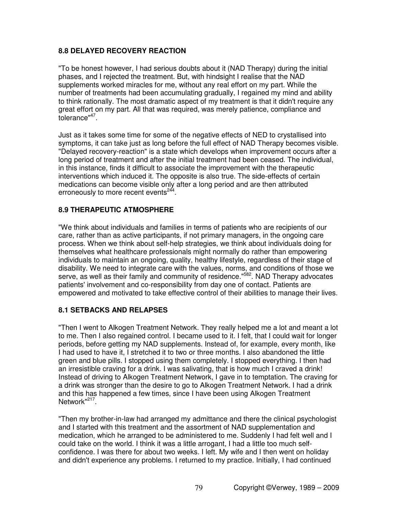## **8.8 DELAYED RECOVERY REACTION**

"To be honest however, I had serious doubts about it (NAD Therapy) during the initial phases, and I rejected the treatment. But, with hindsight I realise that the NAD supplements worked miracles for me, without any real effort on my part. While the number of treatments had been accumulating gradually, I regained my mind and ability to think rationally. The most dramatic aspect of my treatment is that it didn't require any great effort on my part. All that was required, was merely patience, compliance and tolerance"<sup>47</sup>.

Just as it takes some time for some of the negative effects of NED to crystallised into symptoms, it can take just as long before the full effect of NAD Therapy becomes visible. "Delayed recovery-reaction" is a state which develops when improvement occurs after a long period of treatment and after the initial treatment had been ceased. The individual, in this instance, finds it difficult to associate the improvement with the therapeutic interventions which induced it. The opposite is also true. The side-effects of certain medications can become visible only after a long period and are then attributed erroneously to more recent events<sup>244</sup>.

## **8.9 THERAPEUTIC ATMOSPHERE**

"We think about individuals and families in terms of patients who are recipients of our care, rather than as active participants, if not primary managers, in the ongoing care process. When we think about self-help strategies, we think about individuals doing for themselves what healthcare professionals might normally do rather than empowering individuals to maintain an ongoing, quality, healthy lifestyle, regardless of their stage of disability. We need to integrate care with the values, norms, and conditions of those we serve, as well as their family and community of residence."<sup>582</sup>. NAD Therapy advocates patients' involvement and co-responsibility from day one of contact. Patients are empowered and motivated to take effective control of their abilities to manage their lives.

## **8.1 SETBACKS AND RELAPSES**

"Then I went to Alkogen Treatment Network. They really helped me a lot and meant a lot to me. Then I also regained control. I became used to it. I felt, that I could wait for longer periods, before getting my NAD supplements. Instead of, for example, every month, like I had used to have it, I stretched it to two or three months. I also abandoned the little green and blue pills. I stopped using them completely. I stopped everything. I then had an irresistible craving for a drink. I was salivating, that is how much I craved a drink! Instead of driving to Alkogen Treatment Network, I gave in to temptation. The craving for a drink was stronger than the desire to go to Alkogen Treatment Network. I had a drink and this has happened a few times, since I have been using Alkogen Treatment Network"<sup>217</sup>.

"Then my brother-in-law had arranged my admittance and there the clinical psychologist and I started with this treatment and the assortment of NAD supplementation and medication, which he arranged to be administered to me. Suddenly I had felt well and I could take on the world. I think it was a little arrogant, I had a little too much selfconfidence. I was there for about two weeks. I left. My wife and I then went on holiday and didn't experience any problems. I returned to my practice. Initially, I had continued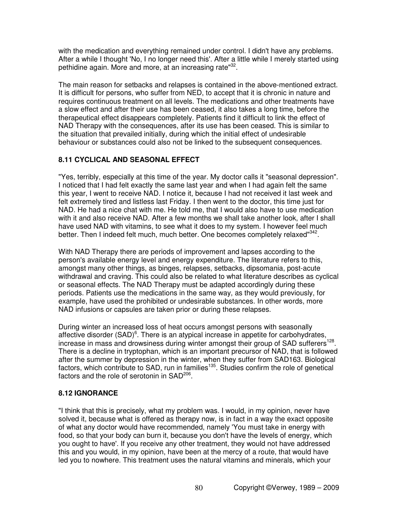with the medication and everything remained under control. I didn't have any problems. After a while I thought 'No, I no longer need this'. After a little while I merely started using pethidine again. More and more, at an increasing rate"<sup>32</sup>.

The main reason for setbacks and relapses is contained in the above-mentioned extract. It is difficult for persons, who suffer from NED, to accept that it is chronic in nature and requires continuous treatment on all levels. The medications and other treatments have a slow effect and after their use has been ceased, it also takes a long time, before the therapeutical effect disappears completely. Patients find it difficult to link the effect of NAD Therapy with the consequences, after its use has been ceased. This is similar to the situation that prevailed initially, during which the initial effect of undesirable behaviour or substances could also not be linked to the subsequent consequences.

# **8.11 CYCLICAL AND SEASONAL EFFECT**

"Yes, terribly, especially at this time of the year. My doctor calls it "seasonal depression". I noticed that I had felt exactly the same last year and when I had again felt the same this year, I went to receive NAD. I notice it, because I had not received it last week and felt extremely tired and listless last Friday. I then went to the doctor, this time just for NAD. He had a nice chat with me. He told me, that I would also have to use medication with it and also receive NAD. After a few months we shall take another look, after I shall have used NAD with vitamins, to see what it does to my system. I however feel much better. Then I indeed felt much, much better. One becomes completely relaxed"<sup>342</sup>.

With NAD Therapy there are periods of improvement and lapses according to the person's available energy level and energy expenditure. The literature refers to this, amongst many other things, as binges, relapses, setbacks, dipsomania, post-acute withdrawal and craving. This could also be related to what literature describes as cyclical or seasonal effects. The NAD Therapy must be adapted accordingly during these periods. Patients use the medications in the same way, as they would previously, for example, have used the prohibited or undesirable substances. In other words, more NAD infusions or capsules are taken prior or during these relapses.

During winter an increased loss of heat occurs amongst persons with seasonally affective disorder (SAD)<sup>6</sup>. There is an atypical increase in appetite for carbohydrates, increase in mass and drowsiness during winter amongst their group of SAD sufferers<sup>128</sup>. There is a decline in tryptophan, which is an important precursor of NAD, that is followed after the summer by depression in the winter, when they suffer from SAD163. Biological factors, which contribute to SAD, run in families<sup>135</sup>. Studies confirm the role of genetical factors and the role of serotonin in  $SAD^{206}$ .

# **8.12 IGNORANCE**

"I think that this is precisely, what my problem was. I would, in my opinion, never have solved it, because what is offered as therapy now, is in fact in a way the exact opposite of what any doctor would have recommended, namely 'You must take in energy with food, so that your body can burn it, because you don't have the levels of energy, which you ought to have'. If you receive any other treatment, they would not have addressed this and you would, in my opinion, have been at the mercy of a route, that would have led you to nowhere. This treatment uses the natural vitamins and minerals, which your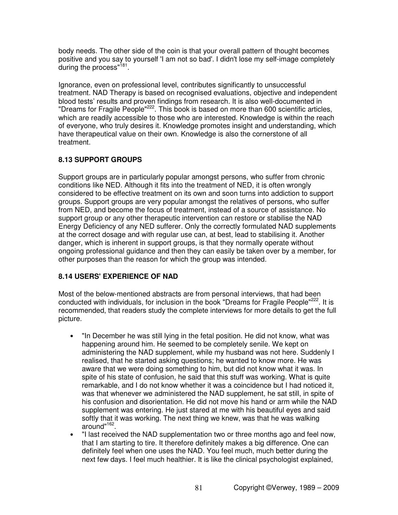body needs. The other side of the coin is that your overall pattern of thought becomes positive and you say to yourself 'I am not so bad'. I didn't lose my self-image completely during the process"<sup>181</sup>.

Ignorance, even on professional level, contributes significantly to unsuccessful treatment. NAD Therapy is based on recognised evaluations, objective and independent blood tests' results and proven findings from research. It is also well-documented in "Dreams for Fragile People"<sup>222</sup>. This book is based on more than 600 scientific articles, which are readily accessible to those who are interested. Knowledge is within the reach of everyone, who truly desires it. Knowledge promotes insight and understanding, which have therapeutical value on their own. Knowledge is also the cornerstone of all treatment.

# **8.13 SUPPORT GROUPS**

Support groups are in particularly popular amongst persons, who suffer from chronic conditions like NED. Although it fits into the treatment of NED, it is often wrongly considered to be effective treatment on its own and soon turns into addiction to support groups. Support groups are very popular amongst the relatives of persons, who suffer from NED, and become the focus of treatment, instead of a source of assistance. No support group or any other therapeutic intervention can restore or stabilise the NAD Energy Deficiency of any NED sufferer. Only the correctly formulated NAD supplements at the correct dosage and with regular use can, at best, lead to stabilising it. Another danger, which is inherent in support groups, is that they normally operate without ongoing professional guidance and then they can easily be taken over by a member, for other purposes than the reason for which the group was intended.

## **8.14 USERS' EXPERIENCE OF NAD**

Most of the below-mentioned abstracts are from personal interviews, that had been conducted with individuals, for inclusion in the book "Dreams for Fragile People"<sup>222</sup>. It is recommended, that readers study the complete interviews for more details to get the full picture.

- "In December he was still lying in the fetal position. He did not know, what was happening around him. He seemed to be completely senile. We kept on administering the NAD supplement, while my husband was not here. Suddenly I realised, that he started asking questions; he wanted to know more. He was aware that we were doing something to him, but did not know what it was. In spite of his state of confusion, he said that this stuff was working. What is quite remarkable, and I do not know whether it was a coincidence but I had noticed it, was that whenever we administered the NAD supplement, he sat still, in spite of his confusion and disorientation. He did not move his hand or arm while the NAD supplement was entering. He just stared at me with his beautiful eyes and said softly that it was working. The next thing we knew, was that he was walking around"<sup>162</sup> .
- "I last received the NAD supplementation two or three months ago and feel now, that I am starting to tire. It therefore definitely makes a big difference. One can definitely feel when one uses the NAD. You feel much, much better during the next few days. I feel much healthier. It is like the clinical psychologist explained,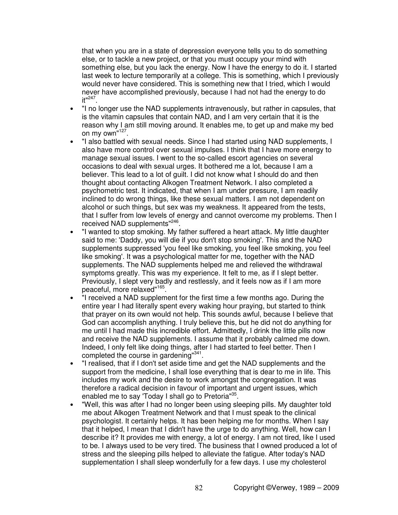that when you are in a state of depression everyone tells you to do something else, or to tackle a new project, or that you must occupy your mind with something else, but you lack the energy. Now I have the energy to do it. I started last week to lecture temporarily at a college. This is something, which I previously would never have considered. This is something new that I tried, which I would never have accomplished previously, because I had not had the energy to do it"<sup>247</sup> .

- "I no longer use the NAD supplements intravenously, but rather in capsules, that is the vitamin capsules that contain NAD, and I am very certain that it is the reason why I am still moving around. It enables me, to get up and make my bed on my own"<sup>127</sup>.
- "I also battled with sexual needs. Since I had started using NAD supplements, I also have more control over sexual impulses. I think that I have more energy to manage sexual issues. I went to the so-called escort agencies on several occasions to deal with sexual urges. It bothered me a lot, because I am a believer. This lead to a lot of guilt. I did not know what I should do and then thought about contacting Alkogen Treatment Network. I also completed a psychometric test. It indicated, that when I am under pressure, I am readily inclined to do wrong things, like these sexual matters. I am not dependent on alcohol or such things, but sex was my weakness. It appeared from the tests, that I suffer from low levels of energy and cannot overcome my problems. Then I received NAD supplements"<sup>246</sup>.
- "I wanted to stop smoking. My father suffered a heart attack. My little daughter said to me: 'Daddy, you will die if you don't stop smoking'. This and the NAD supplements suppressed 'you feel like smoking, you feel like smoking, you feel like smoking'. It was a psychological matter for me, together with the NAD supplements. The NAD supplements helped me and relieved the withdrawal symptoms greatly. This was my experience. It felt to me, as if I slept better. Previously, I slept very badly and restlessly, and it feels now as if I am more peaceful, more relaxed"<sup>165</sup> .
- "I received a NAD supplement for the first time a few months ago. During the entire year I had literally spent every waking hour praying, but started to think that prayer on its own would not help. This sounds awful, because I believe that God can accomplish anything. I truly believe this, but he did not do anything for me until I had made this incredible effort. Admittedly, I drink the little pills now and receive the NAD supplements. I assume that it probably calmed me down. Indeed, I only felt like doing things, after I had started to feel better. Then I completed the course in gardening"<sup>341</sup>.
- "I realised, that if I don't set aside time and get the NAD supplements and the support from the medicine, I shall lose everything that is dear to me in life. This includes my work and the desire to work amongst the congregation. It was therefore a radical decision in favour of important and urgent issues, which enabled me to say 'Today I shall go to Pretoria"<sup>35</sup>.
- "Well, this was after I had no longer been using sleeping pills. My daughter told me about Alkogen Treatment Network and that I must speak to the clinical psychologist. It certainly helps. It has been helping me for months. When I say that it helped, I mean that I didn't have the urge to do anything. Well, how can I describe it? It provides me with energy, a lot of energy. I am not tired, like I used to be. I always used to be very tired. The business that I owned produced a lot of stress and the sleeping pills helped to alleviate the fatigue. After today's NAD supplementation I shall sleep wonderfully for a few days. I use my cholesterol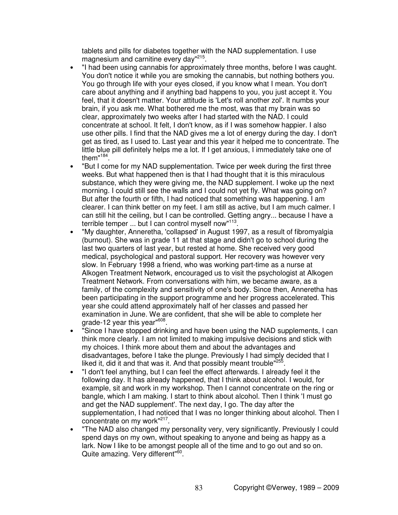tablets and pills for diabetes together with the NAD supplementation. I use magnesium and carnitine every day"<sup>215</sup>.

- "I had been using cannabis for approximately three months, before I was caught. You don't notice it while you are smoking the cannabis, but nothing bothers you. You go through life with your eyes closed, if you know what I mean. You don't care about anything and if anything bad happens to you, you just accept it. You feel, that it doesn't matter. Your attitude is 'Let's roll another zol'. It numbs your brain, if you ask me. What bothered me the most, was that my brain was so clear, approximately two weeks after I had started with the NAD. I could concentrate at school. It felt, I don't know, as if I was somehow happier. I also use other pills. I find that the NAD gives me a lot of energy during the day. I don't get as tired, as I used to. Last year and this year it helped me to concentrate. The little blue pill definitely helps me a lot. If I get anxious, I immediately take one of them"<sup>184</sup> .
- "But I come for my NAD supplementation. Twice per week during the first three weeks. But what happened then is that I had thought that it is this miraculous substance, which they were giving me, the NAD supplement. I woke up the next morning. I could still see the walls and I could not yet fly. What was going on? But after the fourth or fifth, I had noticed that something was happening. I am clearer. I can think better on my feet. I am still as active, but I am much calmer. I can still hit the ceiling, but I can be controlled. Getting angry... because I have a terrible temper ... but I can control myself now"<sup>113</sup>.
- "My daughter, Anneretha, 'collapsed' in August 1997, as a result of fibromyalgia (burnout). She was in grade 11 at that stage and didn't go to school during the last two quarters of last year, but rested at home. She received very good medical, psychological and pastoral support. Her recovery was however very slow. In February 1998 a friend, who was working part-time as a nurse at Alkogen Treatment Network, encouraged us to visit the psychologist at Alkogen Treatment Network. From conversations with him, we became aware, as a family, of the complexity and sensitivity of one's body. Since then, Anneretha has been participating in the support programme and her progress accelerated. This year she could attend approximately half of her classes and passed her examination in June. We are confident, that she will be able to complete her grade-12 year this year"<sup>608</sup>.
- "Since I have stopped drinking and have been using the NAD supplements, I can think more clearly. I am not limited to making impulsive decisions and stick with my choices. I think more about them and about the advantages and disadvantages, before I take the plunge. Previously I had simply decided that I liked it, did it and that was it. And that possibly meant trouble<sup> $n255$ </sup>.
- "I don't feel anything, but I can feel the effect afterwards. I already feel it the following day. It has already happened, that I think about alcohol. I would, for example, sit and work in my workshop. Then I cannot concentrate on the ring or bangle, which I am making. I start to think about alcohol. Then I think 'I must go and get the NAD supplement'. The next day, I go. The day after the supplementation, I had noticed that I was no longer thinking about alcohol. Then I concentrate on my work"<sup>217</sup>.
- "The NAD also changed my personality very, very significantly. Previously I could spend days on my own, without speaking to anyone and being as happy as a lark. Now I like to be amongst people all of the time and to go out and so on. Quite amazing. Very different"<sup>60</sup>.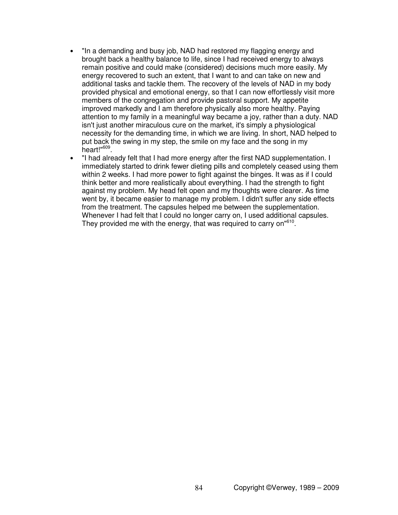- "In a demanding and busy job, NAD had restored my flagging energy and brought back a healthy balance to life, since I had received energy to always remain positive and could make (considered) decisions much more easily. My energy recovered to such an extent, that I want to and can take on new and additional tasks and tackle them. The recovery of the levels of NAD in my body provided physical and emotional energy, so that I can now effortlessly visit more members of the congregation and provide pastoral support. My appetite improved markedly and I am therefore physically also more healthy. Paying attention to my family in a meaningful way became a joy, rather than a duty. NAD isn't just another miraculous cure on the market, it's simply a physiological necessity for the demanding time, in which we are living. In short, NAD helped to put back the swing in my step, the smile on my face and the song in my heart!"<sup>609</sup>.
- "I had already felt that I had more energy after the first NAD supplementation. I immediately started to drink fewer dieting pills and completely ceased using them within 2 weeks. I had more power to fight against the binges. It was as if I could think better and more realistically about everything. I had the strength to fight against my problem. My head felt open and my thoughts were clearer. As time went by, it became easier to manage my problem. I didn't suffer any side effects from the treatment. The capsules helped me between the supplementation. Whenever I had felt that I could no longer carry on, I used additional capsules. They provided me with the energy, that was required to carry on"<sup>610</sup>.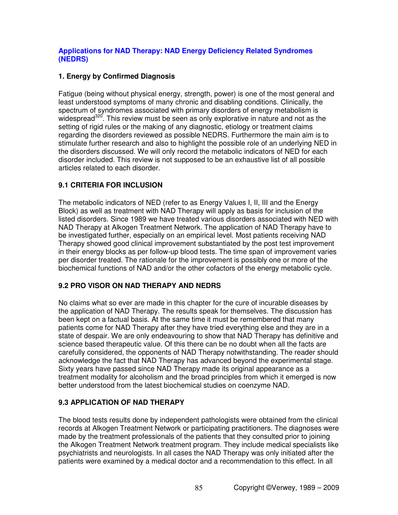## **Applications for NAD Therapy: NAD Energy Deficiency Related Syndromes (NEDRS)**

## **1. Energy by Confirmed Diagnosis**

Fatigue (being without physical energy, strength, power) is one of the most general and least understood symptoms of many chronic and disabling conditions. Clinically, the spectrum of syndromes associated with primary disorders of energy metabolism is widespread<sup>320</sup>. This review must be seen as only explorative in nature and not as the setting of rigid rules or the making of any diagnostic, etiology or treatment claims regarding the disorders reviewed as possible NEDRS. Furthermore the main aim is to stimulate further research and also to highlight the possible role of an underlying NED in the disorders discussed. We will only record the metabolic indicators of NED for each disorder included. This review is not supposed to be an exhaustive list of all possible articles related to each disorder.

## **9.1 CRITERIA FOR INCLUSION**

The metabolic indicators of NED (refer to as Energy Values I, II, III and the Energy Block) as well as treatment with NAD Therapy will apply as basis for inclusion of the listed disorders. Since 1989 we have treated various disorders associated with NED with NAD Therapy at Alkogen Treatment Network. The application of NAD Therapy have to be investigated further, especially on an empirical level. Most patients receiving NAD Therapy showed good clinical improvement substantiated by the post test improvement in their energy blocks as per follow-up blood tests. The time span of improvement varies per disorder treated. The rationale for the improvement is possibly one or more of the biochemical functions of NAD and/or the other cofactors of the energy metabolic cycle.

## **9.2 PRO VISOR ON NAD THERAPY AND NEDRS**

No claims what so ever are made in this chapter for the cure of incurable diseases by the application of NAD Therapy. The results speak for themselves. The discussion has been kept on a factual basis. At the same time it must be remembered that many patients come for NAD Therapy after they have tried everything else and they are in a state of despair. We are only endeavouring to show that NAD Therapy has definitive and science based therapeutic value. Of this there can be no doubt when all the facts are carefully considered, the opponents of NAD Therapy notwithstanding. The reader should acknowledge the fact that NAD Therapy has advanced beyond the experimental stage. Sixty years have passed since NAD Therapy made its original appearance as a treatment modality for alcoholism and the broad principles from which it emerged is now better understood from the latest biochemical studies on coenzyme NAD.

## **9.3 APPLICATION OF NAD THERAPY**

The blood tests results done by independent pathologists were obtained from the clinical records at Alkogen Treatment Network or participating practitioners. The diagnoses were made by the treatment professionals of the patients that they consulted prior to joining the Alkogen Treatment Network treatment program. They include medical specialists like psychiatrists and neurologists. In all cases the NAD Therapy was only initiated after the patients were examined by a medical doctor and a recommendation to this effect. In all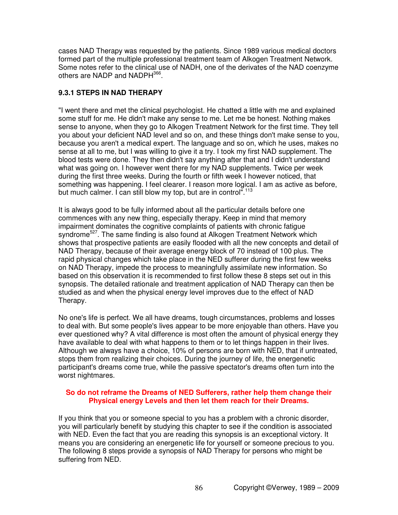cases NAD Therapy was requested by the patients. Since 1989 various medical doctors formed part of the multiple professional treatment team of Alkogen Treatment Network. Some notes refer to the clinical use of NADH, one of the derivates of the NAD coenzyme others are NADP and NADPH<sup>366</sup>.

## **9.3.1 STEPS IN NAD THERAPY**

"I went there and met the clinical psychologist. He chatted a little with me and explained some stuff for me. He didn't make any sense to me. Let me be honest. Nothing makes sense to anyone, when they go to Alkogen Treatment Network for the first time. They tell you about your deficient NAD level and so on, and these things don't make sense to you, because you aren't a medical expert. The language and so on, which he uses, makes no sense at all to me, but I was willing to give it a try. I took my first NAD supplement. The blood tests were done. They then didn't say anything after that and I didn't understand what was going on. I however went there for my NAD supplements. Twice per week during the first three weeks. During the fourth or fifth week I however noticed, that something was happening. I feel clearer. I reason more logical. I am as active as before, but much calmer. I can still blow my top, but are in control".<sup>113</sup>

It is always good to be fully informed about all the particular details before one commences with any new thing, especially therapy. Keep in mind that memory impairment dominates the cognitive complaints of patients with chronic fatigue syndrome<sup>527</sup>. The same finding is also found at Alkogen Treatment Network which shows that prospective patients are easily flooded with all the new concepts and detail of NAD Therapy, because of their average energy block of 70 instead of 100 plus. The rapid physical changes which take place in the NED sufferer during the first few weeks on NAD Therapy, impede the process to meaningfully assimilate new information. So based on this observation it is recommended to first follow these 8 steps set out in this synopsis. The detailed rationale and treatment application of NAD Therapy can then be studied as and when the physical energy level improves due to the effect of NAD Therapy.

No one's life is perfect. We all have dreams, tough circumstances, problems and losses to deal with. But some people's lives appear to be more enjoyable than others. Have you ever questioned why? A vital difference is most often the amount of physical energy they have available to deal with what happens to them or to let things happen in their lives. Although we always have a choice, 10% of persons are born with NED, that if untreated, stops them from realizing their choices. During the journey of life, the energenetic participant's dreams come true, while the passive spectator's dreams often turn into the worst nightmares.

#### **So do not reframe the Dreams of NED Sufferers, rather help them change their Physical energy Levels and then let them reach for their Dreams.**

If you think that you or someone special to you has a problem with a chronic disorder, you will particularly benefit by studying this chapter to see if the condition is associated with NED. Even the fact that you are reading this synopsis is an exceptional victory. It means you are considering an energenetic life for yourself or someone precious to you. The following 8 steps provide a synopsis of NAD Therapy for persons who might be suffering from NED.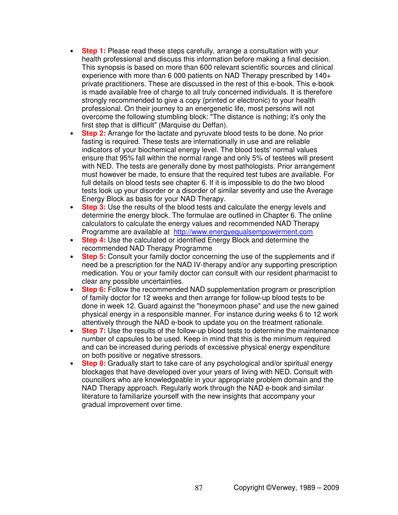- **Step 1:** Please read these steps carefully, arrange a consultation with your health professional and discuss this information before making a final decision. This synopsis is based on more than 600 relevant scientific sources and clinical experience with more than 6 000 patients on NAD Therapy prescribed by 140+ private practitioners. These are discussed in the rest of this e-book. This e-book is made available free of charge to all truly concerned individuals. It is therefore strongly recommended to give a copy (printed or electronic) to your health professional. On their journey to an energenetic life, most persons will not overcome the following stumbling block: "The distance is nothing; it's only the first step that is difficult" (Marquise du Deffan).
- **Step 2:** Arrange for the lactate and pyruvate blood tests to be done. No prior fasting is required. These tests are internationally in use and are reliable indicators of your biochemical energy level. The blood tests' normal values ensure that 95% fall within the normal range and only 5% of testees will present with NED. The tests are generally done by most pathologists. Prior arrangement must however be made, to ensure that the required test tubes are available. For full details on blood tests see chapter 6. If it is impossible to do the two blood tests look up your disorder or a disorder of similar severity and use the Average Energy Block as basis for your NAD Therapy.
- **Step 3:** Use the results of the blood tests and calculate the energy levels and determine the energy block. The formulae are outlined in Chapter 6. The online calculators to calculate the energy values and recommended NAD Therapy Programme are available at http://www.energyequalsempowerment.com
- **Step 4:** Use the calculated or identified Energy Block and determine the recommended NAD Therapy Programme
- **Step 5:** Consult your family doctor concerning the use of the supplements and if need be a prescription for the NAD IV-therapy and/or any supporting prescription medication. You or your family doctor can consult with our resident pharmacist to clear any possible uncertainties.
- **Step 6:** Follow the recommended NAD supplementation program or prescription of family doctor for 12 weeks and then arrange for follow-up blood tests to be done in week 12. Guard against the "honeymoon phase" and use the new gained physical energy in a responsible manner. For instance during weeks 6 to 12 work attentively through the NAD e-book to update you on the treatment rationale.
- **Step 7:** Use the results of the follow-up blood tests to determine the maintenance number of capsules to be used. Keep in mind that this is the minimum required and can be increased during periods of excessive physical energy expenditure on both positive or negative stressors.
- **Step 8:** Gradually start to take care of any psychological and/or spiritual energy blockages that have developed over your years of living with NED. Consult with councillors who are knowledgeable in your appropriate problem domain and the NAD Therapy approach. Regularly work through the NAD e-book and similar literature to familiarize yourself with the new insights that accompany your gradual improvement over time.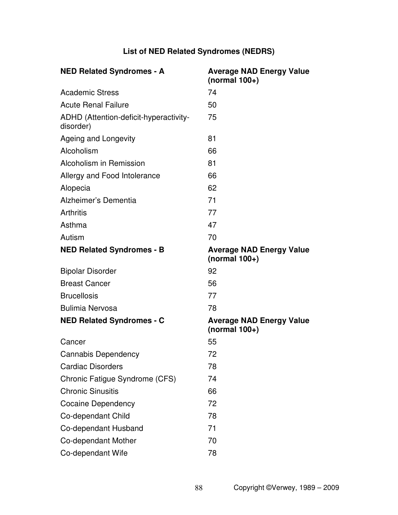# **List of NED Related Syndromes (NEDRS)**

| <b>NED Related Syndromes - A</b>                    | <b>Average NAD Energy Value</b><br>(normal $100+$ ) |
|-----------------------------------------------------|-----------------------------------------------------|
| <b>Academic Stress</b>                              | 74                                                  |
| <b>Acute Renal Failure</b>                          | 50                                                  |
| ADHD (Attention-deficit-hyperactivity-<br>disorder) | 75                                                  |
| Ageing and Longevity                                | 81                                                  |
| Alcoholism                                          | 66                                                  |
| Alcoholism in Remission                             | 81                                                  |
| Allergy and Food Intolerance                        | 66                                                  |
| Alopecia                                            | 62                                                  |
| Alzheimer's Dementia                                | 71                                                  |
| <b>Arthritis</b>                                    | 77                                                  |
| Asthma                                              | 47                                                  |
| Autism                                              | 70                                                  |
| <b>NED Related Syndromes - B</b>                    | <b>Average NAD Energy Value</b><br>(normal $100+$ ) |
| <b>Bipolar Disorder</b>                             | 92                                                  |
| <b>Breast Cancer</b>                                | 56                                                  |
| <b>Brucellosis</b>                                  | 77                                                  |
| <b>Bulimia Nervosa</b>                              | 78                                                  |
| <b>NED Related Syndromes - C</b>                    | <b>Average NAD Energy Value</b><br>(normal $100+$ ) |
| Cancer                                              | 55                                                  |
| <b>Cannabis Dependency</b>                          | 72                                                  |
| <b>Cardiac Disorders</b>                            | 78                                                  |
| Chronic Fatigue Syndrome (CFS)                      | 74                                                  |
| <b>Chronic Sinusitis</b>                            | 66                                                  |
| <b>Cocaine Dependency</b>                           | 72                                                  |
| Co-dependant Child                                  | 78                                                  |
| Co-dependant Husband                                | 71                                                  |
| Co-dependant Mother                                 | 70                                                  |
| Co-dependant Wife                                   | 78                                                  |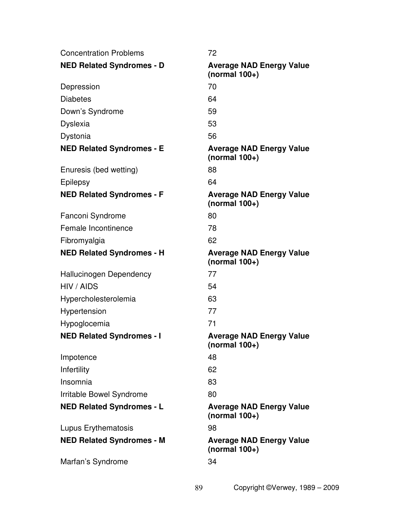| <b>Concentration Problems</b>    | 72                                                  |
|----------------------------------|-----------------------------------------------------|
| <b>NED Related Syndromes - D</b> | <b>Average NAD Energy Value</b><br>(normal $100+$ ) |
| Depression                       | 70                                                  |
| <b>Diabetes</b>                  | 64                                                  |
| Down's Syndrome                  | 59                                                  |
| <b>Dyslexia</b>                  | 53                                                  |
| Dystonia                         | 56                                                  |
| <b>NED Related Syndromes - E</b> | <b>Average NAD Energy Value</b><br>(normal $100+$ ) |
| Enuresis (bed wetting)           | 88                                                  |
| Epilepsy                         | 64                                                  |
| <b>NED Related Syndromes - F</b> | <b>Average NAD Energy Value</b><br>(normal $100+$ ) |
| Fanconi Syndrome                 | 80                                                  |
| Female Incontinence              | 78                                                  |
| Fibromyalgia                     | 62                                                  |
| <b>NED Related Syndromes - H</b> | <b>Average NAD Energy Value</b><br>(normal $100+$ ) |
| Hallucinogen Dependency          | 77                                                  |
| HIV / AIDS                       | 54                                                  |
| Hypercholesterolemia             | 63                                                  |
| Hypertension                     | 77                                                  |
| Hypoglocemia                     | 71                                                  |
| <b>NED Related Syndromes - I</b> | <b>Average NAD Energy Value</b><br>(normal $100+$ ) |
| Impotence                        | 48                                                  |
| Infertility                      | 62                                                  |
| Insomnia                         | 83                                                  |
| Irritable Bowel Syndrome         | 80                                                  |
| <b>NED Related Syndromes - L</b> | <b>Average NAD Energy Value</b><br>(normal $100+$ ) |
| Lupus Erythematosis              | 98                                                  |
| <b>NED Related Syndromes - M</b> | <b>Average NAD Energy Value</b><br>(normal $100+$ ) |
| Marfan's Syndrome                | 34                                                  |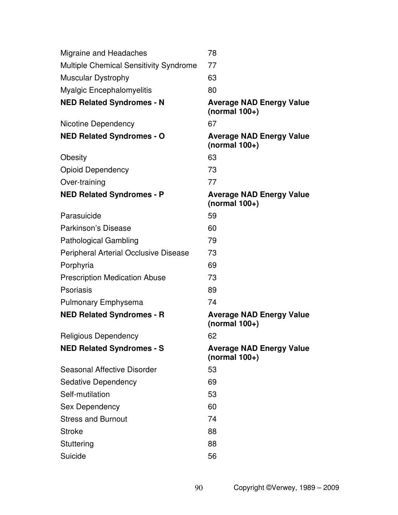| Migraine and Headaches                        | 78                                                  |
|-----------------------------------------------|-----------------------------------------------------|
| <b>Multiple Chemical Sensitivity Syndrome</b> | 77                                                  |
| <b>Muscular Dystrophy</b>                     | 63                                                  |
| <b>Myalgic Encephalomyelitis</b>              | 80                                                  |
| <b>NED Related Syndromes - N</b>              | <b>Average NAD Energy Value</b><br>(normal $100+$ ) |
| <b>Nicotine Dependency</b>                    | 67                                                  |
| <b>NED Related Syndromes - O</b>              | <b>Average NAD Energy Value</b><br>(normal $100+$ ) |
| Obesity                                       | 63                                                  |
| <b>Opioid Dependency</b>                      | 73                                                  |
| Over-training                                 | 77                                                  |
| <b>NED Related Syndromes - P</b>              | <b>Average NAD Energy Value</b><br>(normal $100+$ ) |
| Parasuicide                                   | 59                                                  |
| Parkinson's Disease                           | 60                                                  |
| <b>Pathological Gambling</b>                  | 79                                                  |
| <b>Peripheral Arterial Occlusive Disease</b>  | 73                                                  |
| Porphyria                                     | 69                                                  |
| <b>Prescription Medication Abuse</b>          | 73                                                  |
| <b>Psoriasis</b>                              | 89                                                  |
| <b>Pulmonary Emphysema</b>                    | 74                                                  |
| <b>NED Related Syndromes - R</b>              | <b>Average NAD Energy Value</b><br>(normal $100+$ ) |
| <b>Religious Dependency</b>                   | 62                                                  |
| <b>NED Related Syndromes - S</b>              | <b>Average NAD Energy Value</b><br>(normal $100+$ ) |
| Seasonal Affective Disorder                   | 53                                                  |
| <b>Sedative Dependency</b>                    | 69                                                  |
| Self-mutilation                               | 53                                                  |
| Sex Dependency                                | 60                                                  |
|                                               |                                                     |
| <b>Stress and Burnout</b>                     | 74                                                  |
| <b>Stroke</b>                                 | 88                                                  |
| Stuttering                                    | 88                                                  |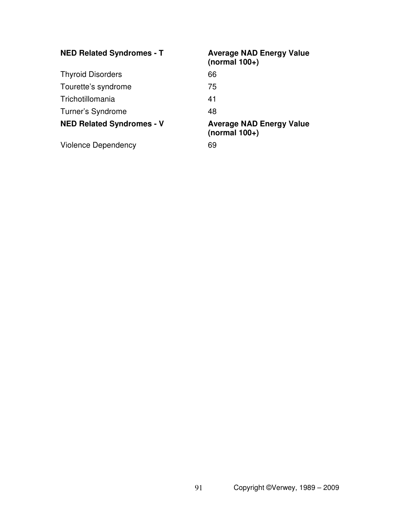| <b>NED Related Syndromes - T</b> | <b>Average NAD Energy Value</b><br>(normal $100+$ ) |
|----------------------------------|-----------------------------------------------------|
| <b>Thyroid Disorders</b>         | 66                                                  |
| Tourette's syndrome              | 75                                                  |
| Trichotillomania                 | 41                                                  |
| Turner's Syndrome                | 48                                                  |
| <b>NED Related Syndromes - V</b> | <b>Average NAD Energy Value</b><br>(normal $100+$ ) |
| Violence Dependency              | 69                                                  |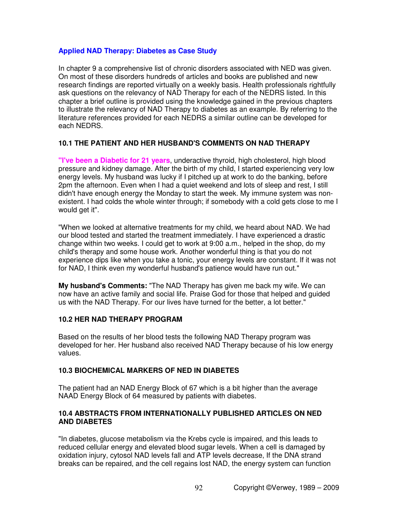## **Applied NAD Therapy: Diabetes as Case Study**

In chapter 9 a comprehensive list of chronic disorders associated with NED was given. On most of these disorders hundreds of articles and books are published and new research findings are reported virtually on a weekly basis. Health professionals rightfully ask questions on the relevancy of NAD Therapy for each of the NEDRS listed. In this chapter a brief outline is provided using the knowledge gained in the previous chapters to illustrate the relevancy of NAD Therapy to diabetes as an example. By referring to the literature references provided for each NEDRS a similar outline can be developed for each NEDRS.

## **10.1 THE PATIENT AND HER HUSBAND'S COMMENTS ON NAD THERAPY**

**"I've been a Diabetic for 21 years**, underactive thyroid, high cholesterol, high blood pressure and kidney damage. After the birth of my child, I started experiencing very low energy levels. My husband was lucky if I pitched up at work to do the banking, before 2pm the afternoon. Even when I had a quiet weekend and lots of sleep and rest, I still didn't have enough energy the Monday to start the week. My immune system was nonexistent. I had colds the whole winter through; if somebody with a cold gets close to me I would get it".

"When we looked at alternative treatments for my child, we heard about NAD. We had our blood tested and started the treatment immediately. I have experienced a drastic change within two weeks. I could get to work at 9:00 a.m., helped in the shop, do my child's therapy and some house work. Another wonderful thing is that you do not experience dips like when you take a tonic, your energy levels are constant. If it was not for NAD, I think even my wonderful husband's patience would have run out."

**My husband's Comments:** "The NAD Therapy has given me back my wife. We can now have an active family and social life. Praise God for those that helped and guided us with the NAD Therapy. For our lives have turned for the better, a lot better."

#### **10.2 HER NAD THERAPY PROGRAM**

Based on the results of her blood tests the following NAD Therapy program was developed for her. Her husband also received NAD Therapy because of his low energy values.

#### **10.3 BIOCHEMICAL MARKERS OF NED IN DIABETES**

The patient had an NAD Energy Block of 67 which is a bit higher than the average NAAD Energy Block of 64 measured by patients with diabetes.

#### **10.4 ABSTRACTS FROM INTERNATIONALLY PUBLISHED ARTICLES ON NED AND DIABETES**

"In diabetes, glucose metabolism via the Krebs cycle is impaired, and this leads to reduced cellular energy and elevated blood sugar levels. When a cell is damaged by oxidation injury, cytosol NAD levels fall and ATP levels decrease, If the DNA strand breaks can be repaired, and the cell regains lost NAD, the energy system can function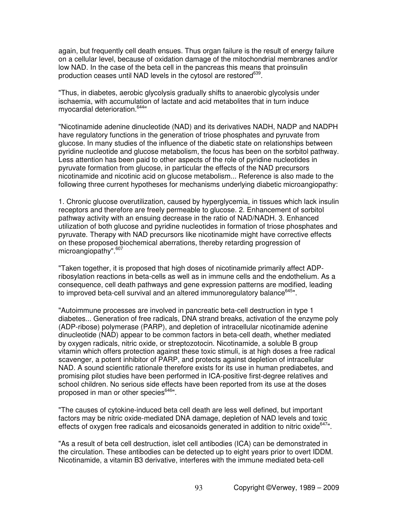again, but frequently cell death ensues. Thus organ failure is the result of energy failure on a cellular level, because of oxidation damage of the mitochondrial membranes and/or low NAD. In the case of the beta cell in the pancreas this means that proinsulin production ceases until NAD levels in the cytosol are restored<sup>639</sup>.

"Thus, in diabetes, aerobic glycolysis gradually shifts to anaerobic glycolysis under ischaemia, with accumulation of lactate and acid metabolites that in turn induce myocardial deterioration.<sup>644</sup>"

"Nicotinamide adenine dinucleotide (NAD) and its derivatives NADH, NADP and NADPH have regulatory functions in the generation of triose phosphates and pyruvate from glucose. In many studies of the influence of the diabetic state on relationships between pyridine nucleotide and glucose metabolism, the focus has been on the sorbitol pathway. Less attention has been paid to other aspects of the role of pyridine nucleotides in pyruvate formation from glucose, in particular the effects of the NAD precursors nicotinamide and nicotinic acid on glucose metabolism... Reference is also made to the following three current hypotheses for mechanisms underlying diabetic microangiopathy:

1. Chronic glucose overutilization, caused by hyperglycemia, in tissues which lack insulin receptors and therefore are freely permeable to glucose. 2. Enhancement of sorbitol pathway activity with an ensuing decrease in the ratio of NAD/NADH. 3. Enhanced utilization of both glucose and pyridine nucleotides in formation of triose phosphates and pyruvate. Therapy with NAD precursors like nicotinamide might have corrective effects on these proposed biochemical aberrations, thereby retarding progression of microangiopathy".<sup>607</sup>

"Taken together, it is proposed that high doses of nicotinamide primarily affect ADPribosylation reactions in beta-cells as well as in immune cells and the endothelium. As a consequence, cell death pathways and gene expression patterns are modified, leading to improved beta-cell survival and an altered immunoregulatory balance $645"$ .

"Autoimmune processes are involved in pancreatic beta-cell destruction in type 1 diabetes... Generation of free radicals, DNA strand breaks, activation of the enzyme poly (ADP-ribose) polymerase (PARP), and depletion of intracellular nicotinamide adenine dinucleotide (NAD) appear to be common factors in beta-cell death, whether mediated by oxygen radicals, nitric oxide, or streptozotocin. Nicotinamide, a soluble B group vitamin which offers protection against these toxic stimuli, is at high doses a free radical scavenger, a potent inhibitor of PARP, and protects against depletion of intracellular NAD. A sound scientific rationale therefore exists for its use in human prediabetes, and promising pilot studies have been performed in ICA-positive first-degree relatives and school children. No serious side effects have been reported from its use at the doses proposed in man or other species<sup>646</sup>".

"The causes of cytokine-induced beta cell death are less well defined, but important factors may be nitric oxide-mediated DNA damage, depletion of NAD levels and toxic effects of oxygen free radicals and eicosanoids generated in addition to nitric oxide<sup>647</sup>".

"As a result of beta cell destruction, islet cell antibodies (ICA) can be demonstrated in the circulation. These antibodies can be detected up to eight years prior to overt IDDM. Nicotinamide, a vitamin B3 derivative, interferes with the immune mediated beta-cell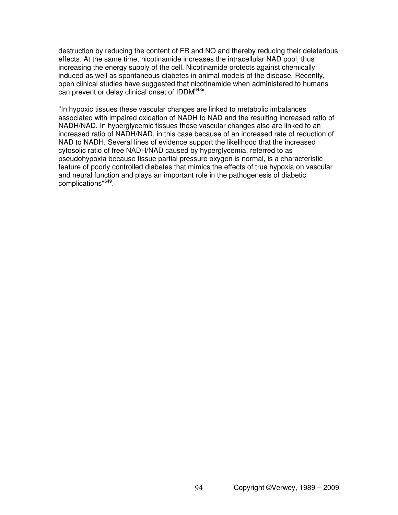destruction by reducing the content of FR and NO and thereby reducing their deleterious effects. At the same time, nicotinamide increases the intracellular NAD pool, thus increasing the energy supply of the cell. Nicotinamide protects against chemically induced as well as spontaneous diabetes in animal models of the disease. Recently, open clinical studies have suggested that nicotinamide when administered to humans can prevent or delay clinical onset of IDDM<sup>648</sup>".

"In hypoxic tissues these vascular changes are linked to metabolic imbalances associated with impaired oxidation of NADH to NAD and the resulting increased ratio of NADH/NAD. In hyperglycemic tissues these vascular changes also are linked to an increased ratio of NADH/NAD, in this case because of an increased rate of reduction of NAD to NADH. Several lines of evidence support the likelihood that the increased cytosolic ratio of free NADH/NAD caused by hyperglycemia, referred to as pseudohypoxia because tissue partial pressure oxygen is normal, is a characteristic feature of poorly controlled diabetes that mimics the effects of true hypoxia on vascular and neural function and plays an important role in the pathogenesis of diabetic complications"<sup>649</sup>.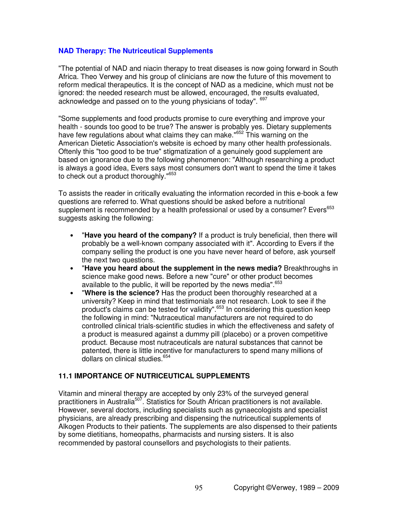## **NAD Therapy: The Nutriceutical Supplements**

"The potential of NAD and niacin therapy to treat diseases is now going forward in South Africa. Theo Verwey and his group of clinicians are now the future of this movement to reform medical therapeutics. It is the concept of NAD as a medicine, which must not be ignored: the needed research must be allowed, encouraged, the results evaluated, acknowledge and passed on to the young physicians of today". <sup>697</sup>

"Some supplements and food products promise to cure everything and improve your health - sounds too good to be true? The answer is probably yes. Dietary supplements have few regulations about what claims they can make."<sup>652</sup> This warning on the American Dietetic Association's website is echoed by many other health professionals. Oftenly this "too good to be true" stigmatization of a genuinely good supplement are based on ignorance due to the following phenomenon: "Although researching a product is always a good idea, Evers says most consumers don't want to spend the time it takes to check out a product thoroughly."<sup>653</sup>

To assists the reader in critically evaluating the information recorded in this e-book a few questions are referred to. What questions should be asked before a nutritional supplement is recommended by a health professional or used by a consumer? Evers<sup>653</sup> suggests asking the following:

- "**Have you heard of the company?** If a product is truly beneficial, then there will probably be a well-known company associated with it". According to Evers if the company selling the product is one you have never heard of before, ask yourself the next two questions.
- "**Have you heard about the supplement in the news media?** Breakthroughs in science make good news. Before a new "cure" or other product becomes available to the public, it will be reported by the news media".  $653$
- "**Where is the science?** Has the product been thoroughly researched at a university? Keep in mind that testimonials are not research. Look to see if the product's claims can be tested for validity".<sup>653</sup> In considering this question keep the following in mind: "Nutraceutical manufacturers are not required to do controlled clinical trials-scientific studies in which the effectiveness and safety of a product is measured against a dummy pill (placebo) or a proven competitive product. Because most nutraceuticals are natural substances that cannot be patented, there is little incentive for manufacturers to spend many millions of dollars on clinical studies.<sup>654</sup>

#### **11.1 IMPORTANCE OF NUTRICEUTICAL SUPPLEMENTS**

Vitamin and mineral therapy are accepted by only 23% of the surveyed general practitioners in Australia<sup>507</sup>. Statistics for South African practitioners is not available. However, several doctors, including specialists such as gynaecologists and specialist physicians, are already prescribing and dispensing the nutriceutical supplements of Alkogen Products to their patients. The supplements are also dispensed to their patients by some dietitians, homeopaths, pharmacists and nursing sisters. It is also recommended by pastoral counsellors and psychologists to their patients.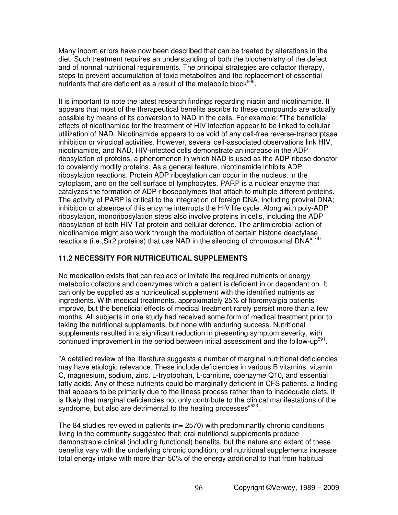Many inborn errors have now been described that can be treated by alterations in the diet. Such treatment requires an understanding of both the biochemistry of the defect and of normal nutritional requirements. The principal strategies are cofactor therapy, steps to prevent accumulation of toxic metabolites and the replacement of essential nutrients that are deficient as a result of the metabolic block<sup>595</sup>.

It is important to note the latest research findings regarding niacin and nicotinamide. It appears that most of the therapeutical benefits ascribe to these compounds are actually possible by means of its conversion to NAD in the cells. For example: "The beneficial effects of nicotinamide for the treatment of HIV infection appear to be linked to cellular utilization of NAD. Nicotinamide appears to be void of any cell-free reverse-transcriptase inhibition or virucidal activities. However, several cell-associated observations link HIV, nicotinamide, and NAD. HIV-infected cells demonstrate an increase in the ADP ribosylation of proteins, a phenomenon in which NAD is used as the ADP-ribose donator to covalently modify proteins. As a general feature, nicotinamide inhibits ADP ribosylation reactions. Protein ADP ribosylation can occur in the nucleus, in the cytoplasm, and on the cell surface of lymphocytes. PARP is a nuclear enzyme that catalyzes the formation of ADP-ribosepolymers that attach to multiple different proteins. The activity of PARP is critical to the integration of foreign DNA, including proviral DNA; inhibition or absence of this enzyme interrupts the HIV life cycle. Along with poly-ADP ribosylation, monoribosylation steps also involve proteins in cells, including the ADP ribosylation of both HIV Tat protein and cellular defence. The antimicrobial action of nicotinamide might also work through the modulation of certain histone deactylase reactions (i.e., Sir2 proteins) that use NAD in the silencing of chromosomal DNA".<sup>767</sup>

## **11.2 NECESSITY FOR NUTRICEUTICAL SUPPLEMENTS**

No medication exists that can replace or imitate the required nutrients or energy metabolic cofactors and coenzymes which a patient is deficient in or dependant on. It can only be supplied as a nutriceutical supplement with the identified nutrients as ingredients. With medical treatments, approximately 25% of fibromyalgia patients improve, but the beneficial effects of medical treatment rarely persist more than a few months. All subjects in one study had received some form of medical treatment prior to taking the nutritional supplements, but none with enduring success. Nutritional supplements resulted in a significant reduction in presenting symptom severity, with continued improvement in the period between initial assessment and the follow-up $591$ .

"A detailed review of the literature suggests a number of marginal nutritional deficiencies may have etiologic relevance. These include deficiencies in various B vitamins, vitamin C, magnesium, sodium, zinc, L-tryptophan, L-carnitine, coenzyme Q10, and essential fatty acids. Any of these nutrients could be marginally deficient in CFS patients, a finding that appears to be primarily due to the illness process rather than to inadequate diets. It is likely that marginal deficiencies not only contribute to the clinical manifestations of the syndrome, but also are detrimental to the healing processes"<sup>523</sup>.

The 84 studies reviewed in patients (n= 2570) with predominantly chronic conditions living in the community suggested that: oral nutritional supplements produce demonstrable clinical (including functional) benefits, but the nature and extent of these benefits vary with the underlying chronic condition; oral nutritional supplements increase total energy intake with more than 50% of the energy additional to that from habitual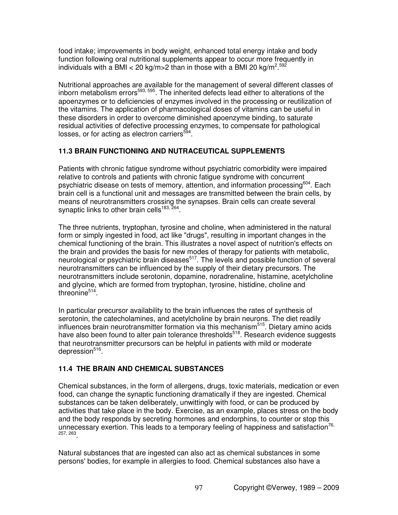food intake; improvements in body weight, enhanced total energy intake and body function following oral nutritional supplements appear to occur more frequently in individuals with a BMI < 20 kg/m>2 than in those with a BMI 20 kg/m<sup>2 592</sup>

Nutritional approaches are available for the management of several different classes of inborn metabolism errors<sup>593, 595</sup>. The inherited defects lead either to alterations of the apoenzymes or to deficiencies of enzymes involved in the processing or reutilization of the vitamins. The application of pharmacological doses of vitamins can be useful in these disorders in order to overcome diminished apoenzyme binding, to saturate residual activities of defective processing enzymes, to compensate for pathological losses, or for acting as electron carriers<sup>594</sup>.

## **11.3 BRAIN FUNCTIONING AND NUTRACEUTICAL SUPPLEMENTS**

Patients with chronic fatigue syndrome without psychiatric comorbidity were impaired relative to controls and patients with chronic fatigue syndrome with concurrent psychiatric disease on tests of memory, attention, and information processing<sup>604</sup>. Each brain cell is a functional unit and messages are transmitted between the brain cells, by means of neurotransmitters crossing the synapses. Brain cells can create several synaptic links to other brain cells<sup>183, 264</sup>.

The three nutrients, tryptophan, tyrosine and choline, when administered in the natural form or simply ingested in food, act like "drugs", resulting in important changes in the chemical functioning of the brain. This illustrates a novel aspect of nutrition's effects on the brain and provides the basis for new modes of therapy for patients with metabolic, neurological or psychiatric brain diseases<sup>517</sup>. The levels and possible function of several neurotransmitters can be influenced by the supply of their dietary precursors. The neurotransmitters include serotonin, dopamine, noradrenaline, histamine, acetylcholine and glycine, which are formed from tryptophan, tyrosine, histidine, choline and threonine<sup>514</sup>.

In particular precursor availability to the brain influences the rates of synthesis of serotonin, the catecholamines, and acetylcholine by brain neurons. The diet readily influences brain neurotransmitter formation via this mechanism<sup>515</sup>. Dietary amino acids have also been found to alter pain tolerance thresholds<sup>518</sup>. Research evidence suggests that neurotransmitter precursors can be helpful in patients with mild or moderate depression<sup>516</sup>.

# **11.4 THE BRAIN AND CHEMICAL SUBSTANCES**

Chemical substances, in the form of allergens, drugs, toxic materials, medication or even food, can change the synaptic functioning dramatically if they are ingested. Chemical substances can be taken deliberately, unwittingly with food, or can be produced by activities that take place in the body. Exercise, as an example, places stress on the body and the body responds by secreting hormones and endorphins, to counter or stop this unnecessary exertion. This leads to a temporary feeling of happiness and satisfaction<sup>76,</sup> 257, 263 .

Natural substances that are ingested can also act as chemical substances in some persons' bodies, for example in allergies to food. Chemical substances also have a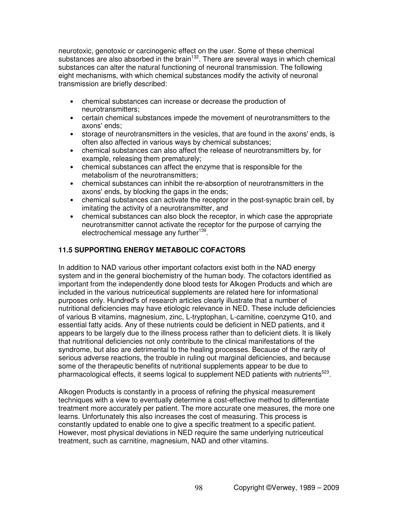neurotoxic, genotoxic or carcinogenic effect on the user. Some of these chemical substances are also absorbed in the brain<sup>132</sup>. There are several ways in which chemical substances can alter the natural functioning of neuronal transmission. The following eight mechanisms, with which chemical substances modify the activity of neuronal transmission are briefly described:

- chemical substances can increase or decrease the production of neurotransmitters;
- certain chemical substances impede the movement of neurotransmitters to the axons' ends;
- storage of neurotransmitters in the vesicles, that are found in the axons' ends, is often also affected in various ways by chemical substances;
- chemical substances can also affect the release of neurotransmitters by, for example, releasing them prematurely;
- chemical substances can affect the enzyme that is responsible for the metabolism of the neurotransmitters;
- chemical substances can inhibit the re-absorption of neurotransmitters in the axons' ends, by blocking the gaps in the ends;
- chemical substances can activate the receptor in the post-synaptic brain cell, by imitating the activity of a neurotransmitter, and
- chemical substances can also block the receptor, in which case the appropriate neurotransmitter cannot activate the receptor for the purpose of carrying the electrochemical message any further<sup>139</sup>.

## **11.5 SUPPORTING ENERGY METABOLIC COFACTORS**

In addition to NAD various other important cofactors exist both in the NAD energy system and in the general biochemistry of the human body. The cofactors identified as important from the independently done blood tests for Alkogen Products and which are included in the various nutriceutical supplements are related here for informational purposes only. Hundred's of research articles clearly illustrate that a number of nutritional deficiencies may have etiologic relevance in NED. These include deficiencies of various B vitamins, magnesium, zinc, L-tryptophan, L-carnitine, coenzyme Q10, and essential fatty acids. Any of these nutrients could be deficient in NED patients, and it appears to be largely due to the illness process rather than to deficient diets. It is likely that nutritional deficiencies not only contribute to the clinical manifestations of the syndrome, but also are detrimental to the healing processes. Because of the rarity of serious adverse reactions, the trouble in ruling out marginal deficiencies, and because some of the therapeutic benefits of nutritional supplements appear to be due to pharmacological effects, it seems logical to supplement NED patients with nutrients<sup>523</sup>.

Alkogen Products is constantly in a process of refining the physical measurement techniques with a view to eventually determine a cost-effective method to differentiate treatment more accurately per patient. The more accurate one measures, the more one learns. Unfortunately this also increases the cost of measuring. This process is constantly updated to enable one to give a specific treatment to a specific patient. However, most physical deviations in NED require the same underlying nutriceutical treatment, such as carnitine, magnesium, NAD and other vitamins.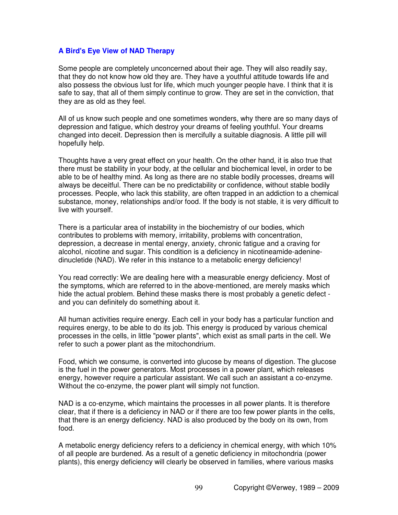## **A Bird's Eye View of NAD Therapy**

Some people are completely unconcerned about their age. They will also readily say, that they do not know how old they are. They have a youthful attitude towards life and also possess the obvious lust for life, which much younger people have. I think that it is safe to say, that all of them simply continue to grow. They are set in the conviction, that they are as old as they feel.

All of us know such people and one sometimes wonders, why there are so many days of depression and fatigue, which destroy your dreams of feeling youthful. Your dreams changed into deceit. Depression then is mercifully a suitable diagnosis. A little pill will hopefully help.

Thoughts have a very great effect on your health. On the other hand, it is also true that there must be stability in your body, at the cellular and biochemical level, in order to be able to be of healthy mind. As long as there are no stable bodily processes, dreams will always be deceitful. There can be no predictability or confidence, without stable bodily processes. People, who lack this stability, are often trapped in an addiction to a chemical substance, money, relationships and/or food. If the body is not stable, it is very difficult to live with yourself.

There is a particular area of instability in the biochemistry of our bodies, which contributes to problems with memory, irritability, problems with concentration, depression, a decrease in mental energy, anxiety, chronic fatigue and a craving for alcohol, nicotine and sugar. This condition is a deficiency in nicotineamide-adeninedinucletide (NAD). We refer in this instance to a metabolic energy deficiency!

You read correctly: We are dealing here with a measurable energy deficiency. Most of the symptoms, which are referred to in the above-mentioned, are merely masks which hide the actual problem. Behind these masks there is most probably a genetic defect and you can definitely do something about it.

All human activities require energy. Each cell in your body has a particular function and requires energy, to be able to do its job. This energy is produced by various chemical processes in the cells, in little "power plants", which exist as small parts in the cell. We refer to such a power plant as the mitochondrium.

Food, which we consume, is converted into glucose by means of digestion. The glucose is the fuel in the power generators. Most processes in a power plant, which releases energy, however require a particular assistant. We call such an assistant a co-enzyme. Without the co-enzyme, the power plant will simply not function.

NAD is a co-enzyme, which maintains the processes in all power plants. It is therefore clear, that if there is a deficiency in NAD or if there are too few power plants in the cells, that there is an energy deficiency. NAD is also produced by the body on its own, from food.

A metabolic energy deficiency refers to a deficiency in chemical energy, with which 10% of all people are burdened. As a result of a genetic deficiency in mitochondria (power plants), this energy deficiency will clearly be observed in families, where various masks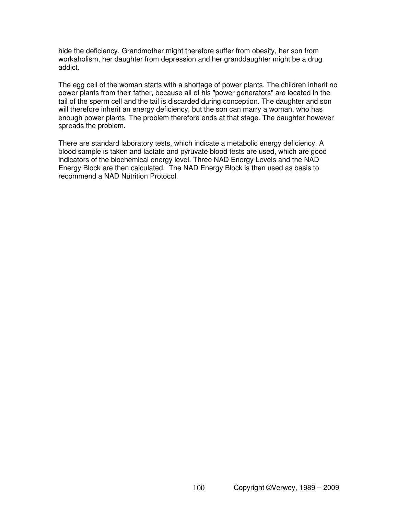hide the deficiency. Grandmother might therefore suffer from obesity, her son from workaholism, her daughter from depression and her granddaughter might be a drug addict.

The egg cell of the woman starts with a shortage of power plants. The children inherit no power plants from their father, because all of his "power generators" are located in the tail of the sperm cell and the tail is discarded during conception. The daughter and son will therefore inherit an energy deficiency, but the son can marry a woman, who has enough power plants. The problem therefore ends at that stage. The daughter however spreads the problem.

There are standard laboratory tests, which indicate a metabolic energy deficiency. A blood sample is taken and lactate and pyruvate blood tests are used, which are good indicators of the biochemical energy level. Three NAD Energy Levels and the NAD Energy Block are then calculated. The NAD Energy Block is then used as basis to recommend a NAD Nutrition Protocol.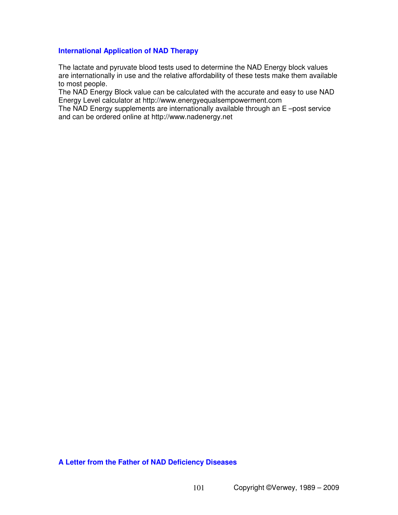#### **International Application of NAD Therapy**

The lactate and pyruvate blood tests used to determine the NAD Energy block values are internationally in use and the relative affordability of these tests make them available to most people.

The NAD Energy Block value can be calculated with the accurate and easy to use NAD Energy Level calculator at http://www.energyequalsempowerment.com

The NAD Energy supplements are internationally available through an E –post service and can be ordered online at http://www.nadenergy.net

#### **A Letter from the Father of NAD Deficiency Diseases**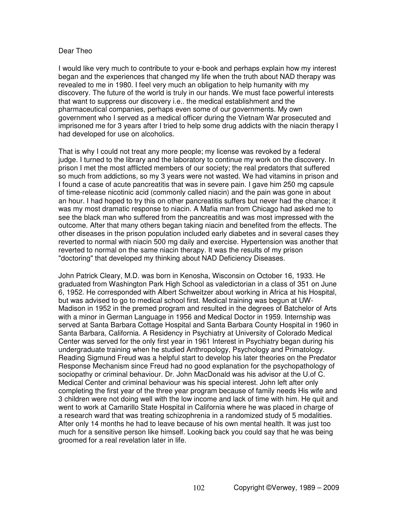#### Dear Theo

I would like very much to contribute to your e-book and perhaps explain how my interest began and the experiences that changed my life when the truth about NAD therapy was revealed to me in 1980. I feel very much an obligation to help humanity with my discovery. The future of the world is truly in our hands. We must face powerful interests that want to suppress our discovery i.e.. the medical establishment and the pharmaceutical companies, perhaps even some of our governments. My own government who I served as a medical officer during the Vietnam War prosecuted and imprisoned me for 3 years after I tried to help some drug addicts with the niacin therapy I had developed for use on alcoholics.

That is why I could not treat any more people; my license was revoked by a federal judge. I turned to the library and the laboratory to continue my work on the discovery. In prison I met the most afflicted members of our society; the real predators that suffered so much from addictions, so my 3 years were not wasted. We had vitamins in prison and I found a case of acute pancreatitis that was in severe pain. I gave him 250 mg capsule of time-release nicotinic acid (commonly called niacin) and the pain was gone in about an hour. I had hoped to try this on other pancreatitis suffers but never had the chance; it was my most dramatic response to niacin. A Mafia man from Chicago had asked me to see the black man who suffered from the pancreatitis and was most impressed with the outcome. After that many others began taking niacin and benefited from the effects. The other diseases in the prison population included early diabetes and in several cases they reverted to normal with niacin 500 mg daily and exercise. Hypertension was another that reverted to normal on the same niacin therapy. It was the results of my prison "doctoring" that developed my thinking about NAD Deficiency Diseases.

John Patrick Cleary, M.D. was born in Kenosha, Wisconsin on October 16, 1933. He graduated from Washington Park High School as valedictorian in a class of 351 on June 6, 1952. He corresponded with Albert Schweitzer about working in Africa at his Hospital, but was advised to go to medical school first. Medical training was begun at UW-Madison in 1952 in the premed program and resulted in the degrees of Batchelor of Arts with a minor in German Language in 1956 and Medical Doctor in 1959. Internship was served at Santa Barbara Cottage Hospital and Santa Barbara County Hospital in 1960 in Santa Barbara, California. A Residency in Psychiatry at University of Colorado Medical Center was served for the only first year in 1961 Interest in Psychiatry began during his undergraduate training when he studied Anthropology, Psychology and Primatology. Reading Sigmund Freud was a helpful start to develop his later theories on the Predator Response Mechanism since Freud had no good explanation for the psychopathology of sociopathy or criminal behaviour. Dr. John MacDonald was his advisor at the U.of C. Medical Center and criminal behaviour was his special interest. John left after only completing the first year of the three year program because of family needs His wife and 3 children were not doing well with the low income and lack of time with him. He quit and went to work at Camarillo State Hospital in California where he was placed in charge of a research ward that was treating schizophrenia in a randomized study of 5 modalities. After only 14 months he had to leave because of his own mental health. It was just too much for a sensitive person like himself. Looking back you could say that he was being groomed for a real revelation later in life.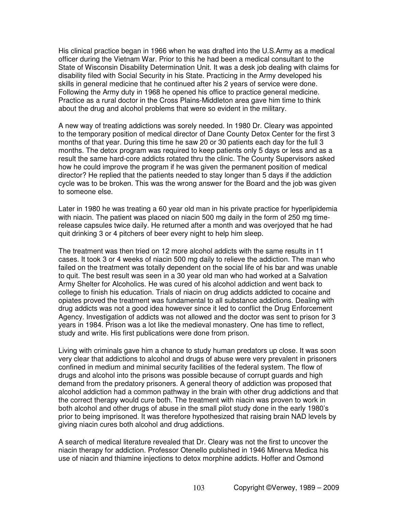His clinical practice began in 1966 when he was drafted into the U.S.Army as a medical officer during the Vietnam War. Prior to this he had been a medical consultant to the State of Wisconsin Disability Determination Unit. It was a desk job dealing with claims for disability filed with Social Security in his State. Practicing in the Army developed his skills in general medicine that he continued after his 2 years of service were done. Following the Army duty in 1968 he opened his office to practice general medicine. Practice as a rural doctor in the Cross Plains-Middleton area gave him time to think about the drug and alcohol problems that were so evident in the military.

A new way of treating addictions was sorely needed. In 1980 Dr. Cleary was appointed to the temporary position of medical director of Dane County Detox Center for the first 3 months of that year. During this time he saw 20 or 30 patients each day for the full 3 months. The detox program was required to keep patients only 5 days or less and as a result the same hard-core addicts rotated thru the clinic. The County Supervisors asked how he could improve the program if he was given the permanent position of medical director? He replied that the patients needed to stay longer than 5 days if the addiction cycle was to be broken. This was the wrong answer for the Board and the job was given to someone else.

Later in 1980 he was treating a 60 year old man in his private practice for hyperlipidemia with niacin. The patient was placed on niacin 500 mg daily in the form of 250 mg timerelease capsules twice daily. He returned after a month and was overjoyed that he had quit drinking 3 or 4 pitchers of beer every night to help him sleep.

The treatment was then tried on 12 more alcohol addicts with the same results in 11 cases. It took 3 or 4 weeks of niacin 500 mg daily to relieve the addiction. The man who failed on the treatment was totally dependent on the social life of his bar and was unable to quit. The best result was seen in a 30 year old man who had worked at a Salvation Army Shelter for Alcoholics. He was cured of his alcohol addiction and went back to college to finish his education. Trials of niacin on drug addicts addicted to cocaine and opiates proved the treatment was fundamental to all substance addictions. Dealing with drug addicts was not a good idea however since it led to conflict the Drug Enforcement Agency. Investigation of addicts was not allowed and the doctor was sent to prison for 3 years in 1984. Prison was a lot like the medieval monastery. One has time to reflect, study and write. His first publications were done from prison.

Living with criminals gave him a chance to study human predators up close. It was soon very clear that addictions to alcohol and drugs of abuse were very prevalent in prisoners confined in medium and minimal security facilities of the federal system. The flow of drugs and alcohol into the prisons was possible because of corrupt guards and high demand from the predatory prisoners. A general theory of addiction was proposed that alcohol addiction had a common pathway in the brain with other drug addictions and that the correct therapy would cure both. The treatment with niacin was proven to work in both alcohol and other drugs of abuse in the small pilot study done in the early 1980's prior to being imprisoned. It was therefore hypothesized that raising brain NAD levels by giving niacin cures both alcohol and drug addictions.

A search of medical literature revealed that Dr. Cleary was not the first to uncover the niacin therapy for addiction. Professor Otenello published in 1946 Minerva Medica his use of niacin and thiamine injections to detox morphine addicts. Hoffer and Osmond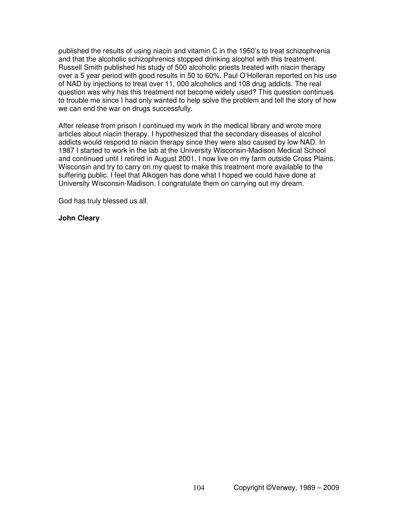published the results of using niacin and vitamin C in the 1950's to treat schizophrenia and that the alcoholic schizophrenics stopped drinking alcohol with this treatment. Russell Smith published his study of 500 alcoholic priests treated with niacin therapy over a 5 year period with good results in 50 to 60%. Paul O'Holleran reported on his use of NAD by injections to treat over 11, 000 alcoholics and 108 drug addicts. The real question was why has this treatment not become widely used? This question continues to trouble me since I had only wanted to help solve the problem and tell the story of how we can end the war on drugs successfully.

After release from prison I continued my work in the medical library and wrote more articles about niacin therapy. I hypothesized that the secondary diseases of alcohol addicts would respond to niacin therapy since they were also caused by low NAD. In 1987 I started to work in the lab at the University Wisconsin-Madison Medical School and continued until I retired in August 2001. I now live on my farm outside Cross Plains, Wisconsin and try to carry on my quest to make this treatment more available to the suffering public. I feel that Alkogen has done what I hoped we could have done at University Wisconsin-Madison. I congratulate them on carrying out my dream.

God has truly blessed us all.

#### **John Cleary**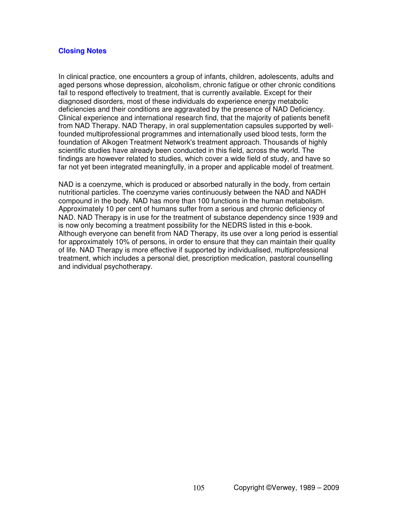#### **Closing Notes**

In clinical practice, one encounters a group of infants, children, adolescents, adults and aged persons whose depression, alcoholism, chronic fatigue or other chronic conditions fail to respond effectively to treatment, that is currently available. Except for their diagnosed disorders, most of these individuals do experience energy metabolic deficiencies and their conditions are aggravated by the presence of NAD Deficiency. Clinical experience and international research find, that the majority of patients benefit from NAD Therapy. NAD Therapy, in oral supplementation capsules supported by wellfounded multiprofessional programmes and internationally used blood tests, form the foundation of Alkogen Treatment Network's treatment approach. Thousands of highly scientific studies have already been conducted in this field, across the world. The findings are however related to studies, which cover a wide field of study, and have so far not yet been integrated meaningfully, in a proper and applicable model of treatment.

NAD is a coenzyme, which is produced or absorbed naturally in the body, from certain nutritional particles. The coenzyme varies continuously between the NAD and NADH compound in the body. NAD has more than 100 functions in the human metabolism. Approximately 10 per cent of humans suffer from a serious and chronic deficiency of NAD. NAD Therapy is in use for the treatment of substance dependency since 1939 and is now only becoming a treatment possibility for the NEDRS listed in this e-book. Although everyone can benefit from NAD Therapy, its use over a long period is essential for approximately 10% of persons, in order to ensure that they can maintain their quality of life. NAD Therapy is more effective if supported by individualised, multiprofessional treatment, which includes a personal diet, prescription medication, pastoral counselling and individual psychotherapy.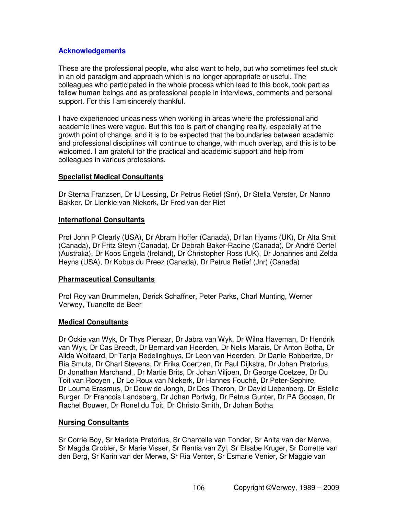## **Acknowledgements**

These are the professional people, who also want to help, but who sometimes feel stuck in an old paradigm and approach which is no longer appropriate or useful. The colleagues who participated in the whole process which lead to this book, took part as fellow human beings and as professional people in interviews, comments and personal support. For this I am sincerely thankful.

I have experienced uneasiness when working in areas where the professional and academic lines were vague. But this too is part of changing reality, especially at the growth point of change, and it is to be expected that the boundaries between academic and professional disciplines will continue to change, with much overlap, and this is to be welcomed. I am grateful for the practical and academic support and help from colleagues in various professions.

#### **Specialist Medical Consultants**

Dr Sterna Franzsen, Dr IJ Lessing, Dr Petrus Retief (Snr), Dr Stella Verster, Dr Nanno Bakker, Dr Lienkie van Niekerk, Dr Fred van der Riet

#### **International Consultants**

Prof John P Clearly (USA), Dr Abram Hoffer (Canada), Dr Ian Hyams (UK), Dr Alta Smit (Canada), Dr Fritz Steyn (Canada), Dr Debrah Baker-Racine (Canada), Dr André Oertel (Australia), Dr Koos Engela (Ireland), Dr Christopher Ross (UK), Dr Johannes and Zelda Heyns (USA), Dr Kobus du Preez (Canada), Dr Petrus Retief (Jnr) (Canada)

#### **Pharmaceutical Consultants**

Prof Roy van Brummelen, Derick Schaffner, Peter Parks, Charl Munting, Werner Verwey, Tuanette de Beer

#### **Medical Consultants**

Dr Ockie van Wyk, Dr Thys Pienaar, Dr Jabra van Wyk, Dr Wilna Haveman, Dr Hendrik van Wyk, Dr Cas Breedt, Dr Bernard van Heerden, Dr Nelis Marais, Dr Anton Botha, Dr Alida Wolfaard, Dr Tanja Redelinghuys, Dr Leon van Heerden, Dr Danie Robbertze, Dr Ria Smuts, Dr Charl Stevens, Dr Erika Coertzen, Dr Paul Dijkstra, Dr Johan Pretorius, Dr Jonathan Marchand , Dr Martie Brits, Dr Johan Viljoen, Dr George Coetzee, Dr Du Toit van Rooyen , Dr Le Roux van Niekerk, Dr Hannes Fouché, Dr Peter-Sephire, Dr Louma Erasmus, Dr Douw de Jongh, Dr Des Theron, Dr David Liebenberg, Dr Estelle Burger, Dr Francois Landsberg, Dr Johan Portwig, Dr Petrus Gunter, Dr PA Goosen, Dr Rachel Bouwer, Dr Ronel du Toit, Dr Christo Smith, Dr Johan Botha

#### **Nursing Consultants**

Sr Corrie Boy, Sr Marieta Pretorius, Sr Chantelle van Tonder, Sr Anita van der Merwe, Sr Magda Grobler, Sr Marie Visser, Sr Rentia van Zyl, Sr Elsabe Kruger, Sr Dorrette van den Berg, Sr Karin van der Merwe, Sr Ria Venter, Sr Esmarie Venier, Sr Maggie van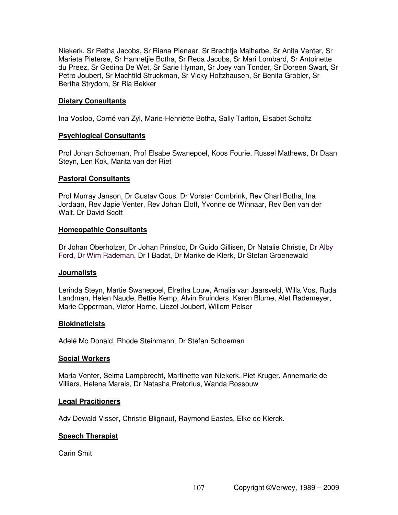Niekerk, Sr Retha Jacobs, Sr Riana Pienaar, Sr Brechtje Malherbe, Sr Anita Venter, Sr Marieta Pieterse, Sr Hannetjie Botha, Sr Reda Jacobs, Sr Mari Lombard, Sr Antoinette du Preez, Sr Gedina De Wet, Sr Sarie Hyman, Sr Joey van Tonder, Sr Doreen Swart, Sr Petro Joubert, Sr Machtild Struckman, Sr Vicky Holtzhausen, Sr Benita Grobler, Sr Bertha Strydom, Sr Ria Bekker

#### **Dietary Consultants**

Ina Vosloo, Corné van Zyl, Marie-Henriëtte Botha, Sally Tarlton, Elsabet Scholtz

## **Psychlogical Consultants**

Prof Johan Schoeman, Prof Elsabe Swanepoel, Koos Fourie, Russel Mathews, Dr Daan Steyn, Len Kok, Marita van der Riet

#### **Pastoral Consultants**

Prof Murray Janson, Dr Gustav Gous, Dr Vorster Combrink, Rev Charl Botha, Ina Jordaan, Rev Japie Venter, Rev Johan Eloff, Yvonne de Winnaar, Rev Ben van der Walt, Dr David Scott

#### **Homeopathic Consultants**

Dr Johan Oberholzer, Dr Johan Prinsloo, Dr Guido Gillisen, Dr Natalie Christie, Dr Alby Ford, Dr Wim Rademan, Dr I Badat, Dr Marike de Klerk, Dr Stefan Groenewald

#### **Journalists**

Lerinda Steyn, Martie Swanepoel, Elretha Louw, Amalia van Jaarsveld, Willa Vos, Ruda Landman, Helen Naude, Bettie Kemp, Alvin Bruinders, Karen Blume, Alet Rademeyer, Marie Opperman, Victor Horne, Liezel Joubert, Willem Pelser

#### **Biokineticists**

Adelé Mc Donald, Rhode Steinmann, Dr Stefan Schoeman

#### **Social Workers**

Maria Venter, Selma Lampbrecht, Martinette van Niekerk, Piet Kruger, Annemarie de Villiers, Helena Marais, Dr Natasha Pretorius, Wanda Rossouw

#### **Legal Pracitioners**

Adv Dewald Visser, Christie Blignaut, Raymond Eastes, Elke de Klerck.

#### **Speech Therapist**

Carin Smit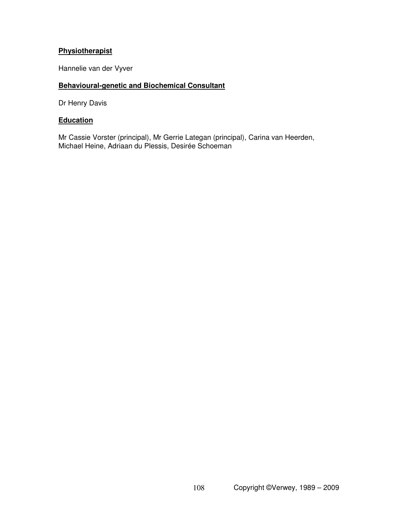## **Physiotherapist**

Hannelie van der Vyver

## **Behavioural-genetic and Biochemical Consultant**

Dr Henry Davis

## **Education**

Mr Cassie Vorster (principal), Mr Gerrie Lategan (principal), Carina van Heerden, Michael Heine, Adriaan du Plessis, Desirée Schoeman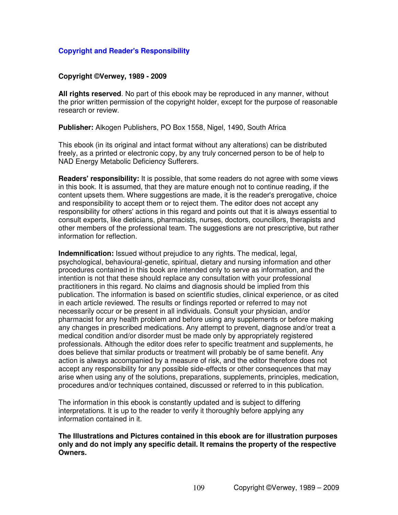## **Copyright ©Verwey, 1989 - 2009**

**All rights reserved**. No part of this ebook may be reproduced in any manner, without the prior written permission of the copyright holder, except for the purpose of reasonable research or review.

**Publisher:** Alkogen Publishers, PO Box 1558, Nigel, 1490, South Africa

This ebook (in its original and intact format without any alterations) can be distributed freely, as a printed or electronic copy, by any truly concerned person to be of help to NAD Energy Metabolic Deficiency Sufferers.

**Readers' responsibility:** It is possible, that some readers do not agree with some views in this book. It is assumed, that they are mature enough not to continue reading, if the content upsets them. Where suggestions are made, it is the reader's prerogative, choice and responsibility to accept them or to reject them. The editor does not accept any responsibility for others' actions in this regard and points out that it is always essential to consult experts, like dieticians, pharmacists, nurses, doctors, councillors, therapists and other members of the professional team. The suggestions are not prescriptive, but rather information for reflection.

**Indemnification:** Issued without prejudice to any rights. The medical, legal, psychological, behavioural-genetic, spiritual, dietary and nursing information and other procedures contained in this book are intended only to serve as information, and the intention is not that these should replace any consultation with your professional practitioners in this regard. No claims and diagnosis should be implied from this publication. The information is based on scientific studies, clinical experience, or as cited in each article reviewed. The results or findings reported or referred to may not necessarily occur or be present in all individuals. Consult your physician, and/or pharmacist for any health problem and before using any supplements or before making any changes in prescribed medications. Any attempt to prevent, diagnose and/or treat a medical condition and/or disorder must be made only by appropriately registered professionals. Although the editor does refer to specific treatment and supplements, he does believe that similar products or treatment will probably be of same benefit. Any action is always accompanied by a measure of risk, and the editor therefore does not accept any responsibility for any possible side-effects or other consequences that may arise when using any of the solutions, preparations, supplements, principles, medication, procedures and/or techniques contained, discussed or referred to in this publication.

The information in this ebook is constantly updated and is subject to differing interpretations. It is up to the reader to verify it thoroughly before applying any information contained in it.

**The Illustrations and Pictures contained in this ebook are for illustration purposes only and do not imply any specific detail. It remains the property of the respective Owners.**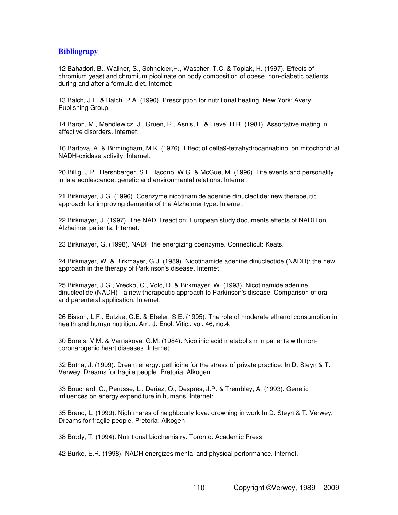## **Bibliograpy**

12 Bahadori, B., Wallner, S., Schneider,H., Wascher, T.C. & Toplak, H. (1997). Effects of chromium yeast and chromium picolinate on body composition of obese, non-diabetic patients during and after a formula diet. Internet:

13 Balch, J.F. & Balch. P.A. (1990). Prescription for nutritional healing. New York: Avery Publishing Group.

14 Baron, M., Mendlewicz, J., Gruen, R., Asnis, L. & Fieve, R.R. (1981). Assortative mating in affective disorders. Internet:

16 Bartova, A. & Birmingham, M.K. (1976). Effect of delta9-tetrahydrocannabinol on mitochondrial NADH-oxidase activity. Internet:

20 Billig, J.P., Hershberger, S.L., Iacono, W.G. & McGue, M. (1996). Life events and personality in late adolescence: genetic and environmental relations. Internet:

21 Birkmayer, J.G. (1996). Coenzyme nicotinamide adenine dinucleotide: new therapeutic approach for improving dementia of the Alzheimer type. Internet:

22 Birkmayer, J. (1997). The NADH reaction: European study documents effects of NADH on Alzheimer patients. Internet.

23 Birkmayer, G. (1998). NADH the energizing coenzyme. Connecticut: Keats.

24 Birkmayer, W. & Birkmayer, G.J. (1989). Nicotinamide adenine dinucleotide (NADH): the new approach in the therapy of Parkinson's disease. Internet:

25 Birkmayer, J.G., Vrecko, C., Volc, D. & Birkmayer, W. (1993). Nicotinamide adenine dinucleotide (NADH) - a new therapeutic approach to Parkinson's disease. Comparison of oral and parenteral application. Internet:

26 Bisson, L.F., Butzke, C.E. & Ebeler, S.E. (1995). The role of moderate ethanol consumption in health and human nutrition. Am. J. Enol. Vitic., vol. 46, no.4.

30 Borets, V.M. & Varnakova, G.M. (1984). Nicotinic acid metabolism in patients with noncoronarogenic heart diseases. Internet:

32 Botha, J. (1999). Dream energy: pethidine for the stress of private practice. In D. Steyn & T. Verwey, Dreams for fragile people. Pretoria: Alkogen

33 Bouchard, C., Perusse, L., Deriaz, O., Despres, J.P. & Tremblay, A. (1993). Genetic influences on energy expenditure in humans. Internet:

35 Brand, L. (1999). Nightmares of neighbourly love: drowning in work In D. Steyn & T. Verwey, Dreams for fragile people. Pretoria: Alkogen

38 Brody, T. (1994). Nutritional biochemistry. Toronto: Academic Press

42 Burke, E.R. (1998). NADH energizes mental and physical performance. Internet.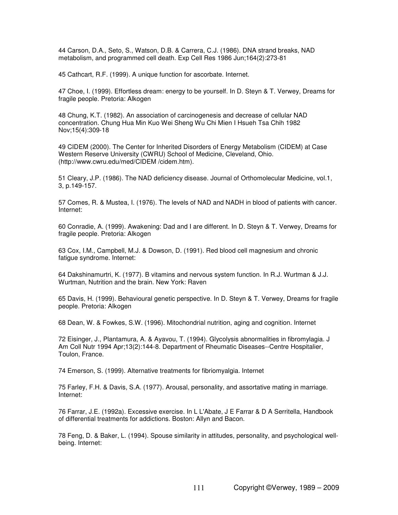44 Carson, D.A., Seto, S., Watson, D.B. & Carrera, C.J. (1986). DNA strand breaks, NAD metabolism, and programmed cell death. Exp Cell Res 1986 Jun;164(2):273-81

45 Cathcart, R.F. (1999). A unique function for ascorbate. Internet.

47 Choe, I. (1999). Effortless dream: energy to be yourself. In D. Steyn & T. Verwey, Dreams for fragile people. Pretoria: Alkogen

48 Chung, K.T. (1982). An association of carcinogenesis and decrease of cellular NAD concentration. Chung Hua Min Kuo Wei Sheng Wu Chi Mien I Hsueh Tsa Chih 1982 Nov;15(4):309-18

49 CIDEM (2000). The Center for Inherited Disorders of Energy Metabolism (CIDEM) at Case Western Reserve University (CWRU) School of Medicine, Cleveland, Ohio. (http://www.cwru.edu/med/CIDEM /cidem.htm).

51 Cleary, J.P. (1986). The NAD deficiency disease. Journal of Orthomolecular Medicine, vol.1, 3, p.149-157.

57 Comes, R. & Mustea, I. (1976). The levels of NAD and NADH in blood of patients with cancer. Internet:

60 Conradie, A. (1999). Awakening: Dad and I are different. In D. Steyn & T. Verwey, Dreams for fragile people. Pretoria: Alkogen

63 Cox, I.M., Campbell, M.J. & Dowson, D. (1991). Red blood cell magnesium and chronic fatigue syndrome. Internet:

64 Dakshinamurtri, K. (1977). B vitamins and nervous system function. In R.J. Wurtman & J.J. Wurtman, Nutrition and the brain. New York: Raven

65 Davis, H. (1999). Behavioural genetic perspective. In D. Steyn & T. Verwey, Dreams for fragile people. Pretoria: Alkogen

68 Dean, W. & Fowkes, S.W. (1996). Mitochondrial nutrition, aging and cognition. Internet

72 Eisinger, J., Plantamura, A. & Ayavou, T. (1994). Glycolysis abnormalities in fibromylagia. J Am Coll Nutr 1994 Apr;13(2):144-8. Department of Rheumatic Diseases--Centre Hospitalier, Toulon, France.

74 Emerson, S. (1999). Alternative treatments for fibriomyalgia. Internet

75 Farley, F.H. & Davis, S.A. (1977). Arousal, personality, and assortative mating in marriage. Internet:

76 Farrar, J.E. (1992a). Excessive exercise. In L L'Abate, J E Farrar & D A Serritella, Handbook of differential treatments for addictions. Boston: Allyn and Bacon.

78 Feng, D. & Baker, L. (1994). Spouse similarity in attitudes, personality, and psychological wellbeing. Internet: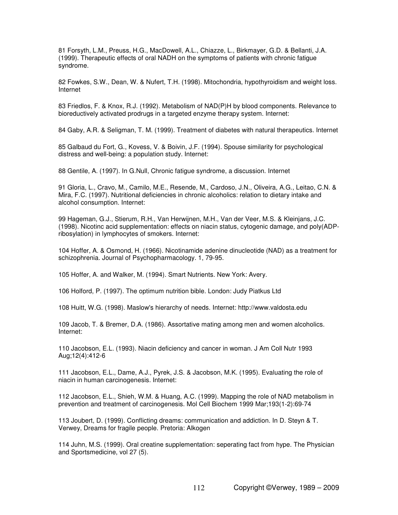81 Forsyth, L.M., Preuss, H.G., MacDowell, A.L., Chiazze, L., Birkmayer, G.D. & Bellanti, J.A. (1999). Therapeutic effects of oral NADH on the symptoms of patients with chronic fatigue syndrome.

82 Fowkes, S.W., Dean, W. & Nufert, T.H. (1998). Mitochondria, hypothyroidism and weight loss. Internet

83 Friedlos, F. & Knox, R.J. (1992). Metabolism of NAD(P)H by blood components. Relevance to bioreductively activated prodrugs in a targeted enzyme therapy system. Internet:

84 Gaby, A.R. & Seligman, T. M. (1999). Treatment of diabetes with natural therapeutics. Internet

85 Galbaud du Fort, G., Kovess, V. & Boivin, J.F. (1994). Spouse similarity for psychological distress and well-being: a population study. Internet:

88 Gentile, A. (1997). In G.Null, Chronic fatigue syndrome, a discussion. Internet

91 Gloria, L., Cravo, M., Camilo, M.E., Resende, M., Cardoso, J.N., Oliveira, A.G., Leitao, C.N. & Mira, F.C. (1997). Nutritional deficiencies in chronic alcoholics: relation to dietary intake and alcohol consumption. Internet:

99 Hageman, G.J., Stierum, R.H., Van Herwijnen, M.H., Van der Veer, M.S. & Kleinjans, J.C. (1998). Nicotinc acid supplementation: effects on niacin status, cytogenic damage, and poly(ADPribosylation) in lymphocytes of smokers. Internet:

104 Hoffer, A. & Osmond, H. (1966). Nicotinamide adenine dinucleotide (NAD) as a treatment for schizophrenia. Journal of Psychopharmacology. 1, 79-95.

105 Hoffer, A. and Walker, M. (1994). Smart Nutrients. New York: Avery.

106 Holford, P. (1997). The optimum nutrition bible. London: Judy Piatkus Ltd

108 Huitt, W.G. (1998). Maslow's hierarchy of needs. Internet: http://www.valdosta.edu

109 Jacob, T. & Bremer, D.A. (1986). Assortative mating among men and women alcoholics. Internet:

110 Jacobson, E.L. (1993). Niacin deficiency and cancer in woman. J Am Coll Nutr 1993 Aug;12(4):412-6

111 Jacobson, E.L., Dame, A.J., Pyrek, J.S. & Jacobson, M.K. (1995). Evaluating the role of niacin in human carcinogenesis. Internet:

112 Jacobson, E.L., Shieh, W.M. & Huang, A.C. (1999). Mapping the role of NAD metabolism in prevention and treatment of carcinogenesis. Mol Cell Biochem 1999 Mar;193(1-2):69-74

113 Joubert, D. (1999). Conflicting dreams: communication and addiction. In D. Steyn & T. Verwey, Dreams for fragile people. Pretoria: Alkogen

114 Juhn, M.S. (1999). Oral creatine supplementation: seperating fact from hype. The Physician and Sportsmedicine, vol 27 (5).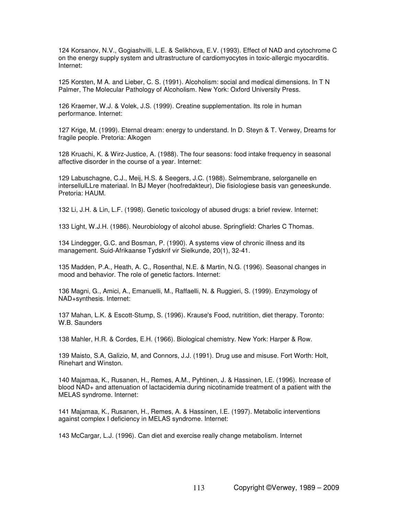124 Korsanov, N.V., Gogiashvilli, L.E. & Selikhova, E.V. (1993). Effect of NAD and cytochrome C on the energy supply system and ultrastructure of cardiomyocytes in toxic-allergic myocarditis. Internet:

125 Korsten, M A. and Lieber, C. S. (1991). Alcoholism: social and medical dimensions. In T N Palmer, The Molecular Pathology of Alcoholism. New York: Oxford University Press.

126 Kraemer, W.J. & Volek, J.S. (1999). Creatine supplementation. Its role in human performance. Internet:

127 Krige, M. (1999). Eternal dream: energy to understand. In D. Steyn & T. Verwey, Dreams for fragile people. Pretoria: Alkogen

128 Kruachi, K. & Wirz-Justice, A. (1988). The four seasons: food intake frequency in seasonal affective disorder in the course of a year. Internet:

129 Labuschagne, C.J., Meij, H.S. & Seegers, J.C. (1988). Selmembrane, selorganelle en intersellulLLre materiaal. In BJ Meyer (hoofredakteur), Die fisiologiese basis van geneeskunde. Pretoria: HAUM.

132 Li, J.H. & Lin, L.F. (1998). Genetic toxicology of abused drugs: a brief review. Internet:

133 Light, W.J.H. (1986). Neurobiology of alcohol abuse. Springfield: Charles C Thomas.

134 Lindegger, G.C. and Bosman, P. (1990). A systems view of chronic illness and its management. Suid-Afrikaanse Tydskrif vir Sielkunde, 20(1), 32-41.

135 Madden, P.A., Heath, A. C., Rosenthal, N.E. & Martin, N.G. (1996). Seasonal changes in mood and behavior. The role of genetic factors. Internet:

136 Magni, G., Amici, A., Emanuelli, M., Raffaelli, N. & Ruggieri, S. (1999). Enzymology of NAD+synthesis. Internet:

137 Mahan, L.K. & Escott-Stump, S. (1996). Krause's Food, nutritition, diet therapy. Toronto: W.B. Saunders

138 Mahler, H.R. & Cordes, E.H. (1966). Biological chemistry. New York: Harper & Row.

139 Maisto, S.A, Galizio, M, and Connors, J.J. (1991). Drug use and misuse. Fort Worth: Holt, Rinehart and Winston.

140 Majamaa, K., Rusanen, H., Remes, A.M., Pyhtinen, J. & Hassinen, I.E. (1996). Increase of blood NAD+ and attenuation of lactacidemia during nicotinamide treatment of a patient with the MELAS syndrome. Internet:

141 Majamaa, K., Rusanen, H., Remes, A. & Hassinen, I.E. (1997). Metabolic interventions against complex I deficiency in MELAS syndrome. Internet:

143 McCargar, L.J. (1996). Can diet and exercise really change metabolism. Internet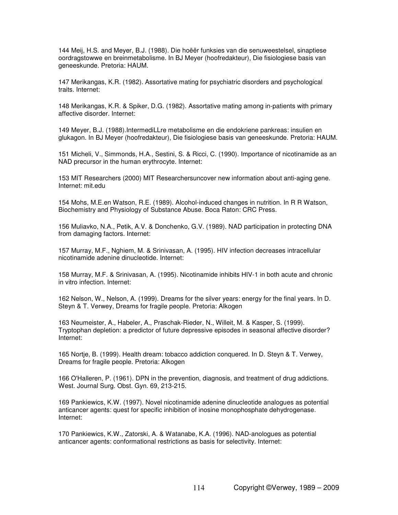144 Meij, H.S. and Meyer, B.J. (1988). Die hoëër funksies van die senuweestelsel, sinaptiese oordragstowwe en breinmetabolisme. In BJ Meyer (hoofredakteur), Die fisiologiese basis van geneeskunde. Pretoria: HAUM.

147 Merikangas, K.R. (1982). Assortative mating for psychiatric disorders and psychological traits. Internet:

148 Merikangas, K.R. & Spiker, D.G. (1982). Assortative mating among in-patients with primary affective disorder. Internet:

149 Meyer, B.J. (1988).IntermediLLre metabolisme en die endokriene pankreas: insulien en glukagon. In BJ Meyer (hoofredakteur), Die fisiologiese basis van geneeskunde. Pretoria: HAUM.

151 Micheli, V., Simmonds, H.A., Sestini, S. & Ricci, C. (1990). Importance of nicotinamide as an NAD precursor in the human erythrocyte. Internet:

153 MIT Researchers (2000) MIT Researchersuncover new information about anti-aging gene. Internet: mit.edu

154 Mohs, M.E.en Watson, R.E. (1989). Alcohol-induced changes in nutrition. In R R Watson, Biochemistry and Physiology of Substance Abuse. Boca Raton: CRC Press.

156 Muliavko, N.A., Petik, A.V. & Donchenko, G.V. (1989). NAD participation in protecting DNA from damaging factors. Internet:

157 Murray, M.F., Nghiem, M. & Srinivasan, A. (1995). HIV infection decreases intracellular nicotinamide adenine dinucleotide. Internet:

158 Murray, M.F. & Srinivasan, A. (1995). Nicotinamide inhibits HIV-1 in both acute and chronic in vitro infection. Internet:

162 Nelson, W., Nelson, A. (1999). Dreams for the silver years: energy for the final years. In D. Steyn & T. Verwey, Dreams for fragile people. Pretoria: Alkogen

163 Neumeister, A., Habeler, A., Praschak-Rieder, N., Willeit, M. & Kasper, S. (1999). Tryptophan depletion: a predictor of future depressive episodes in seasonal affective disorder? Internet:

165 Nortje, B. (1999). Health dream: tobacco addiction conquered. In D. Steyn & T. Verwey, Dreams for fragile people. Pretoria: Alkogen

166 O'Halleren, P. (1961). DPN in the prevention, diagnosis, and treatment of drug addictions. West. Journal Surg. Obst. Gyn. 69, 213-215.

169 Pankiewics, K.W. (1997). Novel nicotinamide adenine dinucleotide analogues as potential anticancer agents: quest for specific inhibition of inosine monophosphate dehydrogenase. Internet:

170 Pankiewics, K.W., Zatorski, A. & Watanabe, K.A. (1996). NAD-anologues as potential anticancer agents: conformational restrictions as basis for selectivity. Internet: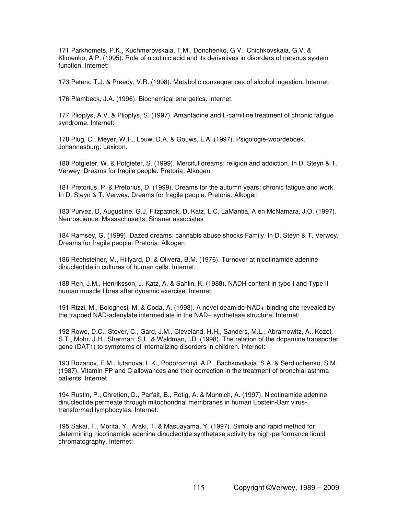171 Parkhomets, P.K., Kuchmerovskaia, T.M., Donchenko, G.V., Chichkovskaia, G.V. & Klimenko, A.P. (1995). Role of nicotinic acid and its derivatives in disorders of nervous system function. Internet:

173 Peters, T.J. & Preedy, V.R. (1998). Metabolic consequences of alcohol ingestion. Internet:

176 Plambeck, J.A. (1996). Biochemical energetics. Internet.

177 Plioplys, A.V. & Plioplys, S. (1997). Amantadine and L-carnitine treatment of chronic fatigue syndrome. Internet:

178 Plug, C., Meyer, W.F., Louw, D.A. & Gouws, L.A. (1997). Psigologie-woordeboek. Johannesburg: Lexicon.

180 Potgieter, W. & Potgieter, S. (1999). Merciful dreams: religion and addiction. In D. Steyn & T. Verwey, Dreams for fragile people. Pretoria: Alkogen

181 Pretorius, P. & Pretorius, D. (1999). Dreams for the autumn years: chronic fatigue and work. In D. Steyn & T. Verwey, Dreams for fragile people. Pretoria: Alkogen

183 Purvez, D, Augustine, G.J, Fitzpatrick, D, Katz, L.C, LaMantia, A en McNamara, J.O. (1997). Neuroscience. Massachusetts: Sinauer associates

184 Ramsey, G. (1999). Dazed dreams: cannabis abuse shocks Family. In D. Steyn & T. Verwey, Dreams for fragile people. Pretoria: Alkogen

186 Rechsteiner, M., Hillyard, D. & Olivera, B.M. (1976). Turnover at nicotinamide adenine dinucleotide in cultures of human cells. Internet:

188 Ren, J.M., Henriksson, J. Katz, A. & Sahlin, K. (1988). NADH content in type I and Type II human muscle fibres after dynamic exercise. Internet:

191 Rizzi, M., Bolognesi, M. & Coda, A. (1998). A novel deamido-NAD+-binding site revealed by the trapped NAD-adenylate intermediate in the NAD+ synthetase structure. Internet:

192 Rowe, D.C., Stever, C., Gard, J.M., Cleveland, H.H., Sanders, M.L., Abramowitz, A., Kozol, S.T., Mohr, J.H., Sherman, S.L. & Waldman, I.D. (1998). The relation of the dopamine transporter gene (DAT1) to symptoms of internalizing disorders in children. Internet:

193 Rozanov, E.M., Iutanova, L.K., Podorozhnyi, A.P., Bachkovskaia, S.A. & Serdiuchenko, S.M. (1987). Vitamin PP and C allowances and their correction in the treatment of bronchial asthma patients. Internet

194 Rustin, P., Chretien, D., Parfait, B., Rotig, A. & Munnich, A. (1997). Nicotinamide adenine dinucleotide permeate through mitochondrial membranes in human Epstein-Barr virustransformed lymphocytes. Internet:

195 Sakai, T., Morita, Y., Araki, T. & Masuayama, Y. (1997). Simple and rapid method for determining nicotinamide adenine dinucleotide synthetase activity by high-performance liquid chromatography. Internet: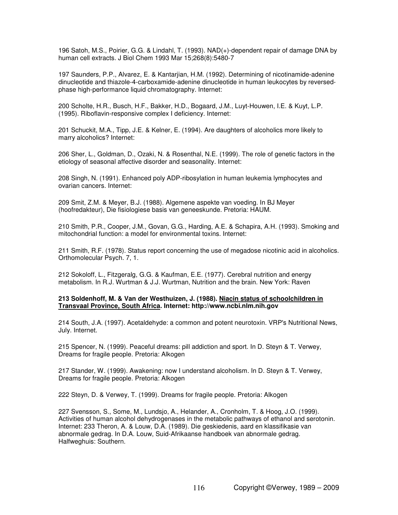196 Satoh, M.S., Poirier, G.G. & Lindahl, T. (1993). NAD(+)-dependent repair of damage DNA by human cell extracts. J Biol Chem 1993 Mar 15;268(8):5480-7

197 Saunders, P.P., Alvarez, E. & Kantarjian, H.M. (1992). Determining of nicotinamide-adenine dinucleotide and thiazole-4-carboxamide-adenine dinucleotide in human leukocytes by reversedphase high-performance liquid chromatography. Internet:

200 Scholte, H.R., Busch, H.F., Bakker, H.D., Bogaard, J.M., Luyt-Houwen, I.E. & Kuyt, L.P. (1995). Riboflavin-responsive complex I deficiency. Internet:

201 Schuckit, M.A., Tipp, J.E. & Kelner, E. (1994). Are daughters of alcoholics more likely to marry alcoholics? Internet:

206 Sher, L., Goldman, D., Ozaki, N. & Rosenthal, N.E. (1999). The role of genetic factors in the etiology of seasonal affective disorder and seasonality. Internet:

208 Singh, N. (1991). Enhanced poly ADP-ribosylation in human leukemia lymphocytes and ovarian cancers. Internet:

209 Smit, Z.M. & Meyer, B.J. (1988). Algemene aspekte van voeding. In BJ Meyer (hoofredakteur), Die fisiologiese basis van geneeskunde. Pretoria: HAUM.

210 Smith, P.R., Cooper, J.M., Govan, G.G., Harding, A.E. & Schapira, A.H. (1993). Smoking and mitochondrial function: a model for environmental toxins. Internet:

211 Smith, R.F. (1978). Status report concerning the use of megadose nicotinic acid in alcoholics. Orthomolecular Psych. 7, 1.

212 Sokoloff, L., Fitzgeralg, G.G. & Kaufman, E.E. (1977). Cerebral nutrition and energy metabolism. In R.J. Wurtman & J.J. Wurtman, Nutrition and the brain. New York: Raven

## **213 Soldenhoff, M. & Van der Westhuizen, J. (1988). Niacin status of schoolchildren in Transvaal Province, South Africa. Internet: http://www.ncbi.nlm.nih.gov**

214 South, J.A. (1997). Acetaldehyde: a common and potent neurotoxin. VRP's Nutritional News, July. Internet.

215 Spencer, N. (1999). Peaceful dreams: pill addiction and sport. In D. Steyn & T. Verwey, Dreams for fragile people. Pretoria: Alkogen

217 Stander, W. (1999). Awakening: now I understand alcoholism. In D. Steyn & T. Verwey, Dreams for fragile people. Pretoria: Alkogen

222 Steyn, D. & Verwey, T. (1999). Dreams for fragile people. Pretoria: Alkogen

227 Svensson, S., Some, M., Lundsjo, A., Helander, A., Cronholm, T. & Hoog, J.O. (1999). Activities of human alcohol dehydrogenases in the metabolic pathways of ethanol and serotonin. Internet: 233 Theron, A. & Louw, D.A. (1989). Die geskiedenis, aard en klassifikasie van abnormale gedrag. In D.A. Louw, Suid-Afrikaanse handboek van abnormale gedrag. Halfweghuis: Southern.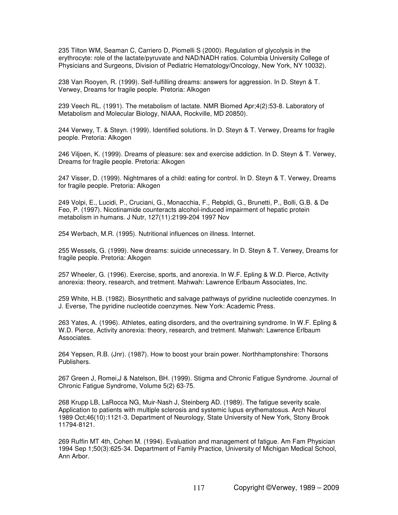235 Tilton WM, Seaman C, Carriero D, Piomelli S (2000). Regulation of glycolysis in the erythrocyte: role of the lactate/pyruvate and NAD/NADH ratios. Columbia University College of Physicians and Surgeons, Division of Pediatric Hematology/Oncology, New York, NY 10032).

238 Van Rooyen, R. (1999). Self-fulfilling dreams: answers for aggression. In D. Steyn & T. Verwey, Dreams for fragile people. Pretoria: Alkogen

239 Veech RL. (1991). The metabolism of lactate. NMR Biomed Apr;4(2):53-8. Laboratory of Metabolism and Molecular Biology, NIAAA, Rockville, MD 20850).

244 Verwey, T. & Steyn. (1999). Identified solutions. In D. Steyn & T. Verwey, Dreams for fragile people. Pretoria: Alkogen

246 Viljoen, K. (1999). Dreams of pleasure: sex and exercise addiction. In D. Steyn & T. Verwey, Dreams for fragile people. Pretoria: Alkogen

247 Visser, D. (1999). Nightmares of a child: eating for control. In D. Steyn & T. Verwey, Dreams for fragile people. Pretoria: Alkogen

249 Volpi, E., Lucidi, P., Cruciani, G., Monacchia, F., Rebpldi, G., Brunetti, P., Bolli, G.B. & De Feo, P. (1997). Nicotinamide counteracts alcohol-induced impairment of hepatic protein metabolism in humans. J Nutr, 127(11):2199-204 1997 Nov

254 Werbach, M.R. (1995). Nutritional influences on illness. Internet.

255 Wessels, G. (1999). New dreams: suicide unnecessary. In D. Steyn & T. Verwey, Dreams for fragile people. Pretoria: Alkogen

257 Wheeler, G. (1996). Exercise, sports, and anorexia. In W.F. Epling & W.D. Pierce, Activity anorexia: theory, research, and tretment. Mahwah: Lawrence Erlbaum Associates, Inc.

259 White, H.B. (1982). Biosynthetic and salvage pathways of pyridine nucleotide coenzymes. In J. Everse, The pyridine nucleotide coenzymes. New York: Academic Press.

263 Yates, A. (1996). Athletes, eating disorders, and the overtraining syndrome. In W.F. Epling & W.D. Pierce, Activity anorexia: theory, research, and tretment. Mahwah: Lawrence Erlbaum Associates.

264 Yepsen, R.B. (Jnr). (1987). How to boost your brain power. Northhamptonshire: Thorsons Publishers.

267 Green J, Romei,J & Natelson, BH. (1999). Stigma and Chronic Fatigue Syndrome. Journal of Chronic Fatigue Syndrome, Volume 5(2) 63-75.

268 Krupp LB, LaRocca NG, Muir-Nash J, Steinberg AD. (1989). The fatigue severity scale. Application to patients with multiple sclerosis and systemic lupus erythematosus. Arch Neurol 1989 Oct;46(10):1121-3. Department of Neurology, State University of New York, Stony Brook 11794-8121.

269 Ruffin MT 4th, Cohen M. (1994). Evaluation and management of fatigue. Am Fam Physician 1994 Sep 1;50(3):625-34. Department of Family Practice, University of Michigan Medical School, Ann Arbor.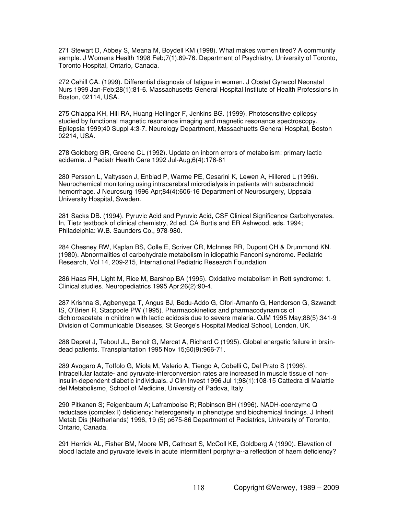271 Stewart D, Abbey S, Meana M, Boydell KM (1998). What makes women tired? A community sample. J Womens Health 1998 Feb;7(1):69-76. Department of Psychiatry, University of Toronto, Toronto Hospital, Ontario, Canada.

272 Cahill CA. (1999). Differential diagnosis of fatigue in women. J Obstet Gynecol Neonatal Nurs 1999 Jan-Feb;28(1):81-6. Massachusetts General Hospital Institute of Health Professions in Boston, 02114, USA.

275 Chiappa KH, Hill RA, Huang-Hellinger F, Jenkins BG. (1999). Photosensitive epilepsy studied by functional magnetic resonance imaging and magnetic resonance spectroscopy. Epilepsia 1999;40 Suppl 4:3-7. Neurology Department, Massachuetts General Hospital, Boston 02214, USA.

278 Goldberg GR, Greene CL (1992). Update on inborn errors of metabolism: primary lactic acidemia. J Pediatr Health Care 1992 Jul-Aug;6(4):176-81

280 Persson L, Valtysson J, Enblad P, Warme PE, Cesarini K, Lewen A, Hillered L (1996). Neurochemical monitoring using intracerebral microdialysis in patients with subarachnoid hemorrhage. J Neurosurg 1996 Apr;84(4):606-16 Department of Neurosurgery, Uppsala University Hospital, Sweden.

281 Sacks DB. (1994). Pyruvic Acid and Pyruvic Acid, CSF Clinical Significance Carbohydrates. In, Tietz textbook of clinical chemistry, 2d ed. CA Burtis and ER Ashwood, eds. 1994; Philadelphia: W.B. Saunders Co., 978-980.

284 Chesney RW, Kaplan BS, Colle E, Scriver CR, McInnes RR, Dupont CH & Drummond KN. (1980). Abnormalities of carbohydrate metabolism in idiopathic Fanconi syndrome. Pediatric Research, Vol 14, 209-215, International Pediatric Research Foundation

286 Haas RH, Light M, Rice M, Barshop BA (1995). Oxidative metabolism in Rett syndrome: 1. Clinical studies. Neuropediatrics 1995 Apr;26(2):90-4.

287 Krishna S, Agbenyega T, Angus BJ, Bedu-Addo G, Ofori-Amanfo G, Henderson G, Szwandt IS, O'Brien R, Stacpoole PW (1995). Pharmacokinetics and pharmacodynamics of dichloroacetate in children with lactic acidosis due to severe malaria. QJM 1995 May;88(5):341-9 Division of Communicable Diseases, St George's Hospital Medical School, London, UK.

288 Depret J, Teboul JL, Benoit G, Mercat A, Richard C (1995). Global energetic failure in braindead patients. Transplantation 1995 Nov 15;60(9):966-71.

289 Avogaro A, Toffolo G, Miola M, Valerio A, Tiengo A, Cobelli C, Del Prato S (1996). Intracellular lactate- and pyruvate-interconversion rates are increased in muscle tissue of noninsulin-dependent diabetic individuals. J Clin Invest 1996 Jul 1;98(1):108-15 Cattedra di Malattie del Metabolismo, School of Medicine, University of Padova, Italy.

290 Pitkanen S; Feigenbaum A; Laframboise R; Robinson BH (1996). NADH-coenzyme Q reductase (complex I) deficiency: heterogeneity in phenotype and biochemical findings. J Inherit Metab Dis (Netherlands) 1996, 19 (5) p675-86 Department of Pediatrics, University of Toronto, Ontario, Canada.

291 Herrick AL, Fisher BM, Moore MR, Cathcart S, McColl KE, Goldberg A (1990). Elevation of blood lactate and pyruvate levels in acute intermittent porphyria--a reflection of haem deficiency?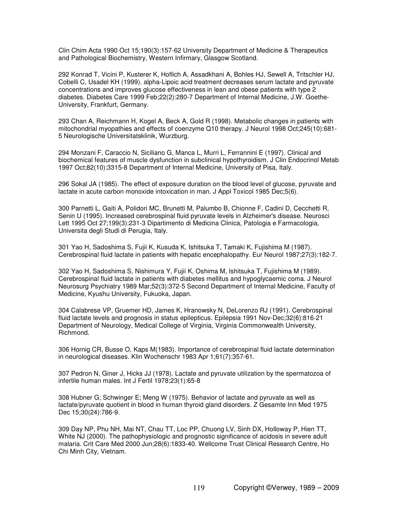Clin Chim Acta 1990 Oct 15;190(3):157-62 University Department of Medicine & Therapeutics and Pathological Biochemistry, Western Infirmary, Glasgow Scotland.

292 Konrad T, Vicini P, Kusterer K, Hoflich A, Assadkhani A, Bohles HJ, Sewell A, Tritschler HJ, Cobelli C, Usadel KH (1999). alpha-Lipoic acid treatment decreases serum lactate and pyruvate concentrations and improves glucose effectiveness in lean and obese patients with type 2 diabetes. Diabetes Care 1999 Feb;22(2):280-7 Department of Internal Medicine, J.W. Goethe-University, Frankfurt, Germany.

293 Chan A, Reichmann H, Kogel A, Beck A, Gold R (1998). Metabolic changes in patients with mitochondrial myopathies and effects of coenzyme Q10 therapy. J Neurol 1998 Oct;245(10):681- 5 Neurologische Universitatsklinik, Wurzburg.

294 Monzani F, Caraccio N, Siciliano G, Manca L, Murri L, Ferrannini E (1997). Clinical and biochemical features of muscle dysfunction in subclinical hypothyroidism. J Clin Endocrinol Metab 1997 Oct;82(10):3315-8 Department of Internal Medicine, University of Pisa, Italy.

296 Sokal JA (1985). The effect of exposure duration on the blood level of glucose, pyruvate and lactate in acute carbon monoxide intoxication in man. J Appl Toxicol 1985 Dec;5(6).

300 Parnetti L, Gaiti A, Polidori MC, Brunetti M, Palumbo B, Chionne F, Cadini D, Cecchetti R, Senin U (1995). Increased cerebrospinal fluid pyruvate levels in Alzheimer's disease. Neurosci Lett 1995 Oct 27;199(3):231-3 Dipartimento di Medicina Clinica, Patologia e Farmacologia, Universita degli Studi di Perugia, Italy.

301 Yao H, Sadoshima S, Fujii K, Kusuda K, Ishitsuka T, Tamaki K, Fujishima M (1987). Cerebrospinal fluid lactate in patients with hepatic encephalopathy. Eur Neurol 1987;27(3):182-7.

302 Yao H, Sadoshima S, Nishimura Y, Fujii K, Oshima M, Ishitsuka T, Fujishima M (1989). Cerebrospinal fluid lactate in patients with diabetes mellitus and hypoglycaemic coma. J Neurol Neurosurg Psychiatry 1989 Mar;52(3):372-5 Second Department of Internal Medicine, Faculty of Medicine, Kyushu University, Fukuoka, Japan.

304 Calabrese VP, Gruemer HD, James K, Hranowsky N, DeLorenzo RJ (1991). Cerebrospinal fluid lactate levels and prognosis in status epilepticus. Epilepsia 1991 Nov-Dec;32(6):816-21 Department of Neurology, Medical College of Virginia, Virginia Commonwealth University, Richmond.

306 Hornig CR, Busse O, Kaps M(1983). Importance of cerebrospinal fluid lactate determination in neurological diseases. Klin Wochenschr 1983 Apr 1;61(7):357-61.

307 Pedron N, Giner J, Hicks JJ (1978). Lactate and pyruvate utilization by the spermatozoa of infertile human males. Int J Fertil 1978;23(1):65-8

308 Hubner G; Schwinger E; Meng W (1975). Behavior of lactate and pyruvate as well as lactate/pyruvate quotient in blood in human thyroid gland disorders. Z Gesamte Inn Med 1975 Dec 15;30(24):786-9.

309 Day NP, Phu NH, Mai NT, Chau TT, Loc PP, Chuong LV, Sinh DX, Holloway P, Hien TT, White NJ (2000). The pathophysiologic and prognostic significance of acidosis in severe adult malaria. Crit Care Med 2000 Jun;28(6):1833-40. Wellcome Trust Clinical Research Centre, Ho Chi Minh City, Vietnam.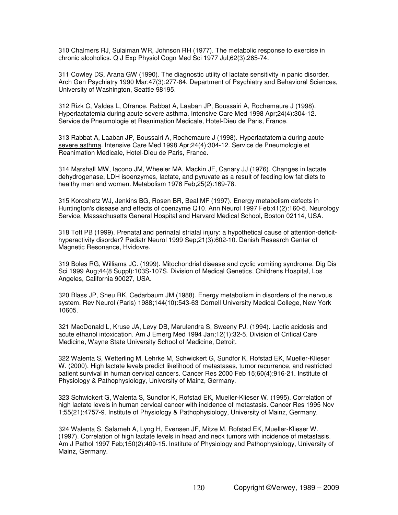310 Chalmers RJ, Sulaiman WR, Johnson RH (1977). The metabolic response to exercise in chronic alcoholics. Q J Exp Physiol Cogn Med Sci 1977 Jul;62(3):265-74.

311 Cowley DS, Arana GW (1990). The diagnostic utility of lactate sensitivity in panic disorder. Arch Gen Psychiatry 1990 Mar;47(3):277-84. Department of Psychiatry and Behavioral Sciences, University of Washington, Seattle 98195.

312 Rizk C, Valdes L, Ofrance. Rabbat A, Laaban JP, Boussairi A, Rochemaure J (1998). Hyperlactatemia during acute severe asthma. Intensive Care Med 1998 Apr;24(4):304-12. Service de Pneumologie et Reanimation Medicale, Hotel-Dieu de Paris, France.

313 Rabbat A, Laaban JP, Boussairi A, Rochemaure J (1998). Hyperlactatemia during acute severe asthma. Intensive Care Med 1998 Apr;24(4):304-12. Service de Pneumologie et Reanimation Medicale, Hotel-Dieu de Paris, France.

314 Marshall MW, Iacono JM, Wheeler MA, Mackin JF, Canary JJ (1976). Changes in lactate dehydrogenase, LDH isoenzymes, lactate, and pyruvate as a result of feeding low fat diets to healthy men and women. Metabolism 1976 Feb;25(2):169-78.

315 Koroshetz WJ, Jenkins BG, Rosen BR, Beal MF (1997). Energy metabolism defects in Huntington's disease and effects of coenzyme Q10. Ann Neurol 1997 Feb;41(2):160-5. Neurology Service, Massachusetts General Hospital and Harvard Medical School, Boston 02114, USA.

318 Toft PB (1999). Prenatal and perinatal striatal injury: a hypothetical cause of attention-deficithyperactivity disorder? Pediatr Neurol 1999 Sep;21(3):602-10. Danish Research Center of Magnetic Resonance, Hvidovre.

319 Boles RG, Williams JC. (1999). Mitochondrial disease and cyclic vomiting syndrome. Dig Dis Sci 1999 Aug;44(8 Suppl):103S-107S. Division of Medical Genetics, Childrens Hospital, Los Angeles, California 90027, USA.

320 Blass JP, Sheu RK, Cedarbaum JM (1988). Energy metabolism in disorders of the nervous system. Rev Neurol (Paris) 1988;144(10):543-63 Cornell University Medical College, New York 10605.

321 MacDonald L, Kruse JA, Levy DB, Marulendra S, Sweeny PJ. (1994). Lactic acidosis and acute ethanol intoxication. Am J Emerg Med 1994 Jan;12(1):32-5. Division of Critical Care Medicine, Wayne State University School of Medicine, Detroit.

322 Walenta S, Wetterling M, Lehrke M, Schwickert G, Sundfor K, Rofstad EK, Mueller-Klieser W. (2000). High lactate levels predict likelihood of metastases, tumor recurrence, and restricted patient survival in human cervical cancers. Cancer Res 2000 Feb 15;60(4):916-21. Institute of Physiology & Pathophysiology, University of Mainz, Germany.

323 Schwickert G, Walenta S, Sundfor K, Rofstad EK, Mueller-Klieser W. (1995). Correlation of high lactate levels in human cervical cancer with incidence of metastasis. Cancer Res 1995 Nov 1;55(21):4757-9. Institute of Physiology & Pathophysiology, University of Mainz, Germany.

324 Walenta S, Salameh A, Lyng H, Evensen JF, Mitze M, Rofstad EK, Mueller-Klieser W. (1997). Correlation of high lactate levels in head and neck tumors with incidence of metastasis. Am J Pathol 1997 Feb;150(2):409-15. Institute of Physiology and Pathophysiology, University of Mainz, Germany.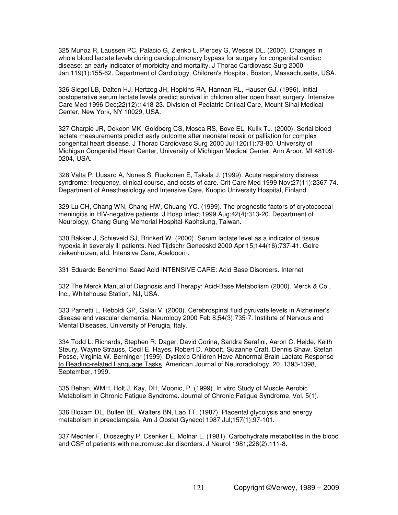325 Munoz R, Laussen PC, Palacio G, Zienko L, Piercey G, Wessel DL. (2000). Changes in whole blood lactate levels during cardiopulmonary bypass for surgery for congenital cardiac disease: an early indicator of morbidity and mortality. J Thorac Cardiovasc Surg 2000 Jan;119(1):155-62. Department of Cardiology, Children's Hospital, Boston, Massachusetts, USA.

326 Siegel LB, Dalton HJ, Hertzog JH, Hopkins RA, Hannan RL, Hauser GJ. (1996). Initial postoperative serum lactate levels predict survival in children after open heart surgery. Intensive Care Med 1996 Dec;22(12):1418-23. Division of Pediatric Critical Care, Mount Sinai Medical Center, New York, NY 10029, USA.

327 Charpie JR, Dekeon MK, Goldberg CS, Mosca RS, Bove EL, Kulik TJ. (2000). Serial blood lactate measurements predict early outcome after neonatal repair or palliation for complex congenital heart disease. J Thorac Cardiovasc Surg 2000 Jul;120(1):73-80. University of Michigan Congenital Heart Center, University of Michigan Medical Center, Ann Arbor, MI 48109- 0204, USA.

328 Valta P, Uusaro A, Nunes S, Ruokonen E, Takala J. (1999). Acute respiratory distress syndrome: frequency, clinical course, and costs of care. Crit Care Med 1999 Nov;27(11):2367-74. Department of Anesthesiology and Intensive Care, Kuopio University Hospital, Finland.

329 Lu CH, Chang WN, Chang HW, Chuang YC. (1999). The prognostic factors of cryptococcal meningitis in HIV-negative patients. J Hosp Infect 1999 Aug;42(4):313-20. Department of Neurology, Chang Gung Memorial Hospital-Kaohsiung, Taiwan.

330 Bakker J, Schieveld SJ, Brinkert W. (2000). Serum lactate level as a indicator of tissue hypoxia in severely ill patients. Ned Tijdschr Geneeskd 2000 Apr 15;144(16):737-41. Gelre ziekenhuizen, afd. Intensive Care, Apeldoorn.

331 Eduardo Benchimol Saad Acid INTENSIVE CARE: Acid Base Disorders. Internet

332 The Merck Manual of Diagnosis and Therapy: Acid-Base Metabolism (2000). Merck & Co., Inc., Whitehouse Station, NJ, USA.

333 Parnetti L, Reboldi GP, Gallai V. (2000). Cerebrospinal fluid pyruvate levels in Alzheimer's disease and vascular dementia. Neurology 2000 Feb 8;54(3):735-7. Institute of Nervous and Mental Diseases, University of Perugia, Italy.

334 Todd L. Richards, Stephen R. Dager, David Corina, Sandra Serafini, Aaron C. Heide, Keith Steury, Wayne Strauss, Cecil E. Hayes, Robert D. Abbott, Suzanne Craft, Dennis Shaw, Stefan Posse, Virginia W. Berninger (1999). Dyslexic Children Have Abnormal Brain Lactate Response to Reading-related Language Tasks. American Journal of Neuroradiology, 20, 1393-1398, September, 1999.

335 Behan, WMH, Holt,J, Kay, DH, Moonic, P. (1999). In vitro Study of Muscle Aerobic Metabolism in Chronic Fatigue Syndrome. Journal of Chronic Fatigue Syndrome, Vol. 5(1).

336 Bloxam DL, Bullen BE, Walters BN, Lao TT. (1987). Placental glycolysis and energy metabolism in preeclampsia. Am J Obstet Gynecol 1987 Jul;157(1):97-101.

337 Mechler F, Dioszeghy P, Csenker E, Molnar L. (1981). Carbohydrate metabolites in the blood and CSF of patients with neuromuscular disorders. J Neurol 1981;226(2):111-8.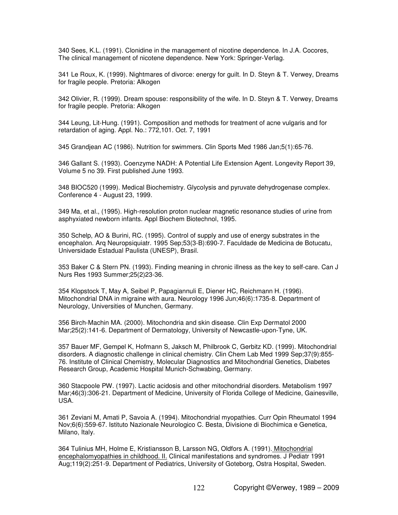340 Sees, K.L. (1991). Clonidine in the management of nicotine dependence. In J.A. Cocores, The clinical management of nicotene dependence. New York: Springer-Verlag.

341 Le Roux, K. (1999). Nightmares of divorce: energy for guilt. In D. Steyn & T. Verwey, Dreams for fragile people. Pretoria: Alkogen

342 Olivier, R. (1999). Dream spouse: responsibility of the wife. In D. Steyn & T. Verwey, Dreams for fragile people. Pretoria: Alkogen

344 Leung, Lit-Hung. (1991). Composition and methods for treatment of acne vulgaris and for retardation of aging. Appl. No.: 772,101. Oct. 7, 1991

345 Grandjean AC (1986). Nutrition for swimmers. Clin Sports Med 1986 Jan;5(1):65-76.

346 Gallant S. (1993). Coenzyme NADH: A Potential Life Extension Agent. Longevity Report 39, Volume 5 no 39. First published June 1993.

348 BIOC520 (1999). Medical Biochemistry. Glycolysis and pyruvate dehydrogenase complex. Conference 4 - August 23, 1999.

349 Ma, et al., (1995). High-resolution proton nuclear magnetic resonance studies of urine from asphyxiated newborn infants. Appl Biochem Biotechnol, 1995.

350 Schelp, AO & Burini, RC. (1995). Control of supply and use of energy substrates in the encephalon. Arq Neuropsiquiatr. 1995 Sep;53(3-B):690-7. Faculdade de Medicina de Botucatu, Universidade Estadual Paulista (UNESP), Brasil.

353 Baker C & Stern PN. (1993). Finding meaning in chronic illness as the key to self-care. Can J Nurs Res 1993 Summer;25(2)23-36.

354 Klopstock T, May A, Seibel P, Papagiannuli E, Diener HC, Reichmann H. (1996). Mitochondrial DNA in migraine with aura. Neurology 1996 Jun;46(6):1735-8. Department of Neurology, Universities of Munchen, Germany.

356 Birch-Machin MA. (2000). Mitochondria and skin disease. Clin Exp Dermatol 2000 Mar;25(2):141-6. Department of Dermatology, University of Newcastle-upon-Tyne, UK.

357 Bauer MF, Gempel K, Hofmann S, Jaksch M, Philbrook C, Gerbitz KD. (1999). Mitochondrial disorders. A diagnostic challenge in clinical chemistry. Clin Chem Lab Med 1999 Sep;37(9):855- 76. Institute of Clinical Chemistry, Molecular Diagnostics and Mitochondrial Genetics, Diabetes Research Group, Academic Hospital Munich-Schwabing, Germany.

360 Stacpoole PW. (1997). Lactic acidosis and other mitochondrial disorders. Metabolism 1997 Mar;46(3):306-21. Department of Medicine, University of Florida College of Medicine, Gainesville, USA.

361 Zeviani M, Amati P, Savoia A. (1994). Mitochondrial myopathies. Curr Opin Rheumatol 1994 Nov;6(6):559-67. Istituto Nazionale Neurologico C. Besta, Divisione di Biochimica e Genetica, Milano, Italy.

364 Tulinius MH, Holme E, Kristiansson B, Larsson NG, Oldfors A. (1991). Mitochondrial encephalomyopathies in childhood. II. Clinical manifestations and syndromes. J Pediatr 1991 Aug;119(2):251-9. Department of Pediatrics, University of Goteborg, Ostra Hospital, Sweden.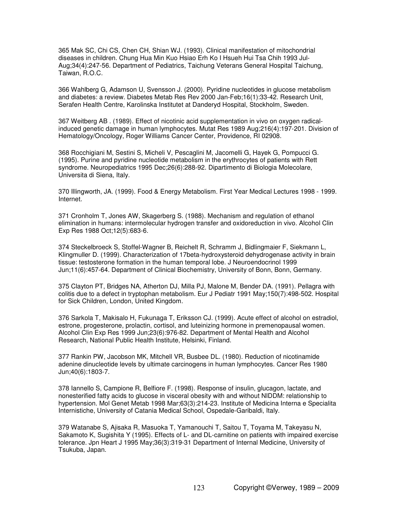365 Mak SC, Chi CS, Chen CH, Shian WJ. (1993). Clinical manifestation of mitochondrial diseases in children. Chung Hua Min Kuo Hsiao Erh Ko I Hsueh Hui Tsa Chih 1993 Jul-Aug;34(4):247-56. Department of Pediatrics, Taichung Veterans General Hospital Taichung, Taiwan, R.O.C.

366 Wahlberg G, Adamson U, Svensson J. (2000). Pyridine nucleotides in glucose metabolism and diabetes: a review. Diabetes Metab Res Rev 2000 Jan-Feb;16(1):33-42. Research Unit, Serafen Health Centre, Karolinska Institutet at Danderyd Hospital, Stockholm, Sweden.

367 Weitberg AB . (1989). Effect of nicotinic acid supplementation in vivo on oxygen radicalinduced genetic damage in human lymphocytes. Mutat Res 1989 Aug;216(4):197-201. Division of Hematology/Oncology, Roger Williams Cancer Center, Providence, RI 02908.

368 Rocchigiani M, Sestini S, Micheli V, Pescaglini M, Jacomelli G, Hayek G, Pompucci G. (1995). Purine and pyridine nucleotide metabolism in the erythrocytes of patients with Rett syndrome. Neuropediatrics 1995 Dec;26(6):288-92. Dipartimento di Biologia Molecolare, Universita di Siena, Italy.

370 Illingworth, JA. (1999). Food & Energy Metabolism. First Year Medical Lectures 1998 - 1999. Internet.

371 Cronholm T, Jones AW, Skagerberg S. (1988). Mechanism and regulation of ethanol elimination in humans: intermolecular hydrogen transfer and oxidoreduction in vivo. Alcohol Clin Exp Res 1988 Oct;12(5):683-6.

374 Steckelbroeck S, Stoffel-Wagner B, Reichelt R, Schramm J, Bidlingmaier F, Siekmann L, Klingmuller D. (1999). Characterization of 17beta-hydroxysteroid dehydrogenase activity in brain tissue: testosterone formation in the human temporal lobe. J Neuroendocrinol 1999 Jun;11(6):457-64. Department of Clinical Biochemistry, University of Bonn, Bonn, Germany.

375 Clayton PT, Bridges NA, Atherton DJ, Milla PJ, Malone M, Bender DA. (1991). Pellagra with colitis due to a defect in tryptophan metabolism. Eur J Pediatr 1991 May;150(7):498-502. Hospital for Sick Children, London, United Kingdom.

376 Sarkola T, Makisalo H, Fukunaga T, Eriksson CJ. (1999). Acute effect of alcohol on estradiol, estrone, progesterone, prolactin, cortisol, and luteinizing hormone in premenopausal women. Alcohol Clin Exp Res 1999 Jun;23(6):976-82. Department of Mental Health and Alcohol Research, National Public Health Institute, Helsinki, Finland.

377 Rankin PW, Jacobson MK, Mitchell VR, Busbee DL. (1980). Reduction of nicotinamide adenine dinucleotide levels by ultimate carcinogens in human lymphocytes. Cancer Res 1980 Jun;40(6):1803-7.

378 Iannello S, Campione R, Belfiore F. (1998). Response of insulin, glucagon, lactate, and nonesterified fatty acids to glucose in visceral obesity with and without NIDDM: relationship to hypertension. Mol Genet Metab 1998 Mar;63(3):214-23. Institute of Medicina Interna e Specialita Internistiche, University of Catania Medical School, Ospedale-Garibaldi, Italy.

379 Watanabe S, Ajisaka R, Masuoka T, Yamanouchi T, Saitou T, Toyama M, Takeyasu N, Sakamoto K, Sugishita Y (1995). Effects of L- and DL-carnitine on patients with impaired exercise tolerance. Jpn Heart J 1995 May;36(3):319-31 Department of Internal Medicine, University of Tsukuba, Japan.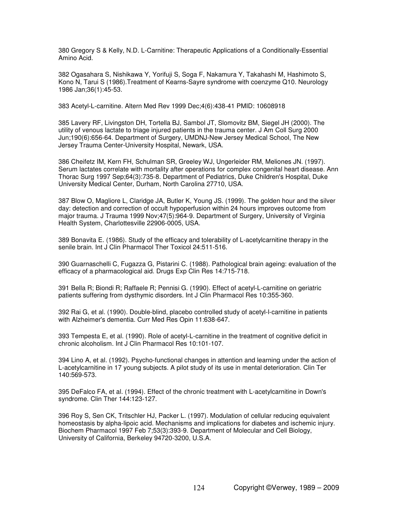380 Gregory S & Kelly, N.D. L-Carnitine: Therapeutic Applications of a Conditionally-Essential Amino Acid.

382 Ogasahara S, Nishikawa Y, Yorifuji S, Soga F, Nakamura Y, Takahashi M, Hashimoto S, Kono N, Tarui S (1986).Treatment of Kearns-Sayre syndrome with coenzyme Q10. Neurology 1986 Jan;36(1):45-53.

383 Acetyl-L-carnitine. Altern Med Rev 1999 Dec;4(6):438-41 PMID: 10608918

385 Lavery RF, Livingston DH, Tortella BJ, Sambol JT, Slomovitz BM, Siegel JH (2000). The utility of venous lactate to triage injured patients in the trauma center. J Am Coll Surg 2000 Jun;190(6):656-64. Department of Surgery, UMDNJ-New Jersey Medical School, The New Jersey Trauma Center-University Hospital, Newark, USA.

386 Cheifetz IM, Kern FH, Schulman SR, Greeley WJ, Ungerleider RM, Meliones JN. (1997). Serum lactates correlate with mortality after operations for complex congenital heart disease. Ann Thorac Surg 1997 Sep;64(3):735-8. Department of Pediatrics, Duke Children's Hospital, Duke University Medical Center, Durham, North Carolina 27710, USA.

387 Blow O, Magliore L, Claridge JA, Butler K, Young JS. (1999). The golden hour and the silver day: detection and correction of occult hypoperfusion within 24 hours improves outcome from major trauma. J Trauma 1999 Nov;47(5):964-9. Department of Surgery, University of Virginia Health System, Charlottesville 22906-0005, USA.

389 Bonavita E. (1986). Study of the efficacy and tolerability of L-acetylcarnitine therapy in the senile brain. Int J Clin Pharmacol Ther Toxicol 24:511-516.

390 Guarnaschelli C, Fugazza G, Pistarini C. (1988). Pathological brain ageing: evaluation of the efficacy of a pharmacological aid. Drugs Exp Clin Res 14:715-718.

391 Bella R; Biondi R; Raffaele R; Pennisi G. (1990). Effect of acetyl-L-carnitine on geriatric patients suffering from dysthymic disorders. Int J Clin Pharmacol Res 10:355-360.

392 Rai G, et al. (1990). Double-blind, placebo controlled study of acetyl-l-carnitine in patients with Alzheimer's dementia. Curr Med Res Opin 11:638-647.

393 Tempesta E, et al. (1990). Role of acetyl-L-carnitine in the treatment of cognitive deficit in chronic alcoholism. Int J Clin Pharmacol Res 10:101-107.

394 Lino A, et al. (1992). Psycho-functional changes in attention and learning under the action of L-acetylcarnitine in 17 young subjects. A pilot study of its use in mental deterioration. Clin Ter 140:569-573.

395 DeFalco FA, et al. (1994). Effect of the chronic treatment with L-acetylcarnitine in Down's syndrome. Clin Ther 144:123-127.

396 Roy S, Sen CK, Tritschler HJ, Packer L. (1997). Modulation of cellular reducing equivalent homeostasis by alpha-lipoic acid. Mechanisms and implications for diabetes and ischemic injury. Biochem Pharmacol 1997 Feb 7;53(3):393-9. Department of Molecular and Cell Biology, University of California, Berkeley 94720-3200, U.S.A.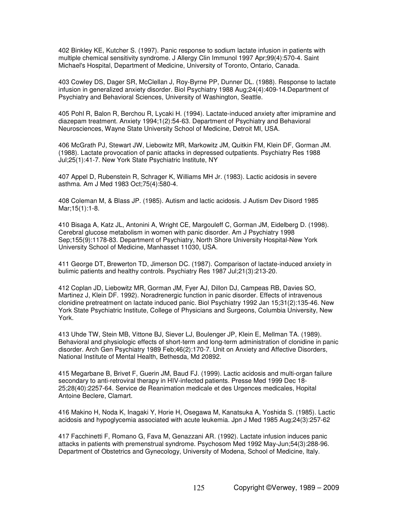402 Binkley KE, Kutcher S. (1997). Panic response to sodium lactate infusion in patients with multiple chemical sensitivity syndrome. J Allergy Clin Immunol 1997 Apr;99(4):570-4. Saint Michael's Hospital, Department of Medicine, University of Toronto, Ontario, Canada.

403 Cowley DS, Dager SR, McClellan J, Roy-Byrne PP, Dunner DL. (1988). Response to lactate infusion in generalized anxiety disorder. Biol Psychiatry 1988 Aug;24(4):409-14.Department of Psychiatry and Behavioral Sciences, University of Washington, Seattle.

405 Pohl R, Balon R, Berchou R, Lycaki H. (1994). Lactate-induced anxiety after imipramine and diazepam treatment. Anxiety 1994;1(2):54-63. Department of Psychiatry and Behavioral Neurosciences, Wayne State University School of Medicine, Detroit MI, USA.

406 McGrath PJ, Stewart JW, Liebowitz MR, Markowitz JM, Quitkin FM, Klein DF, Gorman JM. (1988). Lactate provocation of panic attacks in depressed outpatients. Psychiatry Res 1988 Jul;25(1):41-7. New York State Psychiatric Institute, NY

407 Appel D, Rubenstein R, Schrager K, Williams MH Jr. (1983). Lactic acidosis in severe asthma. Am J Med 1983 Oct;75(4):580-4.

408 Coleman M, & Blass JP. (1985). Autism and lactic acidosis. J Autism Dev Disord 1985 Mar;15(1):1-8.

410 Bisaga A, Katz JL, Antonini A, Wright CE, Margouleff C, Gorman JM, Eidelberg D. (1998). Cerebral glucose metabolism in women with panic disorder. Am J Psychiatry 1998 Sep;155(9):1178-83. Department of Psychiatry, North Shore University Hospital-New York University School of Medicine, Manhasset 11030, USA.

411 George DT, Brewerton TD, Jimerson DC. (1987). Comparison of lactate-induced anxiety in bulimic patients and healthy controls. Psychiatry Res 1987 Jul;21(3):213-20.

412 Coplan JD, Liebowitz MR, Gorman JM, Fyer AJ, Dillon DJ, Campeas RB, Davies SO, Martinez J, Klein DF. 1992). Noradrenergic function in panic disorder. Effects of intravenous clonidine pretreatment on lactate induced panic. Biol Psychiatry 1992 Jan 15;31(2):135-46. New York State Psychiatric Institute, College of Physicians and Surgeons, Columbia University, New York.

413 Uhde TW, Stein MB, Vittone BJ, Siever LJ, Boulenger JP, Klein E, Mellman TA. (1989). Behavioral and physiologic effects of short-term and long-term administration of clonidine in panic disorder. Arch Gen Psychiatry 1989 Feb;46(2):170-7. Unit on Anxiety and Affective Disorders, National Institute of Mental Health, Bethesda, Md 20892.

415 Megarbane B, Brivet F, Guerin JM, Baud FJ. (1999). Lactic acidosis and multi-organ failure secondary to anti-retroviral therapy in HIV-infected patients. Presse Med 1999 Dec 18- 25;28(40):2257-64. Service de Reanimation medicale et des Urgences medicales, Hopital Antoine Beclere, Clamart.

416 Makino H, Noda K, Inagaki Y, Horie H, Osegawa M, Kanatsuka A, Yoshida S. (1985). Lactic acidosis and hypoglycemia associated with acute leukemia. Jpn J Med 1985 Aug;24(3):257-62

417 Facchinetti F, Romano G, Fava M, Genazzani AR. (1992). Lactate infusion induces panic attacks in patients with premenstrual syndrome. Psychosom Med 1992 May-Jun;54(3):288-96. Department of Obstetrics and Gynecology, University of Modena, School of Medicine, Italy.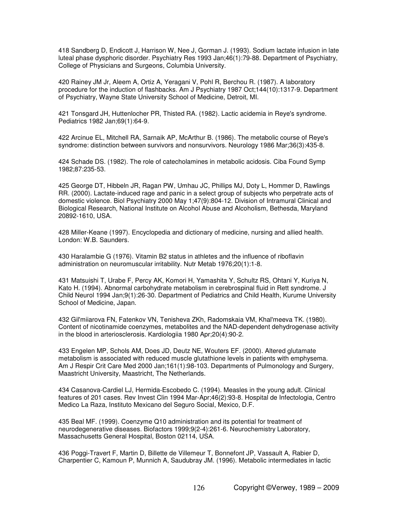418 Sandberg D, Endicott J, Harrison W, Nee J, Gorman J. (1993). Sodium lactate infusion in late luteal phase dysphoric disorder. Psychiatry Res 1993 Jan;46(1):79-88. Department of Psychiatry, College of Physicians and Surgeons, Columbia University.

420 Rainey JM Jr, Aleem A, Ortiz A, Yeragani V, Pohl R, Berchou R. (1987). A laboratory procedure for the induction of flashbacks. Am J Psychiatry 1987 Oct;144(10):1317-9. Department of Psychiatry, Wayne State University School of Medicine, Detroit, MI.

421 Tonsgard JH, Huttenlocher PR, Thisted RA. (1982). Lactic acidemia in Reye's syndrome. Pediatrics 1982 Jan;69(1):64-9.

422 Arcinue EL, Mitchell RA, Sarnaik AP, McArthur B. (1986). The metabolic course of Reye's syndrome: distinction between survivors and nonsurvivors. Neurology 1986 Mar;36(3):435-8.

424 Schade DS. (1982). The role of catecholamines in metabolic acidosis. Ciba Found Symp 1982;87:235-53.

425 George DT, Hibbeln JR, Ragan PW, Umhau JC, Phillips MJ, Doty L, Hommer D, Rawlings RR. (2000). Lactate-induced rage and panic in a select group of subjects who perpetrate acts of domestic violence. Biol Psychiatry 2000 May 1;47(9):804-12. Division of Intramural Clinical and Biological Research, National Institute on Alcohol Abuse and Alcoholism, Bethesda, Maryland 20892-1610, USA.

428 Miller-Keane (1997). Encyclopedia and dictionary of medicine, nursing and allied health. London: W.B. Saunders.

430 Haralambie G (1976). Vitamin B2 status in athletes and the influence of riboflavin administration on neuromuscular irritability. Nutr Metab 1976;20(1):1-8.

431 Matsuishi T, Urabe F, Percy AK, Komori H, Yamashita Y, Schultz RS, Ohtani Y, Kuriya N, Kato H. (1994). Abnormal carbohydrate metabolism in cerebrospinal fluid in Rett syndrome. J Child Neurol 1994 Jan;9(1):26-30. Department of Pediatrics and Child Health, Kurume University School of Medicine, Japan.

432 Gil'miiarova FN, Fatenkov VN, Tenisheva ZKh, Radomskaia VM, Khal'meeva TK. (1980). Content of nicotinamide coenzymes, metabolites and the NAD-dependent dehydrogenase activity in the blood in arteriosclerosis. Kardiologiia 1980 Apr;20(4):90-2.

433 Engelen MP, Schols AM, Does JD, Deutz NE, Wouters EF. (2000). Altered glutamate metabolism is associated with reduced muscle glutathione levels in patients with emphysema. Am J Respir Crit Care Med 2000 Jan;161(1):98-103. Departments of Pulmonology and Surgery, Maastricht University, Maastricht, The Netherlands.

434 Casanova-Cardiel LJ, Hermida-Escobedo C. (1994). Measles in the young adult. Clinical features of 201 cases. Rev Invest Clin 1994 Mar-Apr;46(2):93-8. Hospital de Infectologia, Centro Medico La Raza, Instituto Mexicano del Seguro Social, Mexico, D.F.

435 Beal MF. (1999). Coenzyme Q10 administration and its potential for treatment of neurodegenerative diseases. Biofactors 1999;9(2-4):261-6. Neurochemistry Laboratory, Massachusetts General Hospital, Boston 02114, USA.

436 Poggi-Travert F, Martin D, Billette de Villemeur T, Bonnefont JP, Vassault A, Rabier D, Charpentier C, Kamoun P, Munnich A, Saudubray JM. (1996). Metabolic intermediates in lactic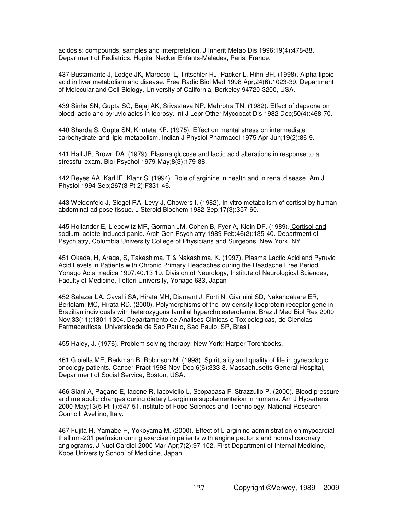acidosis: compounds, samples and interpretation. J Inherit Metab Dis 1996;19(4):478-88. Department of Pediatrics, Hopital Necker Enfants-Malades, Paris, France.

437 Bustamante J, Lodge JK, Marcocci L, Tritschler HJ, Packer L, Rihn BH. (1998). Alpha-lipoic acid in liver metabolism and disease. Free Radic Biol Med 1998 Apr;24(6):1023-39. Department of Molecular and Cell Biology, University of California, Berkeley 94720-3200, USA.

439 Sinha SN, Gupta SC, Bajaj AK, Srivastava NP, Mehrotra TN. (1982). Effect of dapsone on blood lactic and pyruvic acids in leprosy. Int J Lepr Other Mycobact Dis 1982 Dec;50(4):468-70.

440 Sharda S, Gupta SN, Khuteta KP. (1975). Effect on mental stress on intermediate carbohydrate-and lipid-metabolism. Indian J Physiol Pharmacol 1975 Apr-Jun;19(2):86-9.

441 Hall JB, Brown DA. (1979). Plasma glucose and lactic acid alterations in response to a stressful exam. Biol Psychol 1979 May;8(3):179-88.

442 Reyes AA, Karl IE, Klahr S. (1994). Role of arginine in health and in renal disease. Am J Physiol 1994 Sep;267(3 Pt 2):F331-46.

443 Weidenfeld J, Siegel RA, Levy J, Chowers I. (1982). In vitro metabolism of cortisol by human abdominal adipose tissue. J Steroid Biochem 1982 Sep;17(3):357-60.

445 Hollander E, Liebowitz MR, Gorman JM, Cohen B, Fyer A, Klein DF. (1989). Cortisol and sodium lactate-induced panic. Arch Gen Psychiatry 1989 Feb;46(2):135-40. Department of Psychiatry, Columbia University College of Physicians and Surgeons, New York, NY.

451 Okada, H, Araga, S, Takeshima, T & Nakashima, K. (1997). Plasma Lactic Acid and Pyruvic Acid Levels in Patients with Chronic Primary Headaches during the Headache Free Period. Yonago Acta medica 1997;40:13 19. Division of Neurology, Institute of Neurological Sciences, Faculty of Medicine, Tottori University, Yonago 683, Japan

452 Salazar LA, Cavalli SA, Hirata MH, Diament J, Forti N, Giannini SD, Nakandakare ER, Bertolami MC, Hirata RD. (2000). Polymorphisms of the low-density lipoprotein receptor gene in Brazilian individuals with heterozygous familial hypercholesterolemia. Braz J Med Biol Res 2000 Nov;33(11):1301-1304. Departamento de Analises Clinicas e Toxicologicas, de Ciencias Farmaceuticas, Universidade de Sao Paulo, Sao Paulo, SP, Brasil.

455 Haley, J. (1976). Problem solving therapy. New York: Harper Torchbooks.

461 Gioiella ME, Berkman B, Robinson M. (1998). Spirituality and quality of life in gynecologic oncology patients. Cancer Pract 1998 Nov-Dec;6(6):333-8. Massachusetts General Hospital, Department of Social Service, Boston, USA.

466 Siani A, Pagano E, Iacone R, Iacoviello L, Scopacasa F, Strazzullo P. (2000). Blood pressure and metabolic changes during dietary L-arginine supplementation in humans. Am J Hypertens 2000 May;13(5 Pt 1):547-51.Institute of Food Sciences and Technology, National Research Council, Avellino, Italy.

467 Fujita H, Yamabe H, Yokoyama M. (2000). Effect of L-arginine administration on myocardial thallium-201 perfusion during exercise in patients with angina pectoris and normal coronary angiograms. J Nucl Cardiol 2000 Mar-Apr;7(2):97-102. First Department of Internal Medicine, Kobe University School of Medicine, Japan.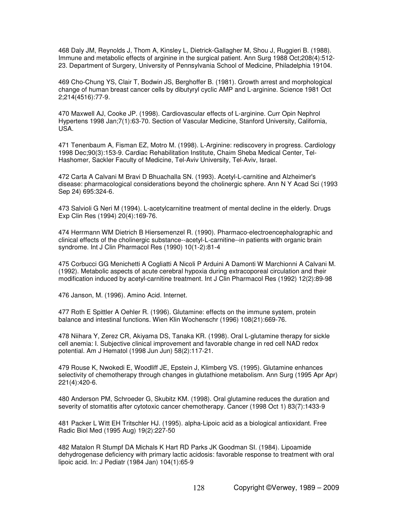468 Daly JM, Reynolds J, Thom A, Kinsley L, Dietrick-Gallagher M, Shou J, Ruggieri B. (1988). Immune and metabolic effects of arginine in the surgical patient. Ann Surg 1988 Oct;208(4):512- 23. Department of Surgery, University of Pennsylvania School of Medicine, Philadelphia 19104.

469 Cho-Chung YS, Clair T, Bodwin JS, Berghoffer B. (1981). Growth arrest and morphological change of human breast cancer cells by dibutyryl cyclic AMP and L-arginine. Science 1981 Oct 2;214(4516):77-9.

470 Maxwell AJ, Cooke JP. (1998). Cardiovascular effects of L-arginine. Curr Opin Nephrol Hypertens 1998 Jan;7(1):63-70. Section of Vascular Medicine, Stanford University, California, USA.

471 Tenenbaum A, Fisman EZ, Motro M. (1998). L-Arginine: rediscovery in progress. Cardiology 1998 Dec;90(3):153-9. Cardiac Rehabilitation Institute, Chaim Sheba Medical Center, Tel-Hashomer, Sackler Faculty of Medicine, Tel-Aviv University, Tel-Aviv, Israel.

472 Carta A Calvani M Bravi D Bhuachalla SN. (1993). Acetyl-L-carnitine and Alzheimer's disease: pharmacological considerations beyond the cholinergic sphere. Ann N Y Acad Sci (1993 Sep 24) 695:324-6.

473 Salvioli G Neri M (1994). L-acetylcarnitine treatment of mental decline in the elderly. Drugs Exp Clin Res (1994) 20(4):169-76.

474 Herrmann WM Dietrich B Hiersemenzel R. (1990). Pharmaco-electroencephalographic and clinical effects of the cholinergic substance--acetyl-L-carnitine--in patients with organic brain syndrome. Int J Clin Pharmacol Res (1990) 10(1-2):81-4

475 Corbucci GG Menichetti A Cogliatti A Nicoli P Arduini A Damonti W Marchionni A Calvani M. (1992). Metabolic aspects of acute cerebral hypoxia during extracoporeal circulation and their modification induced by acetyl-carnitine treatment. Int J Clin Pharmacol Res (1992) 12(2):89-98

476 Janson, M. (1996). Amino Acid. Internet.

477 Roth E Spittler A Oehler R. (1996). Glutamine: effects on the immune system, protein balance and intestinal functions. Wien Klin Wochenschr (1996) 108(21):669-76.

478 Niihara Y, Zerez CR, Akiyama DS, Tanaka KR. (1998). Oral L-glutamine therapy for sickle cell anemia: I. Subjective clinical improvement and favorable change in red cell NAD redox potential. Am J Hematol (1998 Jun Jun) 58(2):117-21.

479 Rouse K, Nwokedi E, Woodliff JE, Epstein J, Klimberg VS. (1995). Glutamine enhances selectivity of chemotherapy through changes in glutathione metabolism. Ann Surg (1995 Apr Apr) 221(4):420-6.

480 Anderson PM, Schroeder G, Skubitz KM. (1998). Oral glutamine reduces the duration and severity of stomatitis after cytotoxic cancer chemotherapy. Cancer (1998 Oct 1) 83(7):1433-9

481 Packer L Witt EH Tritschler HJ. (1995). alpha-Lipoic acid as a biological antioxidant. Free Radic Biol Med (1995 Aug) 19(2):227-50

482 Matalon R Stumpf DA Michals K Hart RD Parks JK Goodman SI. (1984). Lipoamide dehydrogenase deficiency with primary lactic acidosis: favorable response to treatment with oral lipoic acid. In: J Pediatr (1984 Jan) 104(1):65-9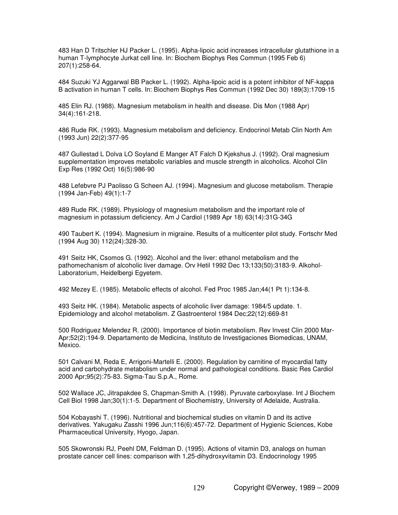483 Han D Tritschler HJ Packer L. (1995). Alpha-lipoic acid increases intracellular glutathione in a human T-lymphocyte Jurkat cell line. In: Biochem Biophys Res Commun (1995 Feb 6) 207(1):258-64.

484 Suzuki YJ Aggarwal BB Packer L. (1992). Alpha-lipoic acid is a potent inhibitor of NF-kappa B activation in human T cells. In: Biochem Biophys Res Commun (1992 Dec 30) 189(3):1709-15

485 Elin RJ. (1988). Magnesium metabolism in health and disease. Dis Mon (1988 Apr) 34(4):161-218.

486 Rude RK. (1993). Magnesium metabolism and deficiency. Endocrinol Metab Clin North Am (1993 Jun) 22(2):377-95

487 Gullestad L Dolva LO Soyland E Manger AT Falch D Kjekshus J. (1992). Oral magnesium supplementation improves metabolic variables and muscle strength in alcoholics. Alcohol Clin Exp Res (1992 Oct) 16(5):986-90

488 Lefebvre PJ Paolisso G Scheen AJ. (1994). Magnesium and glucose metabolism. Therapie (1994 Jan-Feb) 49(1):1-7

489 Rude RK. (1989). Physiology of magnesium metabolism and the important role of magnesium in potassium deficiency. Am J Cardiol (1989 Apr 18) 63(14):31G-34G

490 Taubert K. (1994). Magnesium in migraine. Results of a multicenter pilot study. Fortschr Med (1994 Aug 30) 112(24):328-30.

491 Seitz HK, Csomos G. (1992). Alcohol and the liver: ethanol metabolism and the pathomechanism of alcoholic liver damage. Orv Hetil 1992 Dec 13;133(50):3183-9. Alkohol-Laboratorium, Heidelbergi Egyetem.

492 Mezey E. (1985). Metabolic effects of alcohol. Fed Proc 1985 Jan;44(1 Pt 1):134-8.

493 Seitz HK. (1984). Metabolic aspects of alcoholic liver damage: 1984/5 update. 1. Epidemiology and alcohol metabolism. Z Gastroenterol 1984 Dec;22(12):669-81

500 Rodriguez Melendez R. (2000). Importance of biotin metabolism. Rev Invest Clin 2000 Mar-Apr;52(2):194-9. Departamento de Medicina, Instituto de Investigaciones Biomedicas, UNAM, Mexico.

501 Calvani M, Reda E, Arrigoni-Martelli E. (2000). Regulation by carnitine of myocardial fatty acid and carbohydrate metabolism under normal and pathological conditions. Basic Res Cardiol 2000 Apr;95(2):75-83. Sigma-Tau S.p.A., Rome.

502 Wallace JC, Jitrapakdee S, Chapman-Smith A. (1998). Pyruvate carboxylase. Int J Biochem Cell Biol 1998 Jan;30(1):1-5. Department of Biochemistry, University of Adelaide, Australia.

504 Kobayashi T. (1996). Nutritional and biochemical studies on vitamin D and its active derivatives. Yakugaku Zasshi 1996 Jun;116(6):457-72. Department of Hygienic Sciences, Kobe Pharmaceutical University, Hyogo, Japan.

505 Skowronski RJ, Peehl DM, Feldman D. (1995). Actions of vitamin D3, analogs on human prostate cancer cell lines: comparison with 1,25-dihydroxyvitamin D3. Endocrinology 1995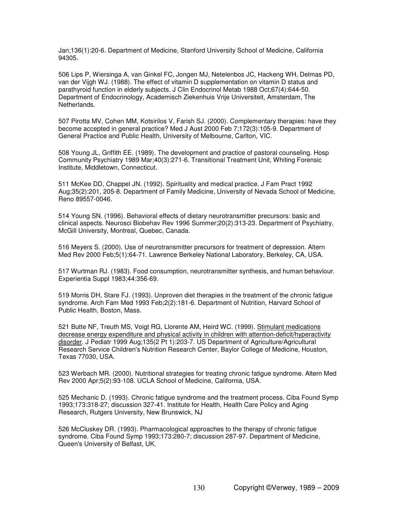Jan;136(1):20-6. Department of Medicine, Stanford University School of Medicine, California 94305.

506 Lips P, Wiersinga A, van Ginkel FC, Jongen MJ, Netelenbos JC, Hackeng WH, Delmas PD, van der Vijgh WJ. (1988). The effect of vitamin D supplementation on vitamin D status and parathyroid function in elderly subjects. J Clin Endocrinol Metab 1988 Oct;67(4):644-50. Department of Endocrinology, Academisch Ziekenhuis Vrije Universiteit, Amsterdam, The Netherlands.

507 Pirotta MV, Cohen MM, Kotsirilos V, Farish SJ. (2000). Complementary therapies: have they become accepted in general practice? Med J Aust 2000 Feb 7;172(3):105-9. Department of General Practice and Public Health, University of Melbourne, Carlton, VIC.

508 Young JL, Griffith EE. (1989). The development and practice of pastoral counseling. Hosp Community Psychiatry 1989 Mar;40(3):271-6. Transitional Treatment Unit, Whiting Forensic Institute, Middletown, Connecticut.

511 McKee DD, Chappel JN. (1992). Spirituality and medical practice. J Fam Pract 1992 Aug;35(2):201, 205-8. Department of Family Medicine, University of Nevada School of Medicine, Reno 89557-0046.

514 Young SN. (1996). Behavioral effects of dietary neurotransmitter precursors: basic and clinical aspects. Neurosci Biobehav Rev 1996 Summer;20(2):313-23. Department of Psychiatry, McGill University, Montreal, Quebec, Canada.

516 Meyers S. (2000). Use of neurotransmitter precursors for treatment of depression. Altern Med Rev 2000 Feb;5(1):64-71. Lawrence Berkeley National Laboratory, Berkeley, CA, USA.

517 Wurtman RJ. (1983). Food consumption, neurotransmitter synthesis, and human behaviour. Experientia Suppl 1983;44:356-69.

519 Morris DH, Stare FJ. (1993). Unproven diet therapies in the treatment of the chronic fatigue syndrome. Arch Fam Med 1993 Feb;2(2):181-6. Department of Nutrition, Harvard School of Public Health, Boston, Mass.

521 Butte NF, Treuth MS, Voigt RG, Llorente AM, Heird WC. (1999). Stimulant medications decrease energy expenditure and physical activity in children with attention-deficit/hyperactivity disorder. J Pediatr 1999 Aug;135(2 Pt 1):203-7. US Department of Agriculture/Agricultural Research Service Children's Nutrition Research Center, Baylor College of Medicine, Houston, Texas 77030, USA.

523 Werbach MR. (2000). Nutritional strategies for treating chronic fatigue syndrome. Altern Med Rev 2000 Apr;5(2):93-108. UCLA School of Medicine, California, USA.

525 Mechanic D. (1993). Chronic fatigue syndrome and the treatment process. Ciba Found Symp 1993;173:318-27; discussion 327-41. Institute for Health, Health Care Policy and Aging Research, Rutgers University, New Brunswick, NJ

526 McCluskey DR. (1993). Pharmacological approaches to the therapy of chronic fatigue syndrome. Ciba Found Symp 1993;173:280-7; discussion 287-97. Department of Medicine, Queen's University of Belfast, UK.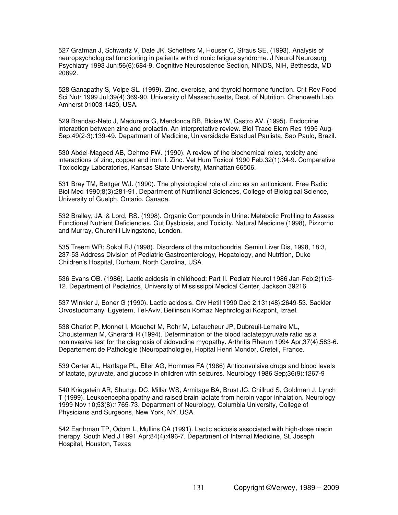527 Grafman J, Schwartz V, Dale JK, Scheffers M, Houser C, Straus SE. (1993). Analysis of neuropsychological functioning in patients with chronic fatigue syndrome. J Neurol Neurosurg Psychiatry 1993 Jun;56(6):684-9. Cognitive Neuroscience Section, NINDS, NIH, Bethesda, MD 20892.

528 Ganapathy S, Volpe SL. (1999). Zinc, exercise, and thyroid hormone function. Crit Rev Food Sci Nutr 1999 Jul;39(4):369-90. University of Massachusetts, Dept. of Nutrition, Chenoweth Lab, Amherst 01003-1420, USA.

529 Brandao-Neto J, Madureira G, Mendonca BB, Bloise W, Castro AV. (1995). Endocrine interaction between zinc and prolactin. An interpretative review. Biol Trace Elem Res 1995 Aug-Sep;49(2-3):139-49. Department of Medicine, Universidade Estadual Paulista, Sao Paulo, Brazil.

530 Abdel-Mageed AB, Oehme FW. (1990). A review of the biochemical roles, toxicity and interactions of zinc, copper and iron: I. Zinc. Vet Hum Toxicol 1990 Feb;32(1):34-9. Comparative Toxicology Laboratories, Kansas State University, Manhattan 66506.

531 Bray TM, Bettger WJ. (1990). The physiological role of zinc as an antioxidant. Free Radic Biol Med 1990;8(3):281-91. Department of Nutritional Sciences, College of Biological Science, University of Guelph, Ontario, Canada.

532 Bralley, JA, & Lord, RS. (1998). Organic Compounds in Urine: Metabolic Profiling to Assess Functional Nutrient Deficiencies. Gut Dysbiosis, and Toxicity. Natural Medicine (1998), Pizzorno and Murray, Churchill Livingstone, London.

535 Treem WR; Sokol RJ (1998). Disorders of the mitochondria. Semin Liver Dis, 1998, 18:3, 237-53 Address Division of Pediatric Gastroenterology, Hepatology, and Nutrition, Duke Children's Hospital, Durham, North Carolina, USA.

536 Evans OB. (1986). Lactic acidosis in childhood: Part II. Pediatr Neurol 1986 Jan-Feb;2(1):5- 12. Department of Pediatrics, University of Mississippi Medical Center, Jackson 39216.

537 Winkler J, Boner G (1990). Lactic acidosis. Orv Hetil 1990 Dec 2;131(48):2649-53. Sackler Orvostudomanyi Egyetem, Tel-Aviv, Beilinson Korhaz Nephrologiai Kozpont, Izrael.

538 Chariot P, Monnet I, Mouchet M, Rohr M, Lefaucheur JP, Dubreuil-Lemaire ML, Chousterman M, Gherardi R (1994). Determination of the blood lactate:pyruvate ratio as a noninvasive test for the diagnosis of zidovudine myopathy. Arthritis Rheum 1994 Apr;37(4):583-6. Departement de Pathologie (Neuropathologie), Hopital Henri Mondor, Creteil, France.

539 Carter AL, Hartlage PL, Eller AG, Hommes FA (1986) Anticonvulsive drugs and blood levels of lactate, pyruvate, and glucose in children with seizures. Neurology 1986 Sep;36(9):1267-9

540 Kriegstein AR, Shungu DC, Millar WS, Armitage BA, Brust JC, Chillrud S, Goldman J, Lynch T (1999). Leukoencephalopathy and raised brain lactate from heroin vapor inhalation. Neurology 1999 Nov 10;53(8):1765-73. Department of Neurology, Columbia University, College of Physicians and Surgeons, New York, NY, USA.

542 Earthman TP, Odom L, Mullins CA (1991). Lactic acidosis associated with high-dose niacin therapy. South Med J 1991 Apr;84(4):496-7. Department of Internal Medicine, St. Joseph Hospital, Houston, Texas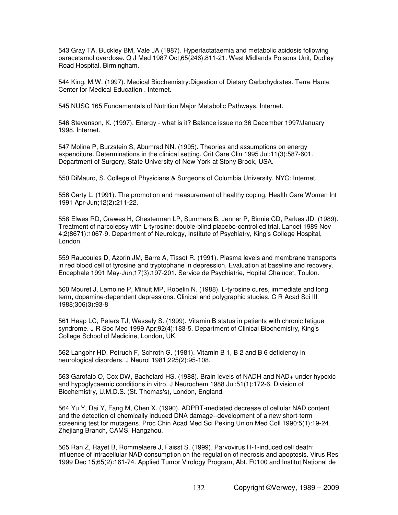543 Gray TA, Buckley BM, Vale JA (1987). Hyperlactataemia and metabolic acidosis following paracetamol overdose. Q J Med 1987 Oct;65(246):811-21. West Midlands Poisons Unit, Dudley Road Hospital, Birmingham.

544 King, M.W. (1997). Medical Biochemistry:Digestion of Dietary Carbohydrates. Terre Haute Center for Medical Education . Internet.

545 NUSC 165 Fundamentals of Nutrition Major Metabolic Pathways. Internet.

546 Stevenson, K. (1997). Energy - what is it? Balance issue no 36 December 1997/January 1998. Internet.

547 Molina P, Burzstein S, Abumrad NN. (1995). Theories and assumptions on energy expenditure. Determinations in the clinical setting. Crit Care Clin 1995 Jul;11(3):587-601. Department of Surgery, State University of New York at Stony Brook, USA.

550 DiMauro, S. College of Physicians & Surgeons of Columbia University, NYC: Internet.

556 Carty L. (1991). The promotion and measurement of healthy coping. Health Care Women Int 1991 Apr-Jun;12(2):211-22.

558 Elwes RD, Crewes H, Chesterman LP, Summers B, Jenner P, Binnie CD, Parkes JD. (1989). Treatment of narcolepsy with L-tyrosine: double-blind placebo-controlled trial. Lancet 1989 Nov 4;2(8671):1067-9. Department of Neurology, Institute of Psychiatry, King's College Hospital, London.

559 Raucoules D, Azorin JM, Barre A, Tissot R. (1991). Plasma levels and membrane transports in red blood cell of tyrosine and tryptophane in depression. Evaluation at baseline and recovery. Encephale 1991 May-Jun;17(3):197-201. Service de Psychiatrie, Hopital Chalucet, Toulon.

560 Mouret J, Lemoine P, Minuit MP, Robelin N. (1988). L-tyrosine cures, immediate and long term, dopamine-dependent depressions. Clinical and polygraphic studies. C R Acad Sci III 1988;306(3):93-8

561 Heap LC, Peters TJ, Wessely S. (1999). Vitamin B status in patients with chronic fatigue syndrome. J R Soc Med 1999 Apr;92(4):183-5. Department of Clinical Biochemistry, King's College School of Medicine, London, UK.

562 Langohr HD, Petruch F, Schroth G. (1981). Vitamin B 1, B 2 and B 6 deficiency in neurological disorders. J Neurol 1981;225(2):95-108.

563 Garofalo O, Cox DW, Bachelard HS. (1988). Brain levels of NADH and NAD+ under hypoxic and hypoglycaemic conditions in vitro. J Neurochem 1988 Jul;51(1):172-6. Division of Biochemistry, U.M.D.S. (St. Thomas's), London, England.

564 Yu Y, Dai Y, Fang M, Chen X. (1990). ADPRT-mediated decrease of cellular NAD content and the detection of chemically induced DNA damage--development of a new short-term screening test for mutagens. Proc Chin Acad Med Sci Peking Union Med Coll 1990;5(1):19-24. Zhejiang Branch, CAMS, Hangzhou.

565 Ran Z, Rayet B, Rommelaere J, Faisst S. (1999). Parvovirus H-1-induced cell death: influence of intracellular NAD consumption on the regulation of necrosis and apoptosis. Virus Res 1999 Dec 15;65(2):161-74. Applied Tumor Virology Program, Abt. F0100 and Institut National de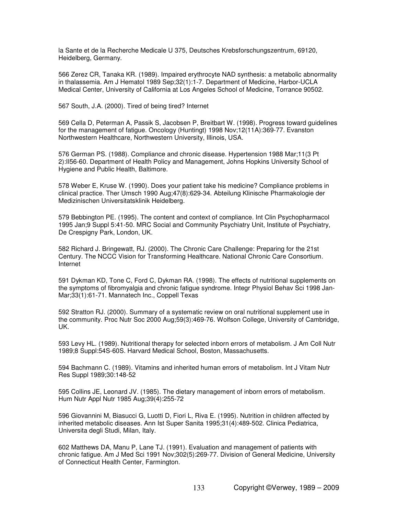la Sante et de la Recherche Medicale U 375, Deutsches Krebsforschungszentrum, 69120, Heidelberg, Germany.

566 Zerez CR, Tanaka KR. (1989). Impaired erythrocyte NAD synthesis: a metabolic abnormality in thalassemia. Am J Hematol 1989 Sep;32(1):1-7. Department of Medicine, Harbor-UCLA Medical Center, University of California at Los Angeles School of Medicine, Torrance 90502.

567 South, J.A. (2000). Tired of being tired? Internet

569 Cella D, Peterman A, Passik S, Jacobsen P, Breitbart W. (1998). Progress toward guidelines for the management of fatigue. Oncology (Huntingt) 1998 Nov;12(11A):369-77. Evanston Northwestern Healthcare, Northwestern University, Illinois, USA.

576 German PS. (1988). Compliance and chronic disease. Hypertension 1988 Mar;11(3 Pt 2):II56-60. Department of Health Policy and Management, Johns Hopkins University School of Hygiene and Public Health, Baltimore.

578 Weber E, Kruse W. (1990). Does your patient take his medicine? Compliance problems in clinical practice. Ther Umsch 1990 Aug;47(8):629-34. Abteilung Klinische Pharmakologie der Medizinischen Universitatsklinik Heidelberg.

579 Bebbington PE. (1995). The content and context of compliance. Int Clin Psychopharmacol 1995 Jan;9 Suppl 5:41-50. MRC Social and Community Psychiatry Unit, Institute of Psychiatry, De Crespigny Park, London, UK.

582 Richard J. Bringewatt, RJ. (2000). The Chronic Care Challenge: Preparing for the 21st Century. The NCCC Vision for Transforming Healthcare. National Chronic Care Consortium. Internet

591 Dykman KD, Tone C, Ford C, Dykman RA. (1998). The effects of nutritional supplements on the symptoms of fibromyalgia and chronic fatigue syndrome. Integr Physiol Behav Sci 1998 Jan-Mar;33(1):61-71. Mannatech Inc., Coppell Texas

592 Stratton RJ. (2000). Summary of a systematic review on oral nutritional supplement use in the community. Proc Nutr Soc 2000 Aug;59(3):469-76. Wolfson College, University of Cambridge, UK.

593 Levy HL. (1989). Nutritional therapy for selected inborn errors of metabolism. J Am Coll Nutr 1989;8 Suppl:54S-60S. Harvard Medical School, Boston, Massachusetts.

594 Bachmann C. (1989). Vitamins and inherited human errors of metabolism. Int J Vitam Nutr Res Suppl 1989;30:148-52

595 Collins JE, Leonard JV. (1985). The dietary management of inborn errors of metabolism. Hum Nutr Appl Nutr 1985 Aug;39(4):255-72

596 Giovannini M, Biasucci G, Luotti D, Fiori L, Riva E. (1995). Nutrition in children affected by inherited metabolic diseases. Ann Ist Super Sanita 1995;31(4):489-502. Clinica Pediatrica, Universita degli Studi, Milan, Italy.

602 Matthews DA, Manu P, Lane TJ. (1991). Evaluation and management of patients with chronic fatigue. Am J Med Sci 1991 Nov;302(5):269-77. Division of General Medicine, University of Connecticut Health Center, Farmington.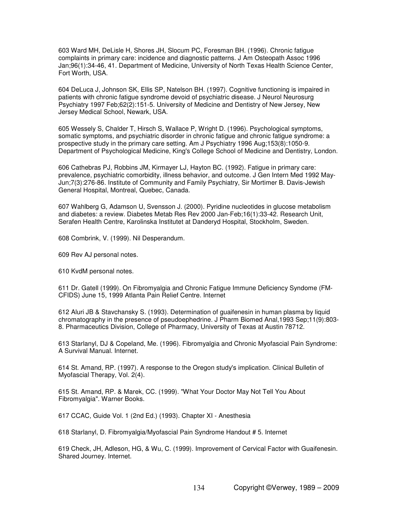603 Ward MH, DeLisle H, Shores JH, Slocum PC, Foresman BH. (1996). Chronic fatigue complaints in primary care: incidence and diagnostic patterns. J Am Osteopath Assoc 1996 Jan;96(1):34-46, 41. Department of Medicine, University of North Texas Health Science Center, Fort Worth, USA.

604 DeLuca J, Johnson SK, Ellis SP, Natelson BH. (1997). Cognitive functioning is impaired in patients with chronic fatigue syndrome devoid of psychiatric disease. J Neurol Neurosurg Psychiatry 1997 Feb;62(2):151-5. University of Medicine and Dentistry of New Jersey, New Jersey Medical School, Newark, USA.

605 Wessely S, Chalder T, Hirsch S, Wallace P, Wright D. (1996). Psychological symptoms, somatic symptoms, and psychiatric disorder in chronic fatigue and chronic fatigue syndrome: a prospective study in the primary care setting. Am J Psychiatry 1996 Aug;153(8):1050-9. Department of Psychological Medicine, King's College School of Medicine and Dentistry, London.

606 Cathebras PJ, Robbins JM, Kirmayer LJ, Hayton BC. (1992). Fatigue in primary care: prevalence, psychiatric comorbidity, illness behavior, and outcome. J Gen Intern Med 1992 May-Jun;7(3):276-86. Institute of Community and Family Psychiatry, Sir Mortimer B. Davis-Jewish General Hospital, Montreal, Quebec, Canada.

607 Wahlberg G, Adamson U, Svensson J. (2000). Pyridine nucleotides in glucose metabolism and diabetes: a review. Diabetes Metab Res Rev 2000 Jan-Feb;16(1):33-42. Research Unit, Serafen Health Centre, Karolinska Institutet at Danderyd Hospital, Stockholm, Sweden.

608 Combrink, V. (1999). Nil Desperandum.

609 Rev AJ personal notes.

610 KvdM personal notes.

611 Dr. Gatell (1999). On Fibromyalgia and Chronic Fatigue Immune Deficiency Syndome (FM-CFIDS) June 15, 1999 Atlanta Pain Relief Centre. Internet

612 Aluri JB & Stavchansky S. (1993). Determination of guaifenesin in human plasma by liquid chromatography in the presence of pseudoephedrine. J Pharm Biomed Anal,1993 Sep;11(9):803- 8. Pharmaceutics Division, College of Pharmacy, University of Texas at Austin 78712.

613 Starlanyl, DJ & Copeland, Me. (1996). Fibromyalgia and Chronic Myofascial Pain Syndrome: A Survival Manual. Internet.

614 St. Amand, RP. (1997). A response to the Oregon study's implication. Clinical Bulletin of Myofascial Therapy, Vol. 2(4).

615 St. Amand, RP. & Marek, CC. (1999). "What Your Doctor May Not Tell You About Fibromyalgia". Warner Books.

617 CCAC, Guide Vol. 1 (2nd Ed.) (1993). Chapter XI - Anesthesia

618 Starlanyl, D. Fibromyalgia/Myofascial Pain Syndrome Handout # 5. Internet

619 Check, JH, Adleson, HG, & Wu, C. (1999). Improvement of Cervical Factor with Guaifenesin. Shared Journey. Internet.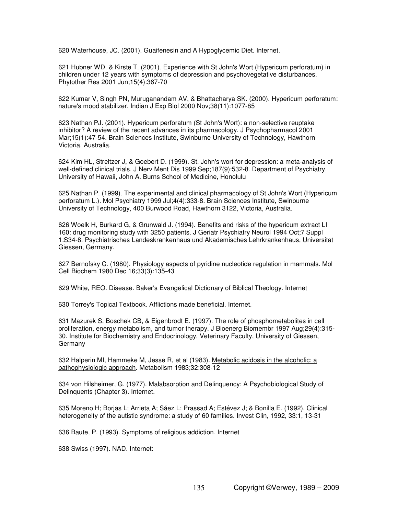620 Waterhouse, JC. (2001). Guaifenesin and A Hypoglycemic Diet. Internet.

621 Hubner WD. & Kirste T. (2001). Experience with St John's Wort (Hypericum perforatum) in children under 12 years with symptoms of depression and psychovegetative disturbances. Phytother Res 2001 Jun;15(4):367-70

622 Kumar V, Singh PN, Muruganandam AV, & Bhattacharya SK. (2000). Hypericum perforatum: nature's mood stabilizer. Indian J Exp Biol 2000 Nov;38(11):1077-85

623 Nathan PJ. (2001). Hypericum perforatum (St John's Wort): a non-selective reuptake inhibitor? A review of the recent advances in its pharmacology. J Psychopharmacol 2001 Mar;15(1):47-54. Brain Sciences Institute, Swinburne University of Technology, Hawthorn Victoria, Australia.

624 Kim HL, Streltzer J, & Goebert D. (1999). St. John's wort for depression: a meta-analysis of well-defined clinical trials. J Nerv Ment Dis 1999 Sep;187(9):532-8. Department of Psychiatry, University of Hawaii, John A. Burns School of Medicine, Honolulu

625 Nathan P. (1999). The experimental and clinical pharmacology of St John's Wort (Hypericum perforatum L.). Mol Psychiatry 1999 Jul;4(4):333-8. Brain Sciences Institute, Swinburne University of Technology, 400 Burwood Road, Hawthorn 3122, Victoria, Australia.

626 Woelk H, Burkard G, & Grunwald J. (1994). Benefits and risks of the hypericum extract LI 160: drug monitoring study with 3250 patients. J Geriatr Psychiatry Neurol 1994 Oct;7 Suppl 1:S34-8. Psychiatrisches Landeskrankenhaus und Akademisches Lehrkrankenhaus, Universitat Giessen, Germany.

627 Bernofsky C. (1980). Physiology aspects of pyridine nucleotide regulation in mammals. Mol Cell Biochem 1980 Dec 16;33(3):135-43

629 White, REO. Disease. Baker's Evangelical Dictionary of Biblical Theology. Internet

630 Torrey's Topical Textbook. Afflictions made beneficial. Internet.

631 Mazurek S, Boschek CB, & Eigenbrodt E. (1997). The role of phosphometabolites in cell proliferation, energy metabolism, and tumor therapy. J Bioenerg Biomembr 1997 Aug;29(4):315- 30. Institute for Biochemistry and Endocrinology, Veterinary Faculty, University of Giessen, **Germany** 

632 Halperin MI, Hammeke M, Jesse R, et al (1983). Metabolic acidosis in the alcoholic: a pathophysiologic approach. Metabolism 1983;32:308-12

634 von Hilsheimer, G. (1977). Malabsorption and Delinquency: A Psychobiological Study of Delinquents (Chapter 3). Internet.

635 Moreno H; Borjas L; Arrieta A; Sáez L; Prassad A; Estévez J; & Bonilla E. (1992). Clinical heterogeneity of the autistic syndrome: a study of 60 families. Invest Clin, 1992, 33:1, 13-31

636 Baute, P. (1993). Symptoms of religious addiction. Internet

638 Swiss (1997). NAD. Internet: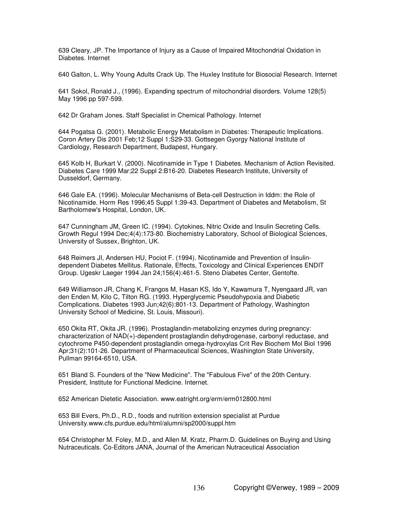639 Cleary, JP. The Importance of Injury as a Cause of Impaired Mitochondrial Oxidation in Diabetes. Internet

640 Galton, L. Why Young Adults Crack Up. The Huxley Institute for Biosocial Research. Internet

641 Sokol, Ronald J., (1996). Expanding spectrum of mitochondrial disorders. Volume 128(5) May 1996 pp 597-599.

642 Dr Graham Jones. Staff Specialist in Chemical Pathology. Internet

644 Pogatsa G. (2001). Metabolic Energy Metabolism in Diabetes: Therapeutic Implications. Coron Artery Dis 2001 Feb;12 Suppl 1:S29-33. Gottsegen Gyorgy National Institute of Cardiology, Research Department, Budapest, Hungary.

645 Kolb H, Burkart V. (2000). Nicotinamide in Type 1 Diabetes. Mechanism of Action Revisited. Diabetes Care 1999 Mar;22 Suppl 2:B16-20. Diabetes Research Institute, University of Dusseldorf, Germany.

646 Gale EA. (1996). Molecular Mechanisms of Beta-cell Destruction in Iddm: the Role of Nicotinamide. Horm Res 1996;45 Suppl 1:39-43. Department of Diabetes and Metabolism, St Bartholomew's Hospital, London, UK.

647 Cunningham JM, Green IC. (1994). Cytokines, Nitric Oxide and Insulin Secreting Cells. Growth Regul 1994 Dec;4(4):173-80. Biochemistry Laboratory, School of Biological Sciences, University of Sussex, Brighton, UK.

648 Reimers JI, Andersen HU, Pociot F. (1994). Nicotinamide and Prevention of Insulindependent Diabetes Mellitus. Rationale, Effects, Toxicology and Clinical Experiences ENDIT Group. Ugeskr Laeger 1994 Jan 24;156(4):461-5. Steno Diabetes Center, Gentofte.

649 Williamson JR, Chang K, Frangos M, Hasan KS, Ido Y, Kawamura T, Nyengaard JR, van den Enden M, Kilo C, Tilton RG. (1993. Hyperglycemic Pseudohypoxia and Diabetic Complications. Diabetes 1993 Jun;42(6):801-13. Department of Pathology, Washington University School of Medicine, St. Louis, Missouri).

650 Okita RT, Okita JR. (1996). Prostaglandin-metabolizing enzymes during pregnancy: characterization of NAD(+)-dependent prostaglandin dehydrogenase, carbonyl reductase, and cytochrome P450-dependent prostaglandin omega-hydroxylas Crit Rev Biochem Mol Biol 1996 Apr;31(2):101-26. Department of Pharmaceutical Sciences, Washington State University, Pullman 99164-6510, USA.

651 Bland S. Founders of the "New Medicine". The "Fabulous Five" of the 20th Century. President, Institute for Functional Medicine. Internet.

652 American Dietetic Association. www.eatright.org/erm/erm012800.html

653 Bill Evers, Ph.D., R.D., foods and nutrition extension specialist at Purdue University.www.cfs.purdue.edu/html/alumni/sp2000/suppl.htm

654 Christopher M. Foley, M.D., and Allen M. Kratz, Pharm.D. Guidelines on Buying and Using Nutraceuticals. Co-Editors JANA, Journal of the American Nutraceutical Association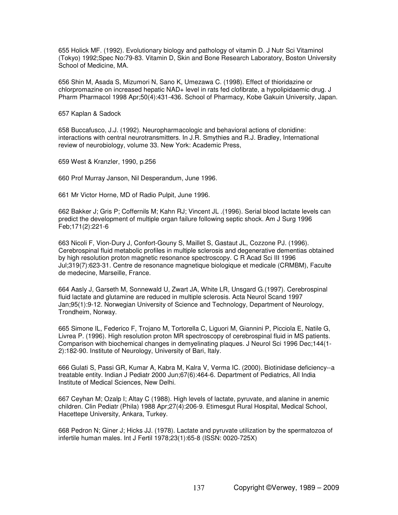655 Holick MF. (1992). Evolutionary biology and pathology of vitamin D. J Nutr Sci Vitaminol (Tokyo) 1992;Spec No:79-83. Vitamin D, Skin and Bone Research Laboratory, Boston University School of Medicine, MA.

656 Shin M, Asada S, Mizumori N, Sano K, Umezawa C. (1998). Effect of thioridazine or chlorpromazine on increased hepatic NAD+ level in rats fed clofibrate, a hypolipidaemic drug. J Pharm Pharmacol 1998 Apr;50(4):431-436. School of Pharmacy, Kobe Gakuin University, Japan.

657 Kaplan & Sadock

658 Buccafusco, J.J. (1992). Neuropharmacologic and behavioral actions of clonidine: interactions with central neurotransmitters. In J.R. Smythies and R.J. Bradley, International review of neurobiology, volume 33. New York: Academic Press,

659 West & Kranzler, 1990, p.256

660 Prof Murray Janson, Nil Desperandum, June 1996.

661 Mr Victor Horne, MD of Radio Pulpit, June 1996.

662 Bakker J; Gris P; Coffernils M; Kahn RJ; Vincent JL .(1996). Serial blood lactate levels can predict the development of multiple organ failure following septic shock. Am J Surg 1996 Feb;171(2):221-6

663 Nicoli F, Vion-Dury J, Confort-Gouny S, Maillet S, Gastaut JL, Cozzone PJ. (1996). Cerebrospinal fluid metabolic profiles in multiple sclerosis and degenerative dementias obtained by high resolution proton magnetic resonance spectroscopy. C R Acad Sci III 1996 Jul;319(7):623-31. Centre de resonance magnetique biologique et medicale (CRMBM), Faculte de medecine, Marseille, France.

664 Aasly J, Garseth M, Sonnewald U, Zwart JA, White LR, Unsgard G.(1997). Cerebrospinal fluid lactate and glutamine are reduced in multiple sclerosis. Acta Neurol Scand 1997 Jan;95(1):9-12. Norwegian University of Science and Technology, Department of Neurology, Trondheim, Norway.

665 Simone IL, Federico F, Trojano M, Tortorella C, Liguori M, Giannini P, Picciola E, Natile G, Livrea P. (1996). High resolution proton MR spectroscopy of cerebrospinal fluid in MS patients. Comparison with biochemical changes in demyelinating plaques. J Neurol Sci 1996 Dec;144(1- 2):182-90. Institute of Neurology, University of Bari, Italy.

666 Gulati S, Passi GR, Kumar A, Kabra M, Kalra V, Verma IC. (2000). Biotinidase deficiency--a treatable entity. Indian J Pediatr 2000 Jun;67(6):464-6. Department of Pediatrics, All India Institute of Medical Sciences, New Delhi.

667 Ceyhan M; Ozalp I; Altay C (1988). High levels of lactate, pyruvate, and alanine in anemic children. Clin Pediatr (Phila) 1988 Apr;27(4):206-9. Etimesgut Rural Hospital, Medical School, Hacettepe University, Ankara, Turkey.

668 Pedron N; Giner J; Hicks JJ. (1978). Lactate and pyruvate utilization by the spermatozoa of infertile human males. Int J Fertil 1978;23(1):65-8 (ISSN: 0020-725X)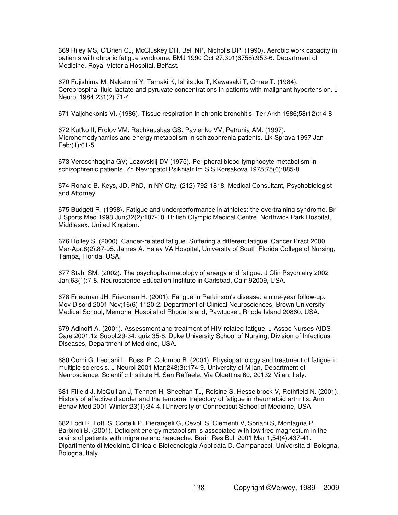669 Riley MS, O'Brien CJ, McCluskey DR, Bell NP, Nicholls DP. (1990). Aerobic work capacity in patients with chronic fatigue syndrome. BMJ 1990 Oct 27;301(6758):953-6. Department of Medicine, Royal Victoria Hospital, Belfast.

670 Fujishima M, Nakatomi Y, Tamaki K, Ishitsuka T, Kawasaki T, Omae T. (1984). Cerebrospinal fluid lactate and pyruvate concentrations in patients with malignant hypertension. J Neurol 1984;231(2):71-4

671 Vaijchekonis VI. (1986). Tissue respiration in chronic bronchitis. Ter Arkh 1986;58(12):14-8

672 Kut'ko II; Frolov VM; Rachkauskas GS; Pavlenko VV; Petrunia AM. (1997). Microhemodynamics and energy metabolism in schizophrenia patients. Lik Sprava 1997 Jan-Feb;(1):61-5

673 Vereschhagina GV; Lozovskiij DV (1975). Peripheral blood lymphocyte metabolism in schizophrenic patients. Zh Nevropatol Psikhiatr Im S S Korsakova 1975;75(6):885-8

674 Ronald B. Keys, JD, PhD, in NY City, (212) 792-1818, Medical Consultant, Psychobiologist and Attorney

675 Budgett R. (1998). Fatigue and underperformance in athletes: the overtraining syndrome. Br J Sports Med 1998 Jun;32(2):107-10. British Olympic Medical Centre, Northwick Park Hospital, Middlesex, United Kingdom.

676 Holley S. (2000). Cancer-related fatigue. Suffering a different fatigue. Cancer Pract 2000 Mar-Apr;8(2):87-95. James A. Haley VA Hospital, University of South Florida College of Nursing, Tampa, Florida, USA.

677 Stahl SM. (2002). The psychopharmacology of energy and fatigue. J Clin Psychiatry 2002 Jan;63(1):7-8. Neuroscience Education Institute in Carlsbad, Calif 92009, USA.

678 Friedman JH, Friedman H. (2001). Fatigue in Parkinson's disease: a nine-year follow-up. Mov Disord 2001 Nov;16(6):1120-2. Department of Clinical Neurosciences, Brown University Medical School, Memorial Hospital of Rhode Island, Pawtucket, Rhode Island 20860, USA.

679 Adinolfi A. (2001). Assessment and treatment of HIV-related fatigue. J Assoc Nurses AIDS Care 2001;12 Suppl:29-34; quiz 35-8. Duke University School of Nursing, Division of Infectious Diseases, Department of Medicine, USA.

680 Comi G, Leocani L, Rossi P, Colombo B. (2001). Physiopathology and treatment of fatigue in multiple sclerosis. J Neurol 2001 Mar;248(3):174-9. University of Milan, Department of Neuroscience, Scientific Institute H. San Raffaele, Via Olgettina 60, 20132 Milan, Italy.

681 Fifield J, McQuillan J, Tennen H, Sheehan TJ, Reisine S, Hesselbrock V, Rothfield N. (2001). History of affective disorder and the temporal trajectory of fatigue in rheumatoid arthritis. Ann Behav Med 2001 Winter;23(1):34-4.1University of Connecticut School of Medicine, USA.

682 Lodi R, Lotti S, Cortelli P, Pierangeli G, Cevoli S, Clementi V, Soriani S, Montagna P, Barbiroli B. (2001). Deficient energy metabolism is associated with low free magnesium in the brains of patients with migraine and headache. Brain Res Bull 2001 Mar 1;54(4):437-41. Dipartimento di Medicina Clinica e Biotecnologia Applicata D. Campanacci, Universita di Bologna, Bologna, Italy.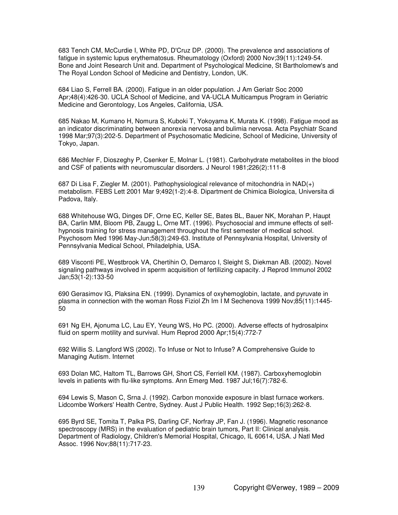683 Tench CM, McCurdie I, White PD, D'Cruz DP. (2000). The prevalence and associations of fatigue in systemic lupus erythematosus. Rheumatology (Oxford) 2000 Nov;39(11):1249-54. Bone and Joint Research Unit and. Department of Psychological Medicine, St Bartholomew's and The Royal London School of Medicine and Dentistry, London, UK.

684 Liao S, Ferrell BA. (2000). Fatigue in an older population. J Am Geriatr Soc 2000 Apr;48(4):426-30. UCLA School of Medicine, and VA-UCLA Multicampus Program in Geriatric Medicine and Gerontology, Los Angeles, California, USA.

685 Nakao M, Kumano H, Nomura S, Kuboki T, Yokoyama K, Murata K. (1998). Fatigue mood as an indicator discriminating between anorexia nervosa and bulimia nervosa. Acta Psychiatr Scand 1998 Mar;97(3):202-5. Department of Psychosomatic Medicine, School of Medicine, University of Tokyo, Japan.

686 Mechler F, Dioszeghy P, Csenker E, Molnar L. (1981). Carbohydrate metabolites in the blood and CSF of patients with neuromuscular disorders. J Neurol 1981;226(2):111-8

687 Di Lisa F, Ziegler M. (2001). Pathophysiological relevance of mitochondria in NAD(+) metabolism. FEBS Lett 2001 Mar 9;492(1-2):4-8. Dipartment de Chimica Biologica, Universita di Padova, Italy.

688 Whitehouse WG, Dinges DF, Orne EC, Keller SE, Bates BL, Bauer NK, Morahan P, Haupt BA, Carlin MM, Bloom PB, Zaugg L, Orne MT. (1996). Psychosocial and immune effects of selfhypnosis training for stress management throughout the first semester of medical school. Psychosom Med 1996 May-Jun;58(3):249-63. Institute of Pennsylvania Hospital, University of Pennsylvania Medical School, Philadelphia, USA.

689 Visconti PE, Westbrook VA, Chertihin O, Demarco I, Sleight S, Diekman AB. (2002). Novel signaling pathways involved in sperm acquisition of fertilizing capacity. J Reprod Immunol 2002 Jan;53(1-2):133-50

690 Gerasimov IG, Plaksina EN. (1999). Dynamics of oxyhemoglobin, lactate, and pyruvate in plasma in connection with the woman Ross Fiziol Zh Im I M Sechenova 1999 Nov;85(11):1445- 50

691 Ng EH, Ajonuma LC, Lau EY, Yeung WS, Ho PC. (2000). Adverse effects of hydrosalpinx fluid on sperm motility and survival. Hum Reprod 2000 Apr;15(4):772-7

692 Willis S. Langford WS (2002). To Infuse or Not to Infuse? A Comprehensive Guide to Managing Autism. Internet

693 Dolan MC, Haltom TL, Barrows GH, Short CS, Ferriell KM. (1987). Carboxyhemoglobin levels in patients with flu-like symptoms. Ann Emerg Med. 1987 Jul;16(7):782-6.

694 Lewis S, Mason C, Srna J. (1992). Carbon monoxide exposure in blast furnace workers. Lidcombe Workers' Health Centre, Sydney. Aust J Public Health. 1992 Sep;16(3):262-8.

695 Byrd SE, Tomita T, Palka PS, Darling CF, Norfray JP, Fan J. (1996). Magnetic resonance spectroscopy (MRS) in the evaluation of pediatric brain tumors, Part II: Clinical analysis. Department of Radiology, Children's Memorial Hospital, Chicago, IL 60614, USA. J Natl Med Assoc. 1996 Nov;88(11):717-23.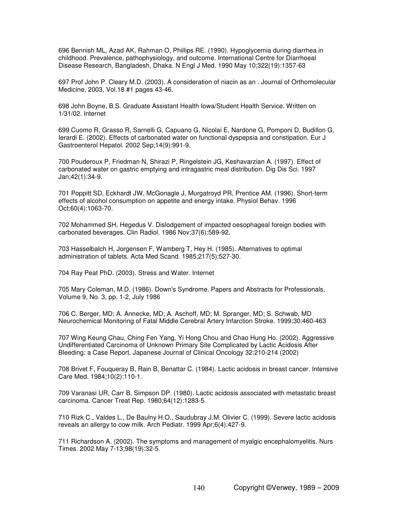696 Bennish ML, Azad AK, Rahman O, Phillips RE. (1990). Hypoglycemia during diarrhea in childhood. Prevalence, pathophysiology, and outcome. International Centre for Diarrhoeal Disease Research, Bangladesh, Dhaka. N Engl J Med. 1990 May 10;322(19):1357-63

697 Prof John P. Cleary M.D. (2003). A consideration of niacin as an . Journal of Orthomolecular Medicine, 2003, Vol.18 #1 pages 43-46.

698 John Boyne, B.S. Graduate Assistant Health Iowa/Student Health Service. Written on 1/31/02. Internet

699 Cuomo R, Grasso R, Sarnelli G, Capuano G, Nicolai E, Nardone G, Pomponi D, Budillon G, Ierardi E. (2002). Effects of carbonated water on functional dyspepsia and constipation. Eur J Gastroenterol Hepatol. 2002 Sep;14(9):991-9.

700 Pouderoux P, Friedman N, Shirazi P, Ringelstein JG, Keshavarzian A. (1997). Effect of carbonated water on gastric emptying and intragastric meal distribution. Dig Dis Sci. 1997 Jan;42(1):34-9.

701 Poppitt SD, Eckhardt JW, McGonagle J, Murgatroyd PR, Prentice AM. (1996). Short-term effects of alcohol consumption on appetite and energy intake. Physiol Behav. 1996 Oct;60(4):1063-70.

702 Mohammed SH, Hegedus V. Dislodgement of impacted oesophageal foreign bodies with carbonated beverages. Clin Radiol. 1986 Nov;37(6):589-92.

703 Hasselbalch H, Jorgensen F, Wamberg T, Hey H. (1985). Alternatives to optimal administration of tablets. Acta Med Scand. 1985;217(5):527-30.

704 Ray Peat PhD. (2003). Stress and Water. Internet

705 Mary Coleman, M.D. (1986). Down's Syndrome. Papers and Abstracts for Professionals, Volume 9, No. 3, pp. 1-2, July 1986

706 C. Berger, MD; A. Annecke, MD; A. Aschoff, MD; M. Spranger, MD; S. Schwab, MD Neurochemical Monitoring of Fatal Middle Cerebral Artery Infarction Stroke. 1999;30:460-463

707 Wing Keung Chau, Ching Fen Yang, Yi Hong Chou and Chao Hung Ho. (2002). Aggressive Undifferentiated Carcinoma of Unknown Primary Site Complicated by Lactic Acidosis After Bleeding: a Case Report. Japanese Journal of Clinical Oncology 32:210-214 (2002)

708 Brivet F, Fouqueray B, Rain B, Benattar C. (1984). Lactic acidosis in breast cancer. Intensive Care Med. 1984;10(2):110-1.

709 Varanasi UR, Carr B, Simpson DP. (1980). Lactic acidosis associated with metastatic breast carcinoma. Cancer Treat Rep. 1980;64(12):1283-5.

710 Rizk C., Valdes L., De Baulny H.O., Saudubray J.M. Olivier C. (1999). Severe lactic acidosis reveals an allergy to cow milk. Arch Pediatr. 1999 Apr;6(4):427-9.

711 Richardson A. (2002). The symptoms and management of myalgic encephalomyelitis. Nurs Times. 2002 May 7-13;98(19):32-5.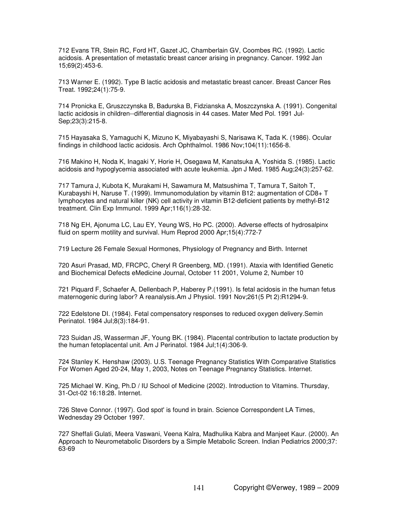712 Evans TR, Stein RC, Ford HT, Gazet JC, Chamberlain GV, Coombes RC. (1992). Lactic acidosis. A presentation of metastatic breast cancer arising in pregnancy. Cancer. 1992 Jan 15;69(2):453-6.

713 Warner E. (1992). Type B lactic acidosis and metastatic breast cancer. Breast Cancer Res Treat. 1992;24(1):75-9.

714 Pronicka E, Gruszczynska B, Badurska B, Fidzianska A, Moszczynska A. (1991). Congenital lactic acidosis in children--differential diagnosis in 44 cases. Mater Med Pol. 1991 Jul-Sep;23(3):215-8.

715 Hayasaka S, Yamaguchi K, Mizuno K, Miyabayashi S, Narisawa K, Tada K. (1986). Ocular findings in childhood lactic acidosis. Arch Ophthalmol. 1986 Nov;104(11):1656-8.

716 Makino H, Noda K, Inagaki Y, Horie H, Osegawa M, Kanatsuka A, Yoshida S. (1985). Lactic acidosis and hypoglycemia associated with acute leukemia. Jpn J Med. 1985 Aug;24(3):257-62.

717 Tamura J, Kubota K, Murakami H, Sawamura M, Matsushima T, Tamura T, Saitoh T, Kurabayshi H, Naruse T. (1999). Immunomodulation by vitamin B12: augmentation of CD8+ T lymphocytes and natural killer (NK) cell activity in vitamin B12-deficient patients by methyl-B12 treatment. Clin Exp Immunol. 1999 Apr;116(1):28-32.

718 Ng EH, Ajonuma LC, Lau EY, Yeung WS, Ho PC. (2000). Adverse effects of hydrosalpinx fluid on sperm motility and survival. Hum Reprod 2000 Apr;15(4):772-7

719 Lecture 26 Female Sexual Hormones, Physiology of Pregnancy and Birth. Internet

720 Asuri Prasad, MD, FRCPC, Cheryl R Greenberg, MD. (1991). Ataxia with Identified Genetic and Biochemical Defects eMedicine Journal, October 11 2001, Volume 2, Number 10

721 Piquard F, Schaefer A, Dellenbach P, Haberey P.(1991). Is fetal acidosis in the human fetus maternogenic during labor? A reanalysis.Am J Physiol. 1991 Nov;261(5 Pt 2):R1294-9.

722 Edelstone DI. (1984). Fetal compensatory responses to reduced oxygen delivery.Semin Perinatol. 1984 Jul;8(3):184-91.

723 Suidan JS, Wasserman JF, Young BK. (1984). Placental contribution to lactate production by the human fetoplacental unit. Am J Perinatol. 1984 Jul;1(4):306-9.

724 Stanley K. Henshaw (2003). U.S. Teenage Pregnancy Statistics With Comparative Statistics For Women Aged 20-24, May 1, 2003, Notes on Teenage Pregnancy Statistics. Internet.

725 Michael W. King, Ph.D / IU School of Medicine (2002). Introduction to Vitamins. Thursday, 31-Oct-02 16:18:28. Internet.

726 Steve Connor. (1997). God spot' is found in brain. Science Correspondent LA Times, Wednesday 29 October 1997.

727 Sheffali Gulati, Meera Vaswani, Veena Kalra, Madhulika Kabra and Manjeet Kaur. (2000). An Approach to Neurometabolic Disorders by a Simple Metabolic Screen. Indian Pediatrics 2000;37: 63-69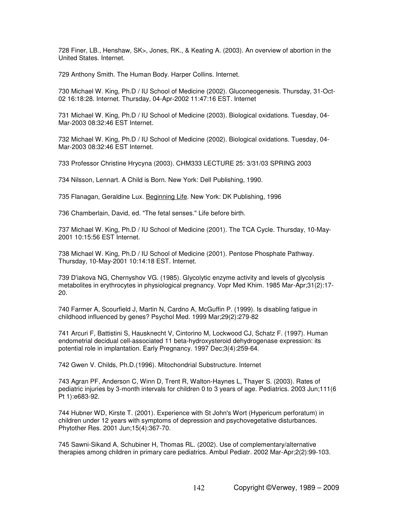728 Finer, LB., Henshaw, SK>, Jones, RK., & Keating A. (2003). An overview of abortion in the United States. Internet.

729 Anthony Smith. The Human Body. Harper Collins. Internet.

730 Michael W. King, Ph.D / IU School of Medicine (2002). Gluconeogenesis. Thursday, 31-Oct-02 16:18:28. Internet. Thursday, 04-Apr-2002 11:47:16 EST. Internet

731 Michael W. King, Ph.D / IU School of Medicine (2003). Biological oxidations. Tuesday, 04- Mar-2003 08:32:46 EST Internet.

732 Michael W. King, Ph.D / IU School of Medicine (2002). Biological oxidations. Tuesday, 04- Mar-2003 08:32:46 EST Internet.

733 Professor Christine Hrycyna (2003). CHM333 LECTURE 25: 3/31/03 SPRING 2003

734 Nilsson, Lennart. A Child is Born. New York: Dell Publishing, 1990.

735 Flanagan, Geraldine Lux. Beginning Life. New York: DK Publishing, 1996

736 Chamberlain, David, ed. "The fetal senses." Life before birth.

737 Michael W. King, Ph.D / IU School of Medicine (2001). The TCA Cycle. Thursday, 10-May-2001 10:15:56 EST Internet.

738 Michael W. King, Ph.D / IU School of Medicine (2001). Pentose Phosphate Pathway. Thursday, 10-May-2001 10:14:18 EST. Internet.

739 D'iakova NG, Chernyshov VG. (1985). Glycolytic enzyme activity and levels of glycolysis metabolites in erythrocytes in physiological pregnancy. Vopr Med Khim. 1985 Mar-Apr;31(2):17- 20.

740 Farmer A, Scourfield J, Martin N, Cardno A, McGuffin P. (1999). Is disabling fatigue in childhood influenced by genes? Psychol Med. 1999 Mar;29(2):279-82

741 Arcuri F, Battistini S, Hausknecht V, Cintorino M, Lockwood CJ, Schatz F. (1997). Human endometrial decidual cell-associated 11 beta-hydroxysteroid dehydrogenase expression: its potential role in implantation. Early Pregnancy. 1997 Dec;3(4):259-64.

742 Gwen V. Childs, Ph.D.(1996). Mitochondrial Substructure. Internet

743 Agran PF, Anderson C, Winn D, Trent R, Walton-Haynes L, Thayer S. (2003). Rates of pediatric injuries by 3-month intervals for children 0 to 3 years of age. Pediatrics. 2003 Jun;111(6 Pt 1):e683-92.

744 Hubner WD, Kirste T. (2001). Experience with St John's Wort (Hypericum perforatum) in children under 12 years with symptoms of depression and psychovegetative disturbances. Phytother Res. 2001 Jun;15(4):367-70.

745 Sawni-Sikand A, Schubiner H, Thomas RL. (2002). Use of complementary/alternative therapies among children in primary care pediatrics. Ambul Pediatr. 2002 Mar-Apr;2(2):99-103.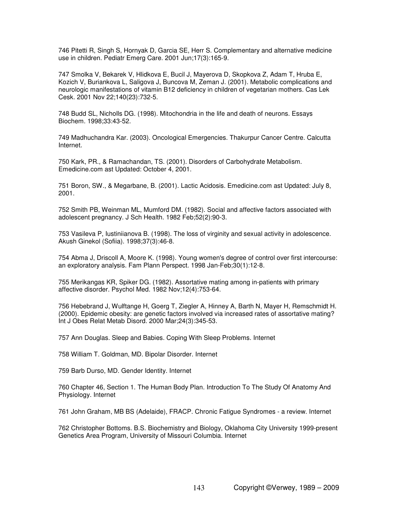746 Pitetti R, Singh S, Hornyak D, Garcia SE, Herr S. Complementary and alternative medicine use in children. Pediatr Emerg Care. 2001 Jun;17(3):165-9.

747 Smolka V, Bekarek V, Hlidkova E, Bucil J, Mayerova D, Skopkova Z, Adam T, Hruba E, Kozich V, Buriankova L, Saligova J, Buncova M, Zeman J. (2001). Metabolic complications and neurologic manifestations of vitamin B12 deficiency in children of vegetarian mothers. Cas Lek Cesk. 2001 Nov 22;140(23):732-5.

748 Budd SL, Nicholls DG. (1998). Mitochondria in the life and death of neurons. Essays Biochem. 1998;33:43-52.

749 Madhuchandra Kar. (2003). Oncological Emergencies. Thakurpur Cancer Centre. Calcutta Internet.

750 Kark, PR., & Ramachandan, TS. (2001). Disorders of Carbohydrate Metabolism. Emedicine.com ast Updated: October 4, 2001.

751 Boron, SW., & Megarbane, B. (2001). Lactic Acidosis. Emedicine.com ast Updated: July 8, 2001.

752 Smith PB, Weinman ML, Mumford DM. (1982). Social and affective factors associated with adolescent pregnancy. J Sch Health. 1982 Feb;52(2):90-3.

753 Vasileva P, Iustiniianova B. (1998). The loss of virginity and sexual activity in adolescence. Akush Ginekol (Sofiia). 1998;37(3):46-8.

754 Abma J, Driscoll A, Moore K. (1998). Young women's degree of control over first intercourse: an exploratory analysis. Fam Plann Perspect. 1998 Jan-Feb;30(1):12-8.

755 Merikangas KR, Spiker DG. (1982). Assortative mating among in-patients with primary affective disorder. Psychol Med. 1982 Nov;12(4):753-64.

756 Hebebrand J, Wulftange H, Goerg T, Ziegler A, Hinney A, Barth N, Mayer H, Remschmidt H. (2000). Epidemic obesity: are genetic factors involved via increased rates of assortative mating? Int J Obes Relat Metab Disord. 2000 Mar;24(3):345-53.

757 Ann Douglas. Sleep and Babies. Coping With Sleep Problems. Internet

758 William T. Goldman, MD. Bipolar Disorder. Internet

759 Barb Durso, MD. Gender Identity. Internet

760 Chapter 46, Section 1. The Human Body Plan. Introduction To The Study Of Anatomy And Physiology. Internet

761 John Graham, MB BS (Adelaide), FRACP. Chronic Fatigue Syndromes - a review. Internet

762 Christopher Bottoms. B.S. Biochemistry and Biology, Oklahoma City University 1999-present Genetics Area Program, University of Missouri Columbia. Internet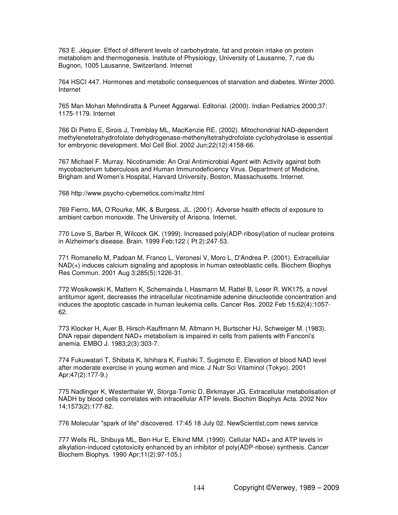763 E. Jéquier. Effect of different levels of carbohydrate, fat and protein intake on protein metabolism and thermogenesis. Institute of Physiology, University of Lausanne, 7, rue du Bugnon, 1005 Lausanne, Switzerland. Internet

764 HSCI 447. Hormones and metabolic consequences of starvation and diabetes. Winter 2000. Internet

765 Man Mohan Mehndiratta & Puneet Aggarwal. Editorial. (2000). Indian Pediatrics 2000;37: 1175-1179. Internet

766 Di Pietro E, Sirois J, Tremblay ML, MacKenzie RE. (2002). Mitochondrial NAD-dependent methylenetetrahydrofolate dehydrogenase-methenyltetrahydrofolate cyclohydrolase is essential for embryonic development. Mol Cell Biol. 2002 Jun;22(12):4158-66.

767 Michael F. Murray. Nicotinamide: An Oral Antimicrobial Agent with Activity against both mycobacterium tuberculosis and Human Immunodeficiency Virus. Department of Medicine, Brigham and Women's Hospital, Harvard University, Boston, Massachusetts. Internet.

768 http://www.psycho-cybernetics.com/maltz.html

769 Fierro, MA, O'Rourke, MK, & Burgess, JL. (2001). Adverse health effects of exposure to ambient carbon monoxide. The University of Arisona. Internet.

770 Love S, Barber R, Wilcock GK. (1999). Increased poly(ADP-ribosyl)ation of nuclear proteins in Alzheimer's disease. Brain. 1999 Feb;122 ( Pt 2):247-53.

771 Romanello M, Padoan M, Franco L, Veronesi V, Moro L, D'Andrea P. (2001). Extracellular NAD(+) induces calcium signaling and apoptosis in human osteoblastic cells. Biochem Biophys Res Commun. 2001 Aug 3;285(5):1226-31.

772 Wosikowski K, Mattern K, Schemainda I, Hasmann M, Rattel B, Loser R. WK175, a novel antitumor agent, decreases the intracellular nicotinamide adenine dinucleotide concentration and induces the apoptotic cascade in human leukemia cells. Cancer Res. 2002 Feb 15;62(4):1057- 62.

773 Klocker H, Auer B, Hirsch-Kauffmann M, Altmann H, Burtscher HJ, Schweiger M. (1983). DNA repair dependent NAD+ metabolism is impaired in cells from patients with Fanconi's anemia. EMBO J. 1983;2(3):303-7.

774 Fukuwatari T, Shibata K, Ishihara K, Fushiki T, Sugimoto E. Elevation of blood NAD level after moderate exercise in young women and mice. J Nutr Sci Vitaminol (Tokyo). 2001 Apr;47(2):177-9.)

775 Nadlinger K, Westerthaler W, Storga-Tomic D, Birkmayer JG. Extracellular metabolisation of NADH by blood cells correlates with intracellular ATP levels. Biochim Biophys Acta. 2002 Nov 14;1573(2):177-82.

776 Molecular "spark of life" discovered. 17:45 18 July 02. NewScientist.com news service

777 Wells RL, Shibuya ML, Ben-Hur E, Elkind MM. (1990). Cellular NAD+ and ATP levels in alkylation-induced cytotoxicity enhanced by an inhibitor of poly(ADP-ribose) synthesis. Cancer Biochem Biophys. 1990 Apr;11(2):97-105.)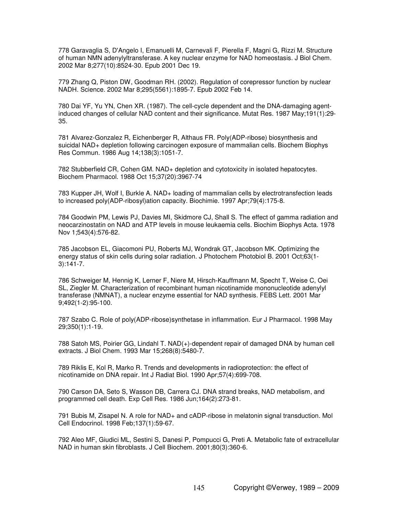778 Garavaglia S, D'Angelo I, Emanuelli M, Carnevali F, Pierella F, Magni G, Rizzi M. Structure of human NMN adenylyltransferase. A key nuclear enzyme for NAD homeostasis. J Biol Chem. 2002 Mar 8;277(10):8524-30. Epub 2001 Dec 19.

779 Zhang Q, Piston DW, Goodman RH. (2002). Regulation of corepressor function by nuclear NADH. Science. 2002 Mar 8;295(5561):1895-7. Epub 2002 Feb 14.

780 Dai YF, Yu YN, Chen XR. (1987). The cell-cycle dependent and the DNA-damaging agentinduced changes of cellular NAD content and their significance. Mutat Res. 1987 May;191(1):29- 35.

781 Alvarez-Gonzalez R, Eichenberger R, Althaus FR. Poly(ADP-ribose) biosynthesis and suicidal NAD+ depletion following carcinogen exposure of mammalian cells. Biochem Biophys Res Commun. 1986 Aug 14;138(3):1051-7.

782 Stubberfield CR, Cohen GM. NAD+ depletion and cytotoxicity in isolated hepatocytes. Biochem Pharmacol. 1988 Oct 15;37(20):3967-74

783 Kupper JH, Wolf I, Burkle A. NAD+ loading of mammalian cells by electrotransfection leads to increased poly(ADP-ribosyl)ation capacity. Biochimie. 1997 Apr;79(4):175-8.

784 Goodwin PM, Lewis PJ, Davies MI, Skidmore CJ, Shall S. The effect of gamma radiation and neocarzinostatin on NAD and ATP levels in mouse leukaemia cells. Biochim Biophys Acta. 1978 Nov 1;543(4):576-82.

785 Jacobson EL, Giacomoni PU, Roberts MJ, Wondrak GT, Jacobson MK. Optimizing the energy status of skin cells during solar radiation. J Photochem Photobiol B. 2001 Oct;63(1- 3):141-7.

786 Schweiger M, Hennig K, Lerner F, Niere M, Hirsch-Kauffmann M, Specht T, Weise C, Oei SL, Ziegler M. Characterization of recombinant human nicotinamide mononucleotide adenylyl transferase (NMNAT), a nuclear enzyme essential for NAD synthesis. FEBS Lett. 2001 Mar 9;492(1-2):95-100.

787 Szabo C. Role of poly(ADP-ribose)synthetase in inflammation. Eur J Pharmacol. 1998 May 29;350(1):1-19.

788 Satoh MS, Poirier GG, Lindahl T. NAD(+)-dependent repair of damaged DNA by human cell extracts. J Biol Chem. 1993 Mar 15;268(8):5480-7.

789 Riklis E, Kol R, Marko R. Trends and developments in radioprotection: the effect of nicotinamide on DNA repair. Int J Radiat Biol. 1990 Apr;57(4):699-708.

790 Carson DA, Seto S, Wasson DB, Carrera CJ. DNA strand breaks, NAD metabolism, and programmed cell death. Exp Cell Res. 1986 Jun;164(2):273-81.

791 Bubis M, Zisapel N. A role for NAD+ and cADP-ribose in melatonin signal transduction. Mol Cell Endocrinol. 1998 Feb;137(1):59-67.

792 Aleo MF, Giudici ML, Sestini S, Danesi P, Pompucci G, Preti A. Metabolic fate of extracellular NAD in human skin fibroblasts. J Cell Biochem. 2001;80(3):360-6.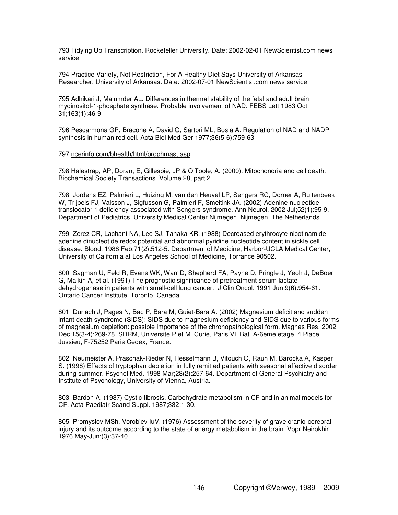793 Tidying Up Transcription. Rockefeller University. Date: 2002-02-01 NewScientist.com news service

794 Practice Variety, Not Restriction, For A Healthy Diet Says University of Arkansas Researcher. University of Arkansas. Date: 2002-07-01 NewScientist.com news service

795 Adhikari J, Majumder AL. Differences in thermal stability of the fetal and adult brain myoinositol-1-phosphate synthase. Probable involvement of NAD. FEBS Lett 1983 Oct 31;163(1):46-9

796 Pescarmona GP, Bracone A, David O, Sartori ML, Bosia A. Regulation of NAD and NADP synthesis in human red cell. Acta Biol Med Ger 1977;36(5-6):759-63

## 797 ncerinfo.com/bhealth/html/prophmast.asp

798 Halestrap, AP, Doran, E, Gillespie, JP & O'Toole, A. (2000). Mitochondria and cell death. Biochemical Society Transactions. Volume 28, part 2

798 Jordens EZ, Palmieri L, Huizing M, van den Heuvel LP, Sengers RC, Dorner A, Ruitenbeek W, Trijbels FJ, Valsson J, Sigfusson G, Palmieri F, Smeitink JA. (2002) Adenine nucleotide translocator 1 deficiency associated with Sengers syndrome. Ann Neurol. 2002 Jul;52(1):95-9. Department of Pediatrics, University Medical Center Nijmegen, Nijmegen, The Netherlands.

799 Zerez CR, Lachant NA, Lee SJ, Tanaka KR. (1988) Decreased erythrocyte nicotinamide adenine dinucleotide redox potential and abnormal pyridine nucleotide content in sickle cell disease. Blood. 1988 Feb;71(2):512-5. Department of Medicine, Harbor-UCLA Medical Center, University of California at Los Angeles School of Medicine, Torrance 90502.

800 Sagman U, Feld R, Evans WK, Warr D, Shepherd FA, Payne D, Pringle J, Yeoh J, DeBoer G, Malkin A, et al. (1991) The prognostic significance of pretreatment serum lactate dehydrogenase in patients with small-cell lung cancer. J Clin Oncol. 1991 Jun;9(6):954-61. Ontario Cancer Institute, Toronto, Canada.

801 Durlach J, Pages N, Bac P, Bara M, Guiet-Bara A. (2002) Magnesium deficit and sudden infant death syndrome (SIDS): SIDS due to magnesium deficiency and SIDS due to various forms of magnesium depletion: possible importance of the chronopathological form. Magnes Res. 2002 Dec;15(3-4):269-78. SDRM, Universite P et M. Curie, Paris VI, Bat. A-6eme etage, 4 Place Jussieu, F-75252 Paris Cedex, France.

802 Neumeister A, Praschak-Rieder N, Hesselmann B, Vitouch O, Rauh M, Barocka A, Kasper S. (1998) Effects of tryptophan depletion in fully remitted patients with seasonal affective disorder during summer. Psychol Med. 1998 Mar;28(2):257-64. Department of General Psychiatry and Institute of Psychology, University of Vienna, Austria.

803 Bardon A. (1987) Cystic fibrosis. Carbohydrate metabolism in CF and in animal models for CF. Acta Paediatr Scand Suppl. 1987;332:1-30.

805 Promyslov MSh, Vorob'ev IuV. (1976) Assessment of the severity of grave cranio-cerebral injury and its outcome according to the state of energy metabolism in the brain. Vopr Neirokhir. 1976 May-Jun;(3):37-40.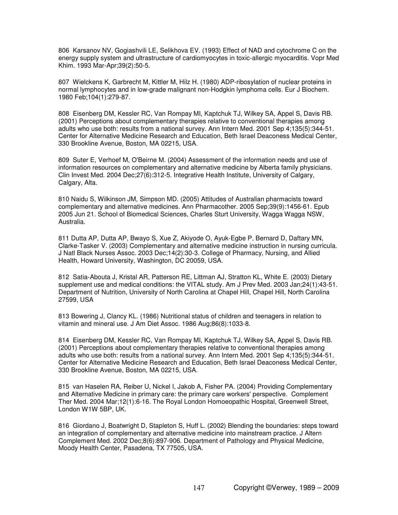806 Karsanov NV, Gogiashvili LE, Selikhova EV. (1993) Effect of NAD and cytochrome C on the energy supply system and ultrastructure of cardiomyocytes in toxic-allergic myocarditis. Vopr Med Khim. 1993 Mar-Apr;39(2):50-5.

807 Wielckens K, Garbrecht M, Kittler M, Hilz H. (1980) ADP-ribosylation of nuclear proteins in normal lymphocytes and in low-grade malignant non-Hodgkin lymphoma cells. Eur J Biochem. 1980 Feb;104(1):279-87.

808 Eisenberg DM, Kessler RC, Van Rompay MI, Kaptchuk TJ, Wilkey SA, Appel S, Davis RB. (2001) Perceptions about complementary therapies relative to conventional therapies among adults who use both: results from a national survey. Ann Intern Med. 2001 Sep 4;135(5):344-51. Center for Alternative Medicine Research and Education, Beth Israel Deaconess Medical Center, 330 Brookline Avenue, Boston, MA 02215, USA.

809 Suter E, Verhoef M, O'Beirne M. (2004) Assessment of the information needs and use of information resources on complementary and alternative medicine by Alberta family physicians. Clin Invest Med. 2004 Dec;27(6):312-5. Integrative Health Institute, University of Calgary, Calgary, Alta.

810 Naidu S, Wilkinson JM, Simpson MD. (2005) Attitudes of Australian pharmacists toward complementary and alternative medicines. Ann Pharmacother. 2005 Sep;39(9):1456-61. Epub 2005 Jun 21. School of Biomedical Sciences, Charles Sturt University, Wagga Wagga NSW, Australia.

811 Dutta AP, Dutta AP, Bwayo S, Xue Z, Akiyode O, Ayuk-Egbe P, Bernard D, Daftary MN, Clarke-Tasker V. (2003) Complementary and alternative medicine instruction in nursing curricula. J Natl Black Nurses Assoc. 2003 Dec;14(2):30-3. College of Pharmacy, Nursing, and Allied Health, Howard University, Washington, DC 20059, USA.

812 Satia-Abouta J, Kristal AR, Patterson RE, Littman AJ, Stratton KL, White E. (2003) Dietary supplement use and medical conditions: the VITAL study. Am J Prev Med. 2003 Jan;24(1):43-51. Department of Nutrition, University of North Carolina at Chapel Hill, Chapel Hill, North Carolina 27599, USA

813 Bowering J, Clancy KL. (1986) Nutritional status of children and teenagers in relation to vitamin and mineral use. J Am Diet Assoc. 1986 Aug;86(8):1033-8.

814 Eisenberg DM, Kessler RC, Van Rompay MI, Kaptchuk TJ, Wilkey SA, Appel S, Davis RB. (2001) Perceptions about complementary therapies relative to conventional therapies among adults who use both: results from a national survey. Ann Intern Med. 2001 Sep 4;135(5):344-51. Center for Alternative Medicine Research and Education, Beth Israel Deaconess Medical Center, 330 Brookline Avenue, Boston, MA 02215, USA.

815 van Haselen RA, Reiber U, Nickel I, Jakob A, Fisher PA. (2004) Providing Complementary and Alternative Medicine in primary care: the primary care workers' perspective. Complement Ther Med. 2004 Mar;12(1):6-16. The Royal London Homoeopathic Hospital, Greenwell Street, London W1W 5BP, UK.

816 Giordano J, Boatwright D, Stapleton S, Huff L. (2002) Blending the boundaries: steps toward an integration of complementary and alternative medicine into mainstream practice. J Altern Complement Med. 2002 Dec;8(6):897-906. Department of Pathology and Physical Medicine, Moody Health Center, Pasadena, TX 77505, USA.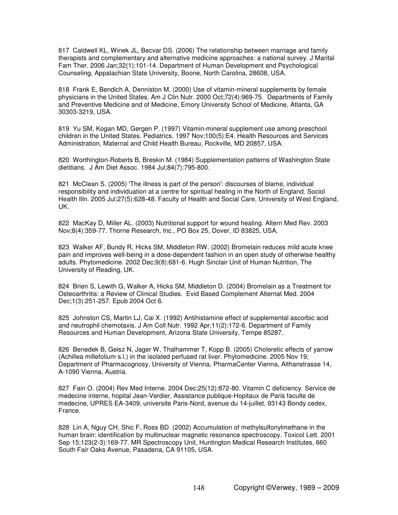817 Caldwell KL, Winek JL, Becvar DS. (2006) The relationship between marriage and family therapists and complementary and alternative medicine approaches: a national survey. J Marital Fam Ther. 2006 Jan;32(1):101-14. Department of Human Development and Psychological Counseling, Appalachian State University, Boone, North Carolina, 28608, USA.

818 Frank E, Bendich A, Denniston M. (2000) Use of vitamin-mineral supplements by female physicians in the United States. Am J Clin Nutr. 2000 Oct;72(4):969-75. Departments of Family and Preventive Medicine and of Medicine, Emory University School of Medicine, Atlanta, GA 30303-3219, USA.

819 Yu SM, Kogan MD, Gergen P. (1997) Vitamin-mineral supplement use among preschool children in the United States. Pediatrics. 1997 Nov;100(5):E4. Health Resources and Services Administration, Maternal and Child Health Bureau, Rockville, MD 20857, USA.

820 Worthington-Roberts B, Breskin M. (1984) Supplementation patterns of Washington State dietitians. J Am Diet Assoc. 1984 Jul;84(7):795-800.

821 McClean S. (2005) 'The illness is part of the person': discourses of blame, individual responsibility and individuation at a centre for spiritual healing in the North of England. Sociol Health Illn. 2005 Jul;27(5):628-48. Faculty of Health and Social Care, University of West England, UK.

822 MacKay D, Miller AL. (2003) Nutritional support for wound healing. Altern Med Rev. 2003 Nov;8(4):359-77. Thorne Research, Inc., PO Box 25, Dover, ID 83825, USA.

823 Walker AF, Bundy R, Hicks SM, Middleton RW. (2002) Bromelain reduces mild acute knee pain and improves well-being in a dose-dependent fashion in an open study of otherwise healthy adults. Phytomedicine. 2002 Dec;9(8):681-6. Hugh Sinclair Unit of Human Nutrition, The University of Reading, UK.

824 Brien S, Lewith G, Walker A, Hicks SM, Middleton D. (2004) Bromelain as a Treatment for Osteoarthritis: a Review of Clinical Studies. Evid Based Complement Alternat Med. 2004 Dec;1(3):251-257. Epub 2004 Oct 6.

825 Johnston CS, Martin LJ, Cai X. (1992) Antihistamine effect of supplemental ascorbic acid and neutrophil chemotaxis. J Am Coll Nutr. 1992 Apr;11(2):172-6. Department of Family Resources and Human Development, Arizona State University, Tempe 85287.

826 Benedek B, Geisz N, Jager W, Thalhammer T, Kopp B. (2005) Choleretic effects of yarrow (Achillea millefolium s.l.) in the isolated perfused rat liver. Phytomedicine. 2005 Nov 19; Department of Pharmacognosy, University of Vienna, PharmaCenter Vienna, Althanstrasse 14, A-1090 Vienna, Austria.

827 Fain O. (2004) Rev Med Interne. 2004 Dec;25(12):872-80. Vitamin C deficiency. Service de medecine interne, hopital Jean-Verdier, Assistance publique-Hopitaux de Paris faculte de medecine, UPRES EA-3409, universite Paris-Nord, avenue du 14-juillet, 93143 Bondy cedex, France.

828 Lin A, Nguy CH, Shic F, Ross BD. (2002) Accumulation of methylsulfonylmethane in the human brain: identification by multinuclear magnetic resonance spectroscopy. Toxicol Lett. 2001 Sep 15;123(2-3):169-77. MR Spectroscopy Unit, Huntington Medical Research Institutes, 660 South Fair Oaks Avenue, Pasadena, CA 91105, USA.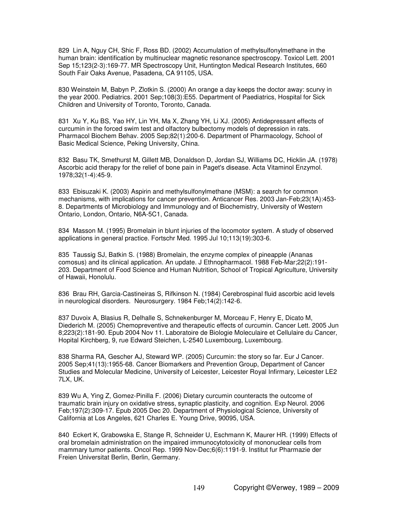829 Lin A, Nguy CH, Shic F, Ross BD. (2002) Accumulation of methylsulfonylmethane in the human brain: identification by multinuclear magnetic resonance spectroscopy. Toxicol Lett. 2001 Sep 15;123(2-3):169-77. MR Spectroscopy Unit, Huntington Medical Research Institutes, 660 South Fair Oaks Avenue, Pasadena, CA 91105, USA.

830 Weinstein M, Babyn P, Zlotkin S. (2000) An orange a day keeps the doctor away: scurvy in the year 2000. Pediatrics. 2001 Sep;108(3):E55. Department of Paediatrics, Hospital for Sick Children and University of Toronto, Toronto, Canada.

831 Xu Y, Ku BS, Yao HY, Lin YH, Ma X, Zhang YH, Li XJ. (2005) Antidepressant effects of curcumin in the forced swim test and olfactory bulbectomy models of depression in rats. Pharmacol Biochem Behav. 2005 Sep;82(1):200-6. Department of Pharmacology, School of Basic Medical Science, Peking University, China.

832 Basu TK, Smethurst M, Gillett MB, Donaldson D, Jordan SJ, Williams DC, Hicklin JA. (1978) Ascorbic acid therapy for the relief of bone pain in Paget's disease. Acta Vitaminol Enzymol. 1978;32(1-4):45-9.

833 Ebisuzaki K. (2003) Aspirin and methylsulfonylmethane (MSM): a search for common mechanisms, with implications for cancer prevention. Anticancer Res. 2003 Jan-Feb;23(1A):453- 8. Departments of Microbiology and Immunology and of Biochemistry, University of Western Ontario, London, Ontario, N6A-5C1, Canada.

834 Masson M. (1995) Bromelain in blunt injuries of the locomotor system. A study of observed applications in general practice. Fortschr Med. 1995 Jul 10;113(19):303-6.

835 Taussig SJ, Batkin S. (1988) Bromelain, the enzyme complex of pineapple (Ananas comosus) and its clinical application. An update. J Ethnopharmacol. 1988 Feb-Mar;22(2):191- 203. Department of Food Science and Human Nutrition, School of Tropical Agriculture, University of Hawaii, Honolulu.

836 Brau RH, Garcia-Castineiras S, Rifkinson N. (1984) Cerebrospinal fluid ascorbic acid levels in neurological disorders. Neurosurgery. 1984 Feb;14(2):142-6.

837 Duvoix A, Blasius R, Delhalle S, Schnekenburger M, Morceau F, Henry E, Dicato M, Diederich M. (2005) Chemopreventive and therapeutic effects of curcumin. Cancer Lett. 2005 Jun 8;223(2):181-90. Epub 2004 Nov 11. Laboratoire de Biologie Moleculaire et Cellulaire du Cancer, Hopital Kirchberg, 9, rue Edward Steichen, L-2540 Luxembourg, Luxembourg.

838 Sharma RA, Gescher AJ, Steward WP. (2005) Curcumin: the story so far. Eur J Cancer. 2005 Sep;41(13):1955-68. Cancer Biomarkers and Prevention Group, Department of Cancer Studies and Molecular Medicine, University of Leicester, Leicester Royal Infirmary, Leicester LE2 7LX, UK.

839 Wu A, Ying Z, Gomez-Pinilla F. (2006) Dietary curcumin counteracts the outcome of traumatic brain injury on oxidative stress, synaptic plasticity, and cognition. Exp Neurol. 2006 Feb;197(2):309-17. Epub 2005 Dec 20. Department of Physiological Science, University of California at Los Angeles, 621 Charles E. Young Drive, 90095, USA.

840 Eckert K, Grabowska E, Stange R, Schneider U, Eschmann K, Maurer HR. (1999) Effects of oral bromelain administration on the impaired immunocytotoxicity of mononuclear cells from mammary tumor patients. Oncol Rep. 1999 Nov-Dec;6(6):1191-9. Institut fur Pharmazie der Freien Universitat Berlin, Berlin, Germany.